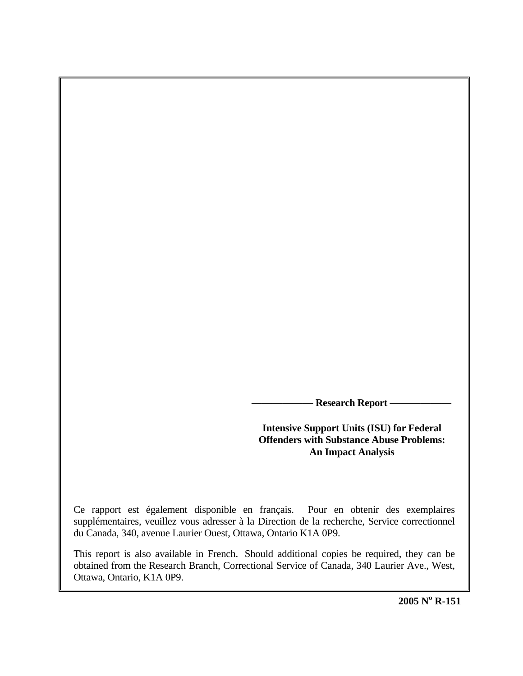**- Research Report –** 

**Intensive Support Units (ISU) for Federal Offenders with Substance Abuse Problems: An Impact Analysis** 

Ce rapport est également disponible en français. Pour en obtenir des exemplaires supplémentaires, veuillez vous adresser à la Direction de la recherche, Service correctionnel du Canada, 340, avenue Laurier Ouest, Ottawa, Ontario K1A 0P9.

This report is also available in French. Should additional copies be required, they can be obtained from the Research Branch, Correctional Service of Canada, 340 Laurier Ave., West, Ottawa, Ontario, K1A 0P9.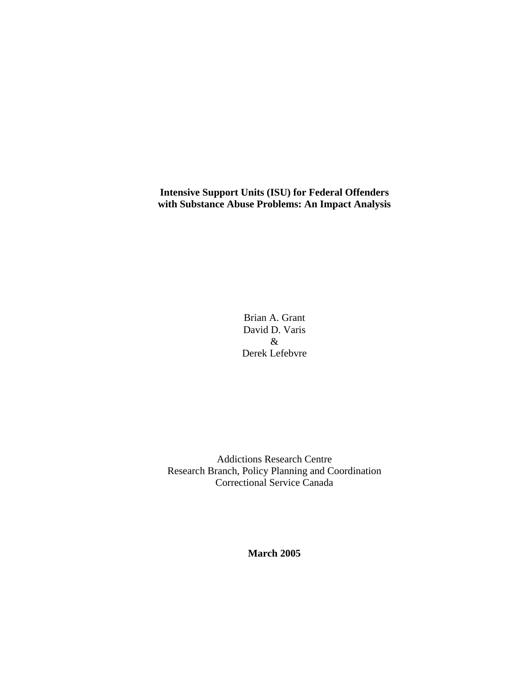**Intensive Support Units (ISU) for Federal Offenders with Substance Abuse Problems: An Impact Analysis** 

> Brian A. Grant David D. Varis & Derek Lefebvre

Addictions Research Centre Research Branch, Policy Planning and Coordination Correctional Service Canada

**March 2005**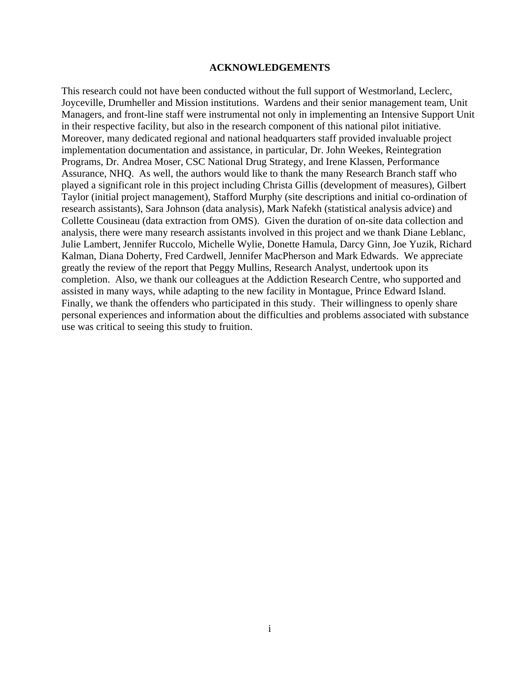## **ACKNOWLEDGEMENTS**

<span id="page-2-0"></span>This research could not have been conducted without the full support of Westmorland, Leclerc, Joyceville, Drumheller and Mission institutions. Wardens and their senior management team, Unit Managers, and front-line staff were instrumental not only in implementing an Intensive Support Unit in their respective facility, but also in the research component of this national pilot initiative. Moreover, many dedicated regional and national headquarters staff provided invaluable project implementation documentation and assistance, in particular, Dr. John Weekes, Reintegration Programs, Dr. Andrea Moser, CSC National Drug Strategy, and Irene Klassen, Performance Assurance, NHQ. As well, the authors would like to thank the many Research Branch staff who played a significant role in this project including Christa Gillis (development of measures), Gilbert Taylor (initial project management), Stafford Murphy (site descriptions and initial co-ordination of research assistants), Sara Johnson (data analysis), Mark Nafekh (statistical analysis advice) and Collette Cousineau (data extraction from OMS). Given the duration of on-site data collection and analysis, there were many research assistants involved in this project and we thank Diane Leblanc, Julie Lambert, Jennifer Ruccolo, Michelle Wylie, Donette Hamula, Darcy Ginn, Joe Yuzik, Richard Kalman, Diana Doherty, Fred Cardwell, Jennifer MacPherson and Mark Edwards. We appreciate greatly the review of the report that Peggy Mullins, Research Analyst, undertook upon its completion. Also, we thank our colleagues at the Addiction Research Centre, who supported and assisted in many ways, while adapting to the new facility in Montague, Prince Edward Island. Finally, we thank the offenders who participated in this study. Their willingness to openly share personal experiences and information about the difficulties and problems associated with substance use was critical to seeing this study to fruition.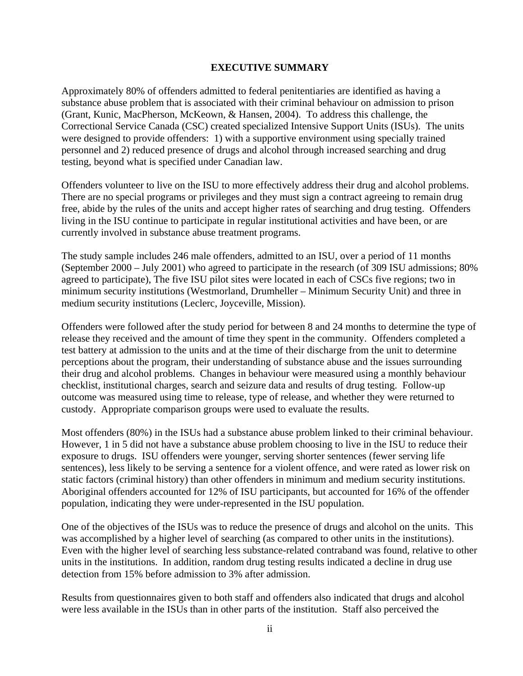# **EXECUTIVE SUMMARY**

<span id="page-3-0"></span>Approximately 80% of offenders admitted to federal penitentiaries are identified as having a substance abuse problem that is associated with their criminal behaviour on admission to prison (Grant, Kunic, MacPherson, McKeown, & Hansen, 2004). To address this challenge, the Correctional Service Canada (CSC) created specialized Intensive Support Units (ISUs). The units were designed to provide offenders: 1) with a supportive environment using specially trained personnel and 2) reduced presence of drugs and alcohol through increased searching and drug testing, beyond what is specified under Canadian law.

Offenders volunteer to live on the ISU to more effectively address their drug and alcohol problems. There are no special programs or privileges and they must sign a contract agreeing to remain drug free, abide by the rules of the units and accept higher rates of searching and drug testing. Offenders living in the ISU continue to participate in regular institutional activities and have been, or are currently involved in substance abuse treatment programs.

The study sample includes 246 male offenders, admitted to an ISU, over a period of 11 months (September 2000 – July 2001) who agreed to participate in the research (of 309 ISU admissions; 80% agreed to participate), The five ISU pilot sites were located in each of CSCs five regions; two in minimum security institutions (Westmorland, Drumheller – Minimum Security Unit) and three in medium security institutions (Leclerc, Joyceville, Mission).

Offenders were followed after the study period for between 8 and 24 months to determine the type of release they received and the amount of time they spent in the community. Offenders completed a test battery at admission to the units and at the time of their discharge from the unit to determine perceptions about the program, their understanding of substance abuse and the issues surrounding their drug and alcohol problems. Changes in behaviour were measured using a monthly behaviour checklist, institutional charges, search and seizure data and results of drug testing. Follow-up outcome was measured using time to release, type of release, and whether they were returned to custody. Appropriate comparison groups were used to evaluate the results.

Most offenders (80%) in the ISUs had a substance abuse problem linked to their criminal behaviour. However, 1 in 5 did not have a substance abuse problem choosing to live in the ISU to reduce their exposure to drugs. ISU offenders were younger, serving shorter sentences (fewer serving life sentences), less likely to be serving a sentence for a violent offence, and were rated as lower risk on static factors (criminal history) than other offenders in minimum and medium security institutions. Aboriginal offenders accounted for 12% of ISU participants, but accounted for 16% of the offender population, indicating they were under-represented in the ISU population.

One of the objectives of the ISUs was to reduce the presence of drugs and alcohol on the units. This was accomplished by a higher level of searching (as compared to other units in the institutions). Even with the higher level of searching less substance-related contraband was found, relative to other units in the institutions. In addition, random drug testing results indicated a decline in drug use detection from 15% before admission to 3% after admission.

Results from questionnaires given to both staff and offenders also indicated that drugs and alcohol were less available in the ISUs than in other parts of the institution. Staff also perceived the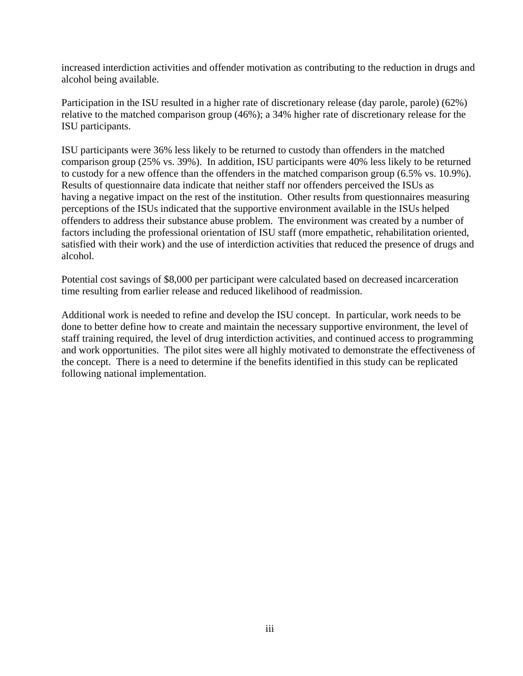increased interdiction activities and offender motivation as contributing to the reduction in drugs and alcohol being available.

Participation in the ISU resulted in a higher rate of discretionary release (day parole, parole) (62%) relative to the matched comparison group (46%); a 34% higher rate of discretionary release for the ISU participants.

ISU participants were 36% less likely to be returned to custody than offenders in the matched comparison group (25% vs. 39%). In addition, ISU participants were 40% less likely to be returned to custody for a new offence than the offenders in the matched comparison group (6.5% vs. 10.9%). Results of questionnaire data indicate that neither staff nor offenders perceived the ISUs as having a negative impact on the rest of the institution. Other results from questionnaires measuring perceptions of the ISUs indicated that the supportive environment available in the ISUs helped offenders to address their substance abuse problem. The environment was created by a number of factors including the professional orientation of ISU staff (more empathetic, rehabilitation oriented, satisfied with their work) and the use of interdiction activities that reduced the presence of drugs and alcohol.

Potential cost savings of \$8,000 per participant were calculated based on decreased incarceration time resulting from earlier release and reduced likelihood of readmission.

Additional work is needed to refine and develop the ISU concept. In particular, work needs to be done to better define how to create and maintain the necessary supportive environment, the level of staff training required, the level of drug interdiction activities, and continued access to programming and work opportunities. The pilot sites were all highly motivated to demonstrate the effectiveness of the concept. There is a need to determine if the benefits identified in this study can be replicated following national implementation.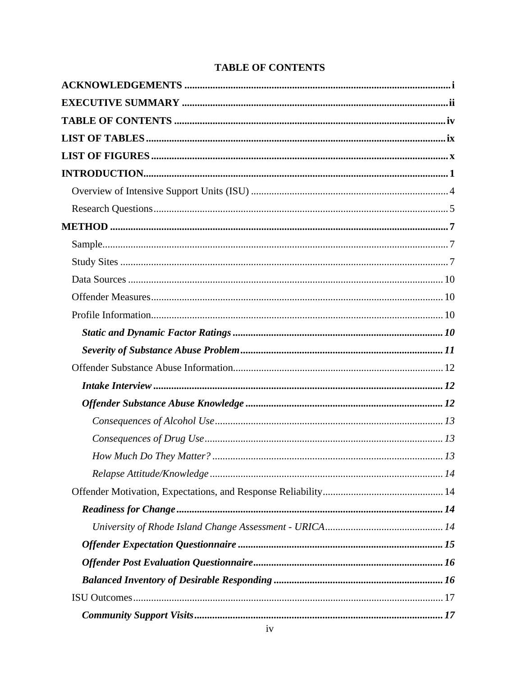| <b>TABLE OF CONTENTS</b> |  |  |  |
|--------------------------|--|--|--|
|--------------------------|--|--|--|

<span id="page-5-0"></span>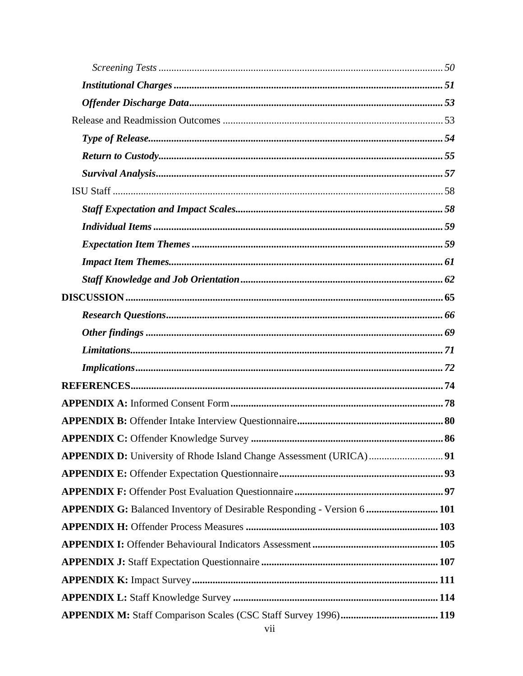| APPENDIX G: Balanced Inventory of Desirable Responding - Version 6  101 |
|-------------------------------------------------------------------------|
|                                                                         |
|                                                                         |
|                                                                         |
|                                                                         |
|                                                                         |
|                                                                         |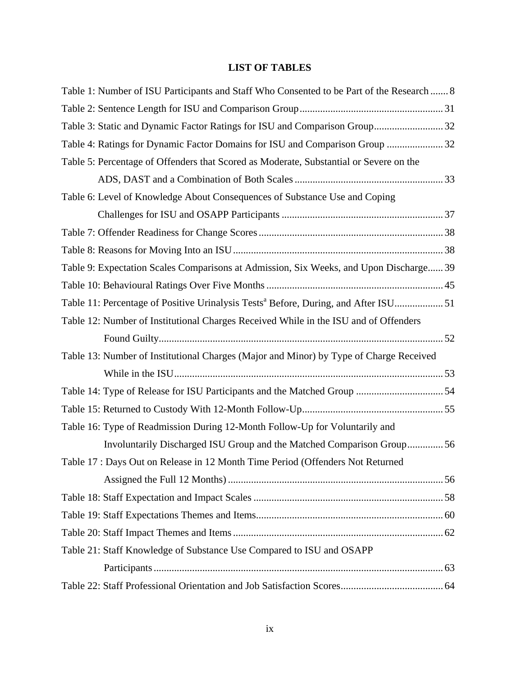# **LIST OF TABLES**

| Table 1: Number of ISU Participants and Staff Who Consented to be Part of the Research  8      |  |
|------------------------------------------------------------------------------------------------|--|
|                                                                                                |  |
| Table 3: Static and Dynamic Factor Ratings for ISU and Comparison Group 32                     |  |
| Table 4: Ratings for Dynamic Factor Domains for ISU and Comparison Group  32                   |  |
| Table 5: Percentage of Offenders that Scored as Moderate, Substantial or Severe on the         |  |
|                                                                                                |  |
| Table 6: Level of Knowledge About Consequences of Substance Use and Coping                     |  |
|                                                                                                |  |
|                                                                                                |  |
|                                                                                                |  |
| Table 9: Expectation Scales Comparisons at Admission, Six Weeks, and Upon Discharge 39         |  |
|                                                                                                |  |
| Table 11: Percentage of Positive Urinalysis Tests <sup>a</sup> Before, During, and After ISU51 |  |
| Table 12: Number of Institutional Charges Received While in the ISU and of Offenders           |  |
|                                                                                                |  |
| Table 13: Number of Institutional Charges (Major and Minor) by Type of Charge Received         |  |
|                                                                                                |  |
|                                                                                                |  |
|                                                                                                |  |
| Table 16: Type of Readmission During 12-Month Follow-Up for Voluntarily and                    |  |
| Involuntarily Discharged ISU Group and the Matched Comparison Group56                          |  |
| Table 17 : Days Out on Release in 12 Month Time Period (Offenders Not Returned                 |  |
|                                                                                                |  |
|                                                                                                |  |
|                                                                                                |  |
|                                                                                                |  |
| Table 21: Staff Knowledge of Substance Use Compared to ISU and OSAPP                           |  |
|                                                                                                |  |
|                                                                                                |  |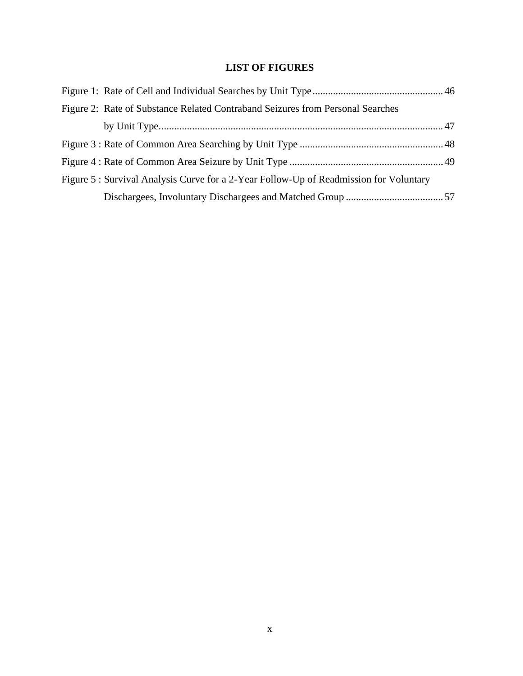# **LIST OF FIGURES**

| Figure 2: Rate of Substance Related Contraband Seizures from Personal Searches         |  |
|----------------------------------------------------------------------------------------|--|
|                                                                                        |  |
|                                                                                        |  |
|                                                                                        |  |
| Figure 5 : Survival Analysis Curve for a 2-Year Follow-Up of Readmission for Voluntary |  |
|                                                                                        |  |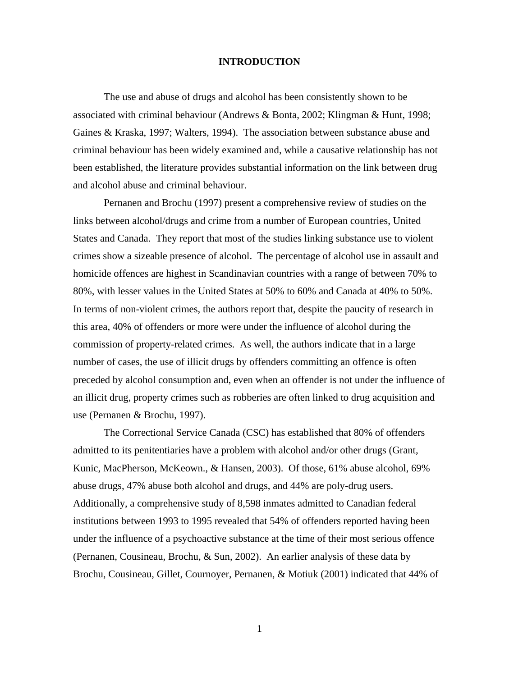## **INTRODUCTION**

<span id="page-12-0"></span>The use and abuse of drugs and alcohol has been consistently shown to be associated with criminal behaviour (Andrews & Bonta, 2002; Klingman & Hunt, 1998; Gaines & Kraska, 1997; Walters, 1994). The association between substance abuse and criminal behaviour has been widely examined and, while a causative relationship has not been established, the literature provides substantial information on the link between drug and alcohol abuse and criminal behaviour.

Pernanen and Brochu (1997) present a comprehensive review of studies on the links between alcohol/drugs and crime from a number of European countries, United States and Canada. They report that most of the studies linking substance use to violent crimes show a sizeable presence of alcohol. The percentage of alcohol use in assault and homicide offences are highest in Scandinavian countries with a range of between 70% to 80%, with lesser values in the United States at 50% to 60% and Canada at 40% to 50%. In terms of non-violent crimes, the authors report that, despite the paucity of research in this area, 40% of offenders or more were under the influence of alcohol during the commission of property-related crimes. As well, the authors indicate that in a large number of cases, the use of illicit drugs by offenders committing an offence is often preceded by alcohol consumption and, even when an offender is not under the influence of an illicit drug, property crimes such as robberies are often linked to drug acquisition and use (Pernanen & Brochu, 1997).

The Correctional Service Canada (CSC) has established that 80% of offenders admitted to its penitentiaries have a problem with alcohol and/or other drugs (Grant, Kunic, MacPherson, McKeown., & Hansen, 2003). Of those, 61% abuse alcohol, 69% abuse drugs, 47% abuse both alcohol and drugs, and 44% are poly-drug users. Additionally, a comprehensive study of 8,598 inmates admitted to Canadian federal institutions between 1993 to 1995 revealed that 54% of offenders reported having been under the influence of a psychoactive substance at the time of their most serious offence (Pernanen, Cousineau, Brochu, & Sun, 2002). An earlier analysis of these data by Brochu, Cousineau, Gillet, Cournoyer, Pernanen, & Motiuk (2001) indicated that 44% of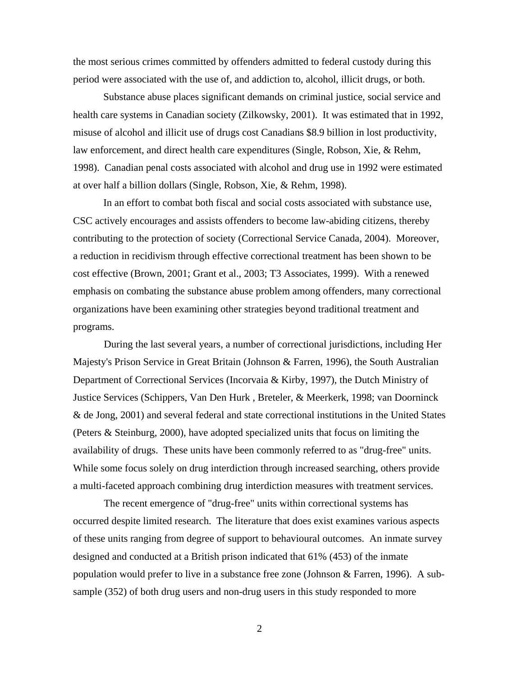the most serious crimes committed by offenders admitted to federal custody during this period were associated with the use of, and addiction to, alcohol, illicit drugs, or both.

 Substance abuse places significant demands on criminal justice, social service and health care systems in Canadian society (Zilkowsky, 2001). It was estimated that in 1992, misuse of alcohol and illicit use of drugs cost Canadians \$8.9 billion in lost productivity, law enforcement, and direct health care expenditures (Single, Robson, Xie, & Rehm, 1998). Canadian penal costs associated with alcohol and drug use in 1992 were estimated at over half a billion dollars (Single, Robson, Xie, & Rehm, 1998).

 In an effort to combat both fiscal and social costs associated with substance use, CSC actively encourages and assists offenders to become law-abiding citizens, thereby contributing to the protection of society (Correctional Service Canada, 2004). Moreover, a reduction in recidivism through effective correctional treatment has been shown to be cost effective (Brown, 2001; Grant et al., 2003; T3 Associates, 1999). With a renewed emphasis on combating the substance abuse problem among offenders, many correctional organizations have been examining other strategies beyond traditional treatment and programs.

During the last several years, a number of correctional jurisdictions, including Her Majesty's Prison Service in Great Britain (Johnson & Farren, 1996), the South Australian Department of Correctional Services (Incorvaia & Kirby, 1997), the Dutch Ministry of Justice Services (Schippers, Van Den Hurk , Breteler, & Meerkerk, 1998; van Doorninck & de Jong, 2001) and several federal and state correctional institutions in the United States (Peters & Steinburg, 2000), have adopted specialized units that focus on limiting the availability of drugs. These units have been commonly referred to as "drug-free" units. While some focus solely on drug interdiction through increased searching, others provide a multi-faceted approach combining drug interdiction measures with treatment services.

The recent emergence of "drug-free" units within correctional systems has occurred despite limited research. The literature that does exist examines various aspects of these units ranging from degree of support to behavioural outcomes. An inmate survey designed and conducted at a British prison indicated that 61% (453) of the inmate population would prefer to live in a substance free zone (Johnson & Farren, 1996). A subsample (352) of both drug users and non-drug users in this study responded to more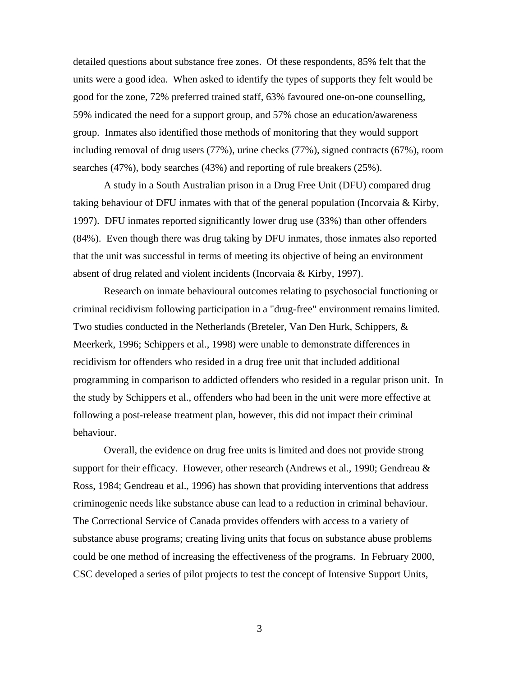detailed questions about substance free zones. Of these respondents, 85% felt that the units were a good idea. When asked to identify the types of supports they felt would be good for the zone, 72% preferred trained staff, 63% favoured one-on-one counselling, 59% indicated the need for a support group, and 57% chose an education/awareness group. Inmates also identified those methods of monitoring that they would support including removal of drug users (77%), urine checks (77%), signed contracts (67%), room searches (47%), body searches (43%) and reporting of rule breakers (25%).

A study in a South Australian prison in a Drug Free Unit (DFU) compared drug taking behaviour of DFU inmates with that of the general population (Incorvaia & Kirby, 1997). DFU inmates reported significantly lower drug use (33%) than other offenders (84%). Even though there was drug taking by DFU inmates, those inmates also reported that the unit was successful in terms of meeting its objective of being an environment absent of drug related and violent incidents (Incorvaia & Kirby, 1997).

Research on inmate behavioural outcomes relating to psychosocial functioning or criminal recidivism following participation in a "drug-free" environment remains limited. Two studies conducted in the Netherlands (Breteler, Van Den Hurk, Schippers, & Meerkerk, 1996; Schippers et al., 1998) were unable to demonstrate differences in recidivism for offenders who resided in a drug free unit that included additional programming in comparison to addicted offenders who resided in a regular prison unit. In the study by Schippers et al., offenders who had been in the unit were more effective at following a post-release treatment plan, however, this did not impact their criminal behaviour.

Overall, the evidence on drug free units is limited and does not provide strong support for their efficacy. However, other research (Andrews et al., 1990; Gendreau  $\&$ Ross, 1984; Gendreau et al., 1996) has shown that providing interventions that address criminogenic needs like substance abuse can lead to a reduction in criminal behaviour. The Correctional Service of Canada provides offenders with access to a variety of substance abuse programs; creating living units that focus on substance abuse problems could be one method of increasing the effectiveness of the programs. In February 2000, CSC developed a series of pilot projects to test the concept of Intensive Support Units,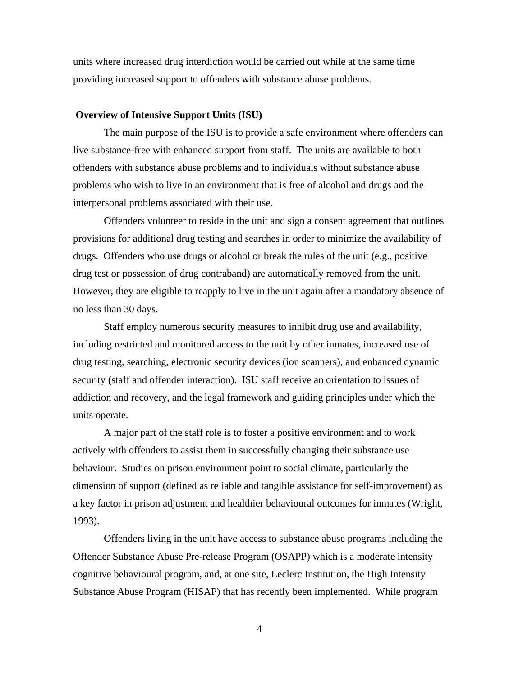<span id="page-15-0"></span>units where increased drug interdiction would be carried out while at the same time providing increased support to offenders with substance abuse problems.

#### **Overview of Intensive Support Units (ISU)**

The main purpose of the ISU is to provide a safe environment where offenders can live substance-free with enhanced support from staff. The units are available to both offenders with substance abuse problems and to individuals without substance abuse problems who wish to live in an environment that is free of alcohol and drugs and the interpersonal problems associated with their use.

Offenders volunteer to reside in the unit and sign a consent agreement that outlines provisions for additional drug testing and searches in order to minimize the availability of drugs. Offenders who use drugs or alcohol or break the rules of the unit (e.g., positive drug test or possession of drug contraband) are automatically removed from the unit. However, they are eligible to reapply to live in the unit again after a mandatory absence of no less than 30 days.

Staff employ numerous security measures to inhibit drug use and availability, including restricted and monitored access to the unit by other inmates, increased use of drug testing, searching, electronic security devices (ion scanners), and enhanced dynamic security (staff and offender interaction). ISU staff receive an orientation to issues of addiction and recovery, and the legal framework and guiding principles under which the units operate.

A major part of the staff role is to foster a positive environment and to work actively with offenders to assist them in successfully changing their substance use behaviour. Studies on prison environment point to social climate, particularly the dimension of support (defined as reliable and tangible assistance for self-improvement) as a key factor in prison adjustment and healthier behavioural outcomes for inmates (Wright, 1993).

Offenders living in the unit have access to substance abuse programs including the Offender Substance Abuse Pre-release Program (OSAPP) which is a moderate intensity cognitive behavioural program, and, at one site, Leclerc Institution, the High Intensity Substance Abuse Program (HISAP) that has recently been implemented. While program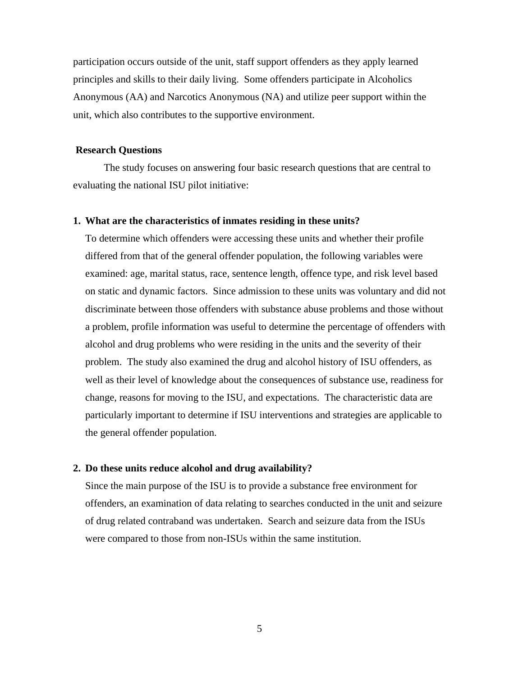<span id="page-16-0"></span>participation occurs outside of the unit, staff support offenders as they apply learned principles and skills to their daily living. Some offenders participate in Alcoholics Anonymous (AA) and Narcotics Anonymous (NA) and utilize peer support within the unit, which also contributes to the supportive environment.

#### **Research Questions**

The study focuses on answering four basic research questions that are central to evaluating the national ISU pilot initiative:

#### **1. What are the characteristics of inmates residing in these units?**

To determine which offenders were accessing these units and whether their profile differed from that of the general offender population, the following variables were examined: age, marital status, race, sentence length, offence type, and risk level based on static and dynamic factors. Since admission to these units was voluntary and did not discriminate between those offenders with substance abuse problems and those without a problem, profile information was useful to determine the percentage of offenders with alcohol and drug problems who were residing in the units and the severity of their problem. The study also examined the drug and alcohol history of ISU offenders, as well as their level of knowledge about the consequences of substance use, readiness for change, reasons for moving to the ISU, and expectations. The characteristic data are particularly important to determine if ISU interventions and strategies are applicable to the general offender population.

#### **2. Do these units reduce alcohol and drug availability?**

Since the main purpose of the ISU is to provide a substance free environment for offenders, an examination of data relating to searches conducted in the unit and seizure of drug related contraband was undertaken. Search and seizure data from the ISUs were compared to those from non-ISUs within the same institution.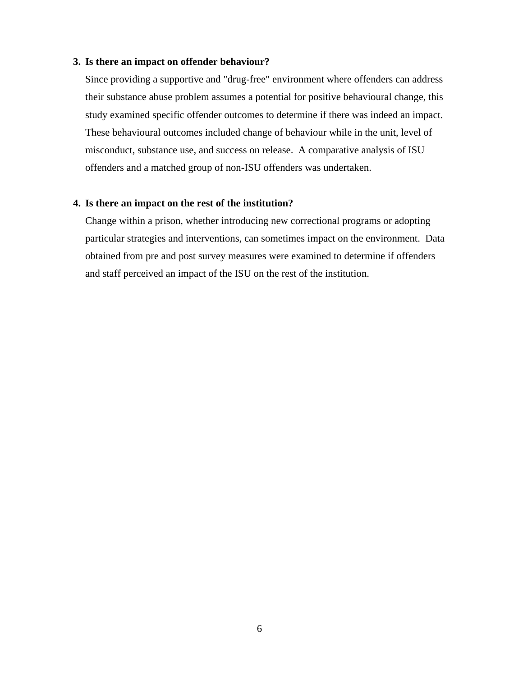#### **3. Is there an impact on offender behaviour?**

Since providing a supportive and "drug-free" environment where offenders can address their substance abuse problem assumes a potential for positive behavioural change, this study examined specific offender outcomes to determine if there was indeed an impact. These behavioural outcomes included change of behaviour while in the unit, level of misconduct, substance use, and success on release. A comparative analysis of ISU offenders and a matched group of non-ISU offenders was undertaken.

# **4. Is there an impact on the rest of the institution?**

Change within a prison, whether introducing new correctional programs or adopting particular strategies and interventions, can sometimes impact on the environment. Data obtained from pre and post survey measures were examined to determine if offenders and staff perceived an impact of the ISU on the rest of the institution.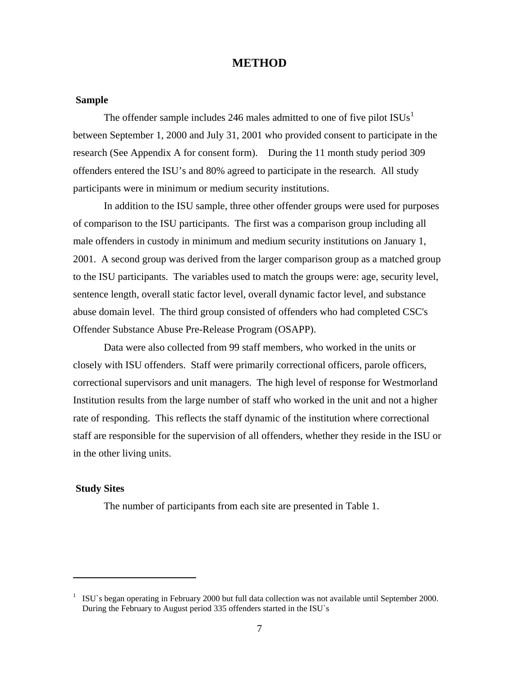# **METHOD**

## <span id="page-18-0"></span> **Sample**

The offender sample includes 246 males admitted to one of five pilot  $ISUs<sup>1</sup>$  $ISUs<sup>1</sup>$  $ISUs<sup>1</sup>$ between September 1, 2000 and July 31, 2001 who provided consent to participate in the research (See Appendix A for consent form). During the 11 month study period 309 offenders entered the ISU's and 80% agreed to participate in the research. All study participants were in minimum or medium security institutions.

In addition to the ISU sample, three other offender groups were used for purposes of comparison to the ISU participants. The first was a comparison group including all male offenders in custody in minimum and medium security institutions on January 1, 2001. A second group was derived from the larger comparison group as a matched group to the ISU participants. The variables used to match the groups were: age, security level, sentence length, overall static factor level, overall dynamic factor level, and substance abuse domain level. The third group consisted of offenders who had completed CSC's Offender Substance Abuse Pre-Release Program (OSAPP).

Data were also collected from 99 staff members, who worked in the units or closely with ISU offenders. Staff were primarily correctional officers, parole officers, correctional supervisors and unit managers. The high level of response for Westmorland Institution results from the large number of staff who worked in the unit and not a higher rate of responding. This reflects the staff dynamic of the institution where correctional staff are responsible for the supervision of all offenders, whether they reside in the ISU or in the other living units.

## **Study Sites**

l

The number of participants from each site are presented in Table 1.

<span id="page-18-1"></span><sup>1</sup> ISU`s began operating in February 2000 but full data collection was not available until September 2000. During the February to August period 335 offenders started in the ISU`s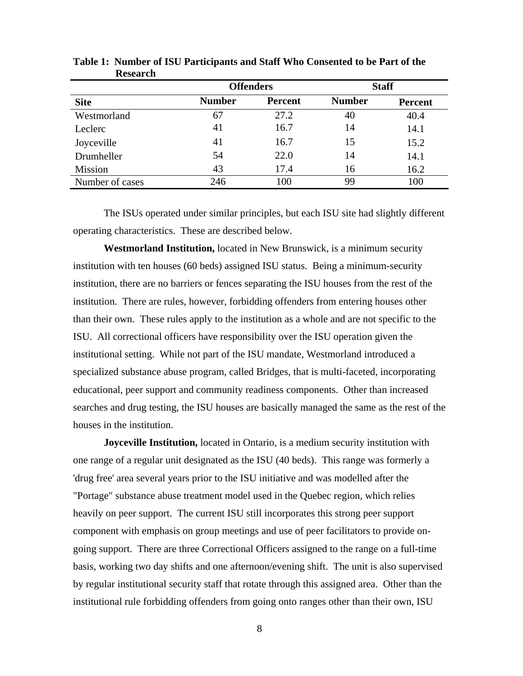|                 | <b>Offenders</b> |                | <b>Staff</b>  |         |  |
|-----------------|------------------|----------------|---------------|---------|--|
| <b>Site</b>     | <b>Number</b>    | <b>Percent</b> | <b>Number</b> | Percent |  |
| Westmorland     | 67               | 27.2           | 40            | 40.4    |  |
| Leclerc         | 41               | 16.7           | 14            | 14.1    |  |
| Joyceville      | 41               | 16.7           | 15            | 15.2    |  |
| Drumheller      | 54               | 22.0           | 14            | 14.1    |  |
| Mission         | 43               | 17.4           | 16            | 16.2    |  |
| Number of cases | 246              | 100            | 99            | 100     |  |

<span id="page-19-0"></span>**Table 1: Number of ISU Participants and Staff Who Consented to be Part of the Research** 

The ISUs operated under similar principles, but each ISU site had slightly different operating characteristics. These are described below.

**Westmorland Institution,** located in New Brunswick, is a minimum security institution with ten houses (60 beds) assigned ISU status. Being a minimum-security institution, there are no barriers or fences separating the ISU houses from the rest of the institution. There are rules, however, forbidding offenders from entering houses other than their own. These rules apply to the institution as a whole and are not specific to the ISU. All correctional officers have responsibility over the ISU operation given the institutional setting. While not part of the ISU mandate, Westmorland introduced a specialized substance abuse program, called Bridges, that is multi-faceted, incorporating educational, peer support and community readiness components. Other than increased searches and drug testing, the ISU houses are basically managed the same as the rest of the houses in the institution.

**Joyceville Institution,** located in Ontario, is a medium security institution with one range of a regular unit designated as the ISU (40 beds). This range was formerly a 'drug free' area several years prior to the ISU initiative and was modelled after the "Portage" substance abuse treatment model used in the Quebec region, which relies heavily on peer support. The current ISU still incorporates this strong peer support component with emphasis on group meetings and use of peer facilitators to provide ongoing support. There are three Correctional Officers assigned to the range on a full-time basis, working two day shifts and one afternoon/evening shift. The unit is also supervised by regular institutional security staff that rotate through this assigned area. Other than the institutional rule forbidding offenders from going onto ranges other than their own, ISU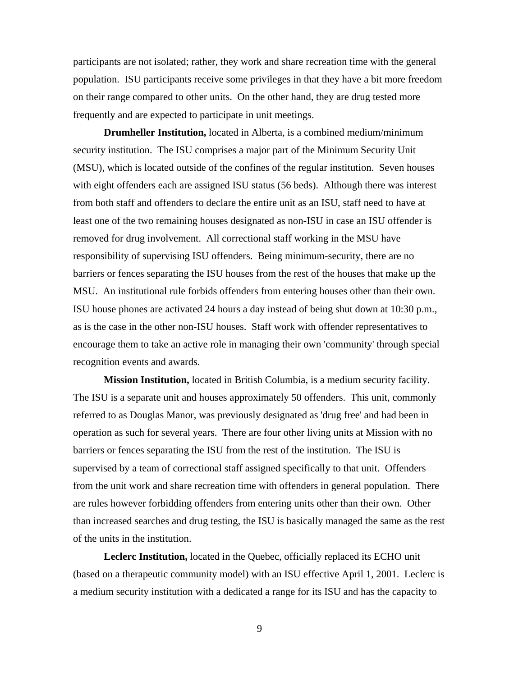participants are not isolated; rather, they work and share recreation time with the general population. ISU participants receive some privileges in that they have a bit more freedom on their range compared to other units. On the other hand, they are drug tested more frequently and are expected to participate in unit meetings.

**Drumheller Institution,** located in Alberta, is a combined medium/minimum security institution. The ISU comprises a major part of the Minimum Security Unit (MSU), which is located outside of the confines of the regular institution. Seven houses with eight offenders each are assigned ISU status (56 beds). Although there was interest from both staff and offenders to declare the entire unit as an ISU, staff need to have at least one of the two remaining houses designated as non-ISU in case an ISU offender is removed for drug involvement. All correctional staff working in the MSU have responsibility of supervising ISU offenders. Being minimum-security, there are no barriers or fences separating the ISU houses from the rest of the houses that make up the MSU. An institutional rule forbids offenders from entering houses other than their own. ISU house phones are activated 24 hours a day instead of being shut down at 10:30 p.m., as is the case in the other non-ISU houses. Staff work with offender representatives to encourage them to take an active role in managing their own 'community' through special recognition events and awards.

**Mission Institution,** located in British Columbia, is a medium security facility. The ISU is a separate unit and houses approximately 50 offenders. This unit, commonly referred to as Douglas Manor, was previously designated as 'drug free' and had been in operation as such for several years. There are four other living units at Mission with no barriers or fences separating the ISU from the rest of the institution. The ISU is supervised by a team of correctional staff assigned specifically to that unit. Offenders from the unit work and share recreation time with offenders in general population. There are rules however forbidding offenders from entering units other than their own. Other than increased searches and drug testing, the ISU is basically managed the same as the rest of the units in the institution.

 **Leclerc Institution,** located in the Quebec, officially replaced its ECHO unit (based on a therapeutic community model) with an ISU effective April 1, 2001. Leclerc is a medium security institution with a dedicated a range for its ISU and has the capacity to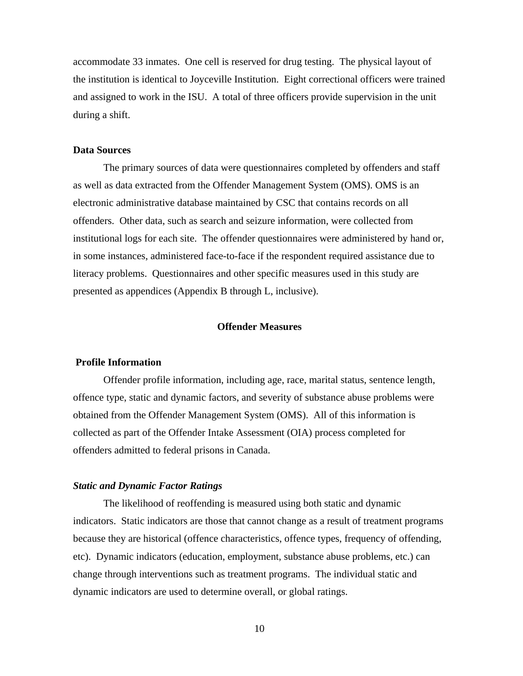<span id="page-21-0"></span>accommodate 33 inmates. One cell is reserved for drug testing. The physical layout of the institution is identical to Joyceville Institution. Eight correctional officers were trained and assigned to work in the ISU. A total of three officers provide supervision in the unit during a shift.

# **Data Sources**

 The primary sources of data were questionnaires completed by offenders and staff as well as data extracted from the Offender Management System (OMS). OMS is an electronic administrative database maintained by CSC that contains records on all offenders. Other data, such as search and seizure information, were collected from institutional logs for each site. The offender questionnaires were administered by hand or, in some instances, administered face-to-face if the respondent required assistance due to literacy problems. Questionnaires and other specific measures used in this study are presented as appendices (Appendix B through L, inclusive).

#### **Offender Measures**

#### **Profile Information**

 Offender profile information, including age, race, marital status, sentence length, offence type, static and dynamic factors, and severity of substance abuse problems were obtained from the Offender Management System (OMS). All of this information is collected as part of the Offender Intake Assessment (OIA) process completed for offenders admitted to federal prisons in Canada.

#### *Static and Dynamic Factor Ratings*

 The likelihood of reoffending is measured using both static and dynamic indicators. Static indicators are those that cannot change as a result of treatment programs because they are historical (offence characteristics, offence types, frequency of offending, etc). Dynamic indicators (education, employment, substance abuse problems, etc.) can change through interventions such as treatment programs. The individual static and dynamic indicators are used to determine overall, or global ratings.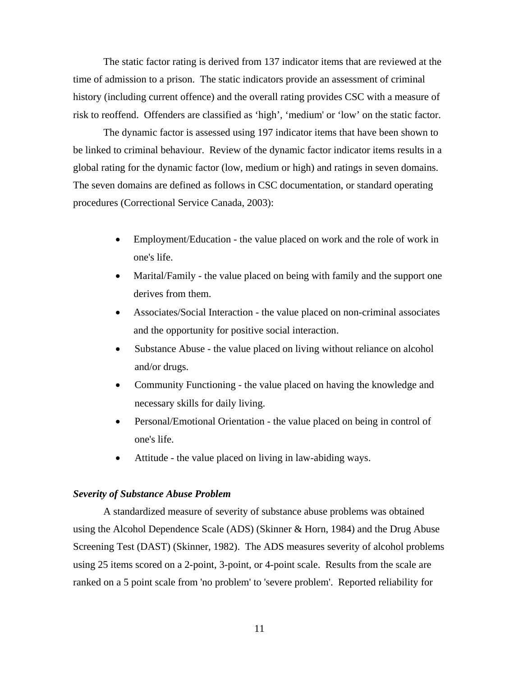<span id="page-22-0"></span> The static factor rating is derived from 137 indicator items that are reviewed at the time of admission to a prison. The static indicators provide an assessment of criminal history (including current offence) and the overall rating provides CSC with a measure of risk to reoffend. Offenders are classified as 'high', 'medium' or 'low' on the static factor.

 The dynamic factor is assessed using 197 indicator items that have been shown to be linked to criminal behaviour. Review of the dynamic factor indicator items results in a global rating for the dynamic factor (low, medium or high) and ratings in seven domains. The seven domains are defined as follows in CSC documentation, or standard operating procedures (Correctional Service Canada, 2003):

- Employment/Education the value placed on work and the role of work in one's life.
- Marital/Family the value placed on being with family and the support one derives from them.
- Associates/Social Interaction the value placed on non-criminal associates and the opportunity for positive social interaction.
- Substance Abuse the value placed on living without reliance on alcohol and/or drugs.
- Community Functioning the value placed on having the knowledge and necessary skills for daily living.
- Personal/Emotional Orientation the value placed on being in control of one's life.
- Attitude the value placed on living in law-abiding ways.

## *Severity of Substance Abuse Problem*

 A standardized measure of severity of substance abuse problems was obtained using the Alcohol Dependence Scale (ADS) (Skinner & Horn, 1984) and the Drug Abuse Screening Test (DAST) (Skinner, 1982). The ADS measures severity of alcohol problems using 25 items scored on a 2-point, 3-point, or 4-point scale. Results from the scale are ranked on a 5 point scale from 'no problem' to 'severe problem'. Reported reliability for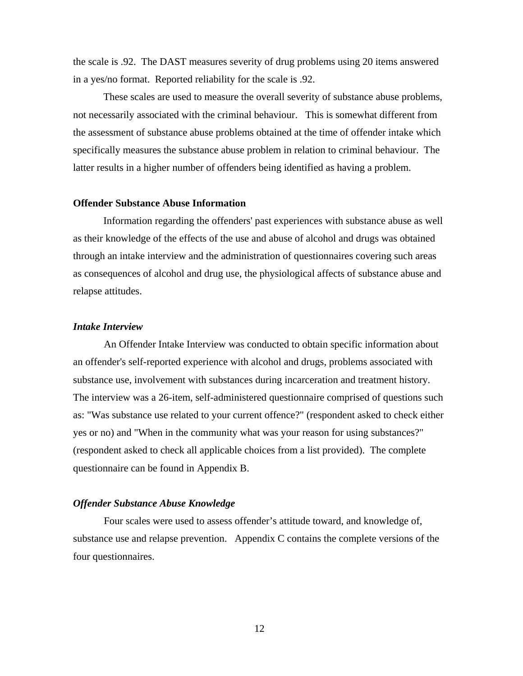<span id="page-23-0"></span>the scale is .92. The DAST measures severity of drug problems using 20 items answered in a yes/no format. Reported reliability for the scale is .92.

 These scales are used to measure the overall severity of substance abuse problems, not necessarily associated with the criminal behaviour. This is somewhat different from the assessment of substance abuse problems obtained at the time of offender intake which specifically measures the substance abuse problem in relation to criminal behaviour. The latter results in a higher number of offenders being identified as having a problem.

## **Offender Substance Abuse Information**

Information regarding the offenders' past experiences with substance abuse as well as their knowledge of the effects of the use and abuse of alcohol and drugs was obtained through an intake interview and the administration of questionnaires covering such areas as consequences of alcohol and drug use, the physiological affects of substance abuse and relapse attitudes.

#### *Intake Interview*

An Offender Intake Interview was conducted to obtain specific information about an offender's self-reported experience with alcohol and drugs, problems associated with substance use, involvement with substances during incarceration and treatment history. The interview was a 26-item, self-administered questionnaire comprised of questions such as: "Was substance use related to your current offence?" (respondent asked to check either yes or no) and "When in the community what was your reason for using substances?" (respondent asked to check all applicable choices from a list provided). The complete questionnaire can be found in Appendix B.

## *Offender Substance Abuse Knowledge*

Four scales were used to assess offender's attitude toward, and knowledge of, substance use and relapse prevention. Appendix C contains the complete versions of the four questionnaires.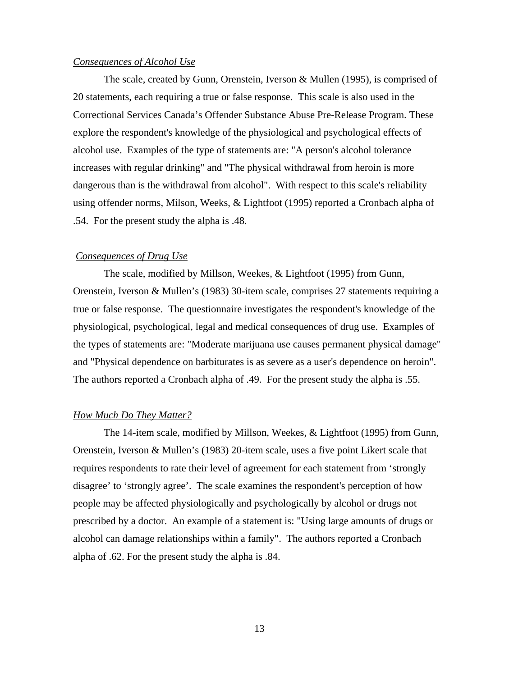## <span id="page-24-0"></span>*Consequences of Alcohol Use*

The scale, created by Gunn, Orenstein, Iverson & Mullen (1995), is comprised of 20 statements, each requiring a true or false response. This scale is also used in the Correctional Services Canada's Offender Substance Abuse Pre-Release Program. These explore the respondent's knowledge of the physiological and psychological effects of alcohol use. Examples of the type of statements are: "A person's alcohol tolerance increases with regular drinking" and "The physical withdrawal from heroin is more dangerous than is the withdrawal from alcohol". With respect to this scale's reliability using offender norms, Milson, Weeks, & Lightfoot (1995) reported a Cronbach alpha of .54. For the present study the alpha is .48.

#### *Consequences of Drug Use*

The scale, modified by Millson, Weekes, & Lightfoot (1995) from Gunn, Orenstein, Iverson & Mullen's (1983) 30-item scale, comprises 27 statements requiring a true or false response. The questionnaire investigates the respondent's knowledge of the physiological, psychological, legal and medical consequences of drug use. Examples of the types of statements are: "Moderate marijuana use causes permanent physical damage" and "Physical dependence on barbiturates is as severe as a user's dependence on heroin". The authors reported a Cronbach alpha of .49. For the present study the alpha is .55.

#### *How Much Do They Matter?*

The 14-item scale, modified by Millson, Weekes, & Lightfoot (1995) from Gunn, Orenstein, Iverson & Mullen's (1983) 20-item scale, uses a five point Likert scale that requires respondents to rate their level of agreement for each statement from 'strongly disagree' to 'strongly agree'. The scale examines the respondent's perception of how people may be affected physiologically and psychologically by alcohol or drugs not prescribed by a doctor. An example of a statement is: "Using large amounts of drugs or alcohol can damage relationships within a family". The authors reported a Cronbach alpha of .62. For the present study the alpha is .84.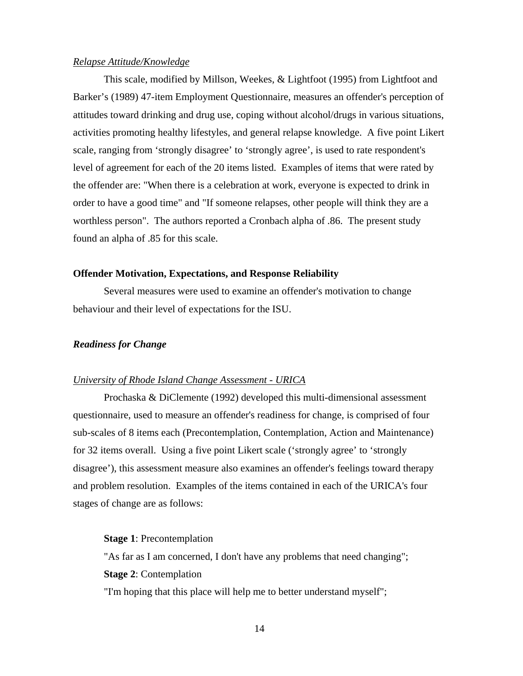## <span id="page-25-0"></span>*Relapse Attitude/Knowledge*

This scale, modified by Millson, Weekes, & Lightfoot (1995) from Lightfoot and Barker's (1989) 47-item Employment Questionnaire, measures an offender's perception of attitudes toward drinking and drug use, coping without alcohol/drugs in various situations, activities promoting healthy lifestyles, and general relapse knowledge. A five point Likert scale, ranging from 'strongly disagree' to 'strongly agree', is used to rate respondent's level of agreement for each of the 20 items listed. Examples of items that were rated by the offender are: "When there is a celebration at work, everyone is expected to drink in order to have a good time" and "If someone relapses, other people will think they are a worthless person". The authors reported a Cronbach alpha of .86. The present study found an alpha of .85 for this scale.

## **Offender Motivation, Expectations, and Response Reliability**

Several measures were used to examine an offender's motivation to change behaviour and their level of expectations for the ISU.

## *Readiness for Change*

## *University of Rhode Island Change Assessment - URICA*

Prochaska & DiClemente (1992) developed this multi-dimensional assessment questionnaire, used to measure an offender's readiness for change, is comprised of four sub-scales of 8 items each (Precontemplation, Contemplation, Action and Maintenance) for 32 items overall. Using a five point Likert scale ('strongly agree' to 'strongly disagree'), this assessment measure also examines an offender's feelings toward therapy and problem resolution. Examples of the items contained in each of the URICA's four stages of change are as follows:

#### **Stage 1**: Precontemplation

"As far as I am concerned, I don't have any problems that need changing"; **Stage 2**: Contemplation

"I'm hoping that this place will help me to better understand myself";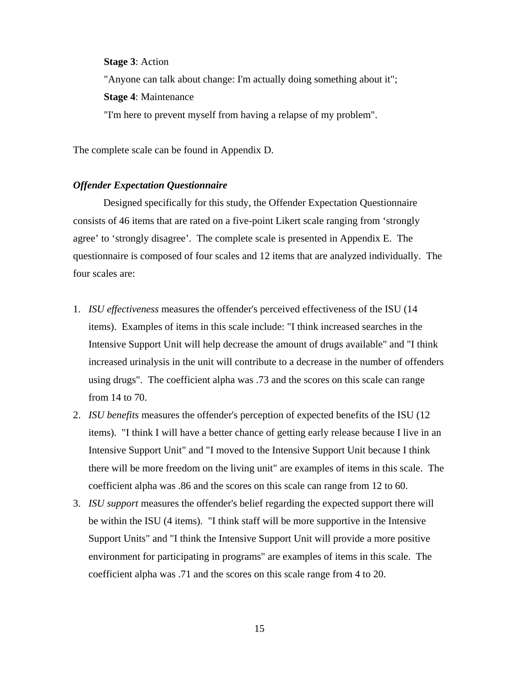## <span id="page-26-0"></span>**Stage 3**: Action

"Anyone can talk about change: I'm actually doing something about it";

**Stage 4**: Maintenance

"I'm here to prevent myself from having a relapse of my problem".

The complete scale can be found in Appendix D.

## *Offender Expectation Questionnaire*

Designed specifically for this study, the Offender Expectation Questionnaire consists of 46 items that are rated on a five-point Likert scale ranging from 'strongly agree' to 'strongly disagree'. The complete scale is presented in Appendix E. The questionnaire is composed of four scales and 12 items that are analyzed individually. The four scales are:

- 1. *ISU effectiveness* measures the offender's perceived effectiveness of the ISU (14 items). Examples of items in this scale include: "I think increased searches in the Intensive Support Unit will help decrease the amount of drugs available" and "I think increased urinalysis in the unit will contribute to a decrease in the number of offenders using drugs". The coefficient alpha was .73 and the scores on this scale can range from 14 to 70.
- 2. *ISU benefits* measures the offender's perception of expected benefits of the ISU (12 items). "I think I will have a better chance of getting early release because I live in an Intensive Support Unit" and "I moved to the Intensive Support Unit because I think there will be more freedom on the living unit" are examples of items in this scale. The coefficient alpha was .86 and the scores on this scale can range from 12 to 60.
- 3. *ISU support* measures the offender's belief regarding the expected support there will be within the ISU (4 items). "I think staff will be more supportive in the Intensive Support Units" and "I think the Intensive Support Unit will provide a more positive environment for participating in programs" are examples of items in this scale. The coefficient alpha was .71 and the scores on this scale range from 4 to 20.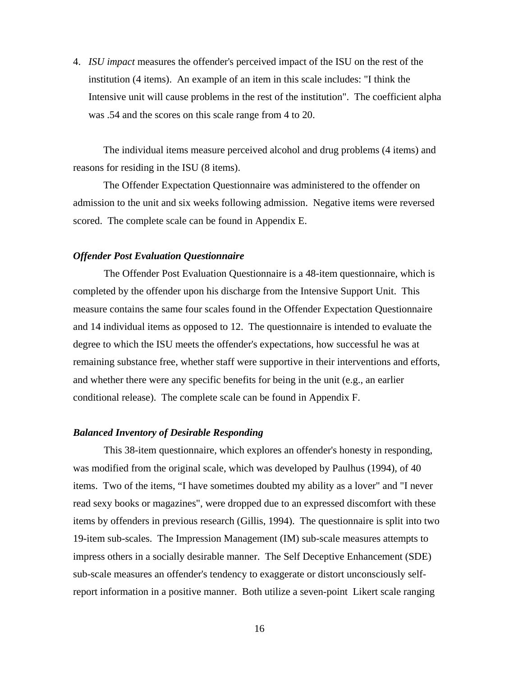<span id="page-27-0"></span>4. *ISU impact* measures the offender's perceived impact of the ISU on the rest of the institution (4 items). An example of an item in this scale includes: "I think the Intensive unit will cause problems in the rest of the institution". The coefficient alpha was .54 and the scores on this scale range from 4 to 20.

The individual items measure perceived alcohol and drug problems (4 items) and reasons for residing in the ISU (8 items).

The Offender Expectation Questionnaire was administered to the offender on admission to the unit and six weeks following admission. Negative items were reversed scored. The complete scale can be found in Appendix E.

#### *Offender Post Evaluation Questionnaire*

The Offender Post Evaluation Questionnaire is a 48-item questionnaire, which is completed by the offender upon his discharge from the Intensive Support Unit. This measure contains the same four scales found in the Offender Expectation Questionnaire and 14 individual items as opposed to 12. The questionnaire is intended to evaluate the degree to which the ISU meets the offender's expectations, how successful he was at remaining substance free, whether staff were supportive in their interventions and efforts, and whether there were any specific benefits for being in the unit (e.g., an earlier conditional release). The complete scale can be found in Appendix F.

## *Balanced Inventory of Desirable Responding*

This 38-item questionnaire, which explores an offender's honesty in responding, was modified from the original scale, which was developed by Paulhus (1994), of 40 items. Two of the items, "I have sometimes doubted my ability as a lover" and "I never read sexy books or magazines", were dropped due to an expressed discomfort with these items by offenders in previous research (Gillis, 1994). The questionnaire is split into two 19-item sub-scales. The Impression Management (IM) sub-scale measures attempts to impress others in a socially desirable manner. The Self Deceptive Enhancement (SDE) sub-scale measures an offender's tendency to exaggerate or distort unconsciously selfreport information in a positive manner. Both utilize a seven-point Likert scale ranging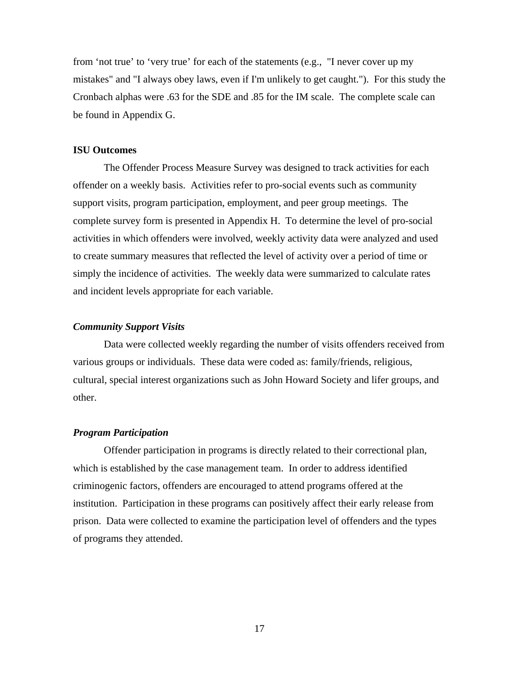<span id="page-28-0"></span>from 'not true' to 'very true' for each of the statements (e.g., "I never cover up my mistakes" and "I always obey laws, even if I'm unlikely to get caught."). For this study the Cronbach alphas were .63 for the SDE and .85 for the IM scale. The complete scale can be found in Appendix G.

#### **ISU Outcomes**

The Offender Process Measure Survey was designed to track activities for each offender on a weekly basis. Activities refer to pro-social events such as community support visits, program participation, employment, and peer group meetings. The complete survey form is presented in Appendix H. To determine the level of pro-social activities in which offenders were involved, weekly activity data were analyzed and used to create summary measures that reflected the level of activity over a period of time or simply the incidence of activities. The weekly data were summarized to calculate rates and incident levels appropriate for each variable.

#### *Community Support Visits*

Data were collected weekly regarding the number of visits offenders received from various groups or individuals. These data were coded as: family/friends, religious, cultural, special interest organizations such as John Howard Society and lifer groups, and other.

#### *Program Participation*

Offender participation in programs is directly related to their correctional plan, which is established by the case management team. In order to address identified criminogenic factors, offenders are encouraged to attend programs offered at the institution. Participation in these programs can positively affect their early release from prison. Data were collected to examine the participation level of offenders and the types of programs they attended.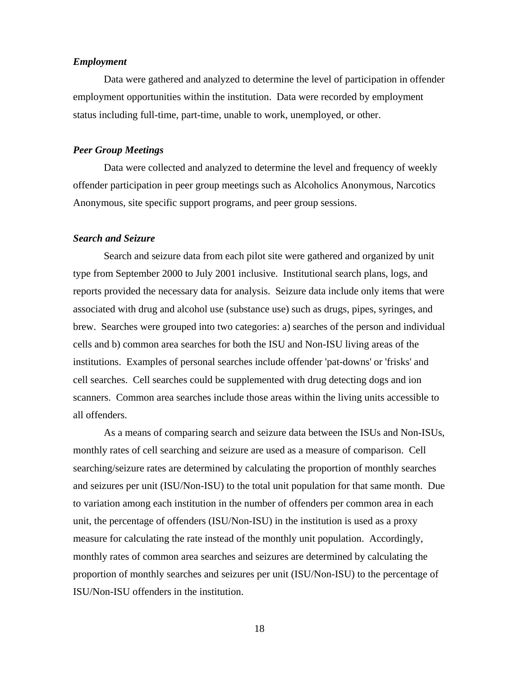## <span id="page-29-0"></span>*Employment*

Data were gathered and analyzed to determine the level of participation in offender employment opportunities within the institution. Data were recorded by employment status including full-time, part-time, unable to work, unemployed, or other.

## *Peer Group Meetings*

Data were collected and analyzed to determine the level and frequency of weekly offender participation in peer group meetings such as Alcoholics Anonymous, Narcotics Anonymous, site specific support programs, and peer group sessions.

#### *Search and Seizure*

Search and seizure data from each pilot site were gathered and organized by unit type from September 2000 to July 2001 inclusive. Institutional search plans, logs, and reports provided the necessary data for analysis. Seizure data include only items that were associated with drug and alcohol use (substance use) such as drugs, pipes, syringes, and brew. Searches were grouped into two categories: a) searches of the person and individual cells and b) common area searches for both the ISU and Non-ISU living areas of the institutions. Examples of personal searches include offender 'pat-downs' or 'frisks' and cell searches. Cell searches could be supplemented with drug detecting dogs and ion scanners. Common area searches include those areas within the living units accessible to all offenders.

As a means of comparing search and seizure data between the ISUs and Non-ISUs, monthly rates of cell searching and seizure are used as a measure of comparison. Cell searching/seizure rates are determined by calculating the proportion of monthly searches and seizures per unit (ISU/Non-ISU) to the total unit population for that same month. Due to variation among each institution in the number of offenders per common area in each unit, the percentage of offenders (ISU/Non-ISU) in the institution is used as a proxy measure for calculating the rate instead of the monthly unit population. Accordingly, monthly rates of common area searches and seizures are determined by calculating the proportion of monthly searches and seizures per unit (ISU/Non-ISU) to the percentage of ISU/Non-ISU offenders in the institution.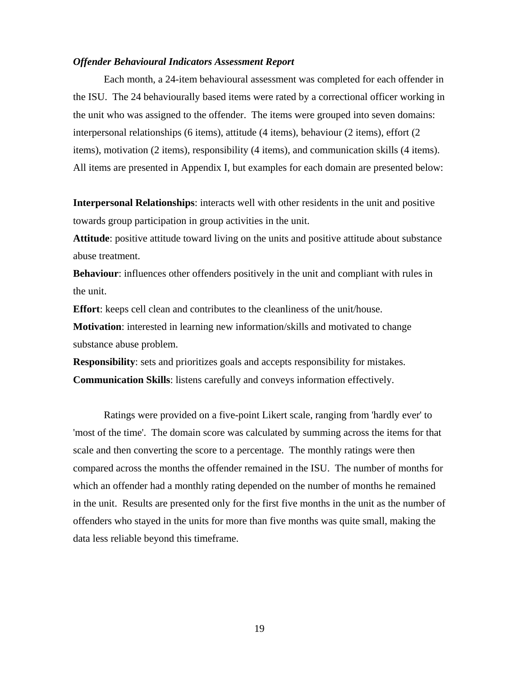#### <span id="page-30-0"></span>*Offender Behavioural Indicators Assessment Report*

Each month, a 24-item behavioural assessment was completed for each offender in the ISU. The 24 behaviourally based items were rated by a correctional officer working in the unit who was assigned to the offender. The items were grouped into seven domains: interpersonal relationships (6 items), attitude (4 items), behaviour (2 items), effort (2 items), motivation (2 items), responsibility (4 items), and communication skills (4 items). All items are presented in Appendix I, but examples for each domain are presented below:

**Interpersonal Relationships**: interacts well with other residents in the unit and positive towards group participation in group activities in the unit.

**Attitude**: positive attitude toward living on the units and positive attitude about substance abuse treatment.

**Behaviour**: influences other offenders positively in the unit and compliant with rules in the unit.

**Effort**: keeps cell clean and contributes to the cleanliness of the unit/house.

**Motivation**: interested in learning new information/skills and motivated to change substance abuse problem.

**Responsibility**: sets and prioritizes goals and accepts responsibility for mistakes. **Communication Skills**: listens carefully and conveys information effectively.

Ratings were provided on a five-point Likert scale, ranging from 'hardly ever' to 'most of the time'. The domain score was calculated by summing across the items for that scale and then converting the score to a percentage. The monthly ratings were then compared across the months the offender remained in the ISU. The number of months for which an offender had a monthly rating depended on the number of months he remained in the unit. Results are presented only for the first five months in the unit as the number of offenders who stayed in the units for more than five months was quite small, making the data less reliable beyond this timeframe.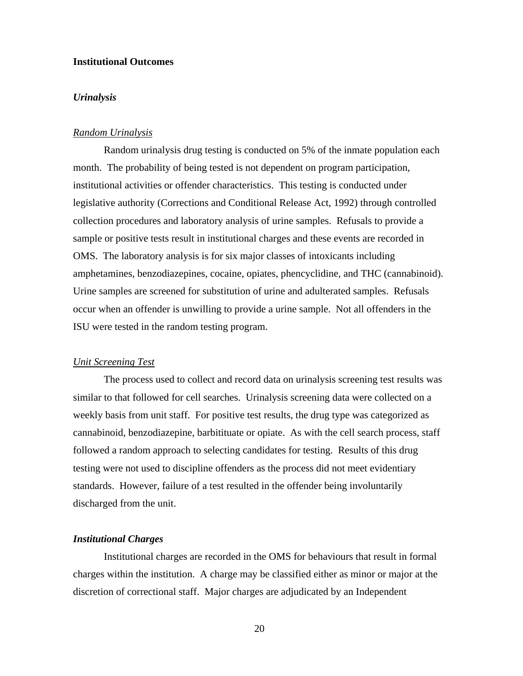# <span id="page-31-0"></span>**Institutional Outcomes**

#### *Urinalysis*

#### *Random Urinalysis*

Random urinalysis drug testing is conducted on 5% of the inmate population each month. The probability of being tested is not dependent on program participation, institutional activities or offender characteristics. This testing is conducted under legislative authority (Corrections and Conditional Release Act, 1992) through controlled collection procedures and laboratory analysis of urine samples. Refusals to provide a sample or positive tests result in institutional charges and these events are recorded in OMS. The laboratory analysis is for six major classes of intoxicants including amphetamines, benzodiazepines, cocaine, opiates, phencyclidine, and THC (cannabinoid). Urine samples are screened for substitution of urine and adulterated samples. Refusals occur when an offender is unwilling to provide a urine sample. Not all offenders in the ISU were tested in the random testing program.

#### *Unit Screening Test*

The process used to collect and record data on urinalysis screening test results was similar to that followed for cell searches. Urinalysis screening data were collected on a weekly basis from unit staff. For positive test results, the drug type was categorized as cannabinoid, benzodiazepine, barbitituate or opiate. As with the cell search process, staff followed a random approach to selecting candidates for testing. Results of this drug testing were not used to discipline offenders as the process did not meet evidentiary standards. However, failure of a test resulted in the offender being involuntarily discharged from the unit.

#### *Institutional Charges*

Institutional charges are recorded in the OMS for behaviours that result in formal charges within the institution. A charge may be classified either as minor or major at the discretion of correctional staff. Major charges are adjudicated by an Independent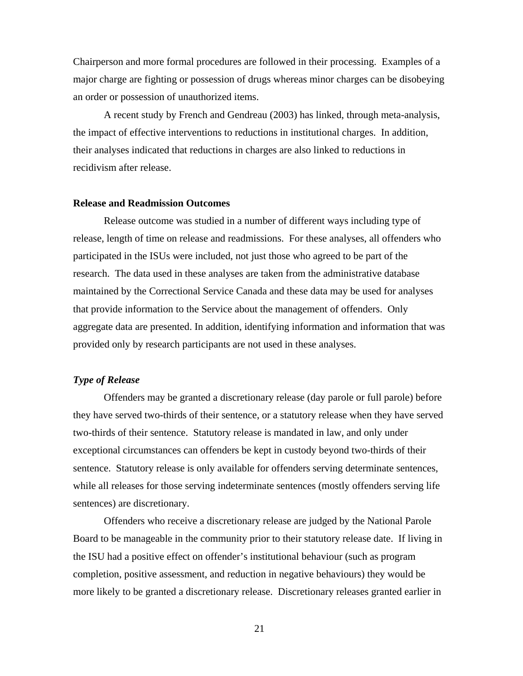<span id="page-32-0"></span>Chairperson and more formal procedures are followed in their processing. Examples of a major charge are fighting or possession of drugs whereas minor charges can be disobeying an order or possession of unauthorized items.

A recent study by French and Gendreau (2003) has linked, through meta-analysis, the impact of effective interventions to reductions in institutional charges. In addition, their analyses indicated that reductions in charges are also linked to reductions in recidivism after release.

#### **Release and Readmission Outcomes**

Release outcome was studied in a number of different ways including type of release, length of time on release and readmissions. For these analyses, all offenders who participated in the ISUs were included, not just those who agreed to be part of the research. The data used in these analyses are taken from the administrative database maintained by the Correctional Service Canada and these data may be used for analyses that provide information to the Service about the management of offenders. Only aggregate data are presented. In addition, identifying information and information that was provided only by research participants are not used in these analyses.

## *Type of Release*

Offenders may be granted a discretionary release (day parole or full parole) before they have served two-thirds of their sentence, or a statutory release when they have served two-thirds of their sentence. Statutory release is mandated in law, and only under exceptional circumstances can offenders be kept in custody beyond two-thirds of their sentence. Statutory release is only available for offenders serving determinate sentences, while all releases for those serving indeterminate sentences (mostly offenders serving life sentences) are discretionary.

Offenders who receive a discretionary release are judged by the National Parole Board to be manageable in the community prior to their statutory release date. If living in the ISU had a positive effect on offender's institutional behaviour (such as program completion, positive assessment, and reduction in negative behaviours) they would be more likely to be granted a discretionary release. Discretionary releases granted earlier in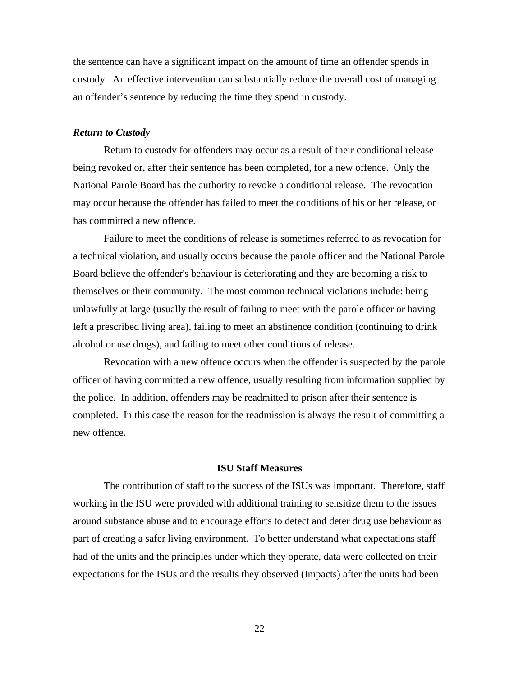<span id="page-33-0"></span>the sentence can have a significant impact on the amount of time an offender spends in custody. An effective intervention can substantially reduce the overall cost of managing an offender's sentence by reducing the time they spend in custody.

#### *Return to Custody*

Return to custody for offenders may occur as a result of their conditional release being revoked or, after their sentence has been completed, for a new offence. Only the National Parole Board has the authority to revoke a conditional release. The revocation may occur because the offender has failed to meet the conditions of his or her release, or has committed a new offence.

Failure to meet the conditions of release is sometimes referred to as revocation for a technical violation, and usually occurs because the parole officer and the National Parole Board believe the offender's behaviour is deteriorating and they are becoming a risk to themselves or their community. The most common technical violations include: being unlawfully at large (usually the result of failing to meet with the parole officer or having left a prescribed living area), failing to meet an abstinence condition (continuing to drink alcohol or use drugs), and failing to meet other conditions of release.

Revocation with a new offence occurs when the offender is suspected by the parole officer of having committed a new offence, usually resulting from information supplied by the police. In addition, offenders may be readmitted to prison after their sentence is completed. In this case the reason for the readmission is always the result of committing a new offence.

## **ISU Staff Measures**

The contribution of staff to the success of the ISUs was important. Therefore, staff working in the ISU were provided with additional training to sensitize them to the issues around substance abuse and to encourage efforts to detect and deter drug use behaviour as part of creating a safer living environment. To better understand what expectations staff had of the units and the principles under which they operate, data were collected on their expectations for the ISUs and the results they observed (Impacts) after the units had been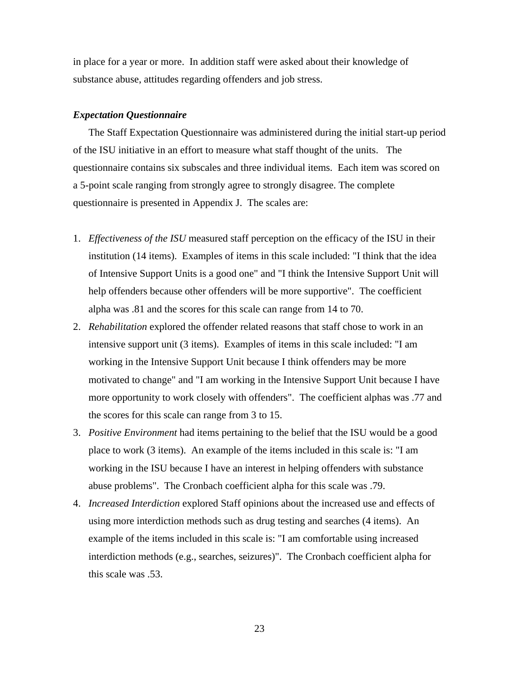<span id="page-34-0"></span>in place for a year or more. In addition staff were asked about their knowledge of substance abuse, attitudes regarding offenders and job stress.

#### *Expectation Questionnaire*

The Staff Expectation Questionnaire was administered during the initial start-up period of the ISU initiative in an effort to measure what staff thought of the units. The questionnaire contains six subscales and three individual items. Each item was scored on a 5-point scale ranging from strongly agree to strongly disagree. The complete questionnaire is presented in Appendix J. The scales are:

- 1. *Effectiveness of the ISU* measured staff perception on the efficacy of the ISU in their institution (14 items). Examples of items in this scale included: "I think that the idea of Intensive Support Units is a good one" and "I think the Intensive Support Unit will help offenders because other offenders will be more supportive". The coefficient alpha was .81 and the scores for this scale can range from 14 to 70.
- 2. *Rehabilitation* explored the offender related reasons that staff chose to work in an intensive support unit (3 items). Examples of items in this scale included: "I am working in the Intensive Support Unit because I think offenders may be more motivated to change" and "I am working in the Intensive Support Unit because I have more opportunity to work closely with offenders". The coefficient alphas was .77 and the scores for this scale can range from 3 to 15.
- 3. *Positive Environment* had items pertaining to the belief that the ISU would be a good place to work (3 items). An example of the items included in this scale is: "I am working in the ISU because I have an interest in helping offenders with substance abuse problems". The Cronbach coefficient alpha for this scale was .79.
- 4. *Increased Interdiction* explored Staff opinions about the increased use and effects of using more interdiction methods such as drug testing and searches (4 items). An example of the items included in this scale is: "I am comfortable using increased interdiction methods (e.g., searches, seizures)". The Cronbach coefficient alpha for this scale was .53.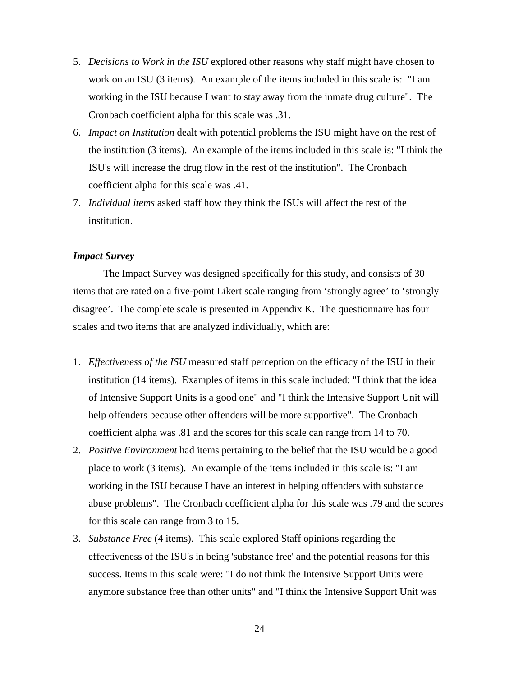- <span id="page-35-0"></span>5. *Decisions to Work in the ISU* explored other reasons why staff might have chosen to work on an ISU (3 items). An example of the items included in this scale is: "I am working in the ISU because I want to stay away from the inmate drug culture". The Cronbach coefficient alpha for this scale was .31.
- 6. *Impact on Institution* dealt with potential problems the ISU might have on the rest of the institution (3 items). An example of the items included in this scale is: "I think the ISU's will increase the drug flow in the rest of the institution". The Cronbach coefficient alpha for this scale was .41.
- 7. *Individual items* asked staff how they think the ISUs will affect the rest of the institution.

## *Impact Survey*

The Impact Survey was designed specifically for this study, and consists of 30 items that are rated on a five-point Likert scale ranging from 'strongly agree' to 'strongly disagree'. The complete scale is presented in Appendix K. The questionnaire has four scales and two items that are analyzed individually, which are:

- 1. *Effectiveness of the ISU* measured staff perception on the efficacy of the ISU in their institution (14 items). Examples of items in this scale included: "I think that the idea of Intensive Support Units is a good one" and "I think the Intensive Support Unit will help offenders because other offenders will be more supportive". The Cronbach coefficient alpha was .81 and the scores for this scale can range from 14 to 70.
- 2. *Positive Environment* had items pertaining to the belief that the ISU would be a good place to work (3 items). An example of the items included in this scale is: "I am working in the ISU because I have an interest in helping offenders with substance abuse problems". The Cronbach coefficient alpha for this scale was .79 and the scores for this scale can range from 3 to 15.
- 3. *Substance Free* (4 items). This scale explored Staff opinions regarding the effectiveness of the ISU's in being 'substance free' and the potential reasons for this success. Items in this scale were: "I do not think the Intensive Support Units were anymore substance free than other units" and "I think the Intensive Support Unit was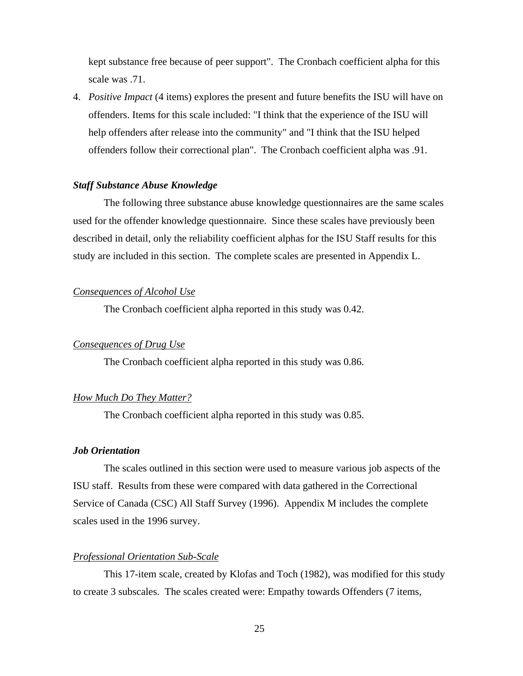kept substance free because of peer support". The Cronbach coefficient alpha for this scale was .71.

4. *Positive Impact* (4 items) explores the present and future benefits the ISU will have on offenders. Items for this scale included: "I think that the experience of the ISU will help offenders after release into the community" and "I think that the ISU helped offenders follow their correctional plan". The Cronbach coefficient alpha was .91.

## *Staff Substance Abuse Knowledge*

The following three substance abuse knowledge questionnaires are the same scales used for the offender knowledge questionnaire. Since these scales have previously been described in detail, only the reliability coefficient alphas for the ISU Staff results for this study are included in this section. The complete scales are presented in Appendix L.

## *Consequences of Alcohol Use*

The Cronbach coefficient alpha reported in this study was 0.42.

### *Consequences of Drug Use*

The Cronbach coefficient alpha reported in this study was 0.86.

## *How Much Do They Matter?*

The Cronbach coefficient alpha reported in this study was 0.85.

#### *Job Orientation*

The scales outlined in this section were used to measure various job aspects of the ISU staff. Results from these were compared with data gathered in the Correctional Service of Canada (CSC) All Staff Survey (1996). Appendix M includes the complete scales used in the 1996 survey.

#### *Professional Orientation Sub-Scale*

This 17-item scale, created by Klofas and Toch (1982), was modified for this study to create 3 subscales. The scales created were: Empathy towards Offenders (7 items,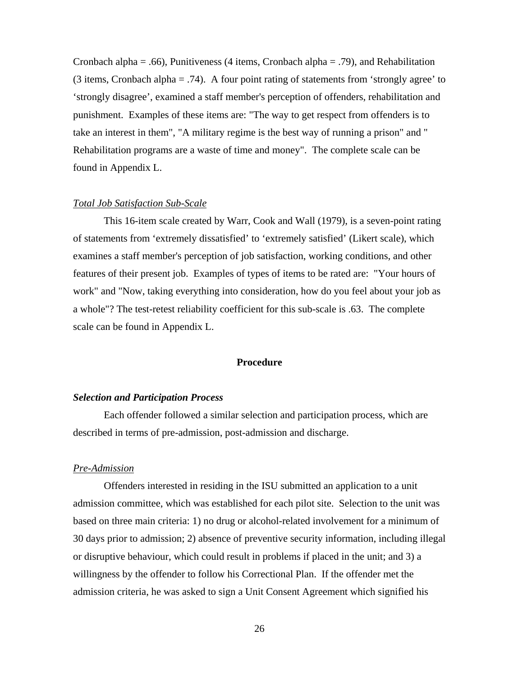Cronbach alpha = .66), Punitiveness (4 items, Cronbach alpha = .79), and Rehabilitation (3 items, Cronbach alpha = .74). A four point rating of statements from 'strongly agree' to 'strongly disagree', examined a staff member's perception of offenders, rehabilitation and punishment. Examples of these items are: "The way to get respect from offenders is to take an interest in them", "A military regime is the best way of running a prison" and " Rehabilitation programs are a waste of time and money". The complete scale can be found in Appendix L.

#### *Total Job Satisfaction Sub-Scale*

This 16-item scale created by Warr, Cook and Wall (1979), is a seven-point rating of statements from 'extremely dissatisfied' to 'extremely satisfied' (Likert scale), which examines a staff member's perception of job satisfaction, working conditions, and other features of their present job. Examples of types of items to be rated are: "Your hours of work" and "Now, taking everything into consideration, how do you feel about your job as a whole"? The test-retest reliability coefficient for this sub-scale is .63. The complete scale can be found in Appendix L.

## **Procedure**

#### *Selection and Participation Process*

Each offender followed a similar selection and participation process, which are described in terms of pre-admission, post-admission and discharge.

#### *Pre-Admission*

Offenders interested in residing in the ISU submitted an application to a unit admission committee, which was established for each pilot site. Selection to the unit was based on three main criteria: 1) no drug or alcohol-related involvement for a minimum of 30 days prior to admission; 2) absence of preventive security information, including illegal or disruptive behaviour, which could result in problems if placed in the unit; and 3) a willingness by the offender to follow his Correctional Plan. If the offender met the admission criteria, he was asked to sign a Unit Consent Agreement which signified his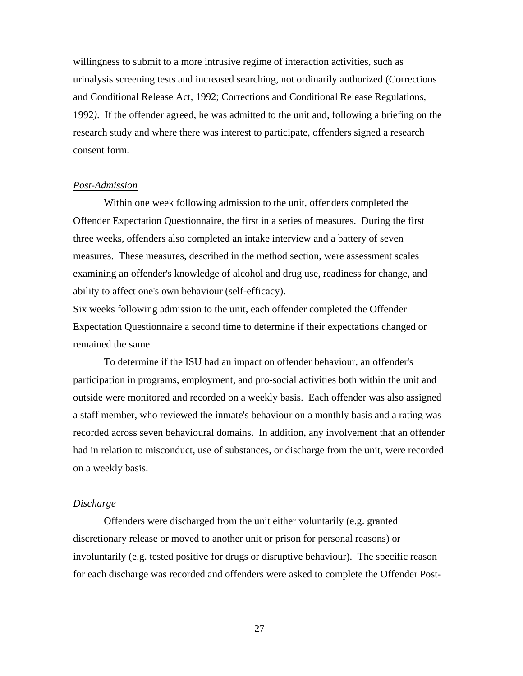willingness to submit to a more intrusive regime of interaction activities, such as urinalysis screening tests and increased searching, not ordinarily authorized (Corrections and Conditional Release Act, 1992; Corrections and Conditional Release Regulations, 1992*)*. If the offender agreed, he was admitted to the unit and, following a briefing on the research study and where there was interest to participate, offenders signed a research consent form.

### *Post-Admission*

Within one week following admission to the unit, offenders completed the Offender Expectation Questionnaire, the first in a series of measures. During the first three weeks, offenders also completed an intake interview and a battery of seven measures. These measures, described in the method section, were assessment scales examining an offender's knowledge of alcohol and drug use, readiness for change, and ability to affect one's own behaviour (self-efficacy).

Six weeks following admission to the unit, each offender completed the Offender Expectation Questionnaire a second time to determine if their expectations changed or remained the same.

To determine if the ISU had an impact on offender behaviour, an offender's participation in programs, employment, and pro-social activities both within the unit and outside were monitored and recorded on a weekly basis. Each offender was also assigned a staff member, who reviewed the inmate's behaviour on a monthly basis and a rating was recorded across seven behavioural domains. In addition, any involvement that an offender had in relation to misconduct, use of substances, or discharge from the unit, were recorded on a weekly basis.

## *Discharge*

Offenders were discharged from the unit either voluntarily (e.g. granted discretionary release or moved to another unit or prison for personal reasons) or involuntarily (e.g. tested positive for drugs or disruptive behaviour). The specific reason for each discharge was recorded and offenders were asked to complete the Offender Post-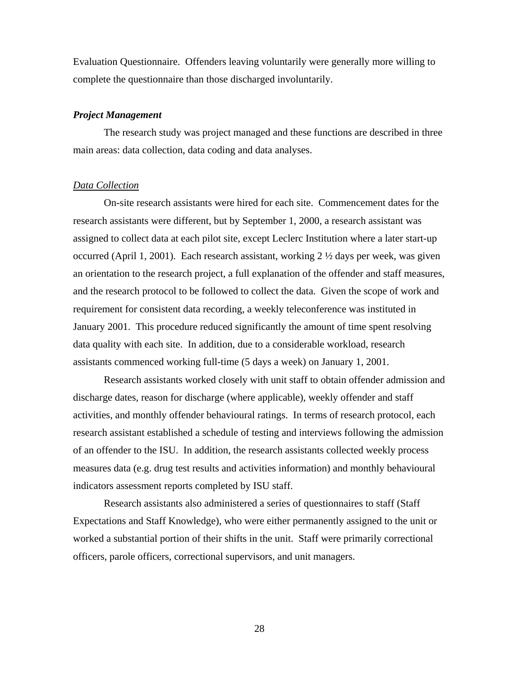Evaluation Questionnaire. Offenders leaving voluntarily were generally more willing to complete the questionnaire than those discharged involuntarily.

#### *Project Management*

The research study was project managed and these functions are described in three main areas: data collection, data coding and data analyses.

### *Data Collection*

On-site research assistants were hired for each site. Commencement dates for the research assistants were different, but by September 1, 2000, a research assistant was assigned to collect data at each pilot site, except Leclerc Institution where a later start-up occurred (April 1, 2001). Each research assistant, working 2 ½ days per week, was given an orientation to the research project, a full explanation of the offender and staff measures, and the research protocol to be followed to collect the data. Given the scope of work and requirement for consistent data recording, a weekly teleconference was instituted in January 2001. This procedure reduced significantly the amount of time spent resolving data quality with each site. In addition, due to a considerable workload, research assistants commenced working full-time (5 days a week) on January 1, 2001.

Research assistants worked closely with unit staff to obtain offender admission and discharge dates, reason for discharge (where applicable), weekly offender and staff activities, and monthly offender behavioural ratings. In terms of research protocol, each research assistant established a schedule of testing and interviews following the admission of an offender to the ISU. In addition, the research assistants collected weekly process measures data (e.g. drug test results and activities information) and monthly behavioural indicators assessment reports completed by ISU staff.

Research assistants also administered a series of questionnaires to staff (Staff Expectations and Staff Knowledge), who were either permanently assigned to the unit or worked a substantial portion of their shifts in the unit. Staff were primarily correctional officers, parole officers, correctional supervisors, and unit managers.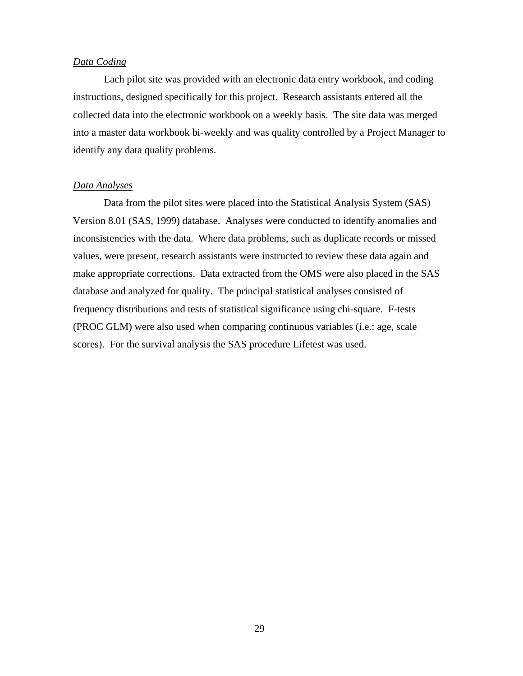## *Data Coding*

Each pilot site was provided with an electronic data entry workbook, and coding instructions, designed specifically for this project. Research assistants entered all the collected data into the electronic workbook on a weekly basis. The site data was merged into a master data workbook bi-weekly and was quality controlled by a Project Manager to identify any data quality problems.

## *Data Analyses*

Data from the pilot sites were placed into the Statistical Analysis System (SAS) Version 8.01 (SAS, 1999) database. Analyses were conducted to identify anomalies and inconsistencies with the data. Where data problems, such as duplicate records or missed values, were present, research assistants were instructed to review these data again and make appropriate corrections. Data extracted from the OMS were also placed in the SAS database and analyzed for quality. The principal statistical analyses consisted of frequency distributions and tests of statistical significance using chi-square. F-tests (PROC GLM) were also used when comparing continuous variables (i.e.: age, scale scores). For the survival analysis the SAS procedure Lifetest was used.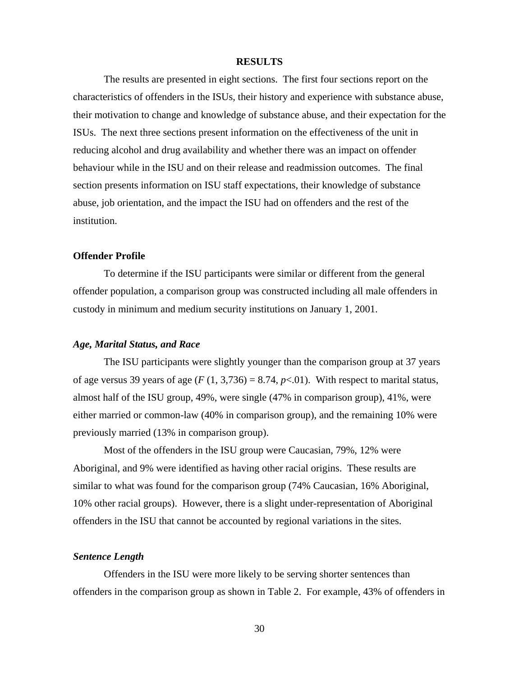#### **RESULTS**

The results are presented in eight sections. The first four sections report on the characteristics of offenders in the ISUs, their history and experience with substance abuse, their motivation to change and knowledge of substance abuse, and their expectation for the ISUs. The next three sections present information on the effectiveness of the unit in reducing alcohol and drug availability and whether there was an impact on offender behaviour while in the ISU and on their release and readmission outcomes. The final section presents information on ISU staff expectations, their knowledge of substance abuse, job orientation, and the impact the ISU had on offenders and the rest of the institution.

## **Offender Profile**

To determine if the ISU participants were similar or different from the general offender population, a comparison group was constructed including all male offenders in custody in minimum and medium security institutions on January 1, 2001.

#### *Age, Marital Status, and Race*

The ISU participants were slightly younger than the comparison group at 37 years of age versus 39 years of age  $(F (1, 3, 736) = 8.74, p < .01)$ . With respect to marital status, almost half of the ISU group, 49%, were single (47% in comparison group), 41%, were either married or common-law (40% in comparison group), and the remaining 10% were previously married (13% in comparison group).

Most of the offenders in the ISU group were Caucasian, 79%, 12% were Aboriginal, and 9% were identified as having other racial origins. These results are similar to what was found for the comparison group (74% Caucasian, 16% Aboriginal, 10% other racial groups). However, there is a slight under-representation of Aboriginal offenders in the ISU that cannot be accounted by regional variations in the sites.

#### *Sentence Length*

Offenders in the ISU were more likely to be serving shorter sentences than offenders in the comparison group as shown in Table 2. For example, 43% of offenders in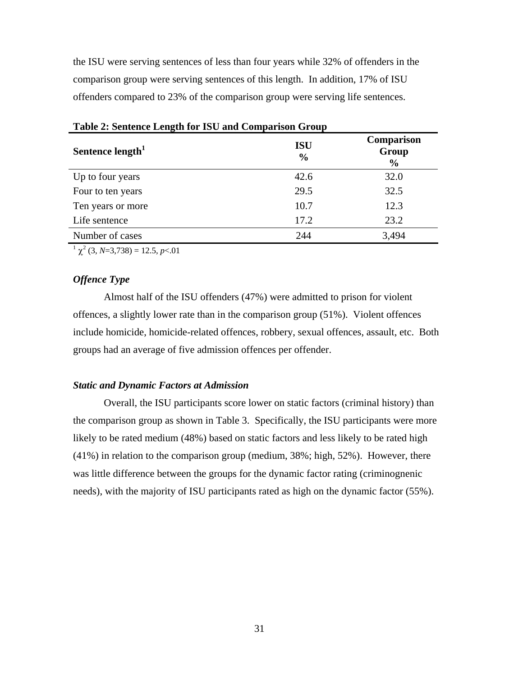the ISU were serving sentences of less than four years while 32% of offenders in the comparison group were serving sentences of this length. In addition, 17% of ISU offenders compared to 23% of the comparison group were serving life sentences.

| Tuble 2. Dentence Evilgan for 100 und Comparison Group |                             |                                             |  |
|--------------------------------------------------------|-----------------------------|---------------------------------------------|--|
| Sentence length <sup>1</sup>                           | <b>ISU</b><br>$\frac{6}{9}$ | <b>Comparison</b><br>Group<br>$\frac{6}{9}$ |  |
| Up to four years                                       | 42.6                        | 32.0                                        |  |
| Four to ten years                                      | 29.5                        | 32.5                                        |  |
| Ten years or more                                      | 10.7                        | 12.3                                        |  |
| Life sentence                                          | 17.2                        | 23.2                                        |  |
| Number of cases                                        | 244                         | 3,494                                       |  |

**Table 2: Sentence Length for ISU and Comparison Group** 

 $1 \chi^2$  (3, *N*=3,738) = 12.5, *p*<.01

# *Offence Type*

Almost half of the ISU offenders (47%) were admitted to prison for violent offences, a slightly lower rate than in the comparison group (51%). Violent offences include homicide, homicide-related offences, robbery, sexual offences, assault, etc. Both groups had an average of five admission offences per offender.

## *Static and Dynamic Factors at Admission*

Overall, the ISU participants score lower on static factors (criminal history) than the comparison group as shown in Table 3. Specifically, the ISU participants were more likely to be rated medium (48%) based on static factors and less likely to be rated high (41%) in relation to the comparison group (medium, 38%; high, 52%). However, there was little difference between the groups for the dynamic factor rating (criminognenic needs), with the majority of ISU participants rated as high on the dynamic factor (55%).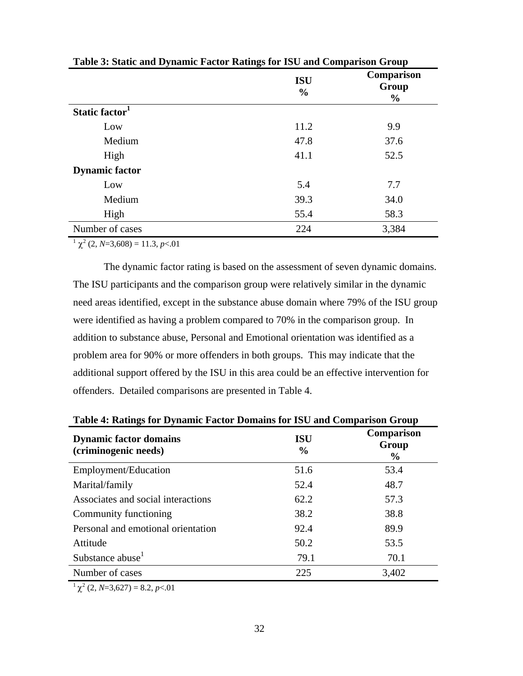| Table 5. Blatte and Dynamic Pactur Katings for 190 and Comparison Group |                             |                                      |  |
|-------------------------------------------------------------------------|-----------------------------|--------------------------------------|--|
|                                                                         | <b>ISU</b><br>$\frac{6}{9}$ | Comparison<br>Group<br>$\frac{0}{0}$ |  |
| Static factor <sup>1</sup>                                              |                             |                                      |  |
| Low                                                                     | 11.2                        | 9.9                                  |  |
| Medium                                                                  | 47.8                        | 37.6                                 |  |
| High                                                                    | 41.1                        | 52.5                                 |  |
| <b>Dynamic factor</b>                                                   |                             |                                      |  |
| Low                                                                     | 5.4                         | 7.7                                  |  |
| Medium                                                                  | 39.3                        | 34.0                                 |  |
| High                                                                    | 55.4                        | 58.3                                 |  |
| Number of cases                                                         | 224                         | 3,384                                |  |

**Table 3: Static and Dynamic Factor Ratings for ISU and Comparison Group** 

 $1 \chi^2$  (2, *N*=3,608) = 11.3, *p* < 01

The dynamic factor rating is based on the assessment of seven dynamic domains. The ISU participants and the comparison group were relatively similar in the dynamic need areas identified, except in the substance abuse domain where 79% of the ISU group were identified as having a problem compared to 70% in the comparison group. In addition to substance abuse, Personal and Emotional orientation was identified as a problem area for 90% or more offenders in both groups. This may indicate that the additional support offered by the ISU in this area could be an effective intervention for offenders. Detailed comparisons are presented in Table 4.

| Table 4: Ratings for Dynamic Pactor Domains for 150 and Comparison Group |                             |                             |  |
|--------------------------------------------------------------------------|-----------------------------|-----------------------------|--|
| <b>Dynamic factor domains</b><br>(criminogenic needs)                    | <b>ISU</b><br>$\frac{6}{9}$ | Comparison<br>Group<br>$\%$ |  |
| Employment/Education                                                     | 51.6                        | 53.4                        |  |
| Marital/family                                                           | 52.4                        | 48.7                        |  |
| Associates and social interactions                                       | 62.2                        | 57.3                        |  |
| Community functioning                                                    | 38.2                        | 38.8                        |  |
| Personal and emotional orientation                                       | 92.4                        | 89.9                        |  |
| Attitude                                                                 | 50.2                        | 53.5                        |  |
| Substance abuse <sup>1</sup>                                             | 79.1                        | 70.1                        |  |
| Number of cases                                                          | 225                         | 3,402                       |  |

**Table 4: Ratings for Dynamic Factor Domains for ISU and Comparison Group** 

 $^{1}$   $\chi^{2}$  (2, *N*=3,627) = 8.2, *p* < 01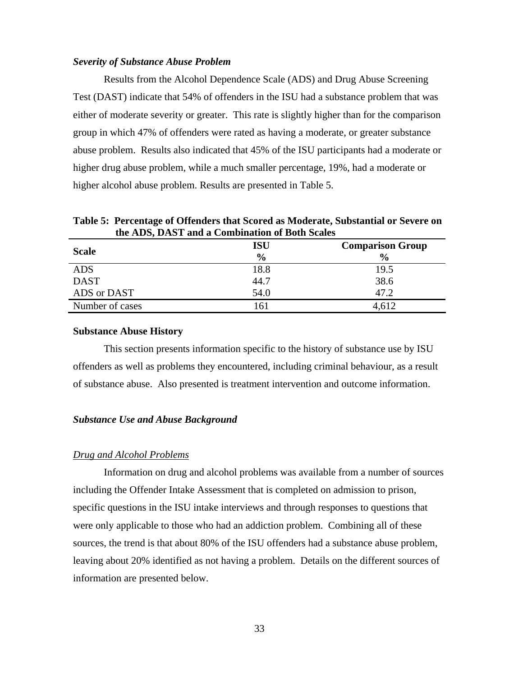#### *Severity of Substance Abuse Problem*

Results from the Alcohol Dependence Scale (ADS) and Drug Abuse Screening Test (DAST) indicate that 54% of offenders in the ISU had a substance problem that was either of moderate severity or greater. This rate is slightly higher than for the comparison group in which 47% of offenders were rated as having a moderate, or greater substance abuse problem. Results also indicated that 45% of the ISU participants had a moderate or higher drug abuse problem, while a much smaller percentage, 19%, had a moderate or higher alcohol abuse problem. Results are presented in Table 5.

**Scale ISU % Comparison Group %**  ADS 18.8 19.5 DAST 38.6 ADS or DAST 54.0 47.2 Number of cases 161 4,612

**Table 5: Percentage of Offenders that Scored as Moderate, Substantial or Severe on the ADS, DAST and a Combination of Both Scales** 

#### **Substance Abuse History**

This section presents information specific to the history of substance use by ISU offenders as well as problems they encountered, including criminal behaviour, as a result of substance abuse. Also presented is treatment intervention and outcome information.

## *Substance Use and Abuse Background*

#### *Drug and Alcohol Problems*

Information on drug and alcohol problems was available from a number of sources including the Offender Intake Assessment that is completed on admission to prison, specific questions in the ISU intake interviews and through responses to questions that were only applicable to those who had an addiction problem. Combining all of these sources, the trend is that about 80% of the ISU offenders had a substance abuse problem, leaving about 20% identified as not having a problem. Details on the different sources of information are presented below.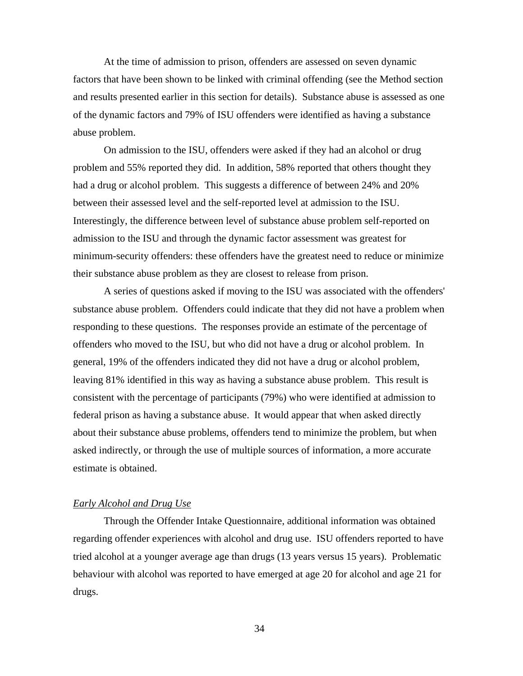At the time of admission to prison, offenders are assessed on seven dynamic factors that have been shown to be linked with criminal offending (see the Method section and results presented earlier in this section for details). Substance abuse is assessed as one of the dynamic factors and 79% of ISU offenders were identified as having a substance abuse problem.

On admission to the ISU, offenders were asked if they had an alcohol or drug problem and 55% reported they did. In addition, 58% reported that others thought they had a drug or alcohol problem. This suggests a difference of between 24% and 20% between their assessed level and the self-reported level at admission to the ISU. Interestingly, the difference between level of substance abuse problem self-reported on admission to the ISU and through the dynamic factor assessment was greatest for minimum-security offenders: these offenders have the greatest need to reduce or minimize their substance abuse problem as they are closest to release from prison.

A series of questions asked if moving to the ISU was associated with the offenders' substance abuse problem. Offenders could indicate that they did not have a problem when responding to these questions. The responses provide an estimate of the percentage of offenders who moved to the ISU, but who did not have a drug or alcohol problem. In general, 19% of the offenders indicated they did not have a drug or alcohol problem, leaving 81% identified in this way as having a substance abuse problem. This result is consistent with the percentage of participants (79%) who were identified at admission to federal prison as having a substance abuse. It would appear that when asked directly about their substance abuse problems, offenders tend to minimize the problem, but when asked indirectly, or through the use of multiple sources of information, a more accurate estimate is obtained.

## *Early Alcohol and Drug Use*

Through the Offender Intake Questionnaire, additional information was obtained regarding offender experiences with alcohol and drug use. ISU offenders reported to have tried alcohol at a younger average age than drugs (13 years versus 15 years). Problematic behaviour with alcohol was reported to have emerged at age 20 for alcohol and age 21 for drugs.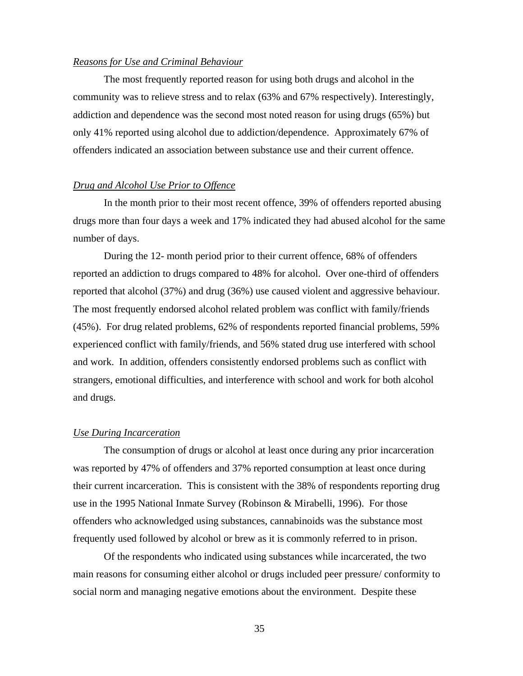### *Reasons for Use and Criminal Behaviour*

The most frequently reported reason for using both drugs and alcohol in the community was to relieve stress and to relax (63% and 67% respectively). Interestingly, addiction and dependence was the second most noted reason for using drugs (65%) but only 41% reported using alcohol due to addiction/dependence. Approximately 67% of offenders indicated an association between substance use and their current offence.

## *Drug and Alcohol Use Prior to Offence*

In the month prior to their most recent offence, 39% of offenders reported abusing drugs more than four days a week and 17% indicated they had abused alcohol for the same number of days.

During the 12- month period prior to their current offence, 68% of offenders reported an addiction to drugs compared to 48% for alcohol. Over one-third of offenders reported that alcohol (37%) and drug (36%) use caused violent and aggressive behaviour. The most frequently endorsed alcohol related problem was conflict with family/friends (45%). For drug related problems, 62% of respondents reported financial problems, 59% experienced conflict with family/friends, and 56% stated drug use interfered with school and work. In addition, offenders consistently endorsed problems such as conflict with strangers, emotional difficulties, and interference with school and work for both alcohol and drugs.

#### *Use During Incarceration*

The consumption of drugs or alcohol at least once during any prior incarceration was reported by 47% of offenders and 37% reported consumption at least once during their current incarceration. This is consistent with the 38% of respondents reporting drug use in the 1995 National Inmate Survey (Robinson & Mirabelli, 1996). For those offenders who acknowledged using substances, cannabinoids was the substance most frequently used followed by alcohol or brew as it is commonly referred to in prison.

Of the respondents who indicated using substances while incarcerated, the two main reasons for consuming either alcohol or drugs included peer pressure/ conformity to social norm and managing negative emotions about the environment. Despite these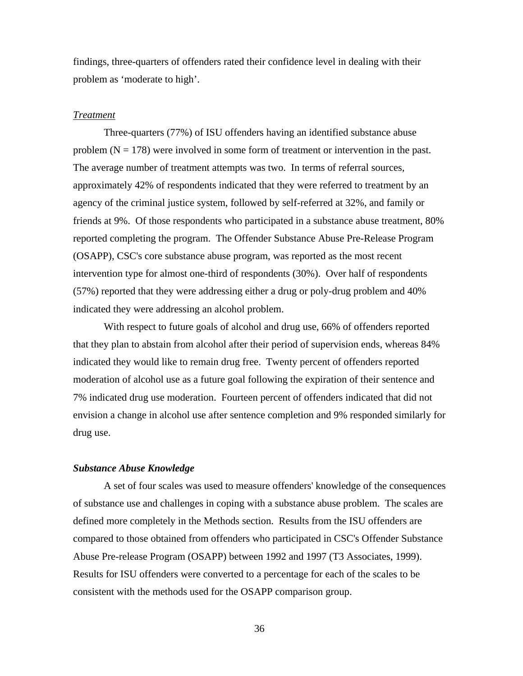findings, three-quarters of offenders rated their confidence level in dealing with their problem as 'moderate to high'.

#### *Treatment*

Three-quarters (77%) of ISU offenders having an identified substance abuse problem  $(N = 178)$  were involved in some form of treatment or intervention in the past. The average number of treatment attempts was two. In terms of referral sources, approximately 42% of respondents indicated that they were referred to treatment by an agency of the criminal justice system, followed by self-referred at 32%, and family or friends at 9%. Of those respondents who participated in a substance abuse treatment, 80% reported completing the program. The Offender Substance Abuse Pre-Release Program (OSAPP), CSC's core substance abuse program, was reported as the most recent intervention type for almost one-third of respondents (30%). Over half of respondents (57%) reported that they were addressing either a drug or poly-drug problem and 40% indicated they were addressing an alcohol problem.

With respect to future goals of alcohol and drug use, 66% of offenders reported that they plan to abstain from alcohol after their period of supervision ends, whereas 84% indicated they would like to remain drug free. Twenty percent of offenders reported moderation of alcohol use as a future goal following the expiration of their sentence and 7% indicated drug use moderation. Fourteen percent of offenders indicated that did not envision a change in alcohol use after sentence completion and 9% responded similarly for drug use.

#### *Substance Abuse Knowledge*

A set of four scales was used to measure offenders' knowledge of the consequences of substance use and challenges in coping with a substance abuse problem. The scales are defined more completely in the Methods section. Results from the ISU offenders are compared to those obtained from offenders who participated in CSC's Offender Substance Abuse Pre-release Program (OSAPP) between 1992 and 1997 (T3 Associates, 1999). Results for ISU offenders were converted to a percentage for each of the scales to be consistent with the methods used for the OSAPP comparison group.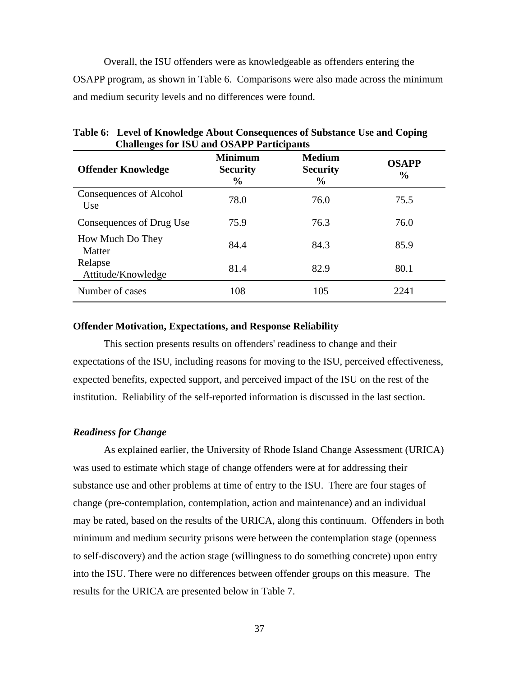Overall, the ISU offenders were as knowledgeable as offenders entering the OSAPP program, as shown in Table 6. Comparisons were also made across the minimum and medium security levels and no differences were found.

| <b>Offender Knowledge</b>       | <b>Minimum</b><br><b>Security</b><br>$\%$ | <b>Medium</b><br><b>Security</b><br>$\frac{0}{0}$ | <b>OSAPP</b><br>$\frac{0}{0}$ |
|---------------------------------|-------------------------------------------|---------------------------------------------------|-------------------------------|
| Consequences of Alcohol<br>Use. | 78.0                                      | 76.0                                              | 75.5                          |
| Consequences of Drug Use        | 75.9                                      | 76.3                                              | 76.0                          |
| How Much Do They<br>Matter      | 84.4                                      | 84.3                                              | 85.9                          |
| Relapse<br>Attitude/Knowledge   | 81.4                                      | 82.9                                              | 80.1                          |
| Number of cases                 | 108                                       | 105                                               | 2241                          |

**Table 6: Level of Knowledge About Consequences of Substance Use and Coping Challenges for ISU and OSAPP Participants** 

## **Offender Motivation, Expectations, and Response Reliability**

This section presents results on offenders' readiness to change and their expectations of the ISU, including reasons for moving to the ISU, perceived effectiveness, expected benefits, expected support, and perceived impact of the ISU on the rest of the institution. Reliability of the self-reported information is discussed in the last section.

## *Readiness for Change*

As explained earlier, the University of Rhode Island Change Assessment (URICA) was used to estimate which stage of change offenders were at for addressing their substance use and other problems at time of entry to the ISU. There are four stages of change (pre-contemplation, contemplation, action and maintenance) and an individual may be rated, based on the results of the URICA, along this continuum. Offenders in both minimum and medium security prisons were between the contemplation stage (openness to self-discovery) and the action stage (willingness to do something concrete) upon entry into the ISU. There were no differences between offender groups on this measure. The results for the URICA are presented below in Table 7.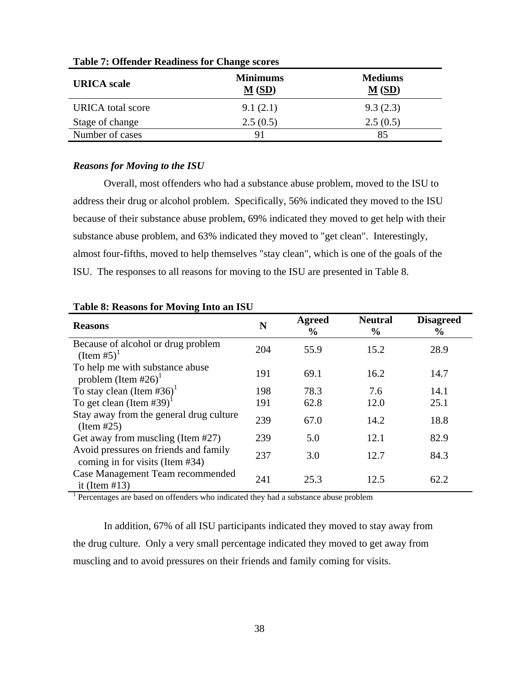| Tuble 14 Offender Requiress for Change Scores |                                         |                                        |  |
|-----------------------------------------------|-----------------------------------------|----------------------------------------|--|
| <b>URICA</b> scale                            | <b>Minimums</b><br>$\underline{M}$ (SD) | <b>Mediums</b><br>$\underline{M}$ (SD) |  |
| <b>URICA</b> total score                      | 9.1(2.1)                                | 9.3(2.3)                               |  |
| Stage of change                               | 2.5(0.5)                                | 2.5(0.5)                               |  |
| Number of cases                               | 91                                      | 85                                     |  |

**Table 7: Offender Readiness for Change scores** 

## *Reasons for Moving to the ISU*

Overall, most offenders who had a substance abuse problem, moved to the ISU to address their drug or alcohol problem. Specifically, 56% indicated they moved to the ISU because of their substance abuse problem, 69% indicated they moved to get help with their substance abuse problem, and 63% indicated they moved to "get clean". Interestingly, almost four-fifths, moved to help themselves "stay clean", which is one of the goals of the ISU. The responses to all reasons for moving to the ISU are presented in Table 8.

| <b>Reasons</b>                                                              | N   | <b>Agreed</b><br>$\frac{6}{9}$ | <b>Neutral</b><br>$\frac{0}{0}$ | <b>Disagreed</b><br>$\frac{6}{9}$ |
|-----------------------------------------------------------------------------|-----|--------------------------------|---------------------------------|-----------------------------------|
| Because of alcohol or drug problem<br>$($ Item #5 $)^1$                     | 204 | 55.9                           | 15.2                            | 28.9                              |
| To help me with substance abuse<br>problem (Item #26) <sup>1</sup>          | 191 | 69.1                           | 16.2                            | 14.7                              |
| To stay clean (Item #36) <sup>1</sup>                                       | 198 | 78.3                           | 7.6                             | 14.1                              |
| To get clean (Item #39) <sup>1</sup>                                        | 191 | 62.8                           | 12.0                            | 25.1                              |
| Stay away from the general drug culture<br>(Item #25)                       | 239 | 67.0                           | 14.2                            | 18.8                              |
| Get away from muscling (Item #27)                                           | 239 | 5.0                            | 12.1                            | 82.9                              |
| Avoid pressures on friends and family<br>coming in for visits (Item $#34$ ) | 237 | 3.0                            | 12.7                            | 84.3                              |
| Case Management Team recommended<br>it (Item $#13$ )                        | 241 | 25.3                           | 12.5                            | 62.2                              |

### **Table 8: Reasons for Moving Into an ISU**

<sup>1</sup> Percentages are based on offenders who indicated they had a substance abuse problem

In addition, 67% of all ISU participants indicated they moved to stay away from the drug culture. Only a very small percentage indicated they moved to get away from muscling and to avoid pressures on their friends and family coming for visits.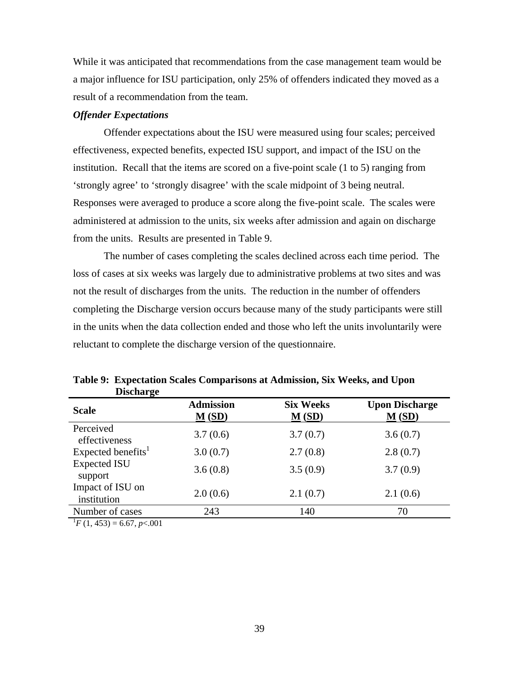While it was anticipated that recommendations from the case management team would be a major influence for ISU participation, only 25% of offenders indicated they moved as a result of a recommendation from the team.

#### *Offender Expectations*

Offender expectations about the ISU were measured using four scales; perceived effectiveness, expected benefits, expected ISU support, and impact of the ISU on the institution. Recall that the items are scored on a five-point scale (1 to 5) ranging from 'strongly agree' to 'strongly disagree' with the scale midpoint of 3 being neutral. Responses were averaged to produce a score along the five-point scale. The scales were administered at admission to the units, six weeks after admission and again on discharge from the units. Results are presented in Table 9.

The number of cases completing the scales declined across each time period. The loss of cases at six weeks was largely due to administrative problems at two sites and was not the result of discharges from the units. The reduction in the number of offenders completing the Discharge version occurs because many of the study participants were still in the units when the data collection ended and those who left the units involuntarily were reluctant to complete the discharge version of the questionnaire.

| <u>. – </u>                      |                                                   |                                          |                                               |
|----------------------------------|---------------------------------------------------|------------------------------------------|-----------------------------------------------|
| <b>Scale</b>                     | <b>Admission</b><br>$\underline{\mathbf{M}}$ (SD) | <b>Six Weeks</b><br>$\underline{M}$ (SD) | <b>Upon Discharge</b><br>$\underline{M}$ (SD) |
| Perceived<br>effectiveness       | 3.7(0.6)                                          | 3.7(0.7)                                 | 3.6(0.7)                                      |
| Expected benefits <sup>1</sup>   | 3.0(0.7)                                          | 2.7(0.8)                                 | 2.8(0.7)                                      |
| <b>Expected ISU</b><br>support   | 3.6(0.8)                                          | 3.5(0.9)                                 | 3.7(0.9)                                      |
| Impact of ISU on<br>institution  | 2.0(0.6)                                          | 2.1(0.7)                                 | 2.1(0.6)                                      |
| Number of cases                  | 243                                               | 140                                      | 70                                            |
| $E(1, 452) = 6.67$ p $\geq 0.01$ |                                                   |                                          |                                               |

**Table 9: Expectation Scales Comparisons at Admission, Six Weeks, and Upon Discharge** 

 $^{1}F(1, 453) = 6.67, p<.001$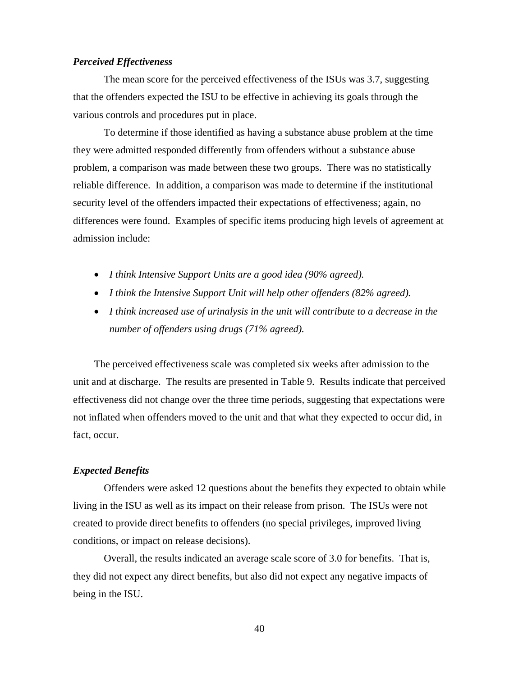## *Perceived Effectiveness*

The mean score for the perceived effectiveness of the ISUs was 3.7, suggesting that the offenders expected the ISU to be effective in achieving its goals through the various controls and procedures put in place.

To determine if those identified as having a substance abuse problem at the time they were admitted responded differently from offenders without a substance abuse problem, a comparison was made between these two groups. There was no statistically reliable difference. In addition, a comparison was made to determine if the institutional security level of the offenders impacted their expectations of effectiveness; again, no differences were found. Examples of specific items producing high levels of agreement at admission include:

- *I think Intensive Support Units are a good idea (90% agreed).*
- *I think the Intensive Support Unit will help other offenders (82% agreed).*
- *I think increased use of urinalysis in the unit will contribute to a decrease in the number of offenders using drugs (71% agreed).*

The perceived effectiveness scale was completed six weeks after admission to the unit and at discharge. The results are presented in Table 9. Results indicate that perceived effectiveness did not change over the three time periods, suggesting that expectations were not inflated when offenders moved to the unit and that what they expected to occur did, in fact, occur.

### *Expected Benefits*

Offenders were asked 12 questions about the benefits they expected to obtain while living in the ISU as well as its impact on their release from prison. The ISUs were not created to provide direct benefits to offenders (no special privileges, improved living conditions, or impact on release decisions).

Overall, the results indicated an average scale score of 3.0 for benefits. That is, they did not expect any direct benefits, but also did not expect any negative impacts of being in the ISU.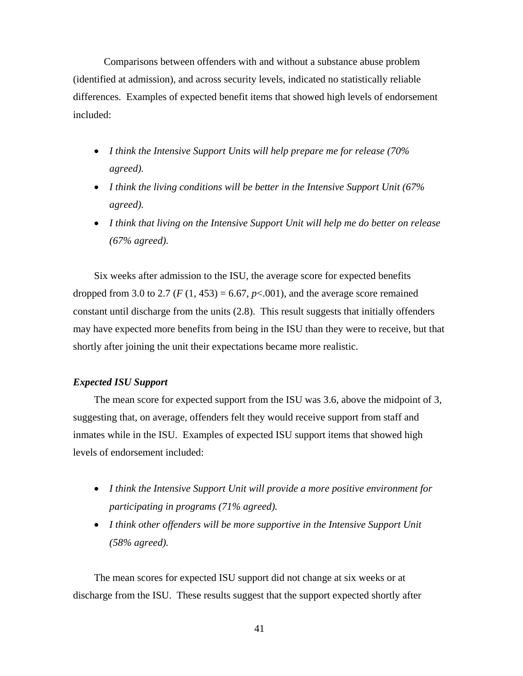Comparisons between offenders with and without a substance abuse problem (identified at admission), and across security levels, indicated no statistically reliable differences. Examples of expected benefit items that showed high levels of endorsement included:

- *I think the Intensive Support Units will help prepare me for release (70% agreed).*
- *I think the living conditions will be better in the Intensive Support Unit (67% agreed).*
- *I think that living on the Intensive Support Unit will help me do better on release (67% agreed).*

Six weeks after admission to the ISU, the average score for expected benefits dropped from 3.0 to 2.7 ( $F(1, 453) = 6.67$ ,  $p < .001$ ), and the average score remained constant until discharge from the units (2.8). This result suggests that initially offenders may have expected more benefits from being in the ISU than they were to receive, but that shortly after joining the unit their expectations became more realistic.

## *Expected ISU Support*

The mean score for expected support from the ISU was 3.6, above the midpoint of 3, suggesting that, on average, offenders felt they would receive support from staff and inmates while in the ISU. Examples of expected ISU support items that showed high levels of endorsement included:

- *I think the Intensive Support Unit will provide a more positive environment for participating in programs (71% agreed).*
- *I think other offenders will be more supportive in the Intensive Support Unit (58% agreed).*

The mean scores for expected ISU support did not change at six weeks or at discharge from the ISU. These results suggest that the support expected shortly after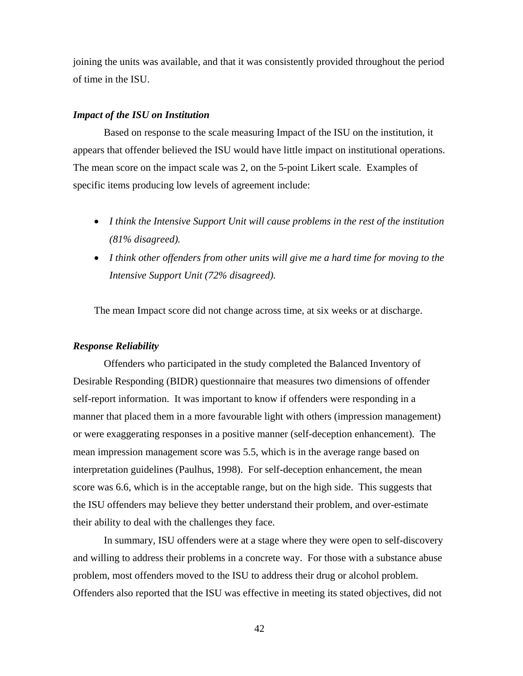joining the units was available, and that it was consistently provided throughout the period of time in the ISU.

#### *Impact of the ISU on Institution*

Based on response to the scale measuring Impact of the ISU on the institution, it appears that offender believed the ISU would have little impact on institutional operations. The mean score on the impact scale was 2, on the 5-point Likert scale. Examples of specific items producing low levels of agreement include:

- *I think the Intensive Support Unit will cause problems in the rest of the institution (81% disagreed).*
- *I think other offenders from other units will give me a hard time for moving to the Intensive Support Unit (72% disagreed).*

The mean Impact score did not change across time, at six weeks or at discharge.

#### *Response Reliability*

Offenders who participated in the study completed the Balanced Inventory of Desirable Responding (BIDR) questionnaire that measures two dimensions of offender self-report information. It was important to know if offenders were responding in a manner that placed them in a more favourable light with others (impression management) or were exaggerating responses in a positive manner (self-deception enhancement). The mean impression management score was 5.5, which is in the average range based on interpretation guidelines (Paulhus, 1998). For self-deception enhancement, the mean score was 6.6, which is in the acceptable range, but on the high side. This suggests that the ISU offenders may believe they better understand their problem, and over-estimate their ability to deal with the challenges they face.

In summary, ISU offenders were at a stage where they were open to self-discovery and willing to address their problems in a concrete way. For those with a substance abuse problem, most offenders moved to the ISU to address their drug or alcohol problem. Offenders also reported that the ISU was effective in meeting its stated objectives, did not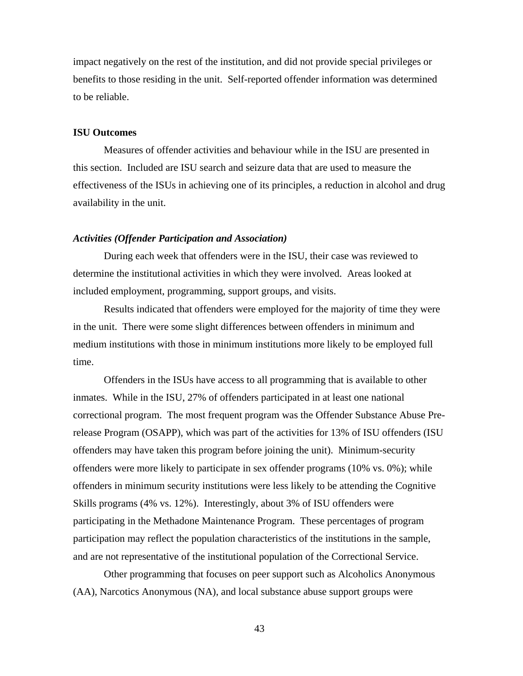impact negatively on the rest of the institution, and did not provide special privileges or benefits to those residing in the unit. Self-reported offender information was determined to be reliable.

### **ISU Outcomes**

Measures of offender activities and behaviour while in the ISU are presented in this section. Included are ISU search and seizure data that are used to measure the effectiveness of the ISUs in achieving one of its principles, a reduction in alcohol and drug availability in the unit.

#### *Activities (Offender Participation and Association)*

During each week that offenders were in the ISU, their case was reviewed to determine the institutional activities in which they were involved. Areas looked at included employment, programming, support groups, and visits.

Results indicated that offenders were employed for the majority of time they were in the unit. There were some slight differences between offenders in minimum and medium institutions with those in minimum institutions more likely to be employed full time.

Offenders in the ISUs have access to all programming that is available to other inmates. While in the ISU, 27% of offenders participated in at least one national correctional program. The most frequent program was the Offender Substance Abuse Prerelease Program (OSAPP), which was part of the activities for 13% of ISU offenders (ISU offenders may have taken this program before joining the unit). Minimum-security offenders were more likely to participate in sex offender programs (10% vs. 0%); while offenders in minimum security institutions were less likely to be attending the Cognitive Skills programs (4% vs. 12%). Interestingly, about 3% of ISU offenders were participating in the Methadone Maintenance Program. These percentages of program participation may reflect the population characteristics of the institutions in the sample, and are not representative of the institutional population of the Correctional Service.

Other programming that focuses on peer support such as Alcoholics Anonymous (AA), Narcotics Anonymous (NA), and local substance abuse support groups were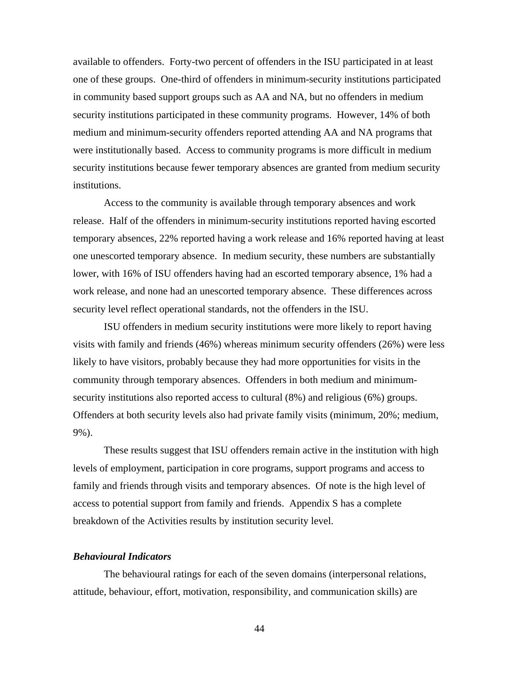available to offenders. Forty-two percent of offenders in the ISU participated in at least one of these groups. One-third of offenders in minimum-security institutions participated in community based support groups such as AA and NA, but no offenders in medium security institutions participated in these community programs. However, 14% of both medium and minimum-security offenders reported attending AA and NA programs that were institutionally based. Access to community programs is more difficult in medium security institutions because fewer temporary absences are granted from medium security institutions.

Access to the community is available through temporary absences and work release. Half of the offenders in minimum-security institutions reported having escorted temporary absences, 22% reported having a work release and 16% reported having at least one unescorted temporary absence. In medium security, these numbers are substantially lower, with 16% of ISU offenders having had an escorted temporary absence, 1% had a work release, and none had an unescorted temporary absence. These differences across security level reflect operational standards, not the offenders in the ISU.

ISU offenders in medium security institutions were more likely to report having visits with family and friends (46%) whereas minimum security offenders (26%) were less likely to have visitors, probably because they had more opportunities for visits in the community through temporary absences. Offenders in both medium and minimumsecurity institutions also reported access to cultural (8%) and religious (6%) groups. Offenders at both security levels also had private family visits (minimum, 20%; medium, 9%).

These results suggest that ISU offenders remain active in the institution with high levels of employment, participation in core programs, support programs and access to family and friends through visits and temporary absences. Of note is the high level of access to potential support from family and friends. Appendix S has a complete breakdown of the Activities results by institution security level.

#### *Behavioural Indicators*

The behavioural ratings for each of the seven domains (interpersonal relations, attitude, behaviour, effort, motivation, responsibility, and communication skills) are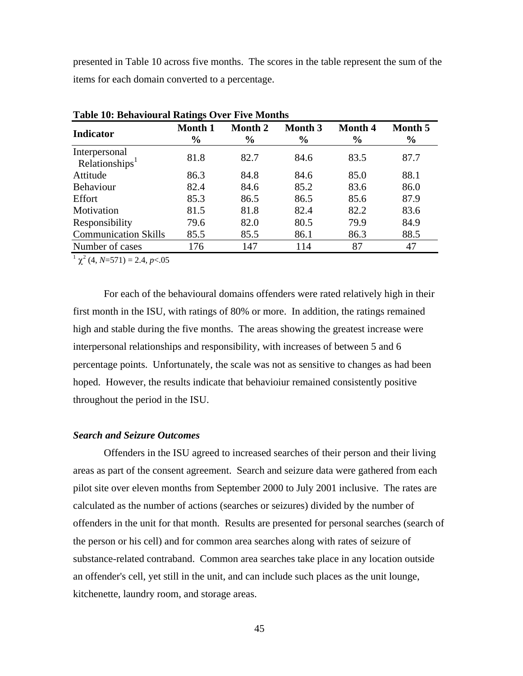presented in Table 10 across five months. The scores in the table represent the sum of the items for each domain converted to a percentage.

| Table To, Denavioural Kathigs Over Five Months |                                 |                                 |                                 |                                 |                          |
|------------------------------------------------|---------------------------------|---------------------------------|---------------------------------|---------------------------------|--------------------------|
| Indicator                                      | <b>Month 1</b><br>$\frac{6}{6}$ | <b>Month 2</b><br>$\frac{6}{6}$ | <b>Month 3</b><br>$\frac{6}{9}$ | <b>Month 4</b><br>$\frac{0}{0}$ | Month 5<br>$\frac{0}{0}$ |
| Interpersonal<br>Relationships <sup>1</sup>    | 81.8                            | 82.7                            | 84.6                            | 83.5                            | 87.7                     |
| Attitude                                       | 86.3                            | 84.8                            | 84.6                            | 85.0                            | 88.1                     |
| <b>Behaviour</b>                               | 82.4                            | 84.6                            | 85.2                            | 83.6                            | 86.0                     |
| Effort                                         | 85.3                            | 86.5                            | 86.5                            | 85.6                            | 87.9                     |
| Motivation                                     | 81.5                            | 81.8                            | 82.4                            | 82.2                            | 83.6                     |
| Responsibility                                 | 79.6                            | 82.0                            | 80.5                            | 79.9                            | 84.9                     |
| <b>Communication Skills</b>                    | 85.5                            | 85.5                            | 86.1                            | 86.3                            | 88.5                     |
| Number of cases                                | 176                             | 147                             | 114                             | 87                              | 47                       |

**Table 10: Behavioural Ratings Over Five Months** 

 $1 \chi^2$  (4, *N*=571) = 2.4, *p* < 0.05

For each of the behavioural domains offenders were rated relatively high in their first month in the ISU, with ratings of 80% or more. In addition, the ratings remained high and stable during the five months. The areas showing the greatest increase were interpersonal relationships and responsibility, with increases of between 5 and 6 percentage points. Unfortunately, the scale was not as sensitive to changes as had been hoped. However, the results indicate that behavioiur remained consistently positive throughout the period in the ISU.

## *Search and Seizure Outcomes*

Offenders in the ISU agreed to increased searches of their person and their living areas as part of the consent agreement. Search and seizure data were gathered from each pilot site over eleven months from September 2000 to July 2001 inclusive. The rates are calculated as the number of actions (searches or seizures) divided by the number of offenders in the unit for that month. Results are presented for personal searches (search of the person or his cell) and for common area searches along with rates of seizure of substance-related contraband. Common area searches take place in any location outside an offender's cell, yet still in the unit, and can include such places as the unit lounge, kitchenette, laundry room, and storage areas.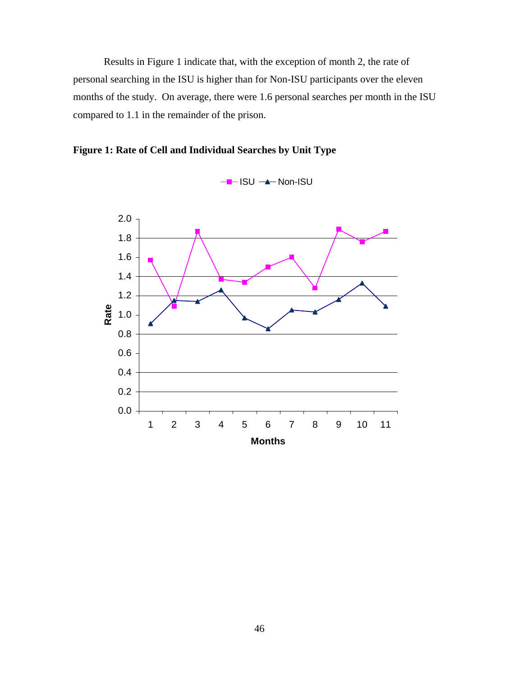Results in Figure 1 indicate that, with the exception of month 2, the rate of personal searching in the ISU is higher than for Non-ISU participants over the eleven months of the study. On average, there were 1.6 personal searches per month in the ISU compared to 1.1 in the remainder of the prison.



**Figure 1: Rate of Cell and Individual Searches by Unit Type**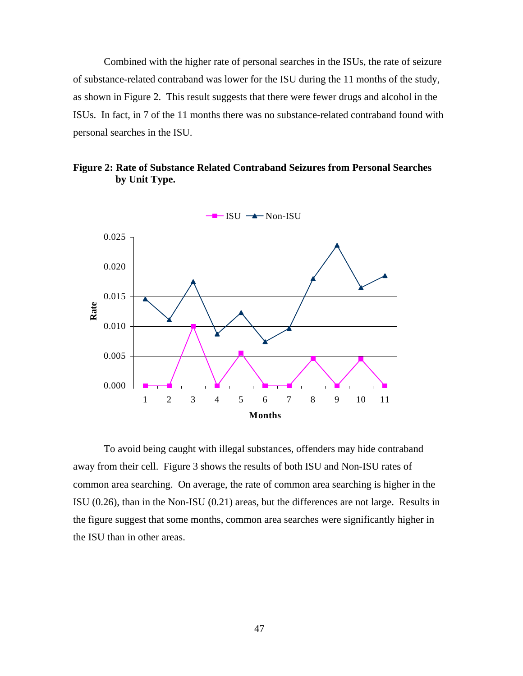Combined with the higher rate of personal searches in the ISUs, the rate of seizure of substance-related contraband was lower for the ISU during the 11 months of the study, as shown in Figure 2. This result suggests that there were fewer drugs and alcohol in the ISUs. In fact, in 7 of the 11 months there was no substance-related contraband found with personal searches in the ISU.





To avoid being caught with illegal substances, offenders may hide contraband away from their cell. Figure 3 shows the results of both ISU and Non-ISU rates of common area searching. On average, the rate of common area searching is higher in the ISU (0.26), than in the Non-ISU (0.21) areas, but the differences are not large. Results in the figure suggest that some months, common area searches were significantly higher in the ISU than in other areas.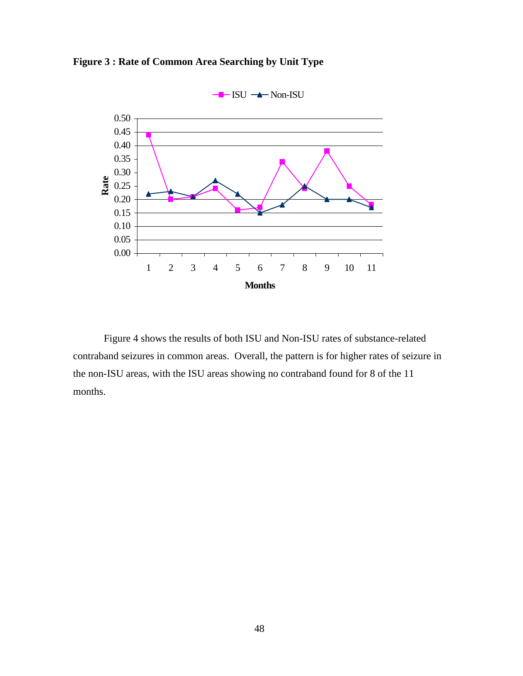**Figure 3 : Rate of Common Area Searching by Unit Type** 



Figure 4 shows the results of both ISU and Non-ISU rates of substance-related contraband seizures in common areas. Overall, the pattern is for higher rates of seizure in the non-ISU areas, with the ISU areas showing no contraband found for 8 of the 11 months.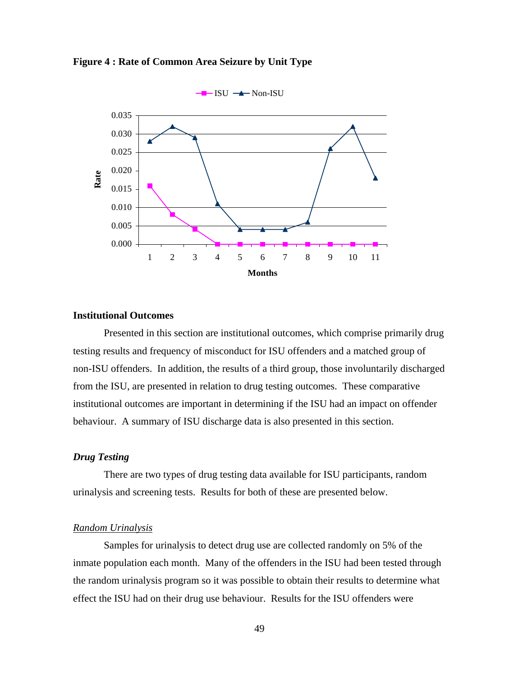



## **Institutional Outcomes**

Presented in this section are institutional outcomes, which comprise primarily drug testing results and frequency of misconduct for ISU offenders and a matched group of non-ISU offenders. In addition, the results of a third group, those involuntarily discharged from the ISU, are presented in relation to drug testing outcomes. These comparative institutional outcomes are important in determining if the ISU had an impact on offender behaviour. A summary of ISU discharge data is also presented in this section.

## *Drug Testing*

There are two types of drug testing data available for ISU participants, random urinalysis and screening tests. Results for both of these are presented below.

## *Random Urinalysis*

Samples for urinalysis to detect drug use are collected randomly on 5% of the inmate population each month. Many of the offenders in the ISU had been tested through the random urinalysis program so it was possible to obtain their results to determine what effect the ISU had on their drug use behaviour. Results for the ISU offenders were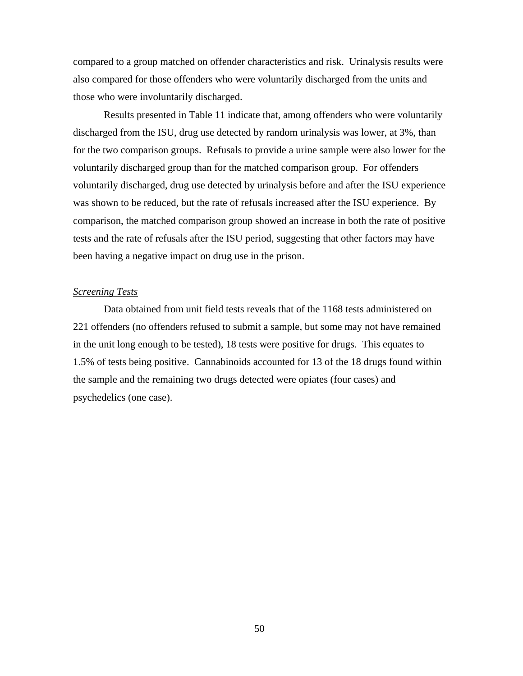compared to a group matched on offender characteristics and risk. Urinalysis results were also compared for those offenders who were voluntarily discharged from the units and those who were involuntarily discharged.

Results presented in Table 11 indicate that, among offenders who were voluntarily discharged from the ISU, drug use detected by random urinalysis was lower, at 3%, than for the two comparison groups. Refusals to provide a urine sample were also lower for the voluntarily discharged group than for the matched comparison group. For offenders voluntarily discharged, drug use detected by urinalysis before and after the ISU experience was shown to be reduced, but the rate of refusals increased after the ISU experience. By comparison, the matched comparison group showed an increase in both the rate of positive tests and the rate of refusals after the ISU period, suggesting that other factors may have been having a negative impact on drug use in the prison.

## *Screening Tests*

Data obtained from unit field tests reveals that of the 1168 tests administered on 221 offenders (no offenders refused to submit a sample, but some may not have remained in the unit long enough to be tested), 18 tests were positive for drugs. This equates to 1.5% of tests being positive. Cannabinoids accounted for 13 of the 18 drugs found within the sample and the remaining two drugs detected were opiates (four cases) and psychedelics (one case).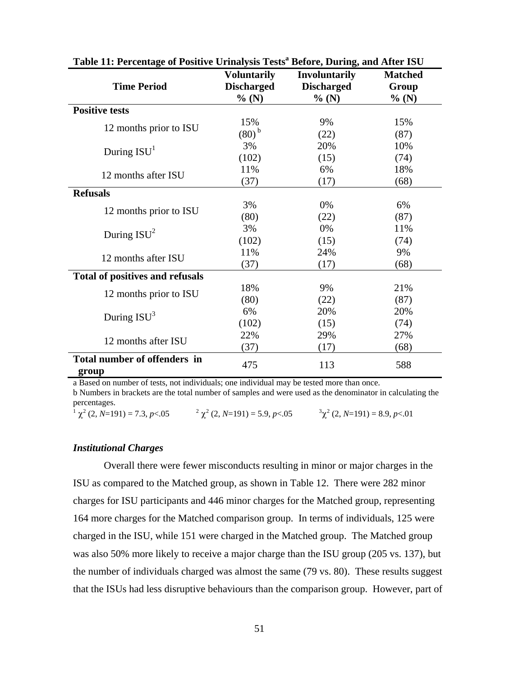| Table 11. I credinage of Foshive Urmarysis Tests "before, During, and After 150 |                                                  |                                                    |                                  |
|---------------------------------------------------------------------------------|--------------------------------------------------|----------------------------------------------------|----------------------------------|
| <b>Time Period</b>                                                              | <b>Voluntarily</b><br><b>Discharged</b><br>% (N) | <b>Involuntarily</b><br><b>Discharged</b><br>% (N) | <b>Matched</b><br>Group<br>% (N) |
| <b>Positive tests</b>                                                           |                                                  |                                                    |                                  |
|                                                                                 | 15%                                              | 9%                                                 | 15%                              |
| 12 months prior to ISU                                                          | $(80)$ <sup>b</sup>                              | (22)                                               | (87)                             |
|                                                                                 |                                                  |                                                    |                                  |
| During $ISU1$                                                                   | 3%                                               | 20%                                                | 10%                              |
|                                                                                 | (102)                                            | (15)                                               | (74)                             |
| 12 months after ISU                                                             | 11%                                              | 6%                                                 | 18%                              |
|                                                                                 | (37)                                             | (17)                                               | (68)                             |
| <b>Refusals</b>                                                                 |                                                  |                                                    |                                  |
| 12 months prior to ISU                                                          | 3%                                               | 0%                                                 | 6%                               |
|                                                                                 | (80)                                             | (22)                                               | (87)                             |
| During $ISU2$                                                                   | 3%                                               | 0%                                                 | 11%                              |
|                                                                                 | (102)                                            | (15)                                               | (74)                             |
|                                                                                 | 11%                                              | 24%                                                | 9%                               |
| 12 months after ISU                                                             | (37)                                             | (17)                                               | (68)                             |
| <b>Total of positives and refusals</b>                                          |                                                  |                                                    |                                  |
|                                                                                 | 18%                                              | 9%                                                 | 21%                              |
| 12 months prior to ISU                                                          | (80)                                             | (22)                                               | (87)                             |
|                                                                                 | 6%                                               | 20%                                                | 20%                              |
| During $ISU3$                                                                   | (102)                                            | (15)                                               | (74)                             |
|                                                                                 | 22%                                              | 29%                                                | 27%                              |
| 12 months after ISU                                                             | (37)                                             | (17)                                               | (68)                             |
| Total number of offenders in<br>group                                           | 475                                              | 113                                                | 588                              |

Table 11: Percentage of Positive Urinalysis Tests<sup>a</sup> Before, During, and After ISU

a Based on number of tests, not individuals; one individual may be tested more than once.

b Numbers in brackets are the total number of samples and were used as the denominator in calculating the percentages.

 $\chi^2$  (2, *N*=191) = 7.3, *p*<.05  $\chi^2$  (2, *N*=191) = 5.9, *p*<.05  $\chi^3$  (2, *N*=191) = 8.9, *p*<.01

### *Institutional Charges*

Overall there were fewer misconducts resulting in minor or major charges in the ISU as compared to the Matched group, as shown in Table 12. There were 282 minor charges for ISU participants and 446 minor charges for the Matched group, representing 164 more charges for the Matched comparison group. In terms of individuals, 125 were charged in the ISU, while 151 were charged in the Matched group. The Matched group was also 50% more likely to receive a major charge than the ISU group (205 vs. 137), but the number of individuals charged was almost the same (79 vs. 80). These results suggest that the ISUs had less disruptive behaviours than the comparison group. However, part of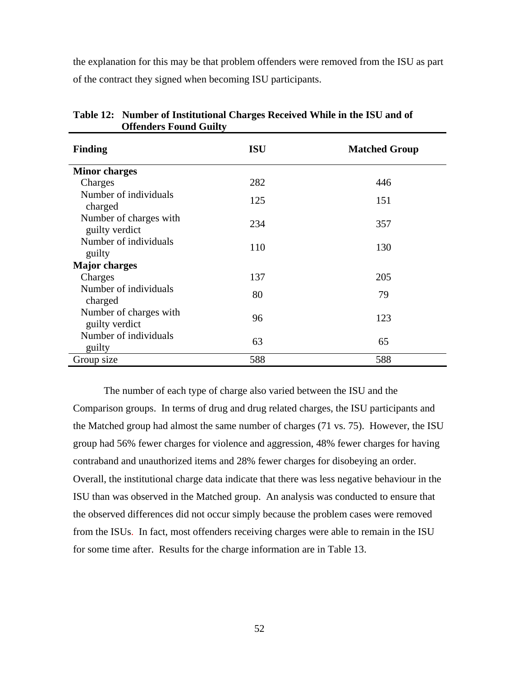the explanation for this may be that problem offenders were removed from the ISU as part of the contract they signed when becoming ISU participants.

| <b>Finding</b>                           | <b>ISU</b> | <b>Matched Group</b> |
|------------------------------------------|------------|----------------------|
| <b>Minor charges</b>                     |            |                      |
| Charges                                  | 282        | 446                  |
| Number of individuals<br>charged         | 125        | 151                  |
| Number of charges with<br>guilty verdict | 234        | 357                  |
| Number of individuals<br>guilty          | 110        | 130                  |
| <b>Major charges</b>                     |            |                      |
| Charges                                  | 137        | 205                  |
| Number of individuals<br>charged         | 80         | 79                   |
| Number of charges with<br>guilty verdict | 96         | 123                  |
| Number of individuals<br>guilty          | 63         | 65                   |
| Group size                               | 588        | 588                  |

**Table 12: Number of Institutional Charges Received While in the ISU and of Offenders Found Guilty** 

The number of each type of charge also varied between the ISU and the Comparison groups. In terms of drug and drug related charges, the ISU participants and the Matched group had almost the same number of charges (71 vs. 75). However, the ISU group had 56% fewer charges for violence and aggression, 48% fewer charges for having contraband and unauthorized items and 28% fewer charges for disobeying an order. Overall, the institutional charge data indicate that there was less negative behaviour in the ISU than was observed in the Matched group. An analysis was conducted to ensure that the observed differences did not occur simply because the problem cases were removed from the ISUs. In fact, most offenders receiving charges were able to remain in the ISU for some time after. Results for the charge information are in Table 13.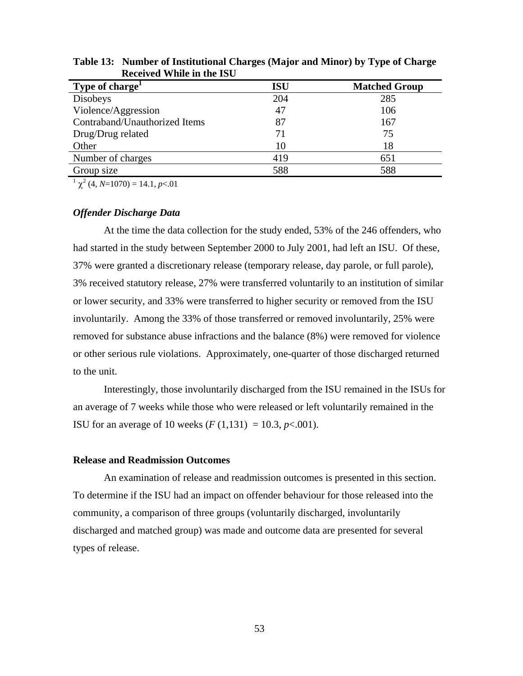| Type of charge <sup>1</sup>   | <b>ISU</b> | <b>Matched Group</b> |
|-------------------------------|------------|----------------------|
| Disobeys                      | 204        | 285                  |
| Violence/Aggression           | 47         | 106                  |
| Contraband/Unauthorized Items | 87         | 167                  |
| Drug/Drug related             | 71         | 75                   |
| Other                         | 10         | 18                   |
| Number of charges             | 419        | 651                  |
| Group size                    | 588        | 588                  |

**Table 13: Number of Institutional Charges (Major and Minor) by Type of Charge Received While in the ISU** 

 $1 \chi^2$  (4, *N*=1070) = 14.1, *p*<.01

### *Offender Discharge Data*

At the time the data collection for the study ended, 53% of the 246 offenders, who had started in the study between September 2000 to July 2001, had left an ISU. Of these, 37% were granted a discretionary release (temporary release, day parole, or full parole), 3% received statutory release, 27% were transferred voluntarily to an institution of similar or lower security, and 33% were transferred to higher security or removed from the ISU involuntarily. Among the 33% of those transferred or removed involuntarily, 25% were removed for substance abuse infractions and the balance (8%) were removed for violence or other serious rule violations. Approximately, one-quarter of those discharged returned to the unit.

Interestingly, those involuntarily discharged from the ISU remained in the ISUs for an average of 7 weeks while those who were released or left voluntarily remained in the **ISU** for an average of 10 weeks  $(F (1, 131) = 10.3, p < 0.001)$ .

## **Release and Readmission Outcomes**

An examination of release and readmission outcomes is presented in this section. To determine if the ISU had an impact on offender behaviour for those released into the community, a comparison of three groups (voluntarily discharged, involuntarily discharged and matched group) was made and outcome data are presented for several types of release.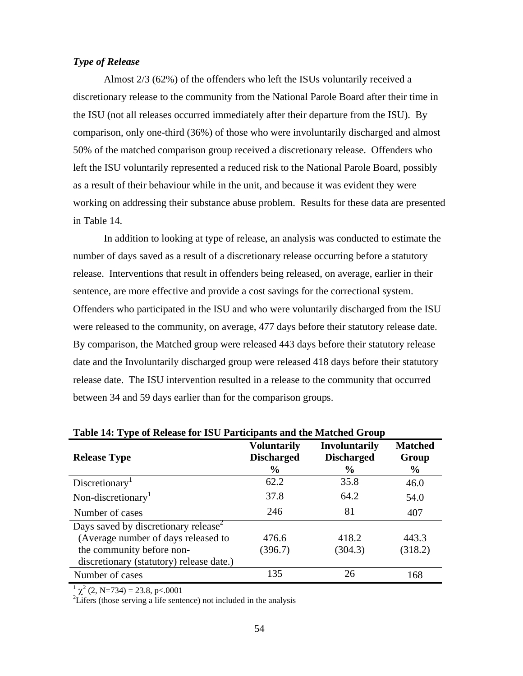## *Type of Release*

Almost 2/3 (62%) of the offenders who left the ISUs voluntarily received a discretionary release to the community from the National Parole Board after their time in the ISU (not all releases occurred immediately after their departure from the ISU). By comparison, only one-third (36%) of those who were involuntarily discharged and almost 50% of the matched comparison group received a discretionary release. Offenders who left the ISU voluntarily represented a reduced risk to the National Parole Board, possibly as a result of their behaviour while in the unit, and because it was evident they were working on addressing their substance abuse problem. Results for these data are presented in Table 14.

In addition to looking at type of release, an analysis was conducted to estimate the number of days saved as a result of a discretionary release occurring before a statutory release. Interventions that result in offenders being released, on average, earlier in their sentence, are more effective and provide a cost savings for the correctional system. Offenders who participated in the ISU and who were voluntarily discharged from the ISU were released to the community, on average, 477 days before their statutory release date. By comparison, the Matched group were released 443 days before their statutory release date and the Involuntarily discharged group were released 418 days before their statutory release date. The ISU intervention resulted in a release to the community that occurred between 34 and 59 days earlier than for the comparison groups.

| Table 14: Type of Refease for 150 Participants and the Matched Group |                                                          |                                                            |                                 |
|----------------------------------------------------------------------|----------------------------------------------------------|------------------------------------------------------------|---------------------------------|
| <b>Release Type</b>                                                  | <b>Voluntarily</b><br><b>Discharged</b><br>$\frac{6}{9}$ | <b>Involuntarily</b><br><b>Discharged</b><br>$\frac{6}{9}$ | <b>Matched</b><br>Group<br>$\%$ |
| Discretionary <sup>1</sup>                                           | 62.2                                                     | 35.8                                                       | 46.0                            |
| Non-discretionary <sup>1</sup>                                       | 37.8                                                     | 64.2                                                       | 54.0                            |
| Number of cases                                                      | 246                                                      | 81                                                         | 407                             |
| Days saved by discretionary release <sup>2</sup>                     |                                                          |                                                            |                                 |
| (Average number of days released to                                  | 476.6                                                    | 418.2                                                      | 443.3                           |
| the community before non-                                            | (396.7)                                                  | (304.3)                                                    | (318.2)                         |
| discretionary (statutory) release date.)                             |                                                          |                                                            |                                 |
| Number of cases                                                      | 135                                                      | 26                                                         | 168                             |

| Table 14: Type of Release for ISU Participants and the Matched Group |  |
|----------------------------------------------------------------------|--|
|----------------------------------------------------------------------|--|

 $^{1}$   $\chi^{2}$  (2, N=734) = 23.8, p<.0001<br><sup>2</sup>Lifers (those serving a life sentence) not included in the analysis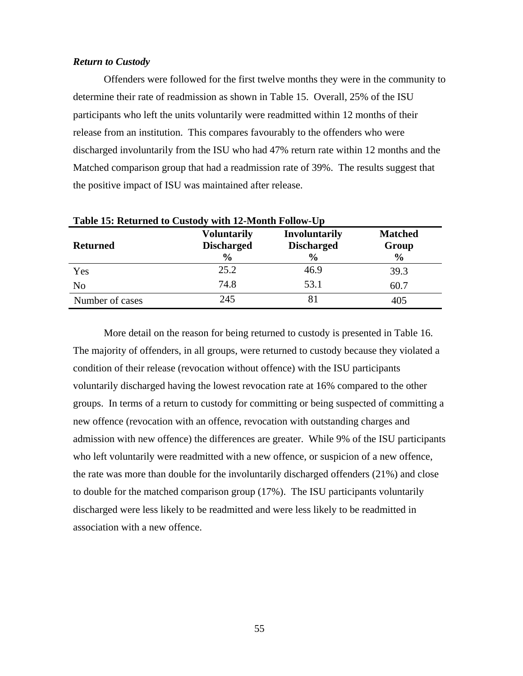## *Return to Custody*

Offenders were followed for the first twelve months they were in the community to determine their rate of readmission as shown in Table 15. Overall, 25% of the ISU participants who left the units voluntarily were readmitted within 12 months of their release from an institution. This compares favourably to the offenders who were discharged involuntarily from the ISU who had 47% return rate within 12 months and the Matched comparison group that had a readmission rate of 39%. The results suggest that the positive impact of ISU was maintained after release.

| <b>Returned</b> | <b>Voluntarily</b><br><b>Discharged</b><br>$\frac{6}{9}$ | <b>Involuntarily</b><br><b>Discharged</b><br>$\frac{0}{0}$ | <b>Matched</b><br>Group<br>$\frac{0}{0}$ |
|-----------------|----------------------------------------------------------|------------------------------------------------------------|------------------------------------------|
| Yes             | 25.2                                                     | 46.9                                                       | 39.3                                     |
| N <sub>0</sub>  | 74.8                                                     | 53.1                                                       | 60.7                                     |
| Number of cases | 245                                                      | 81                                                         | 405                                      |

**Table 15: Returned to Custody with 12-Month Follow-Up** 

More detail on the reason for being returned to custody is presented in Table 16. The majority of offenders, in all groups, were returned to custody because they violated a condition of their release (revocation without offence) with the ISU participants voluntarily discharged having the lowest revocation rate at 16% compared to the other groups. In terms of a return to custody for committing or being suspected of committing a new offence (revocation with an offence, revocation with outstanding charges and admission with new offence) the differences are greater. While 9% of the ISU participants who left voluntarily were readmitted with a new offence, or suspicion of a new offence, the rate was more than double for the involuntarily discharged offenders (21%) and close to double for the matched comparison group (17%). The ISU participants voluntarily discharged were less likely to be readmitted and were less likely to be readmitted in association with a new offence.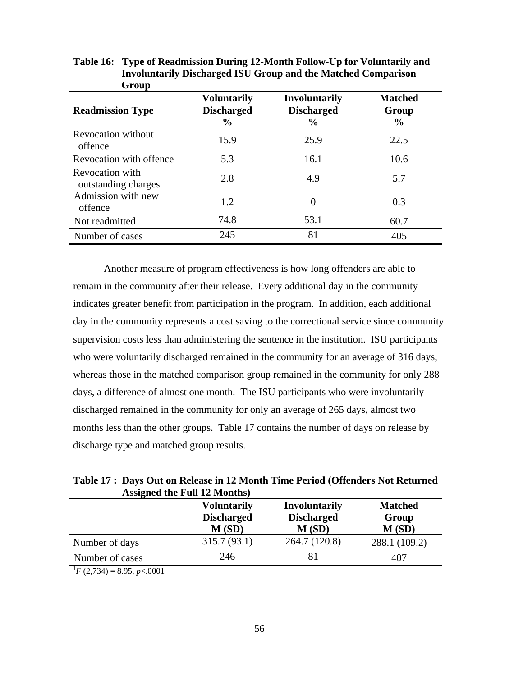| <b>Orvup</b>                           |                                                          |                                                            |                                          |
|----------------------------------------|----------------------------------------------------------|------------------------------------------------------------|------------------------------------------|
| <b>Readmission Type</b>                | <b>Voluntarily</b><br><b>Discharged</b><br>$\frac{6}{9}$ | <b>Involuntarily</b><br><b>Discharged</b><br>$\frac{0}{0}$ | <b>Matched</b><br>Group<br>$\frac{6}{9}$ |
| <b>Revocation without</b><br>offence   | 15.9                                                     | 25.9                                                       | 22.5                                     |
| Revocation with offence                | 5.3                                                      | 16.1                                                       | 10.6                                     |
| Revocation with<br>outstanding charges | 2.8                                                      | 4.9                                                        | 5.7                                      |
| Admission with new<br>offence          | 1.2                                                      | $\overline{0}$                                             | 0.3                                      |
| Not readmitted                         | 74.8                                                     | 53.1                                                       | 60.7                                     |
| Number of cases                        | 245                                                      | 81                                                         | 405                                      |

| Table 16: Type of Readmission During 12-Month Follow-Up for Voluntarily and |
|-----------------------------------------------------------------------------|
| <b>Involuntarily Discharged ISU Group and the Matched Comparison</b>        |
| Group                                                                       |

Another measure of program effectiveness is how long offenders are able to remain in the community after their release. Every additional day in the community indicates greater benefit from participation in the program. In addition, each additional day in the community represents a cost saving to the correctional service since community supervision costs less than administering the sentence in the institution. ISU participants who were voluntarily discharged remained in the community for an average of 316 days, whereas those in the matched comparison group remained in the community for only 288 days, a difference of almost one month. The ISU participants who were involuntarily discharged remained in the community for only an average of 265 days, almost two months less than the other groups. Table 17 contains the number of days on release by discharge type and matched group results.

**Table 17 : Days Out on Release in 12 Month Time Period (Offenders Not Returned Assigned the Full 12 Months)** 

|                                 | <b>Voluntarily</b><br><b>Discharged</b><br>M(SD) | <b>Involuntarily</b><br><b>Discharged</b><br>M(SD) | <b>Matched</b><br>Group<br>M(SD) |
|---------------------------------|--------------------------------------------------|----------------------------------------------------|----------------------------------|
| Number of days                  | 315.7(93.1)                                      | 264.7 (120.8)                                      | 288.1 (109.2)                    |
| Number of cases                 | 246                                              | -81                                                | 407                              |
| $E(2.724) = 0.05$ n $\ge 0.001$ |                                                  |                                                    |                                  |

 $^{1}F$  (2,734) = 8.95, *p* < 0001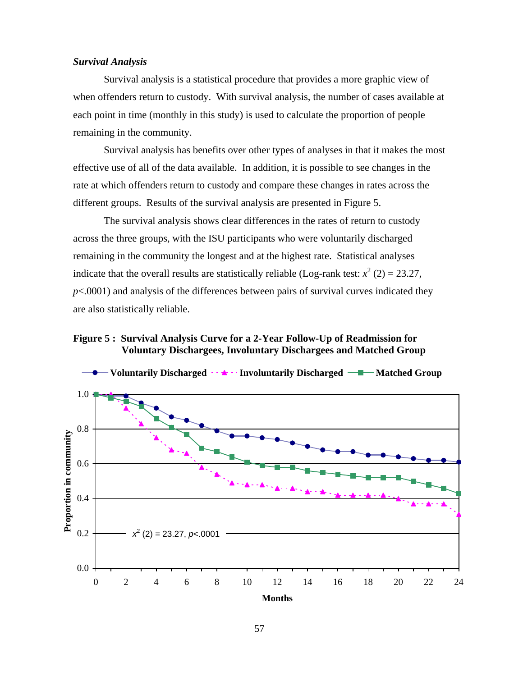### *Survival Analysis*

Survival analysis is a statistical procedure that provides a more graphic view of when offenders return to custody. With survival analysis, the number of cases available at each point in time (monthly in this study) is used to calculate the proportion of people remaining in the community.

Survival analysis has benefits over other types of analyses in that it makes the most effective use of all of the data available. In addition, it is possible to see changes in the rate at which offenders return to custody and compare these changes in rates across the different groups. Results of the survival analysis are presented in Figure 5.

The survival analysis shows clear differences in the rates of return to custody across the three groups, with the ISU participants who were voluntarily discharged remaining in the community the longest and at the highest rate. Statistical analyses indicate that the overall results are statistically reliable (Log-rank test:  $x^2$  (2) = 23.27,  $p<.0001$ ) and analysis of the differences between pairs of survival curves indicated they are also statistically reliable.

# **Figure 5 : Survival Analysis Curve for a 2-Year Follow-Up of Readmission for Voluntary Dischargees, Involuntary Dischargees and Matched Group**

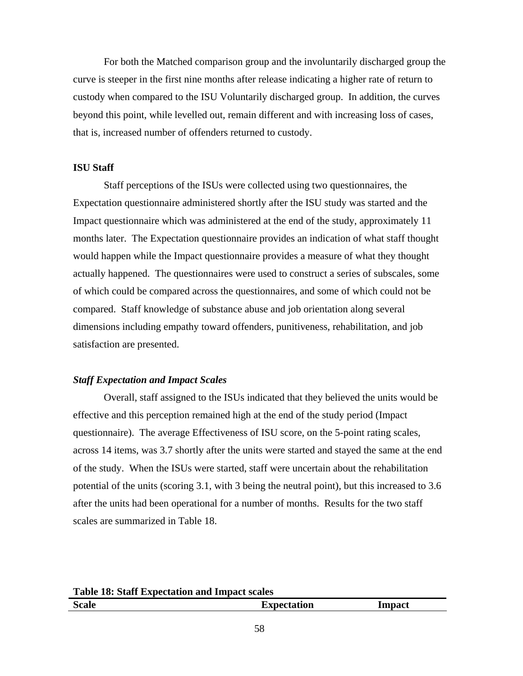For both the Matched comparison group and the involuntarily discharged group the curve is steeper in the first nine months after release indicating a higher rate of return to custody when compared to the ISU Voluntarily discharged group. In addition, the curves beyond this point, while levelled out, remain different and with increasing loss of cases, that is, increased number of offenders returned to custody.

### **ISU Staff**

Staff perceptions of the ISUs were collected using two questionnaires, the Expectation questionnaire administered shortly after the ISU study was started and the Impact questionnaire which was administered at the end of the study, approximately 11 months later. The Expectation questionnaire provides an indication of what staff thought would happen while the Impact questionnaire provides a measure of what they thought actually happened. The questionnaires were used to construct a series of subscales, some of which could be compared across the questionnaires, and some of which could not be compared. Staff knowledge of substance abuse and job orientation along several dimensions including empathy toward offenders, punitiveness, rehabilitation, and job satisfaction are presented.

## *Staff Expectation and Impact Scales*

Overall, staff assigned to the ISUs indicated that they believed the units would be effective and this perception remained high at the end of the study period (Impact questionnaire). The average Effectiveness of ISU score, on the 5-point rating scales, across 14 items, was 3.7 shortly after the units were started and stayed the same at the end of the study. When the ISUs were started, staff were uncertain about the rehabilitation potential of the units (scoring 3.1, with 3 being the neutral point), but this increased to 3.6 after the units had been operational for a number of months. Results for the two staff scales are summarized in Table 18.

**Table 18: Staff Expectation and Impact scales Scale Expectation Impact**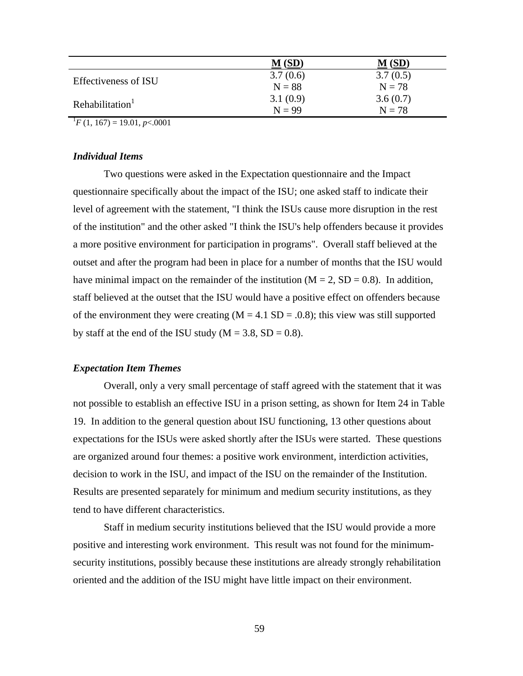|                                       | M(SD)    | $\mathbf M$ (SD) |
|---------------------------------------|----------|------------------|
| <b>Effectiveness of ISU</b>           | 3.7(0.6) | 3.7(0.5)         |
|                                       | $N = 88$ | $N = 78$         |
| Rehabilitation <sup>1</sup>           | 3.1(0.9) | 3.6(0.7)         |
|                                       | $N = 99$ | $N = 78$         |
| $T/T$ (1 167) = 10.01 $\approx 0.001$ |          |                  |

 $^{1}F(1, 167) = 19.01, p<.0001$ 

# *Individual Items*

Two questions were asked in the Expectation questionnaire and the Impact questionnaire specifically about the impact of the ISU; one asked staff to indicate their level of agreement with the statement, "I think the ISUs cause more disruption in the rest of the institution" and the other asked "I think the ISU's help offenders because it provides a more positive environment for participation in programs". Overall staff believed at the outset and after the program had been in place for a number of months that the ISU would have minimal impact on the remainder of the institution ( $M = 2$ ,  $SD = 0.8$ ). In addition, staff believed at the outset that the ISU would have a positive effect on offenders because of the environment they were creating  $(M = 4.1 S D = .0.8)$ ; this view was still supported by staff at the end of the ISU study ( $M = 3.8$ , SD = 0.8).

# *Expectation Item Themes*

Overall, only a very small percentage of staff agreed with the statement that it was not possible to establish an effective ISU in a prison setting, as shown for Item 24 in Table 19. In addition to the general question about ISU functioning, 13 other questions about expectations for the ISUs were asked shortly after the ISUs were started. These questions are organized around four themes: a positive work environment, interdiction activities, decision to work in the ISU, and impact of the ISU on the remainder of the Institution. Results are presented separately for minimum and medium security institutions, as they tend to have different characteristics.

Staff in medium security institutions believed that the ISU would provide a more positive and interesting work environment. This result was not found for the minimumsecurity institutions, possibly because these institutions are already strongly rehabilitation oriented and the addition of the ISU might have little impact on their environment.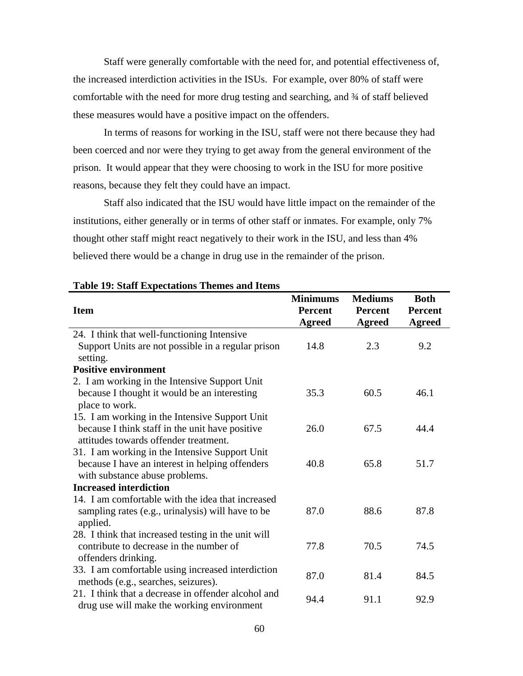Staff were generally comfortable with the need for, and potential effectiveness of, the increased interdiction activities in the ISUs. For example, over 80% of staff were comfortable with the need for more drug testing and searching, and ¾ of staff believed these measures would have a positive impact on the offenders.

In terms of reasons for working in the ISU, staff were not there because they had been coerced and nor were they trying to get away from the general environment of the prison. It would appear that they were choosing to work in the ISU for more positive reasons, because they felt they could have an impact.

Staff also indicated that the ISU would have little impact on the remainder of the institutions, either generally or in terms of other staff or inmates. For example, only 7% thought other staff might react negatively to their work in the ISU, and less than 4% believed there would be a change in drug use in the remainder of the prison.

|                                                                                          | <b>Minimums</b>                 | <b>Mediums</b>                  | <b>Both</b>              |
|------------------------------------------------------------------------------------------|---------------------------------|---------------------------------|--------------------------|
| <b>Item</b>                                                                              | <b>Percent</b><br><b>Agreed</b> | <b>Percent</b><br><b>Agreed</b> | <b>Percent</b><br>Agreed |
| 24. I think that well-functioning Intensive                                              |                                 |                                 |                          |
| Support Units are not possible in a regular prison<br>setting.                           | 14.8                            | 2.3                             | 9.2                      |
| <b>Positive environment</b>                                                              |                                 |                                 |                          |
| 2. I am working in the Intensive Support Unit                                            |                                 |                                 |                          |
| because I thought it would be an interesting                                             | 35.3                            | 60.5                            | 46.1                     |
| place to work.                                                                           |                                 |                                 |                          |
| 15. I am working in the Intensive Support Unit                                           |                                 |                                 |                          |
| because I think staff in the unit have positive                                          | 26.0                            | 67.5                            | 44.4                     |
| attitudes towards offender treatment.                                                    |                                 |                                 |                          |
| 31. I am working in the Intensive Support Unit                                           |                                 |                                 |                          |
| because I have an interest in helping offenders                                          | 40.8                            | 65.8                            | 51.7                     |
| with substance abuse problems.                                                           |                                 |                                 |                          |
| <b>Increased interdiction</b>                                                            |                                 |                                 |                          |
| 14. I am comfortable with the idea that increased                                        |                                 |                                 |                          |
| sampling rates (e.g., urinalysis) will have to be<br>applied.                            | 87.0                            | 88.6                            | 87.8                     |
| 28. I think that increased testing in the unit will                                      |                                 |                                 |                          |
| contribute to decrease in the number of                                                  | 77.8                            | 70.5                            | 74.5                     |
| offenders drinking.                                                                      |                                 |                                 |                          |
| 33. I am comfortable using increased interdiction<br>methods (e.g., searches, seizures). | 87.0                            | 81.4                            | 84.5                     |
| 21. I think that a decrease in offender alcohol and                                      |                                 |                                 |                          |
| drug use will make the working environment                                               | 94.4                            | 91.1                            | 92.9                     |

## **Table 19: Staff Expectations Themes and Items**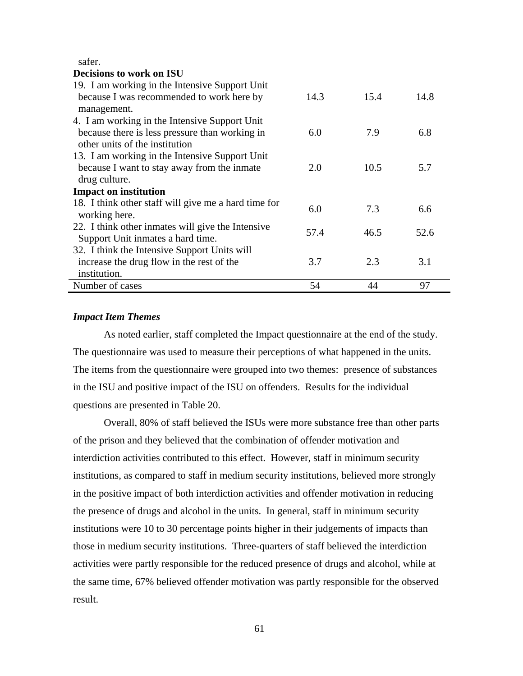safer.

| <b>Decisions to work on ISU</b>                      |      |      |      |
|------------------------------------------------------|------|------|------|
| 19. I am working in the Intensive Support Unit       |      |      |      |
| because I was recommended to work here by            | 14.3 | 15.4 | 14.8 |
| management.                                          |      |      |      |
| 4. I am working in the Intensive Support Unit        |      |      |      |
| because there is less pressure than working in       | 6.0  | 7.9  | 6.8  |
| other units of the institution                       |      |      |      |
| 13. I am working in the Intensive Support Unit       |      |      |      |
| because I want to stay away from the inmate          | 2.0  | 10.5 | 5.7  |
| drug culture.                                        |      |      |      |
| <b>Impact on institution</b>                         |      |      |      |
| 18. I think other staff will give me a hard time for | 6.0  | 7.3  | 6.6  |
| working here.                                        |      |      |      |
| 22. I think other inmates will give the Intensive    | 57.4 | 46.5 | 52.6 |
| Support Unit inmates a hard time.                    |      |      |      |
| 32. I think the Intensive Support Units will         |      |      |      |
| increase the drug flow in the rest of the            | 3.7  | 2.3  | 3.1  |
| institution.                                         |      |      |      |
| Number of cases                                      | 54   | 44   | 97   |

### *Impact Item Themes*

As noted earlier, staff completed the Impact questionnaire at the end of the study. The questionnaire was used to measure their perceptions of what happened in the units. The items from the questionnaire were grouped into two themes: presence of substances in the ISU and positive impact of the ISU on offenders. Results for the individual questions are presented in Table 20.

Overall, 80% of staff believed the ISUs were more substance free than other parts of the prison and they believed that the combination of offender motivation and interdiction activities contributed to this effect. However, staff in minimum security institutions, as compared to staff in medium security institutions, believed more strongly in the positive impact of both interdiction activities and offender motivation in reducing the presence of drugs and alcohol in the units. In general, staff in minimum security institutions were 10 to 30 percentage points higher in their judgements of impacts than those in medium security institutions. Three-quarters of staff believed the interdiction activities were partly responsible for the reduced presence of drugs and alcohol, while at the same time, 67% believed offender motivation was partly responsible for the observed result.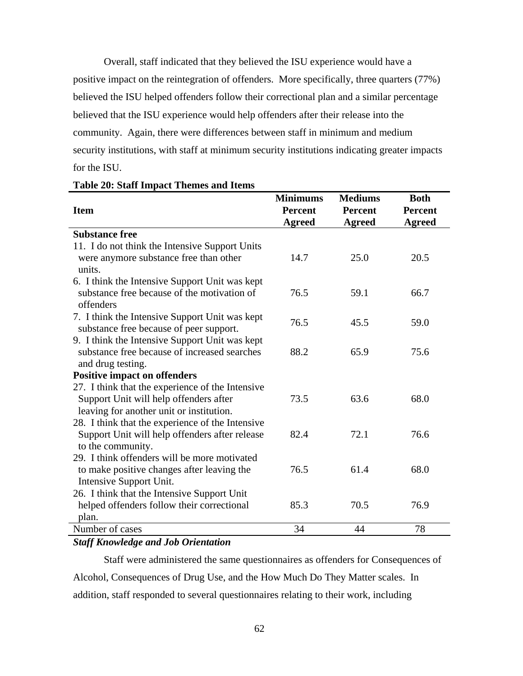Overall, staff indicated that they believed the ISU experience would have a positive impact on the reintegration of offenders. More specifically, three quarters (77%) believed the ISU helped offenders follow their correctional plan and a similar percentage believed that the ISU experience would help offenders after their release into the community. Again, there were differences between staff in minimum and medium security institutions, with staff at minimum security institutions indicating greater impacts for the ISU.

|                                                  | <b>Minimums</b> | <b>Mediums</b> | <b>Both</b>    |
|--------------------------------------------------|-----------------|----------------|----------------|
| <b>Item</b>                                      | <b>Percent</b>  | <b>Percent</b> | <b>Percent</b> |
|                                                  | <b>Agreed</b>   | <b>Agreed</b>  | <b>Agreed</b>  |
| <b>Substance free</b>                            |                 |                |                |
| 11. I do not think the Intensive Support Units   |                 |                |                |
| were anymore substance free than other           | 14.7            | 25.0           | 20.5           |
| units.                                           |                 |                |                |
| 6. I think the Intensive Support Unit was kept   |                 |                |                |
| substance free because of the motivation of      | 76.5            | 59.1           | 66.7           |
| offenders                                        |                 |                |                |
| 7. I think the Intensive Support Unit was kept   | 76.5            | 45.5           | 59.0           |
| substance free because of peer support.          |                 |                |                |
| 9. I think the Intensive Support Unit was kept   |                 |                |                |
| substance free because of increased searches     | 88.2            | 65.9           | 75.6           |
| and drug testing.                                |                 |                |                |
| <b>Positive impact on offenders</b>              |                 |                |                |
| 27. I think that the experience of the Intensive |                 |                |                |
| Support Unit will help offenders after           | 73.5            | 63.6           | 68.0           |
| leaving for another unit or institution.         |                 |                |                |
| 28. I think that the experience of the Intensive |                 |                |                |
| Support Unit will help offenders after release   | 82.4            | 72.1           | 76.6           |
| to the community.                                |                 |                |                |
| 29. I think offenders will be more motivated     |                 |                |                |
| to make positive changes after leaving the       | 76.5            | 61.4           | 68.0           |
| Intensive Support Unit.                          |                 |                |                |
| 26. I think that the Intensive Support Unit      |                 |                |                |
| helped offenders follow their correctional       | 85.3            | 70.5           | 76.9           |
| plan.                                            |                 |                |                |
| Number of cases                                  | 34              | 44             | 78             |

#### **Table 20: Staff Impact Themes and Items**

## *Staff Knowledge and Job Orientation*

Staff were administered the same questionnaires as offenders for Consequences of Alcohol, Consequences of Drug Use, and the How Much Do They Matter scales. In addition, staff responded to several questionnaires relating to their work, including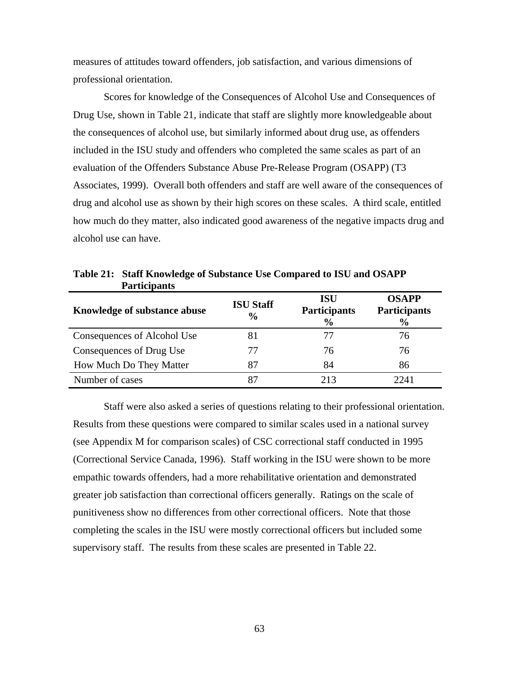measures of attitudes toward offenders, job satisfaction, and various dimensions of professional orientation.

Scores for knowledge of the Consequences of Alcohol Use and Consequences of Drug Use, shown in Table 21, indicate that staff are slightly more knowledgeable about the consequences of alcohol use, but similarly informed about drug use, as offenders included in the ISU study and offenders who completed the same scales as part of an evaluation of the Offenders Substance Abuse Pre-Release Program (OSAPP) (T3 Associates, 1999). Overall both offenders and staff are well aware of the consequences of drug and alcohol use as shown by their high scores on these scales. A third scale, entitled how much do they matter, also indicated good awareness of the negative impacts drug and alcohol use can have.

| Knowledge of substance abuse | <b>ISU Staff</b><br>$\frac{6}{9}$ | ISU<br><b>Participants</b><br>$\frac{6}{9}$ | <b>OSAPP</b><br><b>Participants</b><br>$\frac{6}{9}$ |
|------------------------------|-----------------------------------|---------------------------------------------|------------------------------------------------------|
| Consequences of Alcohol Use  | 81                                | 77                                          | 76                                                   |
| Consequences of Drug Use     | 77                                | 76                                          | 76                                                   |
| How Much Do They Matter      | 87                                | 84                                          | 86                                                   |
| Number of cases              | 87                                | 213                                         | 2241                                                 |

**Table 21: Staff Knowledge of Substance Use Compared to ISU and OSAPP Participants** 

Staff were also asked a series of questions relating to their professional orientation. Results from these questions were compared to similar scales used in a national survey (see Appendix M for comparison scales) of CSC correctional staff conducted in 1995 (Correctional Service Canada, 1996). Staff working in the ISU were shown to be more empathic towards offenders, had a more rehabilitative orientation and demonstrated greater job satisfaction than correctional officers generally. Ratings on the scale of punitiveness show no differences from other correctional officers. Note that those completing the scales in the ISU were mostly correctional officers but included some supervisory staff. The results from these scales are presented in Table 22.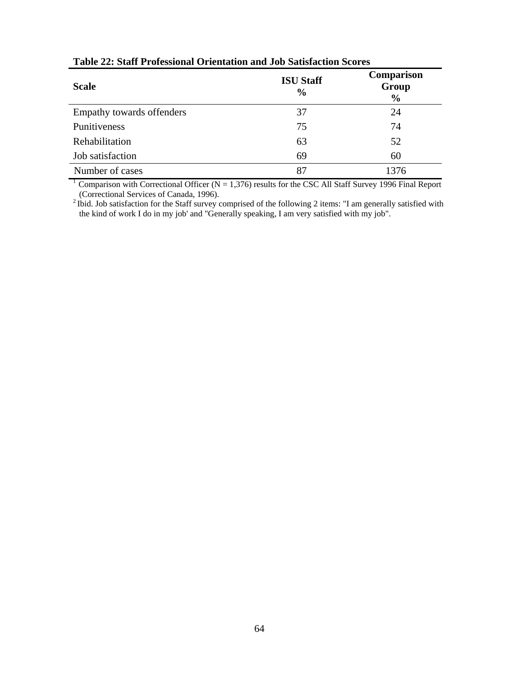| <b>Scale</b>              | <b>ISU Staff</b><br>$\frac{0}{0}$ | Comparison<br>Group<br>$\frac{6}{9}$ |
|---------------------------|-----------------------------------|--------------------------------------|
| Empathy towards offenders | 37                                | 24                                   |
| Punitiveness              | 75                                | 74                                   |
| Rehabilitation            | 63                                | 52                                   |
| Job satisfaction          | 69                                | 60                                   |
| Number of cases           | 87                                | 1376                                 |

**Table 22: Staff Professional Orientation and Job Satisfaction Scores** 

<sup>1</sup> Comparison with Correctional Officer ( $N = 1,376$ ) results for the CSC All Staff Survey 1996 Final Report (Correctional Services of Canada, 1996).

<sup>2</sup> Ibid. Job satisfaction for the Staff survey comprised of the following 2 items: "I am generally satisfied with the kind of work I do in my job' and "Generally speaking, I am very satisfied with my job".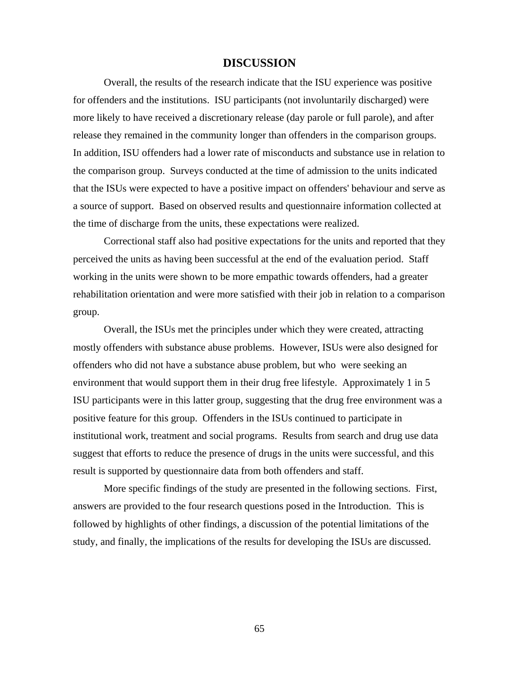## **DISCUSSION**

Overall, the results of the research indicate that the ISU experience was positive for offenders and the institutions. ISU participants (not involuntarily discharged) were more likely to have received a discretionary release (day parole or full parole), and after release they remained in the community longer than offenders in the comparison groups. In addition, ISU offenders had a lower rate of misconducts and substance use in relation to the comparison group. Surveys conducted at the time of admission to the units indicated that the ISUs were expected to have a positive impact on offenders' behaviour and serve as a source of support. Based on observed results and questionnaire information collected at the time of discharge from the units, these expectations were realized.

Correctional staff also had positive expectations for the units and reported that they perceived the units as having been successful at the end of the evaluation period. Staff working in the units were shown to be more empathic towards offenders, had a greater rehabilitation orientation and were more satisfied with their job in relation to a comparison group.

Overall, the ISUs met the principles under which they were created, attracting mostly offenders with substance abuse problems. However, ISUs were also designed for offenders who did not have a substance abuse problem, but who were seeking an environment that would support them in their drug free lifestyle. Approximately 1 in 5 ISU participants were in this latter group, suggesting that the drug free environment was a positive feature for this group. Offenders in the ISUs continued to participate in institutional work, treatment and social programs. Results from search and drug use data suggest that efforts to reduce the presence of drugs in the units were successful, and this result is supported by questionnaire data from both offenders and staff.

More specific findings of the study are presented in the following sections. First, answers are provided to the four research questions posed in the Introduction. This is followed by highlights of other findings, a discussion of the potential limitations of the study, and finally, the implications of the results for developing the ISUs are discussed.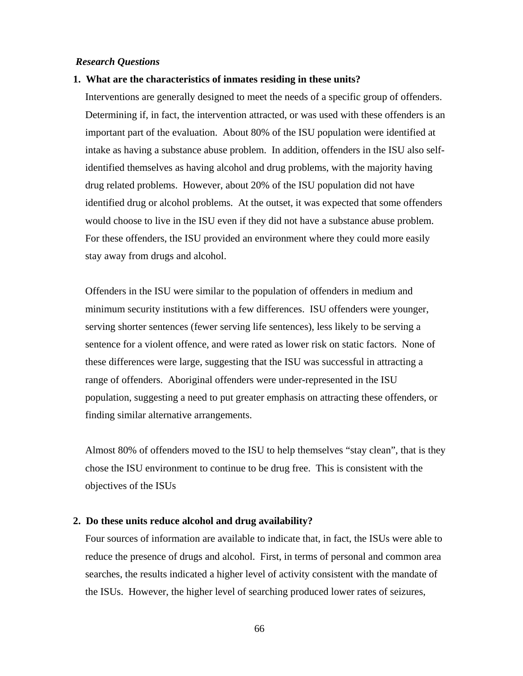### *Research Questions*

#### **1. What are the characteristics of inmates residing in these units?**

Interventions are generally designed to meet the needs of a specific group of offenders. Determining if, in fact, the intervention attracted, or was used with these offenders is an important part of the evaluation. About 80% of the ISU population were identified at intake as having a substance abuse problem. In addition, offenders in the ISU also selfidentified themselves as having alcohol and drug problems, with the majority having drug related problems. However, about 20% of the ISU population did not have identified drug or alcohol problems. At the outset, it was expected that some offenders would choose to live in the ISU even if they did not have a substance abuse problem. For these offenders, the ISU provided an environment where they could more easily stay away from drugs and alcohol.

Offenders in the ISU were similar to the population of offenders in medium and minimum security institutions with a few differences. ISU offenders were younger, serving shorter sentences (fewer serving life sentences), less likely to be serving a sentence for a violent offence, and were rated as lower risk on static factors. None of these differences were large, suggesting that the ISU was successful in attracting a range of offenders. Aboriginal offenders were under-represented in the ISU population, suggesting a need to put greater emphasis on attracting these offenders, or finding similar alternative arrangements.

Almost 80% of offenders moved to the ISU to help themselves "stay clean", that is they chose the ISU environment to continue to be drug free. This is consistent with the objectives of the ISUs

### **2. Do these units reduce alcohol and drug availability?**

Four sources of information are available to indicate that, in fact, the ISUs were able to reduce the presence of drugs and alcohol. First, in terms of personal and common area searches, the results indicated a higher level of activity consistent with the mandate of the ISUs. However, the higher level of searching produced lower rates of seizures,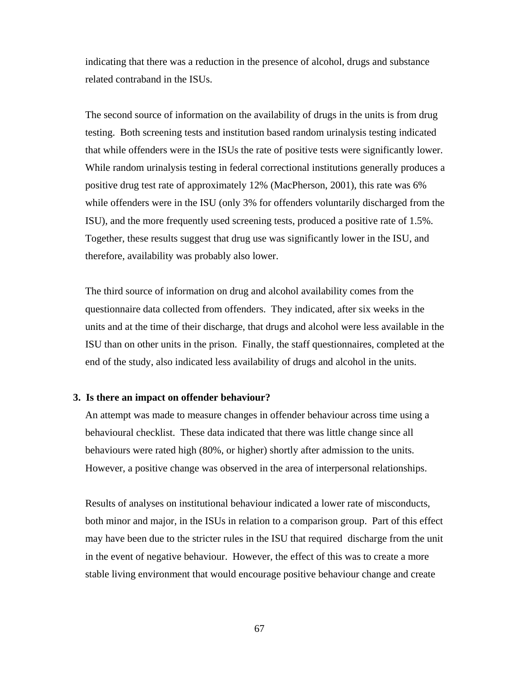indicating that there was a reduction in the presence of alcohol, drugs and substance related contraband in the ISUs.

The second source of information on the availability of drugs in the units is from drug testing. Both screening tests and institution based random urinalysis testing indicated that while offenders were in the ISUs the rate of positive tests were significantly lower. While random urinalysis testing in federal correctional institutions generally produces a positive drug test rate of approximately 12% (MacPherson, 2001), this rate was 6% while offenders were in the ISU (only 3% for offenders voluntarily discharged from the ISU), and the more frequently used screening tests, produced a positive rate of 1.5%. Together, these results suggest that drug use was significantly lower in the ISU, and therefore, availability was probably also lower.

The third source of information on drug and alcohol availability comes from the questionnaire data collected from offenders. They indicated, after six weeks in the units and at the time of their discharge, that drugs and alcohol were less available in the ISU than on other units in the prison. Finally, the staff questionnaires, completed at the end of the study, also indicated less availability of drugs and alcohol in the units.

#### **3. Is there an impact on offender behaviour?**

An attempt was made to measure changes in offender behaviour across time using a behavioural checklist. These data indicated that there was little change since all behaviours were rated high (80%, or higher) shortly after admission to the units. However, a positive change was observed in the area of interpersonal relationships.

Results of analyses on institutional behaviour indicated a lower rate of misconducts, both minor and major, in the ISUs in relation to a comparison group. Part of this effect may have been due to the stricter rules in the ISU that required discharge from the unit in the event of negative behaviour. However, the effect of this was to create a more stable living environment that would encourage positive behaviour change and create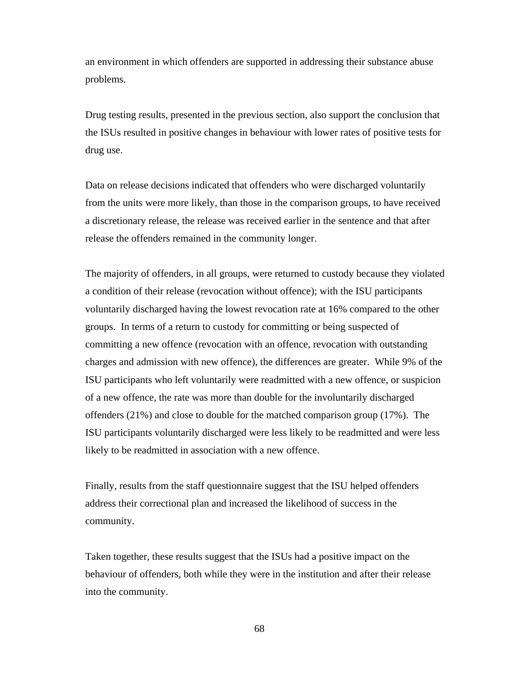an environment in which offenders are supported in addressing their substance abuse problems.

Drug testing results, presented in the previous section, also support the conclusion that the ISUs resulted in positive changes in behaviour with lower rates of positive tests for drug use.

Data on release decisions indicated that offenders who were discharged voluntarily from the units were more likely, than those in the comparison groups, to have received a discretionary release, the release was received earlier in the sentence and that after release the offenders remained in the community longer.

The majority of offenders, in all groups, were returned to custody because they violated a condition of their release (revocation without offence); with the ISU participants voluntarily discharged having the lowest revocation rate at 16% compared to the other groups. In terms of a return to custody for committing or being suspected of committing a new offence (revocation with an offence, revocation with outstanding charges and admission with new offence), the differences are greater. While 9% of the ISU participants who left voluntarily were readmitted with a new offence, or suspicion of a new offence, the rate was more than double for the involuntarily discharged offenders (21%) and close to double for the matched comparison group (17%). The ISU participants voluntarily discharged were less likely to be readmitted and were less likely to be readmitted in association with a new offence.

Finally, results from the staff questionnaire suggest that the ISU helped offenders address their correctional plan and increased the likelihood of success in the community.

Taken together, these results suggest that the ISUs had a positive impact on the behaviour of offenders, both while they were in the institution and after their release into the community.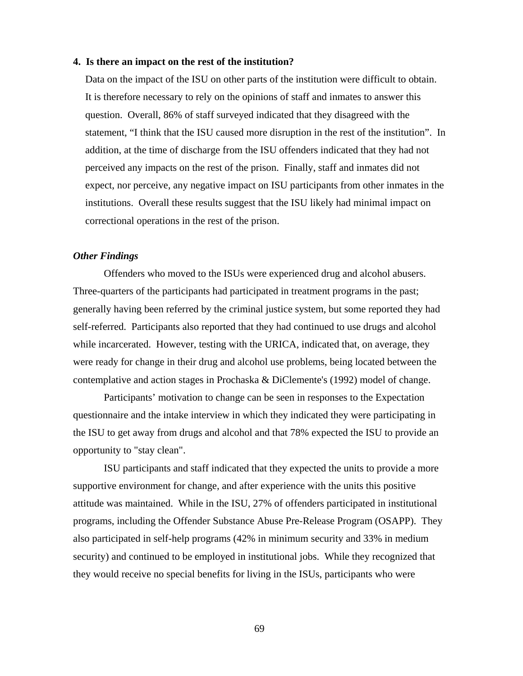#### **4. Is there an impact on the rest of the institution?**

Data on the impact of the ISU on other parts of the institution were difficult to obtain. It is therefore necessary to rely on the opinions of staff and inmates to answer this question. Overall, 86% of staff surveyed indicated that they disagreed with the statement, "I think that the ISU caused more disruption in the rest of the institution". In addition, at the time of discharge from the ISU offenders indicated that they had not perceived any impacts on the rest of the prison. Finally, staff and inmates did not expect, nor perceive, any negative impact on ISU participants from other inmates in the institutions. Overall these results suggest that the ISU likely had minimal impact on correctional operations in the rest of the prison.

## *Other Findings*

Offenders who moved to the ISUs were experienced drug and alcohol abusers. Three-quarters of the participants had participated in treatment programs in the past; generally having been referred by the criminal justice system, but some reported they had self-referred. Participants also reported that they had continued to use drugs and alcohol while incarcerated. However, testing with the URICA, indicated that, on average, they were ready for change in their drug and alcohol use problems, being located between the contemplative and action stages in Prochaska & DiClemente's (1992) model of change.

Participants' motivation to change can be seen in responses to the Expectation questionnaire and the intake interview in which they indicated they were participating in the ISU to get away from drugs and alcohol and that 78% expected the ISU to provide an opportunity to "stay clean".

ISU participants and staff indicated that they expected the units to provide a more supportive environment for change, and after experience with the units this positive attitude was maintained. While in the ISU, 27% of offenders participated in institutional programs, including the Offender Substance Abuse Pre-Release Program (OSAPP). They also participated in self-help programs (42% in minimum security and 33% in medium security) and continued to be employed in institutional jobs. While they recognized that they would receive no special benefits for living in the ISUs, participants who were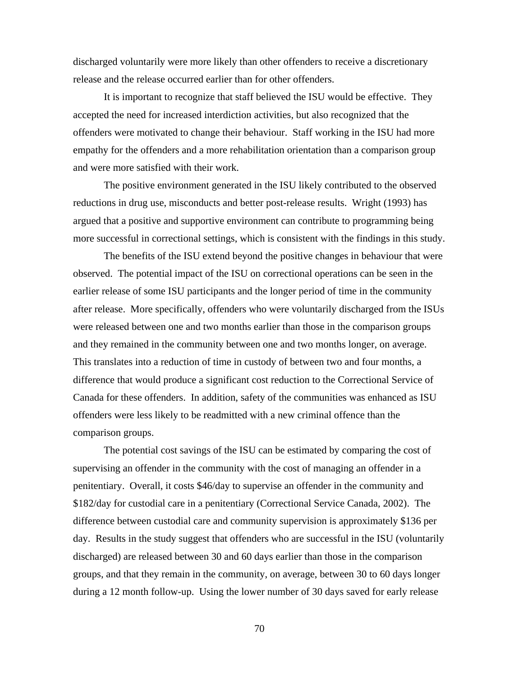discharged voluntarily were more likely than other offenders to receive a discretionary release and the release occurred earlier than for other offenders.

It is important to recognize that staff believed the ISU would be effective. They accepted the need for increased interdiction activities, but also recognized that the offenders were motivated to change their behaviour. Staff working in the ISU had more empathy for the offenders and a more rehabilitation orientation than a comparison group and were more satisfied with their work.

The positive environment generated in the ISU likely contributed to the observed reductions in drug use, misconducts and better post-release results. Wright (1993) has argued that a positive and supportive environment can contribute to programming being more successful in correctional settings, which is consistent with the findings in this study.

The benefits of the ISU extend beyond the positive changes in behaviour that were observed. The potential impact of the ISU on correctional operations can be seen in the earlier release of some ISU participants and the longer period of time in the community after release. More specifically, offenders who were voluntarily discharged from the ISUs were released between one and two months earlier than those in the comparison groups and they remained in the community between one and two months longer, on average. This translates into a reduction of time in custody of between two and four months, a difference that would produce a significant cost reduction to the Correctional Service of Canada for these offenders. In addition, safety of the communities was enhanced as ISU offenders were less likely to be readmitted with a new criminal offence than the comparison groups.

The potential cost savings of the ISU can be estimated by comparing the cost of supervising an offender in the community with the cost of managing an offender in a penitentiary. Overall, it costs \$46/day to supervise an offender in the community and \$182/day for custodial care in a penitentiary (Correctional Service Canada, 2002). The difference between custodial care and community supervision is approximately \$136 per day. Results in the study suggest that offenders who are successful in the ISU (voluntarily discharged) are released between 30 and 60 days earlier than those in the comparison groups, and that they remain in the community, on average, between 30 to 60 days longer during a 12 month follow-up. Using the lower number of 30 days saved for early release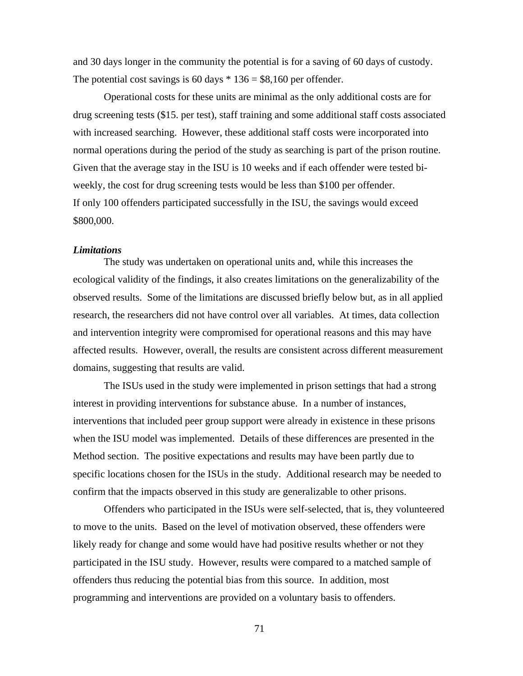and 30 days longer in the community the potential is for a saving of 60 days of custody. The potential cost savings is 60 days  $* 136 = $8,160$  per offender.

Operational costs for these units are minimal as the only additional costs are for drug screening tests (\$15. per test), staff training and some additional staff costs associated with increased searching. However, these additional staff costs were incorporated into normal operations during the period of the study as searching is part of the prison routine. Given that the average stay in the ISU is 10 weeks and if each offender were tested biweekly, the cost for drug screening tests would be less than \$100 per offender. If only 100 offenders participated successfully in the ISU, the savings would exceed \$800,000.

#### *Limitations*

The study was undertaken on operational units and, while this increases the ecological validity of the findings, it also creates limitations on the generalizability of the observed results. Some of the limitations are discussed briefly below but, as in all applied research, the researchers did not have control over all variables. At times, data collection and intervention integrity were compromised for operational reasons and this may have affected results. However, overall, the results are consistent across different measurement domains, suggesting that results are valid.

The ISUs used in the study were implemented in prison settings that had a strong interest in providing interventions for substance abuse. In a number of instances, interventions that included peer group support were already in existence in these prisons when the ISU model was implemented. Details of these differences are presented in the Method section. The positive expectations and results may have been partly due to specific locations chosen for the ISUs in the study. Additional research may be needed to confirm that the impacts observed in this study are generalizable to other prisons.

Offenders who participated in the ISUs were self-selected, that is, they volunteered to move to the units. Based on the level of motivation observed, these offenders were likely ready for change and some would have had positive results whether or not they participated in the ISU study. However, results were compared to a matched sample of offenders thus reducing the potential bias from this source. In addition, most programming and interventions are provided on a voluntary basis to offenders.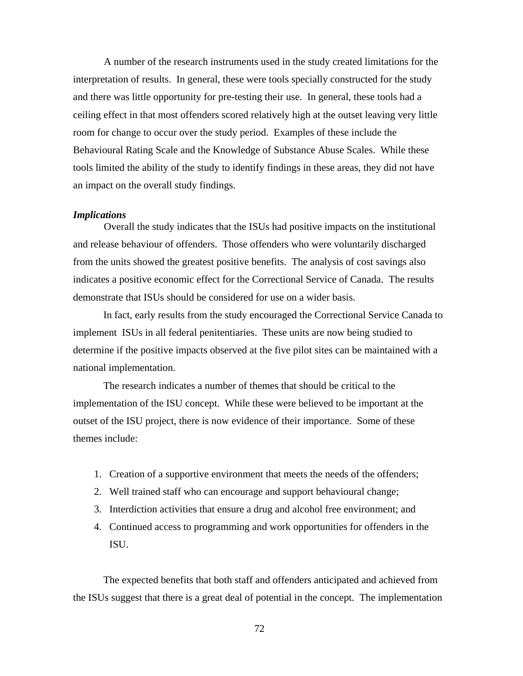A number of the research instruments used in the study created limitations for the interpretation of results. In general, these were tools specially constructed for the study and there was little opportunity for pre-testing their use. In general, these tools had a ceiling effect in that most offenders scored relatively high at the outset leaving very little room for change to occur over the study period. Examples of these include the Behavioural Rating Scale and the Knowledge of Substance Abuse Scales. While these tools limited the ability of the study to identify findings in these areas, they did not have an impact on the overall study findings.

#### *Implications*

Overall the study indicates that the ISUs had positive impacts on the institutional and release behaviour of offenders. Those offenders who were voluntarily discharged from the units showed the greatest positive benefits. The analysis of cost savings also indicates a positive economic effect for the Correctional Service of Canada. The results demonstrate that ISUs should be considered for use on a wider basis.

In fact, early results from the study encouraged the Correctional Service Canada to implement ISUs in all federal penitentiaries. These units are now being studied to determine if the positive impacts observed at the five pilot sites can be maintained with a national implementation.

The research indicates a number of themes that should be critical to the implementation of the ISU concept. While these were believed to be important at the outset of the ISU project, there is now evidence of their importance. Some of these themes include:

- 1. Creation of a supportive environment that meets the needs of the offenders;
- 2. Well trained staff who can encourage and support behavioural change;
- 3. Interdiction activities that ensure a drug and alcohol free environment; and
- 4. Continued access to programming and work opportunities for offenders in the ISU.

The expected benefits that both staff and offenders anticipated and achieved from the ISUs suggest that there is a great deal of potential in the concept. The implementation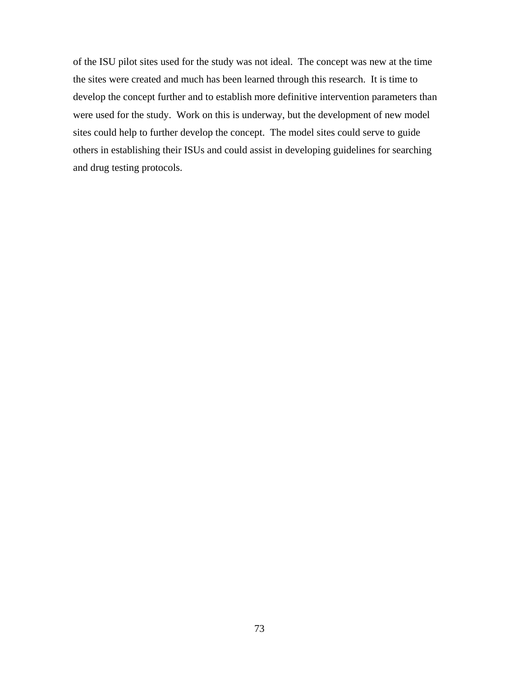of the ISU pilot sites used for the study was not ideal. The concept was new at the time the sites were created and much has been learned through this research. It is time to develop the concept further and to establish more definitive intervention parameters than were used for the study. Work on this is underway, but the development of new model sites could help to further develop the concept. The model sites could serve to guide others in establishing their ISUs and could assist in developing guidelines for searching and drug testing protocols.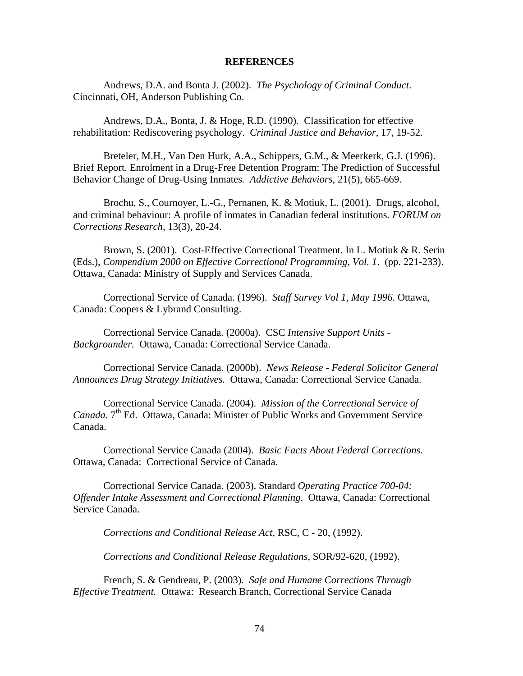#### **REFERENCES**

Andrews, D.A. and Bonta J. (2002). *The Psychology of Criminal Conduct*. Cincinnati, OH, Anderson Publishing Co.

Andrews, D.A., Bonta, J. & Hoge, R.D. (1990). Classification for effective rehabilitation: Rediscovering psychology. *Criminal Justice and Behavior*, 17, 19-52.

Breteler, M.H., Van Den Hurk, A.A., Schippers, G.M., & Meerkerk, G.J. (1996). Brief Report. Enrolment in a Drug-Free Detention Program: The Prediction of Successful Behavior Change of Drug-Using Inmates*. Addictive Behaviors*, 21(5), 665-669.

Brochu, S., Cournoyer, L.-G., Pernanen, K. & Motiuk, L. (2001). Drugs, alcohol, and criminal behaviour: A profile of inmates in Canadian federal institutions*. FORUM on Corrections Research*, 13(3), 20-24.

Brown, S. (2001). Cost-Effective Correctional Treatment*.* In L. Motiuk & R. Serin (Eds.), *Compendium 2000 on Effective Correctional Programming*, *Vol. 1*. (pp. 221-233). Ottawa, Canada: Ministry of Supply and Services Canada.

Correctional Service of Canada. (1996). *Staff Survey Vol 1, May 1996*. Ottawa, Canada: Coopers & Lybrand Consulting.

Correctional Service Canada. (2000a). CSC *Intensive Support Units - Backgrounder.* Ottawa, Canada: Correctional Service Canada.

Correctional Service Canada. (2000b). *News Release - Federal Solicitor General Announces Drug Strategy Initiatives.* Ottawa, Canada: Correctional Service Canada.

Correctional Service Canada. (2004). *Mission of the Correctional Service of Canada.* 7<sup>th</sup> Ed. Ottawa, Canada: Minister of Public Works and Government Service Canada.

Correctional Service Canada (2004). *Basic Facts About Federal Corrections*. Ottawa, Canada: Correctional Service of Canada.

Correctional Service Canada. (2003). Standard *Operating Practice 700-04: Offender Intake Assessment and Correctional Planning*. Ottawa, Canada: Correctional Service Canada.

*Corrections and Conditional Release Act*, RSC, C - 20, (1992).

*Corrections and Conditional Release Regulations*, SOR/92-620, (1992).

French, S. & Gendreau, P. (2003). *Safe and Humane Corrections Through Effective Treatment.* Ottawa: Research Branch, Correctional Service Canada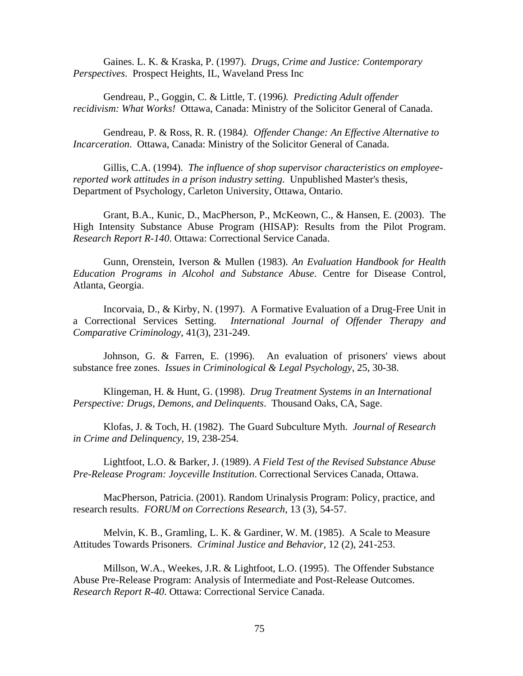Gaines. L. K. & Kraska, P. (1997). *Drugs, Crime and Justice: Contemporary Perspectives*. Prospect Heights, IL, Waveland Press Inc

Gendreau, P., Goggin, C. & Little, T. (1996*). Predicting Adult offender recidivism: What Works!* Ottawa, Canada: Ministry of the Solicitor General of Canada.

Gendreau, P. & Ross, R. R. (1984*). Offender Change: An Effective Alternative to Incarceration*. Ottawa, Canada: Ministry of the Solicitor General of Canada.

Gillis, C.A. (1994). *The influence of shop supervisor characteristics on employeereported work attitudes in a prison industry setting*. Unpublished Master's thesis, Department of Psychology, Carleton University, Ottawa, Ontario.

Grant, B.A., Kunic, D., MacPherson, P., McKeown, C., & Hansen, E. (2003). The High Intensity Substance Abuse Program (HISAP): Results from the Pilot Program. *Research Report R-140*. Ottawa: Correctional Service Canada.

Gunn, Orenstein, Iverson & Mullen (1983). *An Evaluation Handbook for Health Education Programs in Alcohol and Substance Abuse*. Centre for Disease Control, Atlanta, Georgia.

Incorvaia, D., & Kirby, N. (1997). A Formative Evaluation of a Drug-Free Unit in a Correctional Services Setting. *International Journal of Offender Therapy and Comparative Criminology*, 41(3), 231-249.

Johnson, G. & Farren, E. (1996). An evaluation of prisoners' views about substance free zones. *Issues in Criminological & Legal Psychology*, 25, 30-38.

Klingeman, H. & Hunt, G. (1998). *Drug Treatment Systems in an International Perspective: Drugs, Demons, and Delinquents*. Thousand Oaks, CA, Sage.

Klofas, J. & Toch, H. (1982). The Guard Subculture Myth. *Journal of Research in Crime and Delinquency*, 19, 238-254.

Lightfoot, L.O. & Barker, J. (1989). *A Field Test of the Revised Substance Abuse Pre-Release Program: Joyceville Institution*. Correctional Services Canada, Ottawa.

MacPherson, Patricia. (2001). Random Urinalysis Program: Policy, practice, and research results. *FORUM on Corrections Research,* 13 (3), 54-57.

Melvin, K. B., Gramling, L. K. & Gardiner, W. M. (1985). A Scale to Measure Attitudes Towards Prisoners. *Criminal Justice and Behavior*, 12 (2), 241-253.

Millson, W.A., Weekes, J.R. & Lightfoot, L.O. (1995). The Offender Substance Abuse Pre-Release Program: Analysis of Intermediate and Post-Release Outcomes. *Research Report R-40*. Ottawa: Correctional Service Canada.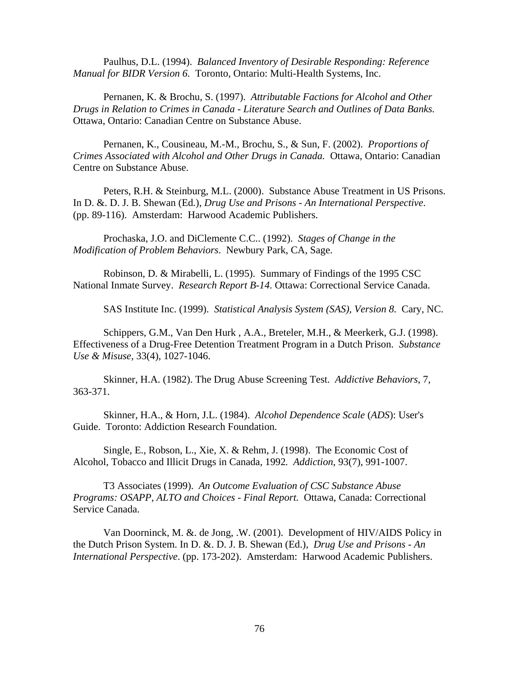Paulhus, D.L. (1994). *Balanced Inventory of Desirable Responding: Reference Manual for BIDR Version 6.* Toronto, Ontario: Multi-Health Systems, Inc.

Pernanen, K. & Brochu, S. (1997). *Attributable Factions for Alcohol and Other Drugs in Relation to Crimes in Canada - Literature Search and Outlines of Data Banks.*  Ottawa, Ontario: Canadian Centre on Substance Abuse.

Pernanen, K., Cousineau, M.-M., Brochu, S., & Sun, F. (2002). *Proportions of Crimes Associated with Alcohol and Other Drugs in Canada.* Ottawa, Ontario: Canadian Centre on Substance Abuse.

Peters, R.H. & Steinburg, M.L. (2000). Substance Abuse Treatment in US Prisons. In D. &. D. J. B. Shewan (Ed*.*), *Drug Use and Prisons - An International Perspective*. (pp. 89-116). Amsterdam: Harwood Academic Publishers.

Prochaska, J.O. and DiClemente C.C.. (1992). *Stages of Change in the Modification of Problem Behaviors*. Newbury Park, CA, Sage.

Robinson, D. & Mirabelli, L. (1995). Summary of Findings of the 1995 CSC National Inmate Survey. *Research Report B-14*. Ottawa: Correctional Service Canada.

SAS Institute Inc. (1999). *Statistical Analysis System (SAS), Version 8.* Cary, NC.

Schippers, G.M., Van Den Hurk , A.A., Breteler, M.H., & Meerkerk, G.J. (1998). Effectiveness of a Drug-Free Detention Treatment Program in a Dutch Prison. *Substance Use & Misuse*, 33(4), 1027-1046.

Skinner, H.A. (1982). The Drug Abuse Screening Test. *Addictive Behaviors*, 7, 363-371.

Skinner, H.A., & Horn, J.L. (1984). *Alcohol Dependence Scale* (*ADS*): User's Guide. Toronto: Addiction Research Foundation.

Single, E., Robson, L., Xie, X. & Rehm, J. (1998). The Economic Cost of Alcohol, Tobacco and Illicit Drugs in Canada, 1992*. Addiction*, 93(7), 991-1007.

T3 Associates (1999). *An Outcome Evaluation of CSC Substance Abuse Programs: OSAPP, ALTO and Choices - Final Report.* Ottawa, Canada: Correctional Service Canada.

Van Doorninck, M. &. de Jong, .W. (2001). Development of HIV/AIDS Policy in the Dutch Prison System. In D. &. D. J. B. Shewan (Ed.), *Drug Use and Prisons - An International Perspective*. (pp. 173-202). Amsterdam: Harwood Academic Publishers.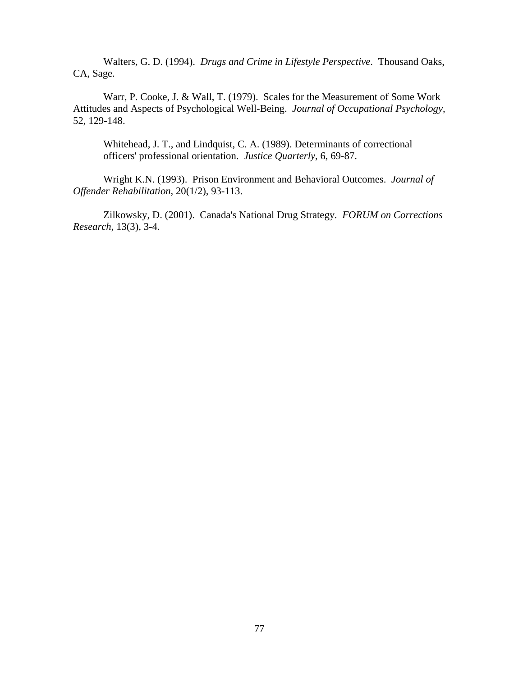Walters, G. D. (1994). *Drugs and Crime in Lifestyle Perspective*. Thousand Oaks, CA, Sage.

Warr, P. Cooke, J. & Wall, T. (1979). Scales for the Measurement of Some Work Attitudes and Aspects of Psychological Well-Being. *Journal of Occupational Psychology*, 52, 129-148.

Whitehead, J. T., and Lindquist, C. A. (1989). Determinants of correctional officers' professional orientation. *Justice Quarterly*, 6, 69-87.

Wright K.N. (1993). Prison Environment and Behavioral Outcomes. *Journal of Offender Rehabilitation*, 20(1/2), 93-113.

Zilkowsky, D. (2001). Canada's National Drug Strategy*. FORUM on Corrections Research*, 13(3), 3-4.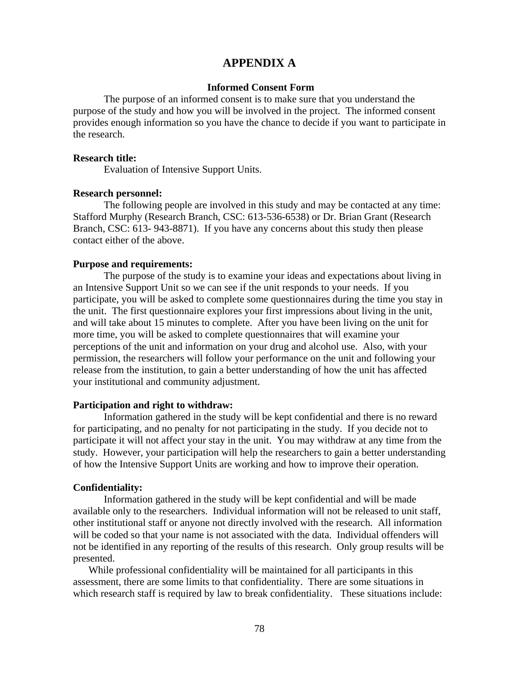## **APPENDIX A**

### **Informed Consent Form**

The purpose of an informed consent is to make sure that you understand the purpose of the study and how you will be involved in the project. The informed consent provides enough information so you have the chance to decide if you want to participate in the research.

#### **Research title:**

Evaluation of Intensive Support Units.

#### **Research personnel:**

The following people are involved in this study and may be contacted at any time: Stafford Murphy (Research Branch, CSC: 613-536-6538) or Dr. Brian Grant (Research Branch, CSC: 613- 943-8871). If you have any concerns about this study then please contact either of the above.

#### **Purpose and requirements:**

The purpose of the study is to examine your ideas and expectations about living in an Intensive Support Unit so we can see if the unit responds to your needs. If you participate, you will be asked to complete some questionnaires during the time you stay in the unit. The first questionnaire explores your first impressions about living in the unit, and will take about 15 minutes to complete. After you have been living on the unit for more time, you will be asked to complete questionnaires that will examine your perceptions of the unit and information on your drug and alcohol use. Also, with your permission, the researchers will follow your performance on the unit and following your release from the institution, to gain a better understanding of how the unit has affected your institutional and community adjustment.

#### **Participation and right to withdraw:**

Information gathered in the study will be kept confidential and there is no reward for participating, and no penalty for not participating in the study. If you decide not to participate it will not affect your stay in the unit. You may withdraw at any time from the study. However, your participation will help the researchers to gain a better understanding of how the Intensive Support Units are working and how to improve their operation.

#### **Confidentiality:**

Information gathered in the study will be kept confidential and will be made available only to the researchers. Individual information will not be released to unit staff, other institutional staff or anyone not directly involved with the research. All information will be coded so that your name is not associated with the data. Individual offenders will not be identified in any reporting of the results of this research. Only group results will be presented.

While professional confidentiality will be maintained for all participants in this assessment, there are some limits to that confidentiality. There are some situations in which research staff is required by law to break confidentiality. These situations include: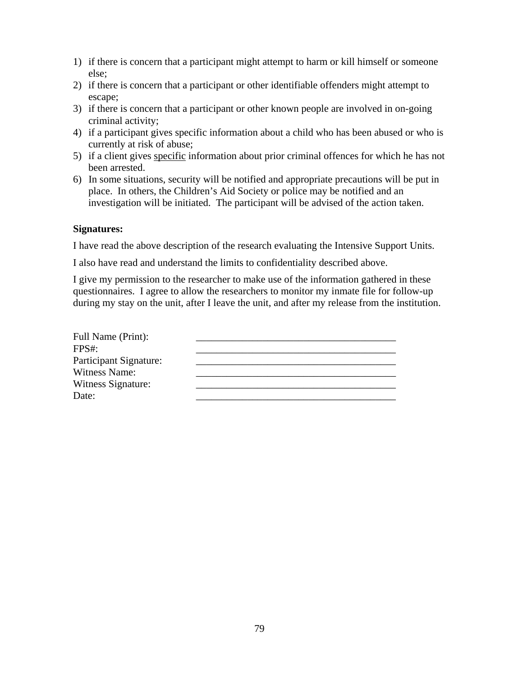- 1) if there is concern that a participant might attempt to harm or kill himself or someone else;
- 2) if there is concern that a participant or other identifiable offenders might attempt to escape;
- 3) if there is concern that a participant or other known people are involved in on-going criminal activity;
- 4) if a participant gives specific information about a child who has been abused or who is currently at risk of abuse;
- 5) if a client gives specific information about prior criminal offences for which he has not been arrested.
- 6) In some situations, security will be notified and appropriate precautions will be put in place. In others, the Children's Aid Society or police may be notified and an investigation will be initiated. The participant will be advised of the action taken.

## **Signatures:**

I have read the above description of the research evaluating the Intensive Support Units.

I also have read and understand the limits to confidentiality described above.

I give my permission to the researcher to make use of the information gathered in these questionnaires. I agree to allow the researchers to monitor my inmate file for follow-up during my stay on the unit, after I leave the unit, and after my release from the institution.

| Full Name (Print):     |  |
|------------------------|--|
| FPS#                   |  |
| Participant Signature: |  |
| <b>Witness Name:</b>   |  |
| Witness Signature:     |  |
| Date:                  |  |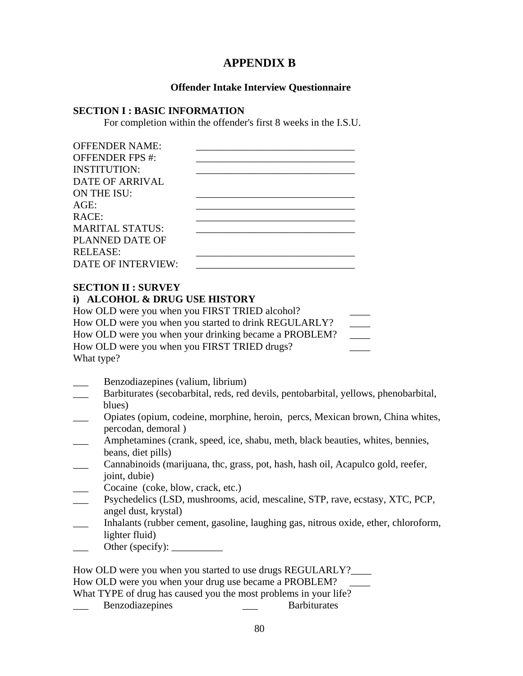# **APPENDIX B**

## **Offender Intake Interview Questionnaire**

## **SECTION I : BASIC INFORMATION**

For completion within the offender's first 8 weeks in the I.S.U.

| <b>OFFENDER NAME:</b>     |  |
|---------------------------|--|
| <b>OFFENDER FPS #:</b>    |  |
| <b>INSTITUTION:</b>       |  |
| DATE OF ARRIVAL           |  |
| ON THE ISU:               |  |
| AGE:                      |  |
| RACE:                     |  |
| <b>MARITAL STATUS:</b>    |  |
| PLANNED DATE OF           |  |
| <b>RELEASE:</b>           |  |
| <b>DATE OF INTERVIEW:</b> |  |
|                           |  |

## **SECTION II : SURVEY**

## **i) ALCOHOL & DRUG USE HISTORY**

How OLD were you when you FIRST TRIED alcohol? How OLD were you when you started to drink REGULARLY? How OLD were you when your drinking became a PROBLEM? How OLD were you when you FIRST TRIED drugs? What type?

\_\_\_ Benzodiazepines (valium, librium)

- Barbiturates (secobarbital, reds, red devils, pentobarbital, yellows, phenobarbital, blues)
- \_\_\_ Opiates (opium, codeine, morphine, heroin, percs, Mexican brown, China whites, percodan, demoral )
- \_\_\_ Amphetamines (crank, speed, ice, shabu, meth, black beauties, whites, bennies, beans, diet pills)
- \_\_\_ Cannabinoids (marijuana, thc, grass, pot, hash, hash oil, Acapulco gold, reefer, joint, dubie)
- Cocaine (coke, blow, crack, etc.)
- \_\_\_ Psychedelics (LSD, mushrooms, acid, mescaline, STP, rave, ecstasy, XTC, PCP, angel dust, krystal)
- \_\_\_ Inhalants (rubber cement, gasoline, laughing gas, nitrous oxide, ether, chloroform, lighter fluid)
- Other (specify):  $\_\_\_\_\_\_\_\_\_\_\_\_\_\_\_\_\_$

How OLD were you when you started to use drugs REGULARLY?\_\_\_\_ How OLD were you when your drug use became a PROBLEM? What TYPE of drug has caused you the most problems in your life? Benzodiazepines **Exercise Exercise Barbiturates Barbiturates**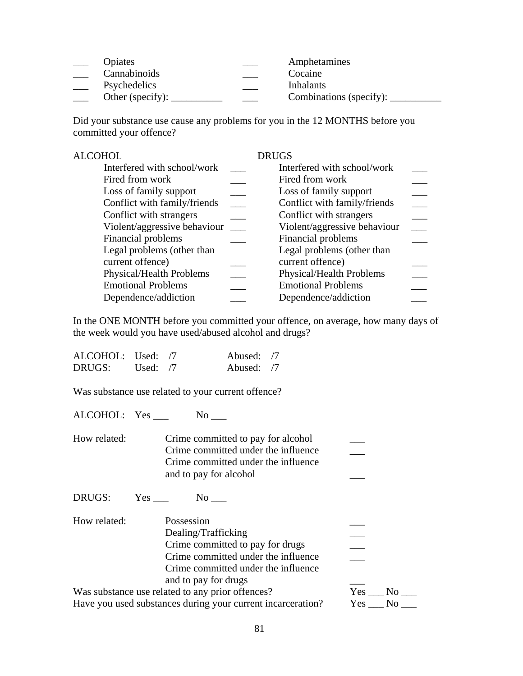| <i><b>Opiates</b></i>                     | Amphetamines            |
|-------------------------------------------|-------------------------|
| Cannabinoids                              | Cocaine                 |
| Psychedelics                              | <b>Inhalants</b>        |
| Other (specify): $\overline{\phantom{a}}$ | Combinations (specify): |

Did your substance use cause any problems for you in the 12 MONTHS before you committed your offence?

| ALCOHOL                         | <b>DRUGS</b>                 |  |
|---------------------------------|------------------------------|--|
| Interfered with school/work     | Interfered with school/work  |  |
| Fired from work                 | Fired from work              |  |
| Loss of family support          | Loss of family support       |  |
| Conflict with family/friends    | Conflict with family/friends |  |
| Conflict with strangers         | Conflict with strangers      |  |
| Violent/aggressive behaviour    | Violent/aggressive behaviour |  |
| Financial problems              | Financial problems           |  |
| Legal problems (other than      | Legal problems (other than   |  |
| current offence)                | current offence)             |  |
| <b>Physical/Health Problems</b> | Physical/Health Problems     |  |
| <b>Emotional Problems</b>       | <b>Emotional Problems</b>    |  |
| Dependence/addiction            | Dependence/addiction         |  |
|                                 |                              |  |

In the ONE MONTH before you committed your offence, on average, how many days of the week would you have used/abused alcohol and drugs?

| ALCOHOL: Used: 7 |            | Abused: /7 |  |
|------------------|------------|------------|--|
| DRUGS:           | Used: $/7$ | Abused: /7 |  |

Was substance use related to your current offence?

ALCOHOL: Yes \_\_\_ No \_\_

| How related: | Crime committed to pay for alcohol  |  |
|--------------|-------------------------------------|--|
|              | Crime committed under the influence |  |
|              | Crime committed under the influence |  |
|              | and to pay for alcohol              |  |

DRUGS: Yes \_\_\_ No \_\_\_

How related: Possession \_\_\_ Dealing/Trafficking \_\_\_ Crime committed to pay for drugs \_\_\_\_\_\_\_ Crime committed under the influence Crime committed under the influence and to pay for drugs \_\_\_ Was substance use related to any prior offences?<br>
Have you used substances during your current incarceration? Yes \_\_\_ No \_\_\_

Have you used substances during your current incarceration?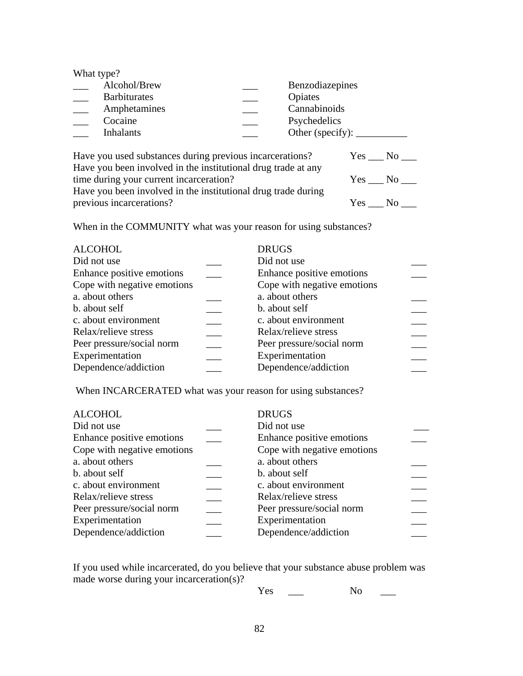| What type? |                                                          |                        |
|------------|----------------------------------------------------------|------------------------|
|            | Alcohol/Brew                                             | <b>Benzodiazepines</b> |
|            | <b>Barbiturates</b>                                      | Opiates                |
|            | Amphetamines                                             | Cannabinoids           |
|            | Cocaine                                                  | Psychedelics           |
|            | <b>Inhalants</b>                                         |                        |
|            |                                                          |                        |
|            | Have you used substances during previous incarcerations? | Yes<br>No              |

| Have you been involved in the institutional drug trade at any |        |
|---------------------------------------------------------------|--------|
| time during your current incarceration?                       | Yes No |
| Have you been involved in the institutional drug trade during |        |
| previous incarcerations?                                      | Yes No |

When in the COMMUNITY what was your reason for using substances?

| <b>ALCOHOL</b>              | <b>DRUGS</b>                |  |
|-----------------------------|-----------------------------|--|
| Did not use                 | Did not use                 |  |
| Enhance positive emotions   | Enhance positive emotions   |  |
| Cope with negative emotions | Cope with negative emotions |  |
| a. about others             | a. about others             |  |
| b. about self               | b. about self               |  |
| c. about environment        | c. about environment        |  |
| Relax/relieve stress        | Relax/relieve stress        |  |
| Peer pressure/social norm   | Peer pressure/social norm   |  |
| Experimentation             | Experimentation             |  |
| Dependence/addiction        | Dependence/addiction        |  |

When INCARCERATED what was your reason for using substances?

| <b>ALCOHOL</b>              | <b>DRUGS</b>                |  |
|-----------------------------|-----------------------------|--|
| Did not use                 | Did not use                 |  |
| Enhance positive emotions   | Enhance positive emotions   |  |
| Cope with negative emotions | Cope with negative emotions |  |
| a. about others             | a. about others             |  |
| b. about self               | b. about self               |  |
| c. about environment        | c. about environment        |  |
| Relax/relieve stress        | Relax/relieve stress        |  |
| Peer pressure/social norm   | Peer pressure/social norm   |  |
| Experimentation             | Experimentation             |  |
| Dependence/addiction        | Dependence/addiction        |  |
|                             |                             |  |

If you used while incarcerated, do you believe that your substance abuse problem was made worse during your incarceration(s)?

Yes \_\_ No \_\_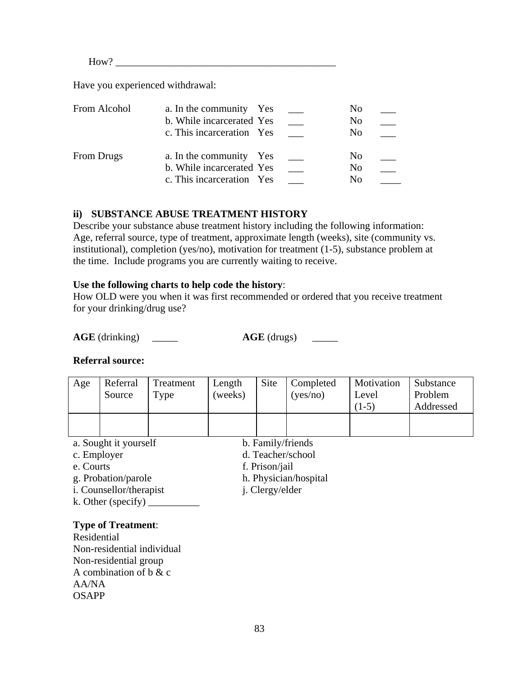$How?$ 

Have you experienced withdrawal:

| From Alcohol      | a. In the community Yes<br>b. While incarcerated Yes<br>c. This incarceration Yes |  | No<br>No<br>N <sub>0</sub>                         |  |
|-------------------|-----------------------------------------------------------------------------------|--|----------------------------------------------------|--|
| <b>From Drugs</b> | a. In the community Yes<br>b. While incarcerated Yes<br>c. This incarceration Yes |  | N <sub>0</sub><br>N <sub>0</sub><br>N <sub>0</sub> |  |

## **ii) SUBSTANCE ABUSE TREATMENT HISTORY**

Describe your substance abuse treatment history including the following information: Age, referral source, type of treatment, approximate length (weeks), site (community vs. institutional), completion (yes/no), motivation for treatment (1-5), substance problem at the time. Include programs you are currently waiting to receive.

## **Use the following charts to help code the history**:

How OLD were you when it was first recommended or ordered that you receive treatment for your drinking/drug use?

**AGE** (drinking) \_\_\_\_\_\_ **AGE** (drugs) \_\_\_\_

## **Referral source:**

| Age | Referral<br>Source    | Treatment<br>Type | Length<br>(weeks) | Site              | Completed<br>(yes/no) | Motivation<br>Level<br>$(1-5)$ | Substance<br>Problem<br>Addressed |
|-----|-----------------------|-------------------|-------------------|-------------------|-----------------------|--------------------------------|-----------------------------------|
|     |                       |                   |                   |                   |                       |                                |                                   |
|     | a. Sought it yourself |                   |                   | b. Family/friends |                       |                                |                                   |

- 
- 
- 
- 
- i. Counsellor/therapist j. Clergy/elder
- k. Other (specify)  $\frac{1}{\sqrt{1-\frac{1}{\sqrt{1-\frac{1}{\sqrt{1-\frac{1}{\sqrt{1-\frac{1}{\sqrt{1-\frac{1}{\sqrt{1-\frac{1}{\sqrt{1-\frac{1}{\sqrt{1-\frac{1}{\sqrt{1-\frac{1}{\sqrt{1-\frac{1}{\sqrt{1-\frac{1}{\sqrt{1-\frac{1}{\sqrt{1-\frac{1}{\sqrt{1-\frac{1}{\sqrt{1-\frac{1}{\sqrt{1-\frac{1}{\sqrt{1-\frac{1}{\sqrt{1-\frac{1}{\sqrt{1-\frac{1}{\sqrt{1-\frac{1}{\sqrt{1-\frac{1}{\sqrt{1-\frac{$

## **Type of Treatment**:

Residential Non-residential individual Non-residential group A combination of b & c  $A A/N A$ OSAPP

- 
- c. Employer d. Teacher/school
- e. Courts f. Prison/jail
- g. Probation/parole h. Physician/hospital
	-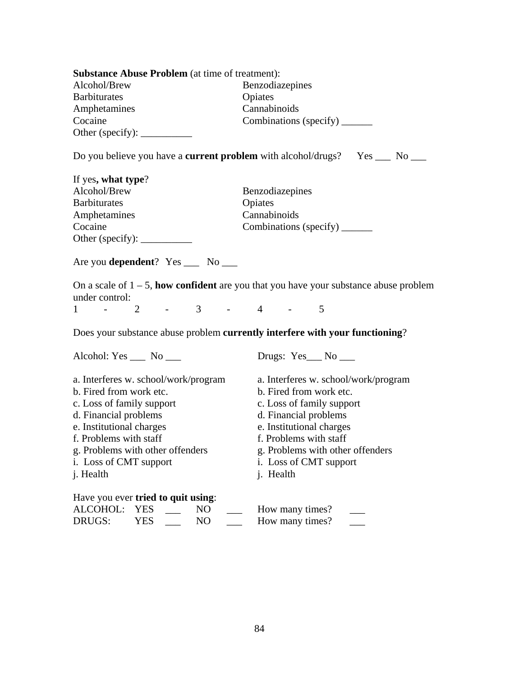| <b>Substance Abuse Problem</b> (at time of treatment): |                                                                                                 |  |
|--------------------------------------------------------|-------------------------------------------------------------------------------------------------|--|
| Alcohol/Brew                                           | Benzodiazepines                                                                                 |  |
| <b>Barbiturates</b>                                    | Opiates                                                                                         |  |
| Amphetamines                                           | Cannabinoids                                                                                    |  |
| Cocaine                                                | Combinations (specify)                                                                          |  |
| Other (specify): $\qquad \qquad$                       |                                                                                                 |  |
|                                                        | Do you believe you have a <b>current problem</b> with alcohol/drugs? Yes $\_\_\_\$ No $\_\_\_\$ |  |
| If yes, what type?                                     |                                                                                                 |  |
| Alcohol/Brew                                           | Benzodiazepines                                                                                 |  |

| $\mathbf{r}$ , $\mathbf{r}$ , $\mathbf{r}$ , $\mathbf{r}$ , $\mathbf{r}$ , $\mathbf{r}$ , $\mathbf{r}$ , $\mathbf{r}$ , $\mathbf{r}$ , $\mathbf{r}$ , $\mathbf{r}$ , $\mathbf{r}$ , $\mathbf{r}$ , $\mathbf{r}$ , $\mathbf{r}$ , $\mathbf{r}$ , $\mathbf{r}$ , $\mathbf{r}$ , $\mathbf{r}$ , $\mathbf{r}$ , $\mathbf{r}$ , $\mathbf{r}$ , |                        |
|-------------------------------------------------------------------------------------------------------------------------------------------------------------------------------------------------------------------------------------------------------------------------------------------------------------------------------------------|------------------------|
| Alcohol/Brew                                                                                                                                                                                                                                                                                                                              | Benzodiazepines        |
| <b>Barbiturates</b>                                                                                                                                                                                                                                                                                                                       | Opiates                |
| Amphetamines                                                                                                                                                                                                                                                                                                                              | Cannabinoids           |
| Cocaine                                                                                                                                                                                                                                                                                                                                   | Combinations (specify) |
| Other (specify): $\qquad \qquad$                                                                                                                                                                                                                                                                                                          |                        |

Are you **dependent**? Yes \_\_\_ No \_\_\_

On a scale of 1 – 5, **how confident** are you that you have your substance abuse problem under control:<br>1 - 2

 $1 \quad - \quad 2 \quad - \quad 3 \quad - \quad 4 \quad - \quad 5$ 

Does your substance abuse problem **currently interfere with your functioning**?

Alcohol: Yes \_\_\_ No \_\_\_ Drugs: Yes \_\_ No \_\_

| a. Interferes w. school/work/program | a. Interferes w. school/work/program |
|--------------------------------------|--------------------------------------|
| b. Fired from work etc.              | b. Fired from work etc.              |
| c. Loss of family support            | c. Loss of family support            |
| d. Financial problems                | d. Financial problems                |
| e. Institutional charges             | e. Institutional charges             |
| f. Problems with staff               | f. Problems with staff               |
| g. Problems with other offenders     | g. Problems with other offenders     |
| <i>i.</i> Loss of CMT support        | i. Loss of CMT support               |
| <i>i</i> . Health                    | <i>i</i> . Health                    |
| Have you ever tried to quit using:   |                                      |

| ALCOHOL: YES |      | NO | How many times? |  |
|--------------|------|----|-----------------|--|
| DRUGS:       | YES. | NО | How many times? |  |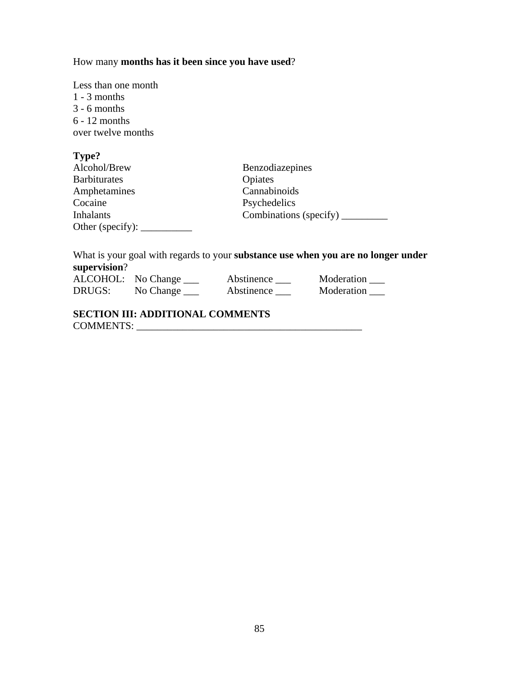How many **months has it been since you have used**?

Less than one month 1 - 3 months 3 - 6 months 6 - 12 months over twelve months

| Type?               |                        |
|---------------------|------------------------|
| Alcohol/Brew        | Benzodiazepines        |
| <b>Barbiturates</b> | Opiates                |
| Amphetamines        | Cannabinoids           |
| Cocaine             | Psychedelics           |
| <b>Inhalants</b>    | Combinations (specify) |
| Other (specify):    |                        |

What is your goal with regards to your **substance use when you are no longer under supervision**?

|        | ALCOHOL: No Change | Abstinence | Moderation |
|--------|--------------------|------------|------------|
| DRUGS: | No Change          | Abstinence | Moderation |

# **SECTION III: ADDITIONAL COMMENTS**  COMMENTS: \_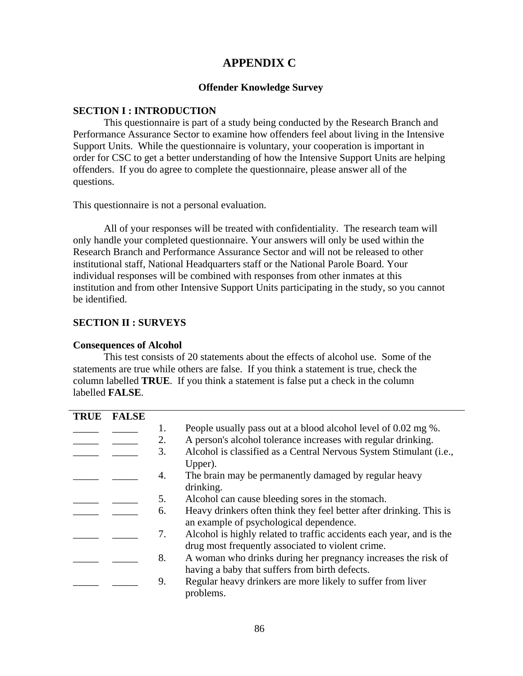# **APPENDIX C**

## **Offender Knowledge Survey**

## **SECTION I : INTRODUCTION**

This questionnaire is part of a study being conducted by the Research Branch and Performance Assurance Sector to examine how offenders feel about living in the Intensive Support Units. While the questionnaire is voluntary, your cooperation is important in order for CSC to get a better understanding of how the Intensive Support Units are helping offenders. If you do agree to complete the questionnaire, please answer all of the questions.

This questionnaire is not a personal evaluation.

All of your responses will be treated with confidentiality. The research team will only handle your completed questionnaire. Your answers will only be used within the Research Branch and Performance Assurance Sector and will not be released to other institutional staff, National Headquarters staff or the National Parole Board. Your individual responses will be combined with responses from other inmates at this institution and from other Intensive Support Units participating in the study, so you cannot be identified.

## **SECTION II : SURVEYS**

## **Consequences of Alcohol**

This test consists of 20 statements about the effects of alcohol use. Some of the statements are true while others are false. If you think a statement is true, check the column labelled **TRUE**. If you think a statement is false put a check in the column labelled **FALSE**.

| <b>TRUE</b> | <b>FALSE</b> |    |                                                                      |
|-------------|--------------|----|----------------------------------------------------------------------|
|             |              | 1. | People usually pass out at a blood alcohol level of 0.02 mg %.       |
|             |              | 2. | A person's alcohol tolerance increases with regular drinking.        |
|             |              | 3. | Alcohol is classified as a Central Nervous System Stimulant (i.e.,   |
|             |              |    | Upper).                                                              |
|             |              | 4. | The brain may be permanently damaged by regular heavy                |
|             |              |    | drinking.                                                            |
|             |              | 5. | Alcohol can cause bleeding sores in the stomach.                     |
|             |              | 6. | Heavy drinkers often think they feel better after drinking. This is  |
|             |              |    | an example of psychological dependence.                              |
|             |              | 7. | Alcohol is highly related to traffic accidents each year, and is the |
|             |              |    | drug most frequently associated to violent crime.                    |
|             |              | 8. | A woman who drinks during her pregnancy increases the risk of        |
|             |              |    | having a baby that suffers from birth defects.                       |
|             |              | 9. | Regular heavy drinkers are more likely to suffer from liver          |
|             |              |    | problems.                                                            |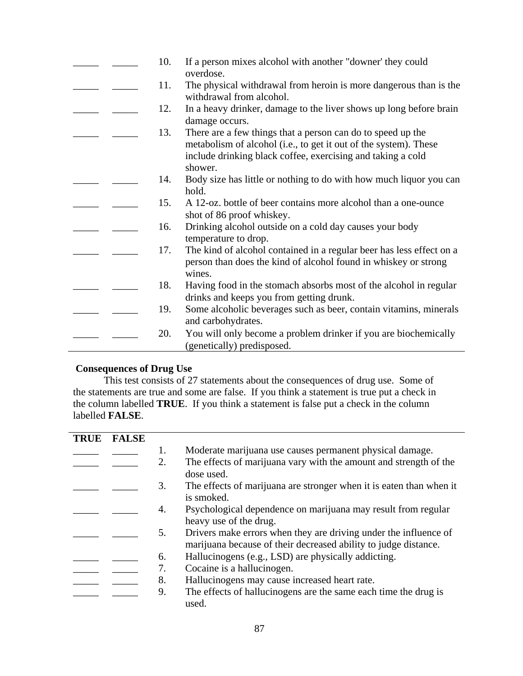|  | 10. | If a person mixes alcohol with another "downer' they could<br>overdose.                                                                                                                                   |
|--|-----|-----------------------------------------------------------------------------------------------------------------------------------------------------------------------------------------------------------|
|  | 11. | The physical withdrawal from heroin is more dangerous than is the<br>withdrawal from alcohol.                                                                                                             |
|  | 12. | In a heavy drinker, damage to the liver shows up long before brain<br>damage occurs.                                                                                                                      |
|  | 13. | There are a few things that a person can do to speed up the<br>metabolism of alcohol (i.e., to get it out of the system). These<br>include drinking black coffee, exercising and taking a cold<br>shower. |
|  | 14. | Body size has little or nothing to do with how much liquor you can<br>hold.                                                                                                                               |
|  | 15. | A 12-oz. bottle of beer contains more alcohol than a one-ounce<br>shot of 86 proof whiskey.                                                                                                               |
|  | 16. | Drinking alcohol outside on a cold day causes your body<br>temperature to drop.                                                                                                                           |
|  | 17. | The kind of alcohol contained in a regular beer has less effect on a<br>person than does the kind of alcohol found in whiskey or strong<br>wines.                                                         |
|  | 18. | Having food in the stomach absorbs most of the alcohol in regular<br>drinks and keeps you from getting drunk.                                                                                             |
|  | 19. | Some alcoholic beverages such as beer, contain vitamins, minerals<br>and carbohydrates.                                                                                                                   |
|  | 20. | You will only become a problem drinker if you are biochemically<br>(genetically) predisposed.                                                                                                             |

# **Consequences of Drug Use**

This test consists of 27 statements about the consequences of drug use. Some of the statements are true and some are false. If you think a statement is true put a check in the column labelled **TRUE**. If you think a statement is false put a check in the column labelled **FALSE**.

| <b>TRUE</b> | <b>FALSE</b> |    |                                                                                                                                     |
|-------------|--------------|----|-------------------------------------------------------------------------------------------------------------------------------------|
|             |              | 1. | Moderate marijuana use causes permanent physical damage.                                                                            |
|             |              | 2. | The effects of marijuana vary with the amount and strength of the<br>dose used.                                                     |
|             |              | 3. | The effects of marijuana are stronger when it is eaten than when it<br>is smoked.                                                   |
|             |              | 4. | Psychological dependence on marijuana may result from regular<br>heavy use of the drug.                                             |
|             |              | 5. | Drivers make errors when they are driving under the influence of<br>marijuana because of their decreased ability to judge distance. |
|             |              | 6. | Hallucinogens (e.g., LSD) are physically addicting.                                                                                 |
|             |              | 7. | Cocaine is a hallucinogen.                                                                                                          |
|             |              | 8. | Hallucinogens may cause increased heart rate.                                                                                       |
|             |              | 9. | The effects of hallucinogens are the same each time the drug is<br>used.                                                            |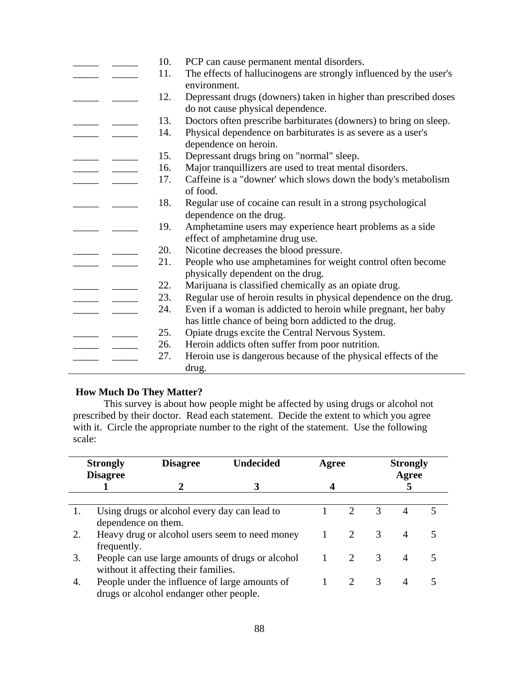|  | 10. | PCP can cause permanent mental disorders.                                                             |
|--|-----|-------------------------------------------------------------------------------------------------------|
|  | 11. | The effects of hallucinogens are strongly influenced by the user's<br>environment.                    |
|  | 12. | Depressant drugs (downers) taken in higher than prescribed doses<br>do not cause physical dependence. |
|  | 13. | Doctors often prescribe barbiturates (downers) to bring on sleep.                                     |
|  | 14. | Physical dependence on barbiturates is as severe as a user's<br>dependence on heroin.                 |
|  | 15. | Depressant drugs bring on "normal" sleep.                                                             |
|  | 16. | Major tranquillizers are used to treat mental disorders.                                              |
|  | 17. | Caffeine is a "downer' which slows down the body's metabolism<br>of food.                             |
|  | 18. | Regular use of cocaine can result in a strong psychological<br>dependence on the drug.                |
|  | 19. | Amphetamine users may experience heart problems as a side<br>effect of amphetamine drug use.          |
|  | 20. | Nicotine decreases the blood pressure.                                                                |
|  | 21. | People who use amphetamines for weight control often become<br>physically dependent on the drug.      |
|  | 22. | Marijuana is classified chemically as an opiate drug.                                                 |
|  | 23. | Regular use of heroin results in physical dependence on the drug.                                     |
|  | 24. | Even if a woman is addicted to heroin while pregnant, her baby                                        |
|  |     | has little chance of being born addicted to the drug.                                                 |
|  | 25. | Opiate drugs excite the Central Nervous System.                                                       |
|  | 26. | Heroin addicts often suffer from poor nutrition.                                                      |
|  | 27. | Heroin use is dangerous because of the physical effects of the                                        |
|  |     | drug.                                                                                                 |

# **How Much Do They Matter?**

This survey is about how people might be affected by using drugs or alcohol not prescribed by their doctor. Read each statement. Decide the extent to which you agree with it. Circle the appropriate number to the right of the statement. Use the following scale:

| <b>Strongly</b><br><b>Disagree</b> |                     | <b>Disagree</b>                              | <b>Undecided</b>                                 |              | Agree                       | <b>Strongly</b><br>Agree |                |   |  |
|------------------------------------|---------------------|----------------------------------------------|--------------------------------------------------|--------------|-----------------------------|--------------------------|----------------|---|--|
|                                    |                     |                                              |                                                  |              |                             |                          |                |   |  |
| 1.                                 |                     | Using drugs or alcohol every day can lead to |                                                  |              | 2                           | 3                        | $\overline{4}$ | 5 |  |
|                                    | dependence on them. |                                              |                                                  |              |                             |                          |                |   |  |
| 2.                                 | frequently.         |                                              | Heavy drug or alcohol users seem to need money   | $\mathbf{1}$ | $\mathcal{D}_{\mathcal{L}}$ | $\mathcal{R}$            | $\overline{A}$ |   |  |
| 3.                                 |                     | without it affecting their families.         | People can use large amounts of drugs or alcohol | $\mathbf{1}$ |                             | 3                        | $\overline{A}$ |   |  |
| 4.                                 |                     | drugs or alcohol endanger other people.      | People under the influence of large amounts of   |              |                             | 3                        | $\overline{A}$ |   |  |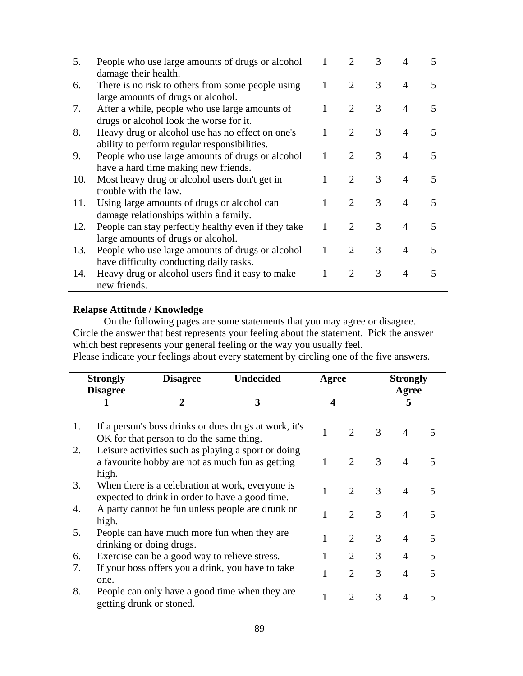| 5.  | People who use large amounts of drugs or alcohol    |   | 2                           | 3 | 4              |                          |
|-----|-----------------------------------------------------|---|-----------------------------|---|----------------|--------------------------|
|     | damage their health.                                |   |                             |   |                |                          |
| 6.  | There is no risk to others from some people using   |   | 2                           | 3 | 4              |                          |
|     | large amounts of drugs or alcohol.                  |   |                             |   |                |                          |
| 7.  | After a while, people who use large amounts of      |   | 2                           | 3 | $\overline{4}$ |                          |
|     | drugs or alcohol look the worse for it.             |   |                             |   |                |                          |
| 8.  | Heavy drug or alcohol use has no effect on one's    |   | $\mathcal{D}$               | 3 | $\overline{4}$ | 5                        |
|     | ability to perform regular responsibilities.        |   |                             |   |                |                          |
| 9.  | People who use large amounts of drugs or alcohol    |   | $\mathcal{D}_{\mathcal{L}}$ | 3 | $\overline{4}$ | 5                        |
|     | have a hard time making new friends.                |   |                             |   |                |                          |
| 10. | Most heavy drug or alcohol users don't get in       |   | $\mathcal{D}_{\mathcal{L}}$ | 3 | $\overline{4}$ |                          |
|     | trouble with the law.                               |   |                             |   |                |                          |
| 11. | Using large amounts of drugs or alcohol can         |   | $\mathcal{D}_{\mathcal{L}}$ | 3 | $\overline{4}$ |                          |
|     | damage relationships within a family.               |   |                             |   |                |                          |
| 12. | People can stay perfectly healthy even if they take |   | $\mathcal{D}_{\mathcal{L}}$ | 3 | $\overline{4}$ | $\overline{\phantom{1}}$ |
|     | large amounts of drugs or alcohol.                  |   |                             |   |                |                          |
| 13. | People who use large amounts of drugs or alcohol    | 1 | $\mathcal{D}_{\mathcal{L}}$ | 3 | $\overline{4}$ | $\overline{\phantom{1}}$ |
|     | have difficulty conducting daily tasks.             |   |                             |   |                |                          |
| 14. | Heavy drug or alcohol users find it easy to make    |   | $\mathcal{D}_{\cdot}$       | 3 | $\overline{4}$ | 5                        |
|     | new friends.                                        |   |                             |   |                |                          |

## **Relapse Attitude / Knowledge**

On the following pages are some statements that you may agree or disagree. Circle the answer that best represents your feeling about the statement. Pick the answer which best represents your general feeling or the way you usually feel. Please indicate your feelings about every statement by circling one of the five answers.

|    | <b>Strongly</b><br><b>Disagree</b> | <b>Disagree</b>                               | <b>Undecided</b>                                                                                        |   | Agree                       | <b>Strongly</b><br>Agree |                        |   |  |
|----|------------------------------------|-----------------------------------------------|---------------------------------------------------------------------------------------------------------|---|-----------------------------|--------------------------|------------------------|---|--|
|    |                                    | 2                                             | 3                                                                                                       | 4 |                             | 5                        |                        |   |  |
| 1. |                                    | OK for that person to do the same thing.      | If a person's boss drinks or does drugs at work, it's                                                   | 1 | $\mathcal{D}_{\mathcal{L}}$ | 3                        | $\boldsymbol{\Lambda}$ | 5 |  |
| 2. | high.                              |                                               | Leisure activities such as playing a sport or doing<br>a favourite hobby are not as much fun as getting |   | $\mathcal{D}_{\cdot}$       | 3                        | $\overline{4}$         |   |  |
| 3. |                                    |                                               | When there is a celebration at work, everyone is<br>expected to drink in order to have a good time.     | 1 | 2                           | 3                        | $\overline{4}$         |   |  |
| 4. | high.                              |                                               | A party cannot be fun unless people are drunk or                                                        |   | $\mathcal{D}_{\mathcal{L}}$ | 3                        | $\overline{4}$         | 5 |  |
| 5. |                                    | drinking or doing drugs.                      | People can have much more fun when they are                                                             |   | $\mathcal{D}_{\mathcal{L}}$ | 3                        | $\overline{4}$         | 5 |  |
| 6. |                                    | Exercise can be a good way to relieve stress. |                                                                                                         |   | 2                           | 3                        | 4                      | 5 |  |
| 7. | one.                               |                                               | If your boss offers you a drink, you have to take                                                       |   | $\mathcal{D}_{\cdot}$       | 3                        | 4                      | 5 |  |
| 8. |                                    | getting drunk or stoned.                      | People can only have a good time when they are                                                          |   | $\mathcal{D}_{\cdot}$       | 3                        | 4                      |   |  |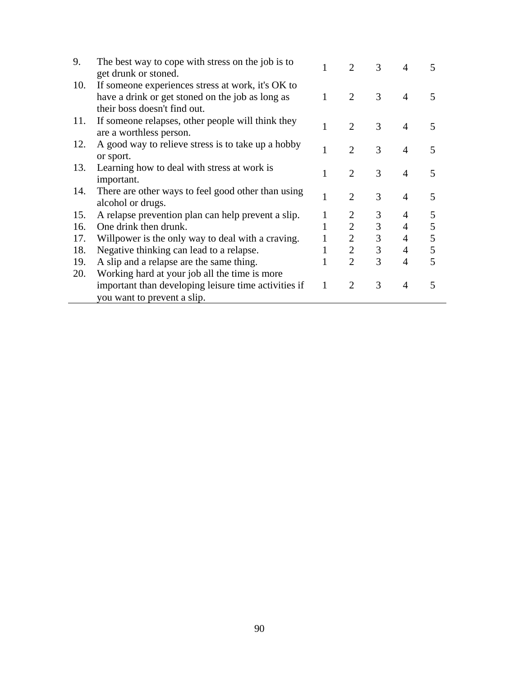| 9.  | The best way to cope with stress on the job is to<br>get drunk or stoned.    |   | $\mathcal{D}_{\mathcal{L}}$ | 3              | 4              | 5 |
|-----|------------------------------------------------------------------------------|---|-----------------------------|----------------|----------------|---|
| 10. | If someone experiences stress at work, it's OK to                            |   |                             |                |                |   |
|     | have a drink or get stoned on the job as long as                             | 1 | $\overline{2}$              | 3              | $\overline{4}$ | 5 |
|     | their boss doesn't find out.                                                 |   |                             |                |                |   |
| 11. | If someone relapses, other people will think they<br>are a worthless person. | 1 | $\overline{2}$              | 3              | $\overline{4}$ | 5 |
| 12. | A good way to relieve stress is to take up a hobby                           |   |                             |                |                |   |
|     | or sport.                                                                    | 1 | $\overline{2}$              | 3              | 4              | 5 |
| 13. | Learning how to deal with stress at work is                                  |   |                             |                |                |   |
|     | important.                                                                   | 1 | 2                           | 3              | $\overline{4}$ | 5 |
| 14. | There are other ways to feel good other than using                           |   |                             | 3              |                |   |
|     | alcohol or drugs.                                                            | 1 | 2                           |                | $\overline{4}$ | 5 |
| 15. | A relapse prevention plan can help prevent a slip.                           |   |                             | 3              | 4              | 5 |
| 16. | One drink then drunk.                                                        |   | $\overline{2}$              | $\mathfrak{Z}$ | $\overline{4}$ | 5 |
| 17. | Willpower is the only way to deal with a craving.                            |   | $\overline{2}$              | $\overline{3}$ | 4              | 5 |
| 18. | Negative thinking can lead to a relapse.                                     | 1 | $\overline{2}$              | 3              | 4              | 5 |
| 19. | A slip and a relapse are the same thing.                                     | 1 | $\overline{2}$              | 3              | 4              | 5 |
| 20. | Working hard at your job all the time is more                                |   |                             |                |                |   |
|     | important than developing leisure time activities if                         | 1 | 2                           | 3              | $\overline{4}$ | 5 |
|     | you want to prevent a slip.                                                  |   |                             |                |                |   |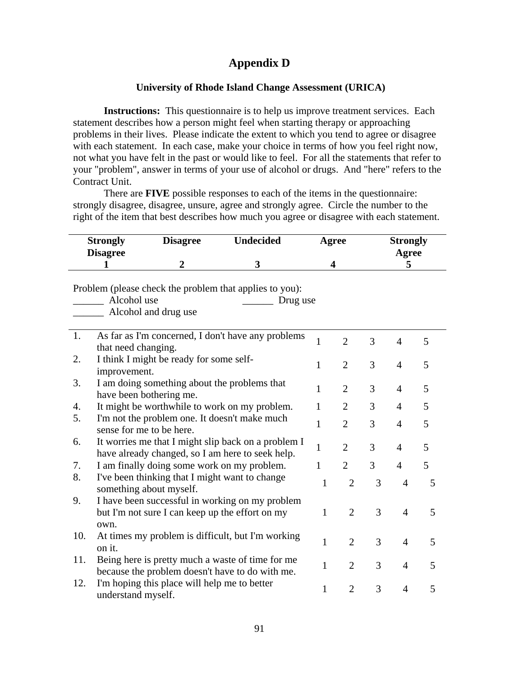# **Appendix D**

## **University of Rhode Island Change Assessment (URICA)**

**Instructions:** This questionnaire is to help us improve treatment services. Each statement describes how a person might feel when starting therapy or approaching problems in their lives. Please indicate the extent to which you tend to agree or disagree with each statement. In each case, make your choice in terms of how you feel right now, not what you have felt in the past or would like to feel. For all the statements that refer to your "problem", answer in terms of your use of alcohol or drugs. And "here" refers to the Contract Unit.

There are **FIVE** possible responses to each of the items in the questionnaire: strongly disagree, disagree, unsure, agree and strongly agree. Circle the number to the right of the item that best describes how much you agree or disagree with each statement.

| <b>Strongly</b><br><b>Disagree</b> |                                                                                                            | <b>Disagree</b>                                                           | <b>Undecided</b>                                                                                        |              | Agree          | <b>Strongly</b><br>Agree |                |   |  |  |  |  |  |
|------------------------------------|------------------------------------------------------------------------------------------------------------|---------------------------------------------------------------------------|---------------------------------------------------------------------------------------------------------|--------------|----------------|--------------------------|----------------|---|--|--|--|--|--|
|                                    | 1                                                                                                          | $\overline{2}$                                                            | 3                                                                                                       | 4            |                | 5                        |                |   |  |  |  |  |  |
|                                    | Problem (please check the problem that applies to you):<br>Alcohol use<br>Drug use<br>Alcohol and drug use |                                                                           |                                                                                                         |              |                |                          |                |   |  |  |  |  |  |
| 1.                                 | that need changing.                                                                                        |                                                                           | As far as I'm concerned, I don't have any problems                                                      | $\mathbf{1}$ | $\overline{2}$ | 3                        | $\overline{4}$ | 5 |  |  |  |  |  |
| 2.                                 | improvement.                                                                                               | I think I might be ready for some self-                                   |                                                                                                         | 1            | $\overline{2}$ | 3                        | $\overline{4}$ | 5 |  |  |  |  |  |
| 3.                                 |                                                                                                            | I am doing something about the problems that<br>have been bothering me.   |                                                                                                         | 1            | $\overline{2}$ | 3                        | $\overline{4}$ | 5 |  |  |  |  |  |
| 4.                                 |                                                                                                            |                                                                           | It might be worthwhile to work on my problem.                                                           | $\mathbf{1}$ | $\overline{2}$ | 3                        | 4              | 5 |  |  |  |  |  |
| 5.                                 | sense for me to be here.                                                                                   | I'm not the problem one. It doesn't make much                             |                                                                                                         | 1            | $\overline{2}$ | 3                        | $\overline{4}$ | 5 |  |  |  |  |  |
| 6.                                 |                                                                                                            |                                                                           | It worries me that I might slip back on a problem I<br>have already changed, so I am here to seek help. | 1            | $\overline{2}$ | 3                        | $\overline{4}$ | 5 |  |  |  |  |  |
| 7.                                 |                                                                                                            | I am finally doing some work on my problem.                               |                                                                                                         | 1            | $\overline{2}$ | 3                        | $\overline{4}$ | 5 |  |  |  |  |  |
| 8.                                 |                                                                                                            | I've been thinking that I might want to change<br>something about myself. |                                                                                                         | $\mathbf{1}$ | $\overline{2}$ | 3                        | $\overline{4}$ | 5 |  |  |  |  |  |
| 9.                                 | own.                                                                                                       | but I'm not sure I can keep up the effort on my                           | I have been successful in working on my problem                                                         | 1            | $\overline{2}$ | 3                        | $\overline{4}$ | 5 |  |  |  |  |  |
| 10.                                | on it.                                                                                                     |                                                                           | At times my problem is difficult, but I'm working                                                       | 1            | $\overline{2}$ | 3                        | $\overline{4}$ | 5 |  |  |  |  |  |
| 11.                                |                                                                                                            |                                                                           | Being here is pretty much a waste of time for me<br>because the problem doesn't have to do with me.     | $\mathbf{1}$ | $\overline{2}$ | 3                        | $\overline{4}$ | 5 |  |  |  |  |  |
| 12.                                | understand myself.                                                                                         | I'm hoping this place will help me to better                              |                                                                                                         | 1            | $\overline{2}$ | 3                        | $\overline{4}$ | 5 |  |  |  |  |  |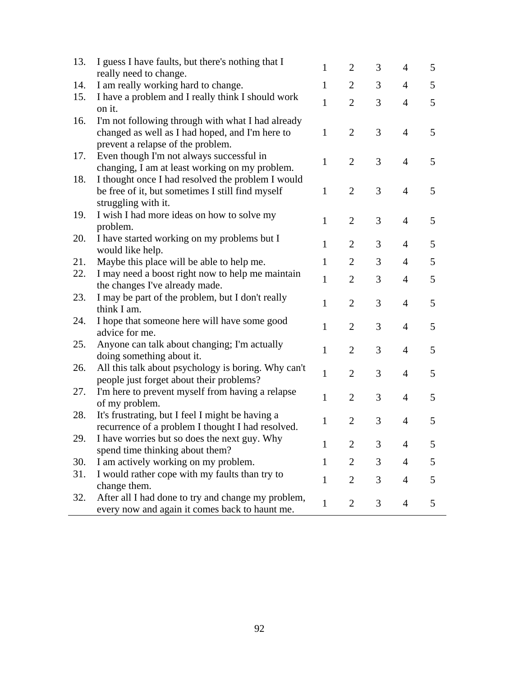| 13. | I guess I have faults, but there's nothing that I                                               | 1            | 2              | 3 | $\overline{4}$ | 5 |
|-----|-------------------------------------------------------------------------------------------------|--------------|----------------|---|----------------|---|
|     | really need to change.                                                                          | $\mathbf{1}$ | $\overline{2}$ |   |                |   |
| 14. | I am really working hard to change.                                                             |              |                | 3 | $\overline{4}$ | 5 |
| 15. | I have a problem and I really think I should work<br>on it.                                     | 1            | $\overline{2}$ | 3 | $\overline{4}$ | 5 |
| 16. | I'm not following through with what I had already                                               |              |                |   |                |   |
|     | changed as well as I had hoped, and I'm here to                                                 | $\mathbf{1}$ | $\overline{2}$ | 3 | $\overline{4}$ | 5 |
|     | prevent a relapse of the problem.                                                               |              |                |   |                |   |
| 17. | Even though I'm not always successful in                                                        | $\mathbf{1}$ | $\overline{2}$ | 3 | $\overline{4}$ | 5 |
|     | changing, I am at least working on my problem.                                                  |              |                |   |                |   |
| 18. | I thought once I had resolved the problem I would                                               |              |                |   |                |   |
|     | be free of it, but sometimes I still find myself                                                | $\mathbf{1}$ | $\overline{2}$ | 3 | $\overline{4}$ | 5 |
|     | struggling with it.                                                                             |              |                |   |                |   |
| 19. | I wish I had more ideas on how to solve my                                                      | $\mathbf{1}$ | $\overline{2}$ | 3 | $\overline{4}$ | 5 |
|     | problem.                                                                                        |              |                |   |                |   |
| 20. | I have started working on my problems but I                                                     | $\mathbf{1}$ | $\overline{2}$ | 3 | $\overline{4}$ | 5 |
|     | would like help.                                                                                |              |                |   |                |   |
| 21. | Maybe this place will be able to help me.                                                       | $\mathbf{1}$ | $\overline{2}$ | 3 | $\overline{4}$ | 5 |
| 22. | I may need a boost right now to help me maintain                                                | $\mathbf{1}$ | $\overline{2}$ | 3 | $\overline{4}$ | 5 |
|     | the changes I've already made.                                                                  |              |                |   |                |   |
| 23. | I may be part of the problem, but I don't really                                                | $\mathbf{1}$ | $\overline{2}$ | 3 | $\overline{4}$ | 5 |
|     | think I am.                                                                                     |              |                |   |                |   |
| 24. | I hope that someone here will have some good                                                    | $\mathbf{1}$ | $\overline{2}$ | 3 | $\overline{4}$ | 5 |
|     | advice for me.                                                                                  |              |                |   |                |   |
| 25. | Anyone can talk about changing; I'm actually                                                    | $\mathbf{1}$ | $\overline{2}$ | 3 | $\overline{4}$ | 5 |
|     | doing something about it.                                                                       |              |                |   |                |   |
| 26. | All this talk about psychology is boring. Why can't<br>people just forget about their problems? | $\mathbf{1}$ | $\overline{2}$ | 3 | $\overline{4}$ | 5 |
| 27. | I'm here to prevent myself from having a relapse                                                |              |                |   |                |   |
|     | of my problem.                                                                                  | 1            | $\overline{2}$ | 3 | $\overline{4}$ | 5 |
| 28. | It's frustrating, but I feel I might be having a                                                |              |                |   |                |   |
|     | recurrence of a problem I thought I had resolved.                                               | 1            | $\overline{2}$ | 3 | $\overline{4}$ | 5 |
| 29. | I have worries but so does the next guy. Why                                                    |              |                |   |                |   |
|     | spend time thinking about them?                                                                 | 1            | 2              | 3 | $\overline{4}$ | 5 |
| 30. | I am actively working on my problem.                                                            | 1            | 2              | 3 | $\overline{4}$ | 5 |
| 31. | I would rather cope with my faults than try to                                                  |              |                |   |                |   |
|     | change them.                                                                                    | $\mathbf{1}$ | $\overline{2}$ | 3 | $\overline{4}$ | 5 |
| 32. | After all I had done to try and change my problem,                                              |              |                |   |                |   |
|     | every now and again it comes back to haunt me.                                                  | $\mathbf{1}$ | $\overline{2}$ | 3 | $\overline{4}$ | 5 |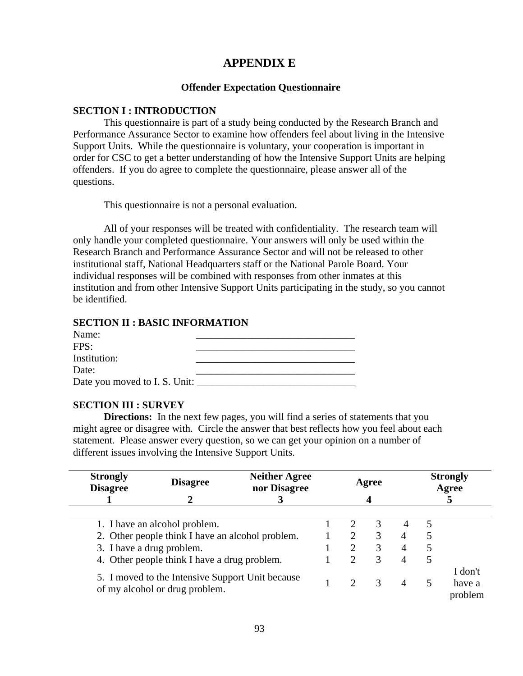## **APPENDIX E**

## **Offender Expectation Questionnaire**

### **SECTION I : INTRODUCTION**

This questionnaire is part of a study being conducted by the Research Branch and Performance Assurance Sector to examine how offenders feel about living in the Intensive Support Units. While the questionnaire is voluntary, your cooperation is important in order for CSC to get a better understanding of how the Intensive Support Units are helping offenders. If you do agree to complete the questionnaire, please answer all of the questions.

This questionnaire is not a personal evaluation.

All of your responses will be treated with confidentiality. The research team will only handle your completed questionnaire. Your answers will only be used within the Research Branch and Performance Assurance Sector and will not be released to other institutional staff, National Headquarters staff or the National Parole Board. Your individual responses will be combined with responses from other inmates at this institution and from other Intensive Support Units participating in the study, so you cannot be identified.

### **SECTION II : BASIC INFORMATION**

| Name:                         |  |
|-------------------------------|--|
| FPS:                          |  |
| Institution:                  |  |
| Date:                         |  |
| Date you moved to I. S. Unit: |  |

## **SECTION III : SURVEY**

**Directions:** In the next few pages, you will find a series of statements that you might agree or disagree with. Circle the answer that best reflects how you feel about each statement. Please answer every question, so we can get your opinion on a number of different issues involving the Intensive Support Units.

| <b>Strongly</b><br><b>Disagree</b> | <b>Neither Agree</b><br><b>Disagree</b><br>Agree<br>nor Disagree                   |  |  | <b>Strongly</b><br>Agree |               |   |   |                              |  |
|------------------------------------|------------------------------------------------------------------------------------|--|--|--------------------------|---------------|---|---|------------------------------|--|
|                                    |                                                                                    |  |  |                          |               |   |   |                              |  |
|                                    | 1. I have an alcohol problem.                                                      |  |  |                          |               | 4 | 5 |                              |  |
|                                    | 2. Other people think I have an alcohol problem.                                   |  |  | 2                        | 3             | 4 | 5 |                              |  |
| 3. I have a drug problem.          |                                                                                    |  |  | $\overline{2}$           | 3             | 4 | 5 |                              |  |
|                                    | 4. Other people think I have a drug problem.                                       |  |  | $\overline{2}$           | 3             | 4 | 5 |                              |  |
|                                    | 5. I moved to the Intensive Support Unit because<br>of my alcohol or drug problem. |  |  | $\mathcal{D}$            | $\mathcal{R}$ | 4 | 5 | I don't<br>have a<br>problem |  |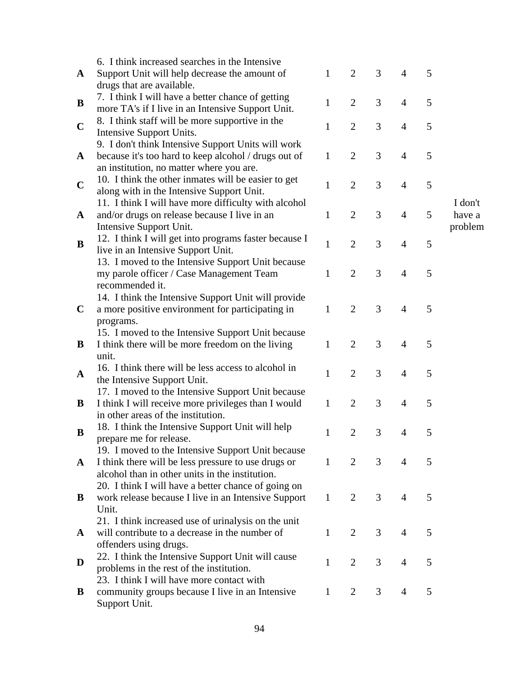|              | 6. I think increased searches in the Intensive            |              |                |   |                |   |         |
|--------------|-----------------------------------------------------------|--------------|----------------|---|----------------|---|---------|
| $\mathbf{A}$ | Support Unit will help decrease the amount of             | $\mathbf 1$  | $\overline{2}$ | 3 | 4              | 5 |         |
|              | drugs that are available.                                 |              |                |   |                |   |         |
| B            | 7. I think I will have a better chance of getting         | $\mathbf{1}$ | $\overline{2}$ | 3 | $\overline{4}$ | 5 |         |
|              | more TA's if I live in an Intensive Support Unit.         |              |                |   |                |   |         |
| $\mathbf C$  | 8. I think staff will be more supportive in the           | 1            | $\overline{2}$ | 3 | 4              | 5 |         |
|              | Intensive Support Units.                                  |              |                |   |                |   |         |
|              | 9. I don't think Intensive Support Units will work        |              |                |   |                |   |         |
| $\mathbf{A}$ | because it's too hard to keep alcohol / drugs out of      | $\mathbf{1}$ | $\overline{2}$ | 3 | $\overline{4}$ | 5 |         |
|              | an institution, no matter where you are.                  |              |                |   |                |   |         |
| $\mathbf C$  | 10. I think the other inmates will be easier to get       | $\mathbf{1}$ | $\overline{2}$ | 3 | $\overline{4}$ | 5 |         |
|              | along with in the Intensive Support Unit.                 |              |                |   |                |   |         |
|              | 11. I think I will have more difficulty with alcohol      |              |                |   |                |   | I don't |
| $\mathbf A$  | and/or drugs on release because I live in an              | $\mathbf{1}$ | $\overline{2}$ | 3 | 4              | 5 | have a  |
|              | Intensive Support Unit.                                   |              |                |   |                |   | problem |
| B            | 12. I think I will get into programs faster because I     | $\mathbf{1}$ | $\overline{2}$ | 3 | $\overline{4}$ | 5 |         |
|              | live in an Intensive Support Unit.                        |              |                |   |                |   |         |
|              | 13. I moved to the Intensive Support Unit because         |              |                |   |                |   |         |
|              | my parole officer / Case Management Team                  | $\mathbf{1}$ | $\overline{2}$ | 3 | $\overline{4}$ | 5 |         |
|              | recommended it.                                           |              |                |   |                |   |         |
|              | 14. I think the Intensive Support Unit will provide       |              |                |   |                |   |         |
| $\mathbf C$  | a more positive environment for participating in          | $\mathbf{1}$ | $\overline{2}$ | 3 | $\overline{4}$ | 5 |         |
|              | programs.                                                 |              |                |   |                |   |         |
|              | 15. I moved to the Intensive Support Unit because         | $\mathbf{1}$ | $\overline{2}$ | 3 | $\overline{4}$ | 5 |         |
| B            | I think there will be more freedom on the living<br>unit. |              |                |   |                |   |         |
|              | 16. I think there will be less access to alcohol in       |              |                |   |                |   |         |
| A            | the Intensive Support Unit.                               | $\mathbf{1}$ | $\overline{2}$ | 3 | $\overline{4}$ | 5 |         |
|              | 17. I moved to the Intensive Support Unit because         |              |                |   |                |   |         |
| B            | I think I will receive more privileges than I would       | $\mathbf{1}$ | $\mathfrak{2}$ | 3 | $\overline{4}$ | 5 |         |
|              | in other areas of the institution.                        |              |                |   |                |   |         |
|              | 18. I think the Intensive Support Unit will help          |              |                |   |                |   |         |
| B            | prepare me for release.                                   | 1            | $\overline{2}$ | 3 | $\overline{4}$ | 5 |         |
|              | 19. I moved to the Intensive Support Unit because         |              |                |   |                |   |         |
| $\mathbf{A}$ | I think there will be less pressure to use drugs or       | $\mathbf{1}$ | $\overline{2}$ | 3 | 4              | 5 |         |
|              | alcohol than in other units in the institution.           |              |                |   |                |   |         |
|              | 20. I think I will have a better chance of going on       |              |                |   |                |   |         |
| B            | work release because I live in an Intensive Support       | $\mathbf{1}$ | $\overline{2}$ | 3 | 4              | 5 |         |
|              | Unit.                                                     |              |                |   |                |   |         |
|              | 21. I think increased use of urinalysis on the unit       |              |                |   |                |   |         |
| A            | will contribute to a decrease in the number of            | $\mathbf{1}$ | $\overline{2}$ | 3 | $\overline{4}$ | 5 |         |
|              | offenders using drugs.                                    |              |                |   |                |   |         |
| D            | 22. I think the Intensive Support Unit will cause         | $\mathbf{1}$ | $\overline{2}$ | 3 | 4              | 5 |         |
|              | problems in the rest of the institution.                  |              |                |   |                |   |         |
|              | 23. I think I will have more contact with                 |              |                |   |                |   |         |
| B            | community groups because I live in an Intensive           | $\mathbf{1}$ | $\overline{2}$ | 3 | 4              | 5 |         |
|              | Support Unit.                                             |              |                |   |                |   |         |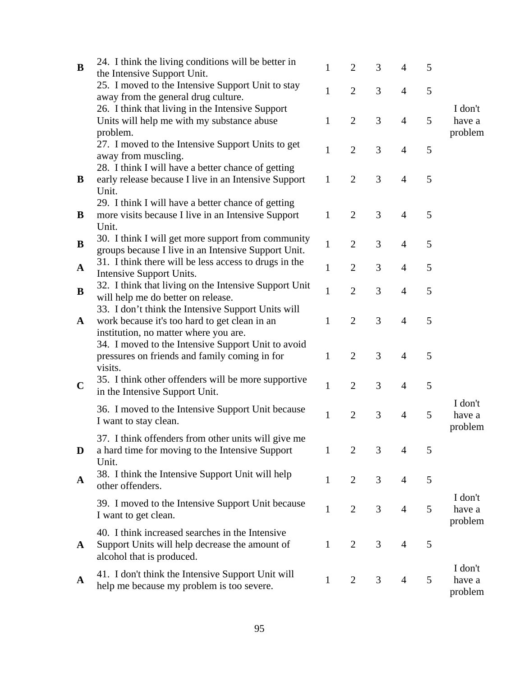| B            | 24. I think the living conditions will be better in   | $\mathbf{1}$ | $\overline{2}$ | 3 | 4              | 5 |         |
|--------------|-------------------------------------------------------|--------------|----------------|---|----------------|---|---------|
|              | the Intensive Support Unit.                           |              |                |   |                |   |         |
|              | 25. I moved to the Intensive Support Unit to stay     | $\mathbf{1}$ | $\overline{2}$ | 3 | $\overline{4}$ | 5 |         |
|              | away from the general drug culture.                   |              |                |   |                |   |         |
|              | 26. I think that living in the Intensive Support      |              |                |   |                |   | I don't |
|              | Units will help me with my substance abuse            | 1            | $\overline{2}$ | 3 | $\overline{4}$ | 5 | have a  |
|              | problem.                                              |              |                |   |                |   | problem |
|              | 27. I moved to the Intensive Support Units to get     | $\mathbf{1}$ | $\overline{2}$ | 3 | $\overline{4}$ | 5 |         |
|              | away from muscling.                                   |              |                |   |                |   |         |
|              | 28. I think I will have a better chance of getting    |              |                |   |                |   |         |
| B            | early release because I live in an Intensive Support  | $\mathbf{1}$ | $\overline{2}$ | 3 | $\overline{4}$ | 5 |         |
|              | Unit.                                                 |              |                |   |                |   |         |
|              | 29. I think I will have a better chance of getting    |              |                |   |                |   |         |
| B            | more visits because I live in an Intensive Support    | $\mathbf{1}$ | $\overline{2}$ | 3 | $\overline{4}$ | 5 |         |
|              | Unit.                                                 |              |                |   |                |   |         |
| B            | 30. I think I will get more support from community    | 1            | $\overline{2}$ | 3 | $\overline{4}$ | 5 |         |
|              | groups because I live in an Intensive Support Unit.   |              |                |   |                |   |         |
| $\mathbf{A}$ | 31. I think there will be less access to drugs in the | $\mathbf{1}$ | $\overline{2}$ | 3 | 4              | 5 |         |
|              | Intensive Support Units.                              |              |                |   |                |   |         |
| B            | 32. I think that living on the Intensive Support Unit | $\mathbf{1}$ | $\overline{2}$ | 3 | 4              | 5 |         |
|              | will help me do better on release.                    |              |                |   |                |   |         |
|              | 33. I don't think the Intensive Support Units will    |              |                |   |                |   |         |
| $\mathbf{A}$ | work because it's too hard to get clean in an         | $\mathbf{1}$ | $\overline{2}$ | 3 | 4              | 5 |         |
|              | institution, no matter where you are.                 |              |                |   |                |   |         |
|              | 34. I moved to the Intensive Support Unit to avoid    |              |                |   |                |   |         |
|              | pressures on friends and family coming in for         | 1            | $\overline{2}$ | 3 | $\overline{4}$ | 5 |         |
|              | visits.                                               |              |                |   |                |   |         |
| $\mathbf C$  | 35. I think other offenders will be more supportive   | $\mathbf{1}$ | $\overline{2}$ | 3 | $\overline{4}$ | 5 |         |
|              | in the Intensive Support Unit.                        |              |                |   |                |   |         |
|              | 36. I moved to the Intensive Support Unit because     |              |                |   |                |   | I don't |
|              | I want to stay clean.                                 | $\mathbf{1}$ | $\overline{2}$ | 3 | $\overline{4}$ | 5 | have a  |
|              |                                                       |              |                |   |                |   | problem |
|              | 37. I think offenders from other units will give me   |              |                |   |                |   |         |
| D            | a hard time for moving to the Intensive Support       | $\mathbf{1}$ | $\overline{2}$ | 3 | 4              | 5 |         |
|              | Unit.                                                 |              |                |   |                |   |         |
| A            | 38. I think the Intensive Support Unit will help      | $\mathbf{1}$ | $\overline{2}$ | 3 | $\overline{4}$ | 5 |         |
|              | other offenders.                                      |              |                |   |                |   |         |
|              | 39. I moved to the Intensive Support Unit because     |              |                |   |                |   | I don't |
|              | I want to get clean.                                  | $\mathbf{1}$ | $\overline{2}$ | 3 | $\overline{4}$ | 5 | have a  |
|              |                                                       |              |                |   |                |   | problem |
|              | 40. I think increased searches in the Intensive       |              |                |   |                |   |         |
| $\mathbf{A}$ | Support Units will help decrease the amount of        | $\mathbf{1}$ | $\overline{2}$ | 3 | $\overline{4}$ | 5 |         |
|              | alcohol that is produced.                             |              |                |   |                |   |         |
|              | 41. I don't think the Intensive Support Unit will     |              |                |   |                |   | I don't |
| A            | help me because my problem is too severe.             | $\mathbf{1}$ | $\overline{2}$ | 3 | $\overline{4}$ | 5 | have a  |
|              |                                                       |              |                |   |                |   | problem |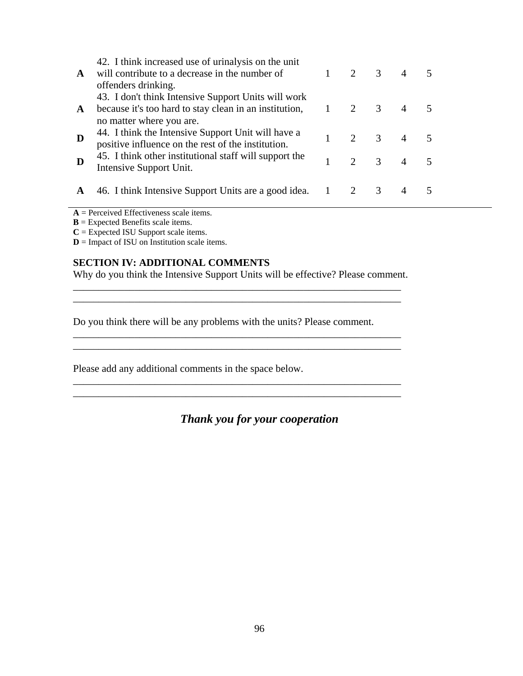| $\mathbf{A}$ | 42. I think increased use of urinalysis on the unit<br>will contribute to a decrease in the number of<br>offenders drinking.                            | $\mathcal{D}_{\mathcal{L}}$ | 3                       | $\overline{4}$ | 5              |  |
|--------------|---------------------------------------------------------------------------------------------------------------------------------------------------------|-----------------------------|-------------------------|----------------|----------------|--|
| $\mathbf{A}$ | 43. I don't think Intensive Support Units will work<br>because it's too hard to stay clean in an institution, $1 \t 2 \t 3$<br>no matter where you are. |                             |                         | $\overline{4}$ | $\overline{5}$ |  |
| D            | 44. I think the Intensive Support Unit will have a<br>positive influence on the rest of the institution.                                                | 2                           | $\overline{3}$          | $\overline{A}$ | $\overline{5}$ |  |
| D            | 45. I think other institutional staff will support the<br>Intensive Support Unit.                                                                       | $\mathcal{D}$               | $\overline{\mathbf{3}}$ | $\overline{4}$ | $\overline{5}$ |  |
| A            | 46. I think Intensive Support Units are a good idea. 1                                                                                                  |                             | 3                       |                |                |  |

**A** = Perceived Effectiveness scale items.

**B** = Expected Benefits scale items.

**C** = Expected ISU Support scale items.

**D** = Impact of ISU on Institution scale items.

## **SECTION IV: ADDITIONAL COMMENTS**

Why do you think the Intensive Support Units will be effective? Please comment. \_\_\_\_\_\_\_\_\_\_\_\_\_\_\_\_\_\_\_\_\_\_\_\_\_\_\_\_\_\_\_\_\_\_\_\_\_\_\_\_\_\_\_\_\_\_\_\_\_\_\_\_\_\_\_\_\_\_\_\_\_\_\_\_

\_\_\_\_\_\_\_\_\_\_\_\_\_\_\_\_\_\_\_\_\_\_\_\_\_\_\_\_\_\_\_\_\_\_\_\_\_\_\_\_\_\_\_\_\_\_\_\_\_\_\_\_\_\_\_\_\_\_\_\_\_\_\_\_

\_\_\_\_\_\_\_\_\_\_\_\_\_\_\_\_\_\_\_\_\_\_\_\_\_\_\_\_\_\_\_\_\_\_\_\_\_\_\_\_\_\_\_\_\_\_\_\_\_\_\_\_\_\_\_\_\_\_\_\_\_\_\_\_ \_\_\_\_\_\_\_\_\_\_\_\_\_\_\_\_\_\_\_\_\_\_\_\_\_\_\_\_\_\_\_\_\_\_\_\_\_\_\_\_\_\_\_\_\_\_\_\_\_\_\_\_\_\_\_\_\_\_\_\_\_\_\_\_

\_\_\_\_\_\_\_\_\_\_\_\_\_\_\_\_\_\_\_\_\_\_\_\_\_\_\_\_\_\_\_\_\_\_\_\_\_\_\_\_\_\_\_\_\_\_\_\_\_\_\_\_\_\_\_\_\_\_\_\_\_\_\_\_ \_\_\_\_\_\_\_\_\_\_\_\_\_\_\_\_\_\_\_\_\_\_\_\_\_\_\_\_\_\_\_\_\_\_\_\_\_\_\_\_\_\_\_\_\_\_\_\_\_\_\_\_\_\_\_\_\_\_\_\_\_\_\_\_

Do you think there will be any problems with the units? Please comment.

Please add any additional comments in the space below.

*Thank you for your cooperation*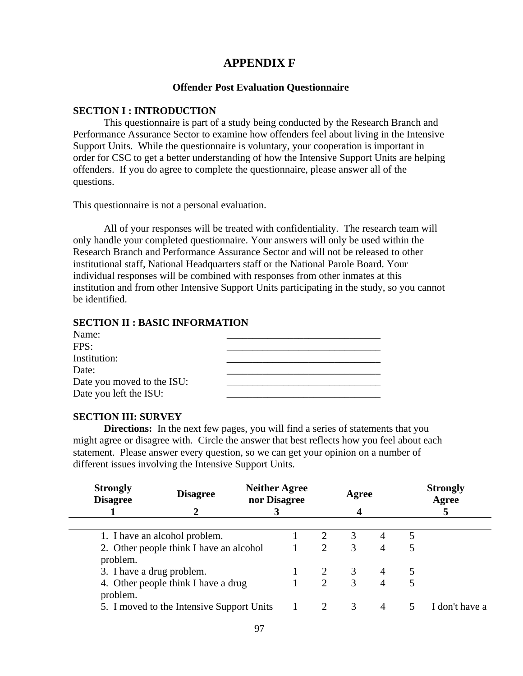## **APPENDIX F**

#### **Offender Post Evaluation Questionnaire**

#### **SECTION I : INTRODUCTION**

This questionnaire is part of a study being conducted by the Research Branch and Performance Assurance Sector to examine how offenders feel about living in the Intensive Support Units. While the questionnaire is voluntary, your cooperation is important in order for CSC to get a better understanding of how the Intensive Support Units are helping offenders. If you do agree to complete the questionnaire, please answer all of the questions.

This questionnaire is not a personal evaluation.

All of your responses will be treated with confidentiality. The research team will only handle your completed questionnaire. Your answers will only be used within the Research Branch and Performance Assurance Sector and will not be released to other institutional staff, National Headquarters staff or the National Parole Board. Your individual responses will be combined with responses from other inmates at this institution and from other Intensive Support Units participating in the study, so you cannot be identified.

#### **SECTION II : BASIC INFORMATION**

#### **SECTION III: SURVEY**

**Directions:** In the next few pages, you will find a series of statements that you might agree or disagree with. Circle the answer that best reflects how you feel about each statement. Please answer every question, so we can get your opinion on a number of different issues involving the Intensive Support Units.

| <b>Strongly</b><br><b>Disagree</b> | <b>Disagree</b>                           |  | <b>Neither Agree</b><br>nor Disagree |                             | Agree |   |   | <b>Strongly</b><br>Agree |
|------------------------------------|-------------------------------------------|--|--------------------------------------|-----------------------------|-------|---|---|--------------------------|
|                                    |                                           |  |                                      |                             |       |   |   |                          |
|                                    | 1. I have an alcohol problem.             |  |                                      | 2                           | 3     |   | 5 |                          |
| problem.                           | 2. Other people think I have an alcohol   |  |                                      | $\mathcal{D}_{\mathcal{L}}$ | 3     |   |   |                          |
| 3. I have a drug problem.          |                                           |  |                                      |                             | 3     | 4 |   |                          |
| problem.                           | 4. Other people think I have a drug       |  |                                      | $\mathcal{D}_{\cdot}$       | 3     |   |   |                          |
|                                    | 5. I moved to the Intensive Support Units |  |                                      |                             | 3     | 4 |   | I don't have a           |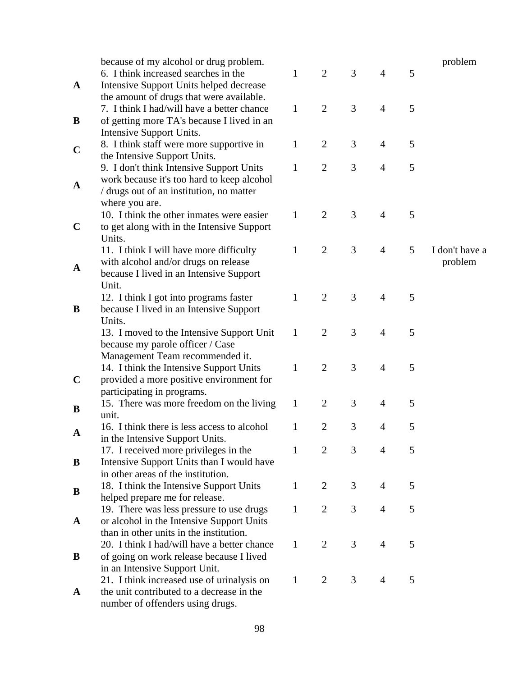|              | because of my alcohol or drug problem.                                     |              |                |   |                |   | problem        |
|--------------|----------------------------------------------------------------------------|--------------|----------------|---|----------------|---|----------------|
|              | 6. I think increased searches in the                                       | $\mathbf{1}$ | $\overline{2}$ | 3 | $\overline{4}$ | 5 |                |
| $\mathbf{A}$ | Intensive Support Units helped decrease                                    |              |                |   |                |   |                |
|              | the amount of drugs that were available.                                   |              |                |   |                |   |                |
|              | 7. I think I had/will have a better chance                                 | $\mathbf{1}$ | $\overline{2}$ | 3 | $\overline{4}$ | 5 |                |
| B            | of getting more TA's because I lived in an                                 |              |                |   |                |   |                |
|              | Intensive Support Units.                                                   |              |                |   |                |   |                |
|              | 8. I think staff were more supportive in                                   | $\mathbf{1}$ | $\overline{2}$ | 3 | $\overline{4}$ | 5 |                |
| $\mathbf C$  | the Intensive Support Units.                                               |              |                |   |                |   |                |
|              | 9. I don't think Intensive Support Units                                   | $\mathbf{1}$ | $\mathbf{2}$   | 3 | $\overline{4}$ | 5 |                |
| $\mathbf A$  | work because it's too hard to keep alcohol                                 |              |                |   |                |   |                |
|              | / drugs out of an institution, no matter                                   |              |                |   |                |   |                |
|              | where you are.                                                             |              |                |   |                |   |                |
|              | 10. I think the other inmates were easier                                  | $\mathbf{1}$ | $\overline{2}$ | 3 | $\overline{4}$ | 5 |                |
| $\mathbf C$  | to get along with in the Intensive Support                                 |              |                |   |                |   |                |
|              | Units.                                                                     |              |                |   |                |   |                |
|              | 11. I think I will have more difficulty                                    | $\mathbf{1}$ | $\mathbf{2}$   | 3 | $\overline{4}$ | 5 | I don't have a |
| $\mathbf{A}$ | with alcohol and/or drugs on release                                       |              |                |   |                |   | problem        |
|              | because I lived in an Intensive Support                                    |              |                |   |                |   |                |
|              | Unit.                                                                      |              |                |   |                |   |                |
|              | 12. I think I got into programs faster                                     | $\mathbf{1}$ | $\overline{2}$ | 3 | $\overline{4}$ | 5 |                |
| B            | because I lived in an Intensive Support                                    |              |                |   |                |   |                |
|              | Units.                                                                     |              |                |   |                |   |                |
|              | 13. I moved to the Intensive Support Unit                                  | $\mathbf{1}$ | $\overline{2}$ | 3 | $\overline{4}$ | 5 |                |
|              | because my parole officer / Case                                           |              |                |   |                |   |                |
|              | Management Team recommended it.<br>14. I think the Intensive Support Units | $\mathbf{1}$ | $\overline{2}$ | 3 | $\overline{4}$ | 5 |                |
| $\mathbf C$  | provided a more positive environment for                                   |              |                |   |                |   |                |
|              | participating in programs.                                                 |              |                |   |                |   |                |
|              | 15. There was more freedom on the living                                   | $\mathbf{1}$ | $\overline{2}$ | 3 | 4              | 5 |                |
| B            | unit.                                                                      |              |                |   |                |   |                |
|              | 16. I think there is less access to alcohol                                | 1            | $\overline{2}$ | 3 | 4              | 5 |                |
| A            | in the Intensive Support Units.                                            |              |                |   |                |   |                |
|              | 17. I received more privileges in the                                      | 1            | $\overline{2}$ | 3 | 4              | 5 |                |
| B            | Intensive Support Units than I would have                                  |              |                |   |                |   |                |
|              | in other areas of the institution.                                         |              |                |   |                |   |                |
|              | 18. I think the Intensive Support Units                                    | $\mathbf{1}$ | $\overline{2}$ | 3 | $\overline{4}$ | 5 |                |
| B            | helped prepare me for release.                                             |              |                |   |                |   |                |
|              | 19. There was less pressure to use drugs                                   | $\mathbf{1}$ | $\overline{2}$ | 3 | 4              | 5 |                |
| A            | or alcohol in the Intensive Support Units                                  |              |                |   |                |   |                |
|              | than in other units in the institution.                                    |              |                |   |                |   |                |
|              | 20. I think I had/will have a better chance                                | 1            | $\overline{2}$ | 3 | $\overline{4}$ | 5 |                |
| B            | of going on work release because I lived                                   |              |                |   |                |   |                |
|              | in an Intensive Support Unit.                                              |              |                |   |                |   |                |
|              | 21. I think increased use of urinalysis on                                 | 1            | $\overline{2}$ | 3 | 4              | 5 |                |
| $\mathbf{A}$ | the unit contributed to a decrease in the                                  |              |                |   |                |   |                |
|              | number of offenders using drugs.                                           |              |                |   |                |   |                |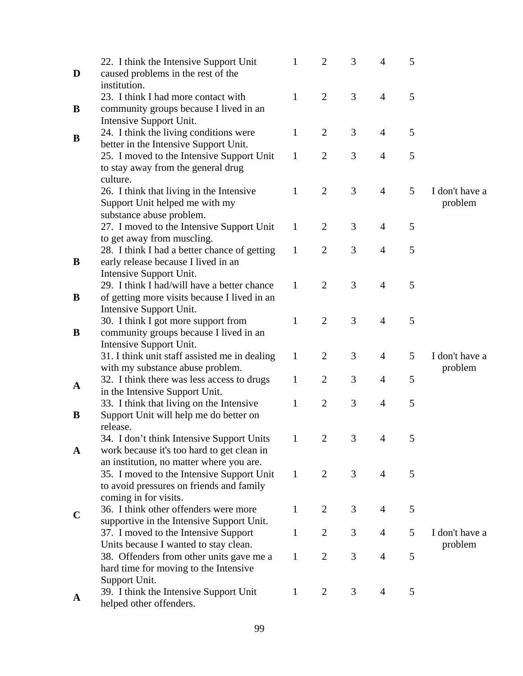|              | 22. I think the Intensive Support Unit                                                | 1            | $\overline{2}$ | 3              | 4              | 5 |                |
|--------------|---------------------------------------------------------------------------------------|--------------|----------------|----------------|----------------|---|----------------|
| D            | caused problems in the rest of the                                                    |              |                |                |                |   |                |
|              | institution.                                                                          |              |                |                |                |   |                |
|              | 23. I think I had more contact with                                                   | $\mathbf{1}$ | $\overline{2}$ | 3              | $\overline{4}$ | 5 |                |
| B            | community groups because I lived in an                                                |              |                |                |                |   |                |
|              | Intensive Support Unit.                                                               |              |                |                |                |   |                |
| B            | 24. I think the living conditions were                                                | $\mathbf{1}$ | $\overline{2}$ | 3              | $\overline{4}$ | 5 |                |
|              | better in the Intensive Support Unit.                                                 |              |                |                |                |   |                |
|              | 25. I moved to the Intensive Support Unit                                             | $\mathbf{1}$ | $\overline{2}$ | 3              | 4              | 5 |                |
|              | to stay away from the general drug                                                    |              |                |                |                |   |                |
|              | culture.                                                                              |              |                |                |                |   |                |
|              | 26. I think that living in the Intensive                                              | 1            | $\overline{2}$ | 3              | $\overline{4}$ | 5 | I don't have a |
|              | Support Unit helped me with my                                                        |              |                |                |                |   | problem        |
|              | substance abuse problem.                                                              |              |                |                |                |   |                |
|              | 27. I moved to the Intensive Support Unit                                             | $\mathbf{1}$ | $\overline{2}$ | 3              | 4              | 5 |                |
|              | to get away from muscling.                                                            | $\mathbf{1}$ | $\overline{2}$ | 3              | $\overline{4}$ | 5 |                |
| B            | 28. I think I had a better chance of getting<br>early release because I lived in an   |              |                |                |                |   |                |
|              | Intensive Support Unit.                                                               |              |                |                |                |   |                |
|              | 29. I think I had/will have a better chance                                           | $\mathbf{1}$ | $\overline{2}$ | 3              | $\overline{4}$ | 5 |                |
| B            | of getting more visits because I lived in an                                          |              |                |                |                |   |                |
|              | Intensive Support Unit.                                                               |              |                |                |                |   |                |
|              | 30. I think I got more support from                                                   | $\mathbf{1}$ | $\overline{2}$ | 3              | $\overline{4}$ | 5 |                |
| B            | community groups because I lived in an                                                |              |                |                |                |   |                |
|              | Intensive Support Unit.                                                               |              |                |                |                |   |                |
|              | 31. I think unit staff assisted me in dealing                                         | $\mathbf{1}$ | $\overline{2}$ | 3              | $\overline{4}$ | 5 | I don't have a |
|              | with my substance abuse problem.                                                      |              |                |                |                |   | problem        |
| $\mathbf A$  | 32. I think there was less access to drugs                                            | 1            | $\overline{2}$ | 3              | 4              | 5 |                |
|              | in the Intensive Support Unit.                                                        |              |                |                |                |   |                |
|              | 33. I think that living on the Intensive                                              | 1            | $\overline{2}$ | 3              | 4              | 5 |                |
| B            | Support Unit will help me do better on                                                |              |                |                |                |   |                |
|              | release.                                                                              |              |                |                |                |   |                |
|              | 34. I don't think Intensive Support Units                                             | $\mathbf{1}$ | $\overline{2}$ | $\mathfrak{Z}$ | $\overline{4}$ | 5 |                |
| $\mathbf{A}$ | work because it's too hard to get clean in                                            |              |                |                |                |   |                |
|              | an institution, no matter where you are.<br>35. I moved to the Intensive Support Unit | $\mathbf{1}$ | $\overline{2}$ | 3              | $\overline{4}$ | 5 |                |
|              | to avoid pressures on friends and family                                              |              |                |                |                |   |                |
|              | coming in for visits.                                                                 |              |                |                |                |   |                |
|              | 36. I think other offenders were more                                                 | $\mathbf{1}$ | $\overline{2}$ | 3              | 4              | 5 |                |
| $\mathbf C$  | supportive in the Intensive Support Unit.                                             |              |                |                |                |   |                |
|              | 37. I moved to the Intensive Support                                                  | $\mathbf{1}$ | $\overline{2}$ | 3              | 4              | 5 | I don't have a |
|              | Units because I wanted to stay clean.                                                 |              |                |                |                |   | problem        |
|              | 38. Offenders from other units gave me a                                              | $\mathbf{1}$ | $\overline{2}$ | 3              | 4              | 5 |                |
|              | hard time for moving to the Intensive                                                 |              |                |                |                |   |                |
|              | Support Unit.                                                                         |              |                |                |                |   |                |
| A            | 39. I think the Intensive Support Unit                                                | $\mathbf{1}$ | $\overline{2}$ | 3              | 4              | 5 |                |
|              | helped other offenders.                                                               |              |                |                |                |   |                |
|              |                                                                                       |              |                |                |                |   |                |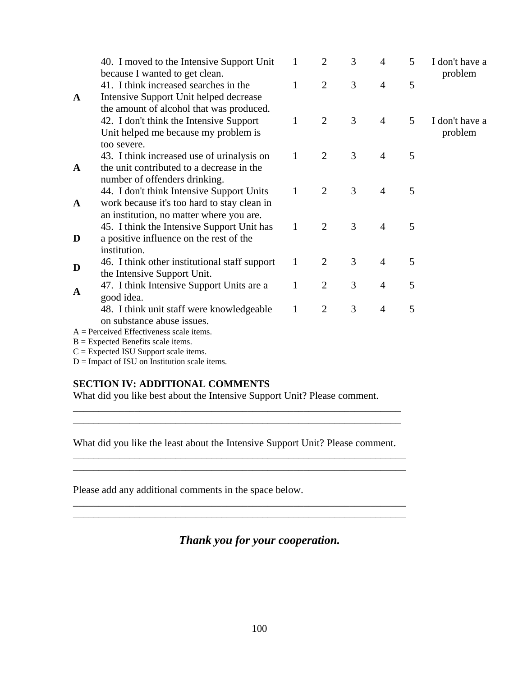|              | 40. I moved to the Intensive Support Unit<br>because I wanted to get clean.                                                       | 1            | $\overline{2}$ | 3 | $\overline{4}$ | 5 | I don't have a<br>problem |
|--------------|-----------------------------------------------------------------------------------------------------------------------------------|--------------|----------------|---|----------------|---|---------------------------|
| $\mathbf{A}$ | 41. I think increased searches in the<br>Intensive Support Unit helped decrease<br>the amount of alcohol that was produced.       | $\mathbf{1}$ | $\overline{2}$ | 3 | $\overline{4}$ | 5 |                           |
|              | 42. I don't think the Intensive Support<br>Unit helped me because my problem is<br>too severe.                                    | $\mathbf{1}$ | $\overline{2}$ | 3 | $\overline{4}$ | 5 | I don't have a<br>problem |
| $\mathbf{A}$ | 43. I think increased use of urinalysis on<br>the unit contributed to a decrease in the<br>number of offenders drinking.          | $\mathbf{1}$ | 2              | 3 | $\overline{4}$ | 5 |                           |
| $\mathbf{A}$ | 44. I don't think Intensive Support Units<br>work because it's too hard to stay clean in                                          | $\mathbf{1}$ | 2              | 3 | $\overline{4}$ | 5 |                           |
| D            | an institution, no matter where you are.<br>45. I think the Intensive Support Unit has<br>a positive influence on the rest of the | $\mathbf{1}$ | $\overline{2}$ | 3 | $\overline{4}$ | 5 |                           |
| D            | institution.<br>46. I think other institutional staff support<br>the Intensive Support Unit.                                      | $\mathbf{1}$ | 2              | 3 | $\overline{4}$ | 5 |                           |
| $\mathbf{A}$ | 47. I think Intensive Support Units are a<br>good idea.                                                                           | $\mathbf{1}$ | $\overline{2}$ | 3 | $\overline{4}$ | 5 |                           |
|              | 48. I think unit staff were knowledgeable<br>on substance abuse issues.                                                           | $\mathbf{1}$ | $\overline{2}$ | 3 | $\overline{4}$ | 5 |                           |

A = Perceived Effectiveness scale items.

B = Expected Benefits scale items.

 $C =$  Expected ISU Support scale items.

 $D =$  Impact of ISU on Institution scale items.

#### **SECTION IV: ADDITIONAL COMMENTS**

What did you like best about the Intensive Support Unit? Please comment.

What did you like the least about the Intensive Support Unit? Please comment.

\_\_\_\_\_\_\_\_\_\_\_\_\_\_\_\_\_\_\_\_\_\_\_\_\_\_\_\_\_\_\_\_\_\_\_\_\_\_\_\_\_\_\_\_\_\_\_\_\_\_\_\_\_\_\_\_\_\_\_\_\_\_\_\_\_ \_\_\_\_\_\_\_\_\_\_\_\_\_\_\_\_\_\_\_\_\_\_\_\_\_\_\_\_\_\_\_\_\_\_\_\_\_\_\_\_\_\_\_\_\_\_\_\_\_\_\_\_\_\_\_\_\_\_\_\_\_\_\_\_\_

\_\_\_\_\_\_\_\_\_\_\_\_\_\_\_\_\_\_\_\_\_\_\_\_\_\_\_\_\_\_\_\_\_\_\_\_\_\_\_\_\_\_\_\_\_\_\_\_\_\_\_\_\_\_\_\_\_\_\_\_\_\_\_\_\_ \_\_\_\_\_\_\_\_\_\_\_\_\_\_\_\_\_\_\_\_\_\_\_\_\_\_\_\_\_\_\_\_\_\_\_\_\_\_\_\_\_\_\_\_\_\_\_\_\_\_\_\_\_\_\_\_\_\_\_\_\_\_\_\_\_

\_\_\_\_\_\_\_\_\_\_\_\_\_\_\_\_\_\_\_\_\_\_\_\_\_\_\_\_\_\_\_\_\_\_\_\_\_\_\_\_\_\_\_\_\_\_\_\_\_\_\_\_\_\_\_\_\_\_\_\_\_\_\_\_ \_\_\_\_\_\_\_\_\_\_\_\_\_\_\_\_\_\_\_\_\_\_\_\_\_\_\_\_\_\_\_\_\_\_\_\_\_\_\_\_\_\_\_\_\_\_\_\_\_\_\_\_\_\_\_\_\_\_\_\_\_\_\_\_

Please add any additional comments in the space below.

## *Thank you for your cooperation.*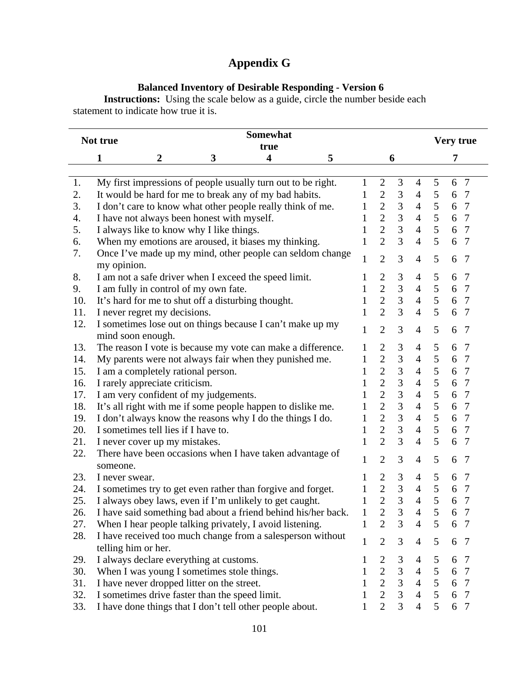# **Appendix G**

### **Balanced Inventory of Desirable Responding - Version 6**

**Instructions:** Using the scale below as a guide, circle the number beside each statement to indicate how true it is.

|     | Somewhat<br>Not true<br>true                                                      |              |                                  |                                  |                |   | Very true            |
|-----|-----------------------------------------------------------------------------------|--------------|----------------------------------|----------------------------------|----------------|---|----------------------|
|     | 1<br>$\overline{\mathbf{4}}$<br>$\boldsymbol{2}$<br>3<br>5                        |              |                                  | 6                                |                |   | 7                    |
|     |                                                                                   |              |                                  |                                  |                |   |                      |
| 1.  | My first impressions of people usually turn out to be right.                      | 1            | $\mathfrak{2}$                   | 3                                | 4              | 5 | $7\phantom{.0}$<br>6 |
| 2.  | It would be hard for me to break any of my bad habits.                            | 1            | $\overline{2}$                   | $\mathfrak{Z}$                   | $\overline{4}$ | 5 | 6<br>7               |
| 3.  | I don't care to know what other people really think of me.                        | 1            | $\overline{2}$                   | $\mathfrak{Z}$                   | $\overline{4}$ | 5 | 6 7                  |
| 4.  | I have not always been honest with myself.                                        | 1            | $\overline{2}$                   | $\overline{3}$                   | $\overline{4}$ | 5 | 6<br>$7\phantom{.0}$ |
| 5.  | I always like to know why I like things.                                          | 1            | $\overline{2}$                   | 3                                | $\overline{4}$ | 5 | $\overline{7}$<br>6  |
| 6.  | When my emotions are aroused, it biases my thinking.                              | 1            | $\overline{2}$                   | $\overline{3}$                   | $\overline{4}$ | 5 | 6<br>7               |
| 7.  | Once I've made up my mind, other people can seldom change<br>my opinion.          | $\mathbf{1}$ | $\overline{2}$                   | 3                                | $\overline{4}$ | 5 | 6<br>7               |
| 8.  | I am not a safe driver when I exceed the speed limit.                             | 1            | $\overline{2}$                   | $\mathfrak{Z}$                   | $\overline{4}$ | 5 | 6<br>7               |
| 9.  | I am fully in control of my own fate.                                             | 1            | $\overline{2}$                   | $\ensuremath{\mathfrak{Z}}$      | $\overline{4}$ | 5 | 6<br>$\overline{7}$  |
| 10. | It's hard for me to shut off a disturbing thought.                                | 1            | $\overline{2}$                   | 3                                | $\overline{4}$ | 5 | $\overline{7}$<br>6  |
| 11. | I never regret my decisions.                                                      | 1            | $\overline{2}$                   | 3                                | $\overline{4}$ | 5 | 6<br>7               |
| 12. | I sometimes lose out on things because I can't make up my                         |              |                                  |                                  |                |   |                      |
|     | mind soon enough.                                                                 | $\mathbf{1}$ | $\overline{2}$                   | 3                                | $\overline{4}$ | 5 | 6<br>7               |
| 13. | The reason I vote is because my vote can make a difference.                       | 1            | $\overline{2}$                   | 3                                | $\overline{4}$ | 5 | 6<br>7               |
| 14. | My parents were not always fair when they punished me.                            | 1            | $\overline{2}$                   | $\mathfrak{Z}$                   | $\overline{4}$ | 5 | 6<br>$\overline{7}$  |
| 15. | I am a completely rational person.                                                | 1            | $\overline{2}$                   | $\overline{3}$                   | $\overline{4}$ | 5 | 6<br>$\overline{7}$  |
| 16. | I rarely appreciate criticism.                                                    | 1            | $\overline{2}$                   | $\overline{3}$                   | $\overline{4}$ | 5 | 6<br>7               |
| 17. | I am very confident of my judgements.                                             | 1            | $\overline{2}$                   | $\overline{3}$                   | $\overline{4}$ | 5 | 6<br>$7\phantom{.0}$ |
| 18. | It's all right with me if some people happen to dislike me.                       | 1            | $\overline{2}$                   | $\overline{3}$                   | $\overline{4}$ | 5 | 6<br>$\overline{7}$  |
| 19. | I don't always know the reasons why I do the things I do.                         | 1            | $\overline{2}$                   | 3                                | $\overline{4}$ | 5 | $\overline{7}$<br>6  |
| 20. | I sometimes tell lies if I have to.                                               | 1            | $\overline{2}$                   | 3                                | $\overline{4}$ | 5 | $7\phantom{.0}$<br>6 |
| 21. | I never cover up my mistakes.                                                     | 1            | $\overline{2}$                   | 3                                | $\overline{4}$ | 5 | 6<br>7               |
| 22. | There have been occasions when I have taken advantage of                          | 1            | $\overline{2}$                   | 3                                | $\overline{4}$ | 5 | 6<br>7               |
| 23. | someone.                                                                          |              |                                  |                                  |                | 5 | 6<br>7               |
|     | I never swear.                                                                    | 1            | $\mathbf{2}$                     | 3                                | $\overline{4}$ |   |                      |
| 24. | I sometimes try to get even rather than forgive and forget.                       | 1            | $\overline{c}$<br>$\overline{2}$ | $\mathfrak{Z}$<br>$\overline{3}$ | $\overline{4}$ | 5 | 6<br>7               |
| 25. | I always obey laws, even if I'm unlikely to get caught.                           | 1            |                                  |                                  | $\overline{4}$ | 5 | 6<br>7               |
| 26. | I have said something bad about a friend behind his/her back.                     | $\mathbf{1}$ | 2                                | 3                                | $\overline{4}$ | 5 | 6<br>7               |
| 27. | When I hear people talking privately, I avoid listening.                          | 1            | $\overline{2}$                   | 3                                | $\overline{4}$ | 5 | 6<br>7               |
| 28. | I have received too much change from a salesperson without<br>telling him or her. | 1            | $\overline{2}$                   | 3                                | $\overline{4}$ | 5 | 6<br>7               |
| 29. | I always declare everything at customs.                                           |              | $\overline{2}$                   | 3                                | $\overline{4}$ | 5 | 6<br>7               |
| 30. | When I was young I sometimes stole things.                                        | 1            | $\overline{2}$                   | 3                                | $\overline{4}$ | 5 | 6<br>$\tau$          |
| 31. | I have never dropped litter on the street.                                        |              | $\overline{2}$                   | $\overline{3}$                   | $\overline{4}$ | 5 | 6<br>7               |
| 32. | I sometimes drive faster than the speed limit.                                    |              | $\overline{2}$                   | 3                                | $\overline{4}$ | 5 | 6<br>7               |
| 33. | I have done things that I don't tell other people about.                          |              | $\overline{2}$                   | 3                                | $\overline{4}$ | 5 | 6<br>$\overline{7}$  |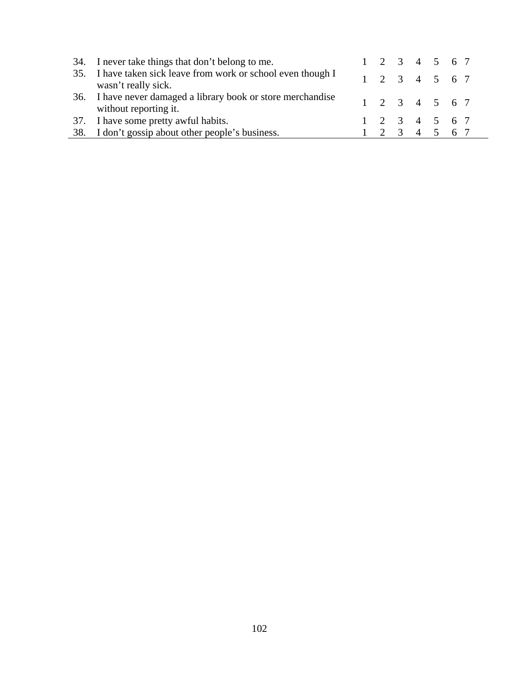| 34. I never take things that don't belong to me.                                      |  |  | $1 \t2 \t3 \t4 \t5 \t6 \t7$ |  |
|---------------------------------------------------------------------------------------|--|--|-----------------------------|--|
| 35. I have taken sick leave from work or school even though I<br>wasn't really sick.  |  |  | $1 \t2 \t3 \t4 \t5 \t6 \t7$ |  |
| 36. I have never damaged a library book or store merchandise<br>without reporting it. |  |  | $1 \t2 \t3 \t4 \t5 \t6 \t7$ |  |
| 37. I have some pretty awful habits.                                                  |  |  | $1 \t2 \t3 \t4 \t5 \t6 \t7$ |  |
| 38. I don't gossip about other people's business.                                     |  |  | $1 \t2 \t3 \t4 \t5 \t6 \t7$ |  |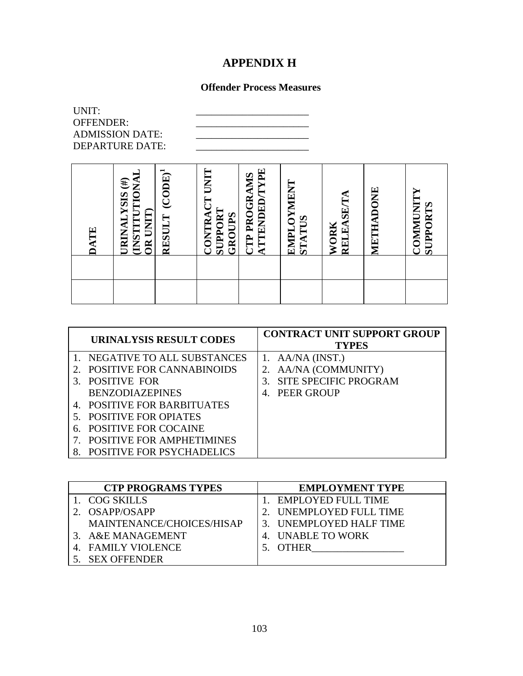## **APPENDIX H**

## **Offender Process Measures**

| UNIT:<br>OFFENDER: | <b>ADMISSION DATE:</b><br><b>DEPARTURE DATE:</b>                                                   |                                      |                                                          |                                             |                      |                    |           |                                    |
|--------------------|----------------------------------------------------------------------------------------------------|--------------------------------------|----------------------------------------------------------|---------------------------------------------|----------------------|--------------------|-----------|------------------------------------|
| <b>DATE</b>        | $\mathbf{f}$<br>TION<br><b>SISX</b><br>UNIT<br><b>TIMETTE</b><br>URINAI<br>$\overline{\mathbf{g}}$ | $\mathrm{(CODE)}^1$<br><b>RESULT</b> | <b>UNIT</b><br><b>SUPPORT</b><br><b>CONTRA</b><br>GROUPS | <b>ATTENDED/TYPE</b><br><b>CTP PROGRAMS</b> | EMPLOYMENT<br>STATUS | RELEASE/TA<br>WORK | METHADONE | <b>COMMUNIT</b><br><b>SUPPORTS</b> |
|                    |                                                                                                    |                                      |                                                          |                                             |                      |                    |           |                                    |
|                    |                                                                                                    |                                      |                                                          |                                             |                      |                    |           |                                    |

|    | <b>URINALYSIS RESULT CODES</b>   | <b>CONTRACT UNIT SUPPORT GROUP</b><br><b>TYPES</b> |
|----|----------------------------------|----------------------------------------------------|
|    | 1. NEGATIVE TO ALL SUBSTANCES    | 1. $AA/NA$ (INST.)                                 |
|    | <b>POSITIVE FOR CANNABINOIDS</b> | 2. AA/NA (COMMUNITY)                               |
|    | <b>POSITIVE FOR</b>              | <b>SITE SPECIFIC PROGRAM</b><br>$3_{-}$            |
|    | <b>BENZODIAZEPINES</b>           | <b>PEER GROUP</b><br>4.                            |
|    | 4. POSITIVE FOR BARBITUATES      |                                                    |
|    | <b>POSITIVE FOR OPIATES</b>      |                                                    |
| 6. | <b>POSITIVE FOR COCAINE</b>      |                                                    |
|    | <b>POSITIVE FOR AMPHETIMINES</b> |                                                    |
|    | <b>POSITIVE FOR PSYCHADELICS</b> |                                                    |

| <b>CTP PROGRAMS TYPES</b> | <b>EMPLOYMENT TYPE</b>  |
|---------------------------|-------------------------|
| 1.   COG SKILLS           | 1. EMPLOYED FULL TIME   |
| OSAPP/OSAPP               | 2. UNEMPLOYED FULL TIME |
| MAINTENANCE/CHOICES/HISAP | 3. UNEMPLOYED HALF TIME |
| 3. A&E MANAGEMENT         | 4. UNABLE TO WORK       |
| <b>FAMILY VIOLENCE</b>    | <b>OTHER</b>            |
| <b>SEX OFFENDER</b>       |                         |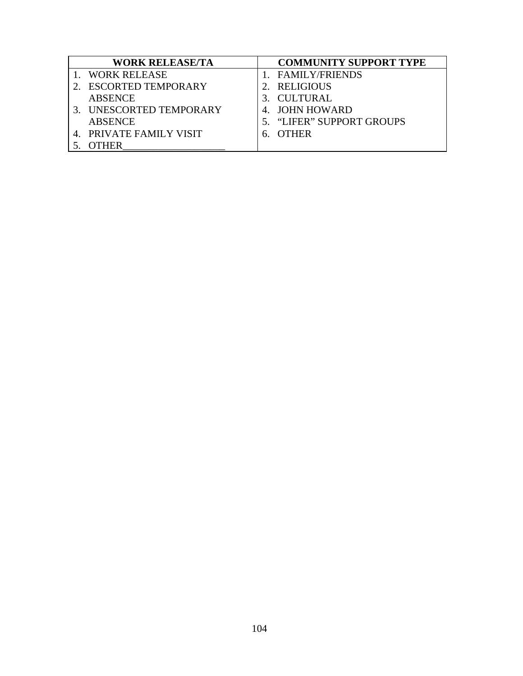| <b>WORK RELEASE/TA</b>    | <b>COMMUNITY SUPPORT TYPE</b> |
|---------------------------|-------------------------------|
| <b>WORK RELEASE</b>       | <b>FAMILY/FRIENDS</b>         |
| <b>ESCORTED TEMPORARY</b> | RELIGIOUS                     |
| <b>ABSENCE</b>            | CULTURAL                      |
| UNESCORTED TEMPORARY      | 4. JOHN HOWARD                |
| <b>ABSENCE</b>            | 5. "LIFER" SUPPORT GROUPS     |
| 4. PRIVATE FAMILY VISIT   | <b>OTHER</b>                  |
| FHER                      |                               |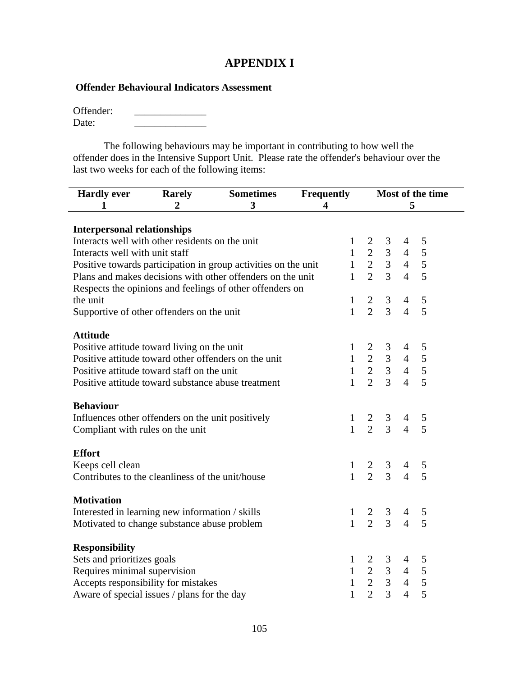## **APPENDIX I**

### **Offender Behavioural Indicators Assessment**

| Offender: |  |
|-----------|--|
| Date:     |  |

The following behaviours may be important in contributing to how well the offender does in the Intensive Support Unit. Please rate the offender's behaviour over the last two weeks for each of the following items:

| <b>Hardly ever</b>                                                                                                     | <b>Rarely</b> | <b>Sometimes</b>                                               | Frequently |              |                                                         |                |                     | Most of the time |
|------------------------------------------------------------------------------------------------------------------------|---------------|----------------------------------------------------------------|------------|--------------|---------------------------------------------------------|----------------|---------------------|------------------|
| 1                                                                                                                      | 3<br>4<br>2   |                                                                |            |              |                                                         |                | 5                   |                  |
|                                                                                                                        |               |                                                                |            |              |                                                         |                |                     |                  |
| <b>Interpersonal relationships</b>                                                                                     |               |                                                                |            |              |                                                         |                |                     |                  |
| Interacts well with other residents on the unit                                                                        |               |                                                                |            | 1            |                                                         | 3              | 4                   | 5                |
| Interacts well with unit staff                                                                                         |               |                                                                |            |              | $1 \quad 2$                                             | 3 <sup>1</sup> | $\overline{4}$      | 5                |
|                                                                                                                        |               | Positive towards participation in group activities on the unit |            |              | $1 \t2 \t3 \t4$                                         |                |                     | 5                |
|                                                                                                                        |               | Plans and makes decisions with other offenders on the unit     |            | $\mathbf{1}$ | $\overline{2}$                                          | 3 <sup>1</sup> | $\overline{4}$      | 5                |
|                                                                                                                        |               | Respects the opinions and feelings of other offenders on       |            |              |                                                         |                |                     |                  |
| the unit                                                                                                               |               |                                                                |            | $\mathbf{1}$ | $\overline{2}$                                          | $\mathfrak{Z}$ | $\overline{4}$      | $\mathfrak{S}$   |
| Supportive of other offenders on the unit                                                                              |               |                                                                |            | $\mathbf{1}$ | $\overline{2}$                                          | $\overline{3}$ | $\overline{4}$      | 5                |
|                                                                                                                        |               |                                                                |            |              |                                                         |                |                     |                  |
| <b>Attitude</b>                                                                                                        |               |                                                                |            |              |                                                         |                |                     |                  |
| Positive attitude toward living on the unit                                                                            |               |                                                                |            | 1            |                                                         | 3              | $\overline{4}$      | 5                |
| Positive attitude toward other offenders on the unit                                                                   |               |                                                                |            |              |                                                         |                | $\overline{4}$      | 5                |
| Positive attitude toward staff on the unit                                                                             |               |                                                                |            |              | $\begin{array}{ccc} 1 & 2 & 3 \\ 1 & 2 & 3 \end{array}$ |                | 4                   | 5                |
| Positive attitude toward substance abuse treatment                                                                     |               |                                                                |            | $\mathbf{1}$ | $\mathfrak{D}$                                          | $\overline{3}$ | $\overline{4}$      | 5                |
|                                                                                                                        |               |                                                                |            |              |                                                         |                |                     |                  |
| <b>Behaviour</b>                                                                                                       |               |                                                                |            |              |                                                         |                |                     |                  |
| Influences other offenders on the unit positively                                                                      |               |                                                                |            | $\mathbf{1}$ |                                                         | $\mathfrak{Z}$ | 4                   | 5                |
| Compliant with rules on the unit                                                                                       |               |                                                                |            | $\mathbf{1}$ | $\frac{2}{2}$                                           | $\overline{3}$ | $\overline{4}$      | 5                |
|                                                                                                                        |               |                                                                |            |              |                                                         |                |                     |                  |
| <b>Effort</b>                                                                                                          |               |                                                                |            |              |                                                         |                |                     |                  |
| Keeps cell clean                                                                                                       |               |                                                                |            | $\mathbf{1}$ | 2                                                       | 3              | 4                   | 5                |
| Contributes to the cleanliness of the unit/house                                                                       |               |                                                                |            | $\mathbf{1}$ | $\overline{2}$                                          | $\overline{3}$ | $\overline{4}$      | 5                |
|                                                                                                                        |               |                                                                |            |              |                                                         |                |                     |                  |
| <b>Motivation</b>                                                                                                      |               |                                                                |            |              |                                                         |                |                     |                  |
| Interested in learning new information / skills                                                                        |               |                                                                |            | $\mathbf{1}$ | 2                                                       | $\mathbf{3}$   | 4                   | 5                |
| $\overline{2}$<br>$\overline{3}$<br>$\mathbf{1}$<br>5<br>$\overline{4}$<br>Motivated to change substance abuse problem |               |                                                                |            |              |                                                         |                |                     |                  |
| <b>Responsibility</b>                                                                                                  |               |                                                                |            |              |                                                         |                |                     |                  |
| Sets and prioritizes goals                                                                                             |               |                                                                |            | 1            |                                                         | 3 <sup>7</sup> | 4                   | 5                |
| Requires minimal supervision                                                                                           |               |                                                                |            | 1            |                                                         |                | $2 \quad 3 \quad 4$ | 5                |
| Accepts responsibility for mistakes                                                                                    |               |                                                                |            | $\mathbf{1}$ | $\overline{2}$                                          | 3 <sup>1</sup> | 4                   | 5                |
| Aware of special issues / plans for the day                                                                            |               |                                                                |            | 1            | $\overline{2}$                                          | $\overline{3}$ | $\overline{4}$      | $\overline{5}$   |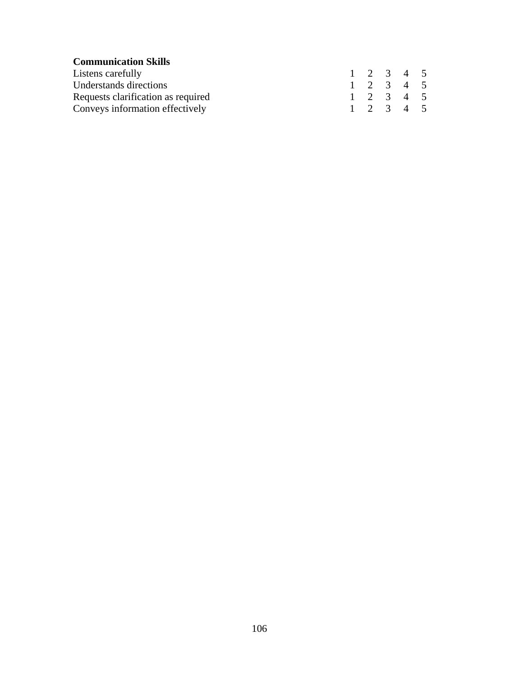| <b>Communication Skills</b>        |  |                     |  |
|------------------------------------|--|---------------------|--|
| Listens carefully                  |  | $1 \t2 \t3 \t4 \t5$ |  |
| Understands directions             |  | $1 \t2 \t3 \t4 \t5$ |  |
| Requests clarification as required |  | $1 \t2 \t3 \t4 \t5$ |  |
| Conveys information effectively    |  | $1 \t2 \t3 \t4 \t5$ |  |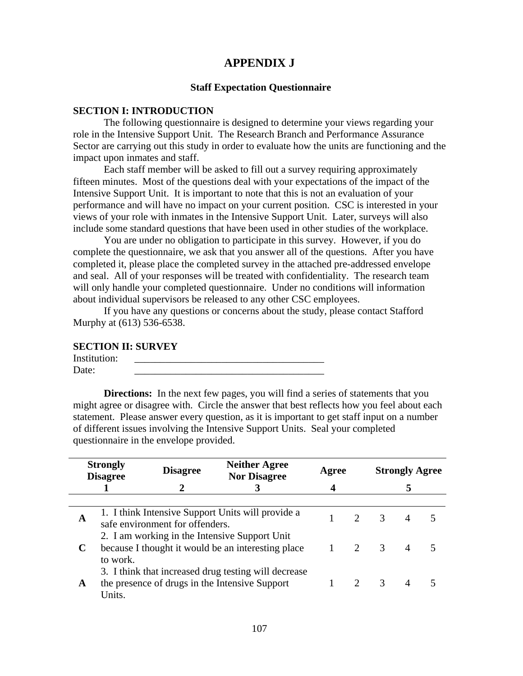## **APPENDIX J**

#### **Staff Expectation Questionnaire**

#### **SECTION I: INTRODUCTION**

The following questionnaire is designed to determine your views regarding your role in the Intensive Support Unit. The Research Branch and Performance Assurance Sector are carrying out this study in order to evaluate how the units are functioning and the impact upon inmates and staff.

Each staff member will be asked to fill out a survey requiring approximately fifteen minutes. Most of the questions deal with your expectations of the impact of the Intensive Support Unit. It is important to note that this is not an evaluation of your performance and will have no impact on your current position. CSC is interested in your views of your role with inmates in the Intensive Support Unit. Later, surveys will also include some standard questions that have been used in other studies of the workplace.

You are under no obligation to participate in this survey. However, if you do complete the questionnaire, we ask that you answer all of the questions. After you have completed it, please place the completed survey in the attached pre-addressed envelope and seal. All of your responses will be treated with confidentiality. The research team will only handle your completed questionnaire. Under no conditions will information about individual supervisors be released to any other CSC employees.

If you have any questions or concerns about the study, please contact Stafford Murphy at (613) 536-6538.

#### **SECTION II: SURVEY**

| Institution: |  |
|--------------|--|
| Date:        |  |

**Directions:** In the next few pages, you will find a series of statements that you might agree or disagree with. Circle the answer that best reflects how you feel about each statement. Please answer every question, as it is important to get staff input on a number of different issues involving the Intensive Support Units. Seal your completed questionnaire in the envelope provided.

|   | <b>Strongly</b><br><b>Disagree</b>                                                                                                               | <b>Disagree</b>                 | <b>Neither Agree</b><br><b>Nor Disagree</b>                                                            | Agree |                             |               | <b>Strongly Agree</b> |  |
|---|--------------------------------------------------------------------------------------------------------------------------------------------------|---------------------------------|--------------------------------------------------------------------------------------------------------|-------|-----------------------------|---------------|-----------------------|--|
|   |                                                                                                                                                  |                                 | 3                                                                                                      | 4     |                             |               |                       |  |
|   |                                                                                                                                                  |                                 |                                                                                                        |       |                             |               |                       |  |
| A |                                                                                                                                                  | safe environment for offenders. | 1. I think Intensive Support Units will provide a                                                      |       | $\mathcal{D}_{\mathcal{L}}$ | $\mathcal{R}$ |                       |  |
|   | 2. I am working in the Intensive Support Unit<br>because I thought it would be an interesting place<br>2<br>$\overline{\mathcal{E}}$<br>to work. |                                 |                                                                                                        |       |                             |               |                       |  |
| A | Units.                                                                                                                                           |                                 | 3. I think that increased drug testing will decrease<br>the presence of drugs in the Intensive Support |       |                             | $\mathcal{R}$ |                       |  |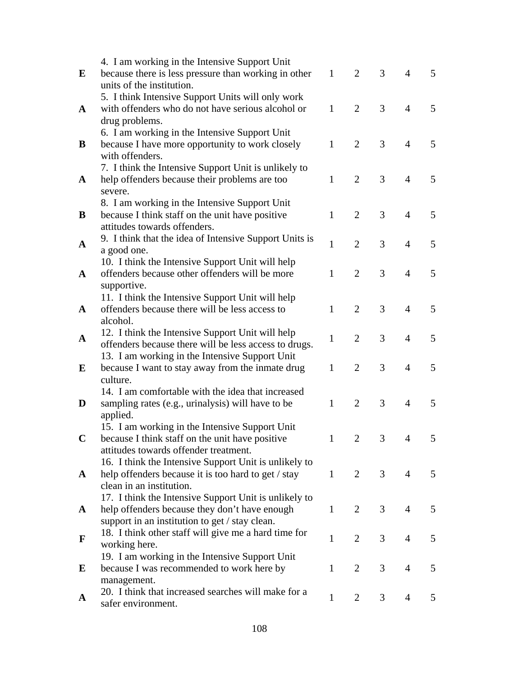|              | 4. I am working in the Intensive Support Unit                                            |              |                |                |                |   |
|--------------|------------------------------------------------------------------------------------------|--------------|----------------|----------------|----------------|---|
| E            | because there is less pressure than working in other                                     | $\mathbf{1}$ | 2              | 3              | 4              | 5 |
|              | units of the institution.                                                                |              |                |                |                |   |
|              | 5. I think Intensive Support Units will only work                                        |              |                |                |                |   |
| $\mathbf{A}$ | with offenders who do not have serious alcohol or                                        | $\mathbf{1}$ | $\overline{2}$ | 3              | $\overline{4}$ | 5 |
|              | drug problems.                                                                           |              |                |                |                |   |
|              | 6. I am working in the Intensive Support Unit                                            |              |                |                |                |   |
| B            | because I have more opportunity to work closely                                          | $\mathbf{1}$ | $\overline{2}$ | 3              | $\overline{4}$ | 5 |
|              | with offenders.                                                                          |              |                |                |                |   |
|              | 7. I think the Intensive Support Unit is unlikely to                                     |              |                |                |                |   |
| A            | help offenders because their problems are too                                            | $\mathbf{1}$ | $\overline{2}$ | 3              | $\overline{4}$ | 5 |
|              | severe.                                                                                  |              |                |                |                |   |
|              | 8. I am working in the Intensive Support Unit                                            |              |                |                |                |   |
| B            | because I think staff on the unit have positive                                          | 1            | $\overline{2}$ | 3              | $\overline{4}$ | 5 |
|              | attitudes towards offenders.                                                             |              |                |                |                |   |
| $\mathbf{A}$ | 9. I think that the idea of Intensive Support Units is                                   | $\mathbf{1}$ | $\overline{2}$ | 3              | $\overline{4}$ | 5 |
|              | a good one.                                                                              |              |                |                |                |   |
|              | 10. I think the Intensive Support Unit will help                                         |              |                |                |                |   |
| $\mathbf{A}$ | offenders because other offenders will be more                                           | 1            | $\overline{2}$ | 3              | $\overline{4}$ | 5 |
|              | supportive.                                                                              |              |                |                |                |   |
|              | 11. I think the Intensive Support Unit will help                                         |              |                |                |                |   |
| A            | offenders because there will be less access to                                           | 1            | $\overline{2}$ | 3              | 4              | 5 |
|              | alcohol.                                                                                 |              |                |                |                |   |
| $\mathbf{A}$ | 12. I think the Intensive Support Unit will help                                         | $\mathbf{1}$ | $\overline{2}$ | 3              | 4              | 5 |
|              | offenders because there will be less access to drugs.                                    |              |                |                |                |   |
|              | 13. I am working in the Intensive Support Unit                                           |              |                |                |                |   |
| E            | because I want to stay away from the inmate drug                                         | 1            | $\overline{2}$ | 3              | $\overline{4}$ | 5 |
|              | culture.                                                                                 |              |                |                |                |   |
|              | 14. I am comfortable with the idea that increased                                        |              |                |                |                |   |
| D            | sampling rates (e.g., urinalysis) will have to be                                        | 1            | $\overline{2}$ | 3              | 4              | 5 |
|              | applied.                                                                                 |              |                |                |                |   |
|              | 15. I am working in the Intensive Support Unit                                           |              |                |                |                |   |
| $\mathbf C$  | because I think staff on the unit have positive<br>attitudes towards offender treatment. |              | $\overline{2}$ | $\mathfrak{Z}$ | $4 \quad$      | 5 |
|              | 16. I think the Intensive Support Unit is unlikely to                                    |              |                |                |                |   |
|              | help offenders because it is too hard to get / stay                                      | $\mathbf{1}$ | 2              | 3              | $\overline{4}$ | 5 |
| $\mathbf{A}$ | clean in an institution.                                                                 |              |                |                |                |   |
|              | 17. I think the Intensive Support Unit is unlikely to                                    |              |                |                |                |   |
| A            | help offenders because they don't have enough                                            | 1            | 2              | 3              | $\overline{4}$ | 5 |
|              | support in an institution to get / stay clean.                                           |              |                |                |                |   |
|              | 18. I think other staff will give me a hard time for                                     |              |                |                |                |   |
| $\mathbf F$  | working here.                                                                            | $\mathbf{1}$ | $\overline{2}$ | 3              | 4              | 5 |
|              | 19. I am working in the Intensive Support Unit                                           |              |                |                |                |   |
| E            | because I was recommended to work here by                                                | 1            | 2              | 3              | $\overline{4}$ | 5 |
|              | management.                                                                              |              |                |                |                |   |
|              | 20. I think that increased searches will make for a                                      |              |                |                |                |   |
| A            | safer environment.                                                                       | $\mathbf{1}$ | 2              | 3              | 4              | 5 |
|              |                                                                                          |              |                |                |                |   |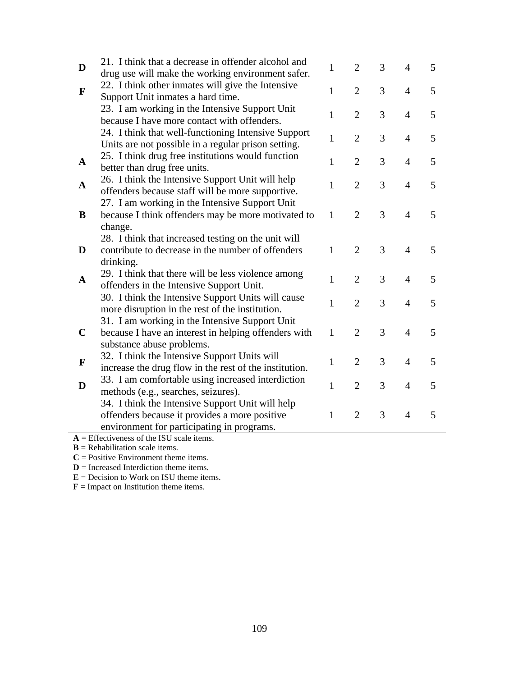| D            | 21. I think that a decrease in offender alcohol and<br>drug use will make the working environment safer.                                        | $\mathbf{1}$ | $\overline{2}$ | 3 | 4              | 5 |
|--------------|-------------------------------------------------------------------------------------------------------------------------------------------------|--------------|----------------|---|----------------|---|
| $\mathbf F$  | 22. I think other inmates will give the Intensive<br>Support Unit inmates a hard time.                                                          | $\mathbf{1}$ | $\overline{2}$ | 3 | $\overline{4}$ | 5 |
|              | 23. I am working in the Intensive Support Unit<br>because I have more contact with offenders.                                                   | $\mathbf{1}$ | $\overline{2}$ | 3 | 4              | 5 |
|              | 24. I think that well-functioning Intensive Support<br>Units are not possible in a regular prison setting.                                      | $\mathbf{1}$ | $\overline{2}$ | 3 | 4              | 5 |
| $\mathbf{A}$ | 25. I think drug free institutions would function<br>better than drug free units.                                                               | $\mathbf{1}$ | $\overline{2}$ | 3 | $\overline{4}$ | 5 |
| $\mathbf A$  | 26. I think the Intensive Support Unit will help<br>offenders because staff will be more supportive.                                            | 1            | $\overline{2}$ | 3 | 4              | 5 |
| B            | 27. I am working in the Intensive Support Unit<br>because I think offenders may be more motivated to<br>change.                                 | $\mathbf{1}$ | $\overline{2}$ | 3 | 4              | 5 |
| D            | 28. I think that increased testing on the unit will<br>contribute to decrease in the number of offenders<br>drinking.                           | $\mathbf{1}$ | $\overline{2}$ | 3 | 4              | 5 |
| $\mathbf A$  | 29. I think that there will be less violence among<br>offenders in the Intensive Support Unit.                                                  | $\mathbf{1}$ | $\overline{2}$ | 3 | 4              | 5 |
|              | 30. I think the Intensive Support Units will cause<br>more disruption in the rest of the institution.                                           | $\mathbf{1}$ | $\overline{2}$ | 3 | $\overline{4}$ | 5 |
| $\mathbf C$  | 31. I am working in the Intensive Support Unit<br>because I have an interest in helping offenders with<br>substance abuse problems.             | $\mathbf{1}$ | $\overline{2}$ | 3 | $\overline{4}$ | 5 |
| F            | 32. I think the Intensive Support Units will<br>increase the drug flow in the rest of the institution.                                          | $\mathbf{1}$ | $\overline{2}$ | 3 | 4              | 5 |
| D            | 33. I am comfortable using increased interdiction<br>methods (e.g., searches, seizures).                                                        | $\mathbf{1}$ | $\overline{2}$ | 3 | 4              | 5 |
|              | 34. I think the Intensive Support Unit will help<br>offenders because it provides a more positive<br>environment for participating in programs. | 1            | $\overline{2}$ | 3 | 4              | 5 |

÷,

**A** = Effectiveness of the ISU scale items.

**B** = Rehabilitation scale items.

 $C = Positive Environment$  theme items.

**D** = Increased Interdiction theme items.

**E** = Decision to Work on ISU theme items.

**F** = Impact on Institution theme items.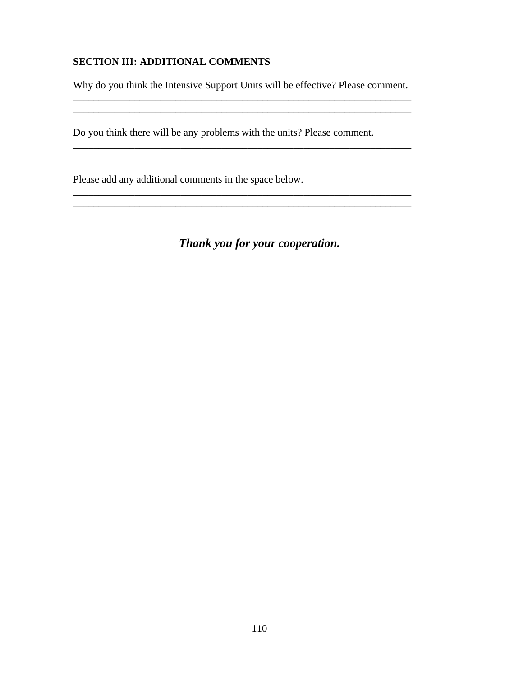## **SECTION III: ADDITIONAL COMMENTS**

Why do you think the Intensive Support Units will be effective? Please comment.

\_\_\_\_\_\_\_\_\_\_\_\_\_\_\_\_\_\_\_\_\_\_\_\_\_\_\_\_\_\_\_\_\_\_\_\_\_\_\_\_\_\_\_\_\_\_\_\_\_\_\_\_\_\_\_\_\_\_\_\_\_\_\_\_\_\_

\_\_\_\_\_\_\_\_\_\_\_\_\_\_\_\_\_\_\_\_\_\_\_\_\_\_\_\_\_\_\_\_\_\_\_\_\_\_\_\_\_\_\_\_\_\_\_\_\_\_\_\_\_\_\_\_\_\_\_\_\_\_\_\_\_\_

\_\_\_\_\_\_\_\_\_\_\_\_\_\_\_\_\_\_\_\_\_\_\_\_\_\_\_\_\_\_\_\_\_\_\_\_\_\_\_\_\_\_\_\_\_\_\_\_\_\_\_\_\_\_\_\_\_\_\_\_\_\_\_\_\_\_ \_\_\_\_\_\_\_\_\_\_\_\_\_\_\_\_\_\_\_\_\_\_\_\_\_\_\_\_\_\_\_\_\_\_\_\_\_\_\_\_\_\_\_\_\_\_\_\_\_\_\_\_\_\_\_\_\_\_\_\_\_\_\_\_\_\_

Do you think there will be any problems with the units? Please comment.

\_\_\_\_\_\_\_\_\_\_\_\_\_\_\_\_\_\_\_\_\_\_\_\_\_\_\_\_\_\_\_\_\_\_\_\_\_\_\_\_\_\_\_\_\_\_\_\_\_\_\_\_\_\_\_\_\_\_\_\_\_\_\_\_\_\_

Please add any additional comments in the space below.

*Thank you for your cooperation.*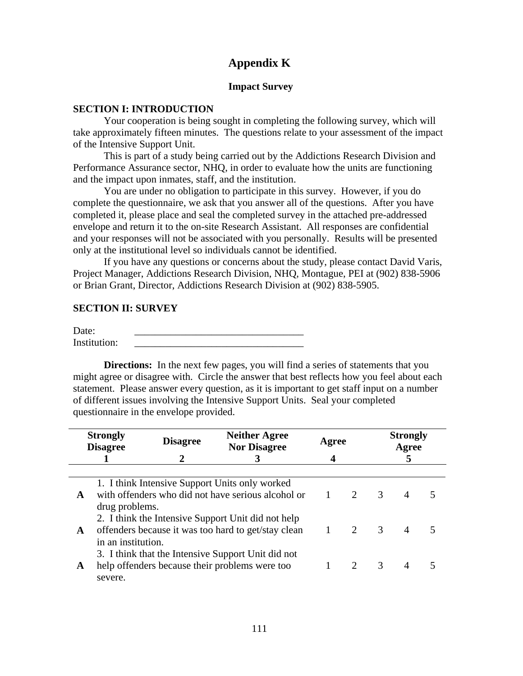## **Appendix K**

#### **Impact Survey**

#### **SECTION I: INTRODUCTION**

Your cooperation is being sought in completing the following survey, which will take approximately fifteen minutes. The questions relate to your assessment of the impact of the Intensive Support Unit.

This is part of a study being carried out by the Addictions Research Division and Performance Assurance sector, NHQ, in order to evaluate how the units are functioning and the impact upon inmates, staff, and the institution.

You are under no obligation to participate in this survey. However, if you do complete the questionnaire, we ask that you answer all of the questions. After you have completed it, please place and seal the completed survey in the attached pre-addressed envelope and return it to the on-site Research Assistant. All responses are confidential and your responses will not be associated with you personally. Results will be presented only at the institutional level so individuals cannot be identified.

If you have any questions or concerns about the study, please contact David Varis, Project Manager, Addictions Research Division, NHQ, Montague, PEI at (902) 838-5906 or Brian Grant, Director, Addictions Research Division at (902) 838-5905.

#### **SECTION II: SURVEY**

Date: \_\_\_\_\_\_\_\_\_\_\_\_\_\_\_\_\_\_\_\_\_\_\_\_\_\_\_\_\_\_\_\_\_ Institution:

**Directions:** In the next few pages, you will find a series of statements that you might agree or disagree with. Circle the answer that best reflects how you feel about each statement. Please answer every question, as it is important to get staff input on a number of different issues involving the Intensive Support Units. Seal your completed questionnaire in the envelope provided.

|             | <b>Strongly</b><br><b>Disagree</b> | <b>Disagree</b> | <b>Neither Agree</b><br><b>Nor Disagree</b>                                                               | Agree |                             |               | <b>Strongly</b><br>Agree |  |
|-------------|------------------------------------|-----------------|-----------------------------------------------------------------------------------------------------------|-------|-----------------------------|---------------|--------------------------|--|
|             |                                    |                 |                                                                                                           |       |                             |               | 5                        |  |
|             |                                    |                 |                                                                                                           |       |                             |               |                          |  |
| $\mathbf A$ | drug problems.                     |                 | 1. I think Intensive Support Units only worked<br>with offenders who did not have serious alcohol or      |       | $\mathcal{D}_{\mathcal{L}}$ | $\mathcal{R}$ | $\overline{4}$           |  |
| A           | in an institution.                 |                 | 2. I think the Intensive Support Unit did not help<br>offenders because it was too hard to get/stay clean |       | 1 2 3                       |               | $\overline{4}$           |  |
| A           | severe.                            |                 | 3. I think that the Intensive Support Unit did not<br>help offenders because their problems were too      |       |                             | $\mathcal{R}$ | $\overline{4}$           |  |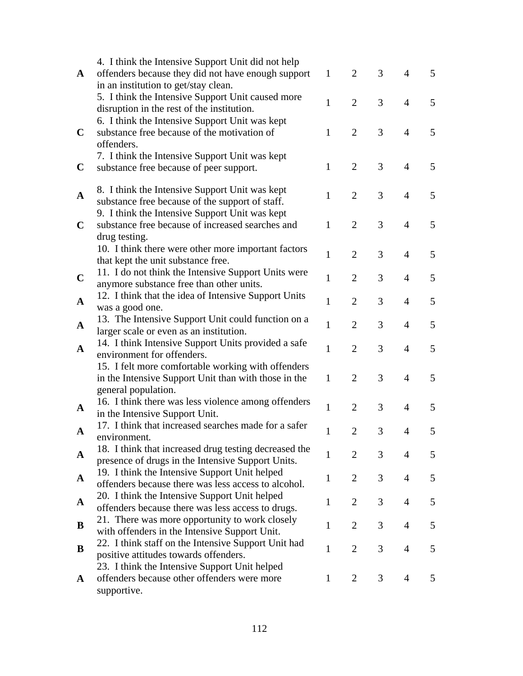|              | 4. I think the Intensive Support Unit did not help    |              |                |                |                |   |
|--------------|-------------------------------------------------------|--------------|----------------|----------------|----------------|---|
| $\mathbf{A}$ | offenders because they did not have enough support    | $\mathbf{1}$ | 2              | 3              | 4              | 5 |
|              | in an institution to get/stay clean.                  |              |                |                |                |   |
|              | 5. I think the Intensive Support Unit caused more     | $\mathbf{1}$ | $\overline{2}$ | 3              | $\overline{4}$ |   |
|              | disruption in the rest of the institution.            |              |                |                |                | 5 |
|              | 6. I think the Intensive Support Unit was kept        |              |                |                |                |   |
| $\mathbf C$  | substance free because of the motivation of           | $\mathbf{1}$ | 2              | 3              | $\overline{4}$ | 5 |
|              | offenders.                                            |              |                |                |                |   |
|              | 7. I think the Intensive Support Unit was kept        |              |                |                |                |   |
| $\mathbf C$  | substance free because of peer support.               | $\mathbf{1}$ | 2              | 3              | 4              | 5 |
|              |                                                       |              |                |                |                |   |
| $\mathbf{A}$ | 8. I think the Intensive Support Unit was kept        | $\mathbf{1}$ | 2              | 3              | 4              | 5 |
|              | substance free because of the support of staff.       |              |                |                |                |   |
|              | 9. I think the Intensive Support Unit was kept        |              |                |                |                |   |
| $\mathbf C$  | substance free because of increased searches and      | $\mathbf{1}$ | 2              | 3              | $\overline{4}$ | 5 |
|              | drug testing.                                         |              |                |                |                |   |
|              | 10. I think there were other more important factors   | $\mathbf{1}$ | 2              | 3              | $\overline{4}$ | 5 |
|              | that kept the unit substance free.                    |              |                |                |                |   |
| $\mathbf C$  | 11. I do not think the Intensive Support Units were   | 1            | $\overline{2}$ | 3              | 4              | 5 |
|              | anymore substance free than other units.              |              |                |                |                |   |
| $\mathbf A$  | 12. I think that the idea of Intensive Support Units  | 1            | $\overline{2}$ | 3              | 4              | 5 |
|              | was a good one.                                       |              |                |                |                |   |
| $\mathbf{A}$ | 13. The Intensive Support Unit could function on a    | 1            | $\overline{2}$ | 3              | $\overline{4}$ | 5 |
|              | larger scale or even as an institution.               |              |                |                |                |   |
| $\mathbf{A}$ | 14. I think Intensive Support Units provided a safe   | $\mathbf{1}$ | $\overline{2}$ | 3              | 4              | 5 |
|              | environment for offenders.                            |              |                |                |                |   |
|              | 15. I felt more comfortable working with offenders    |              |                |                |                |   |
|              | in the Intensive Support Unit than with those in the  | $\mathbf{1}$ | $\overline{2}$ | 3              | $\overline{4}$ | 5 |
|              | general population.                                   |              |                |                |                |   |
| $\mathbf{A}$ | 16. I think there was less violence among offenders   | $\mathbf{1}$ | $\overline{2}$ | 3              | 4              | 5 |
|              | in the Intensive Support Unit.                        |              |                |                |                |   |
| A            | 17. I think that increased searches made for a safer  | 1            | $\overline{2}$ | 3              | 4              | 5 |
|              | environment.                                          |              |                |                |                |   |
| $\mathbf{A}$ | 18. I think that increased drug testing decreased the | 1            | 2              | 3              | 4              | 5 |
|              | presence of drugs in the Intensive Support Units.     |              |                |                |                |   |
| $\mathbf{A}$ | 19. I think the Intensive Support Unit helped         | 1            | 2              | 3              | 4              | 5 |
|              | offenders because there was less access to alcohol.   |              |                |                |                |   |
| A            | 20. I think the Intensive Support Unit helped         | 1            | $\overline{2}$ | 3              | 4              | 5 |
|              | offenders because there was less access to drugs.     |              |                |                |                |   |
| B            | 21. There was more opportunity to work closely        | $\mathbf{1}$ | $\overline{2}$ | 3              | 4              | 5 |
|              | with offenders in the Intensive Support Unit.         |              |                |                |                |   |
| B            | 22. I think staff on the Intensive Support Unit had   | 1            | $\overline{2}$ | $\overline{3}$ | 4              | 5 |
|              | positive attitudes towards offenders.                 |              |                |                |                |   |
|              | 23. I think the Intensive Support Unit helped         |              |                |                |                |   |
| $\mathbf{A}$ | offenders because other offenders were more           | 1            | 2              | 3              | 4              | 5 |
|              | supportive.                                           |              |                |                |                |   |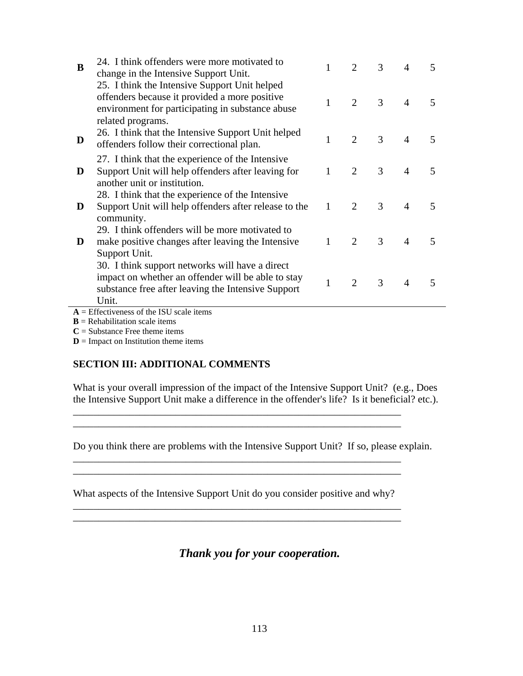| B | 24. I think offenders were more motivated to<br>change in the Intensive Support Unit.                                                                                                                                         |              | $\mathcal{D}_{\mathcal{L}}$ | 3 | 4              | 5                        |
|---|-------------------------------------------------------------------------------------------------------------------------------------------------------------------------------------------------------------------------------|--------------|-----------------------------|---|----------------|--------------------------|
|   | 25. I think the Intensive Support Unit helped<br>offenders because it provided a more positive<br>environment for participating in substance abuse<br>related programs.<br>26. I think that the Intensive Support Unit helped | 1            | 2                           | 3 | $\overline{4}$ | $\overline{\mathbf{5}}$  |
| D | offenders follow their correctional plan.                                                                                                                                                                                     | $\mathbf{1}$ | $\overline{2}$              | 3 | $\overline{4}$ | $\overline{5}$           |
| D | 27. I think that the experience of the Intensive<br>Support Unit will help offenders after leaving for<br>another unit or institution.                                                                                        |              | 2                           | 3 | $\overline{4}$ | $\overline{\mathbf{5}}$  |
| D | 28. I think that the experience of the Intensive<br>Support Unit will help offenders after release to the<br>community.                                                                                                       | $\mathbf{1}$ | $\overline{2}$              | 3 | $\overline{4}$ | $\overline{\phantom{1}}$ |
| D | 29. I think offenders will be more motivated to<br>make positive changes after leaving the Intensive<br>Support Unit.                                                                                                         | $\mathbf{1}$ | 2                           | 3 | $\overline{4}$ | 5                        |
|   | 30. I think support networks will have a direct<br>impact on whether an offender will be able to stay<br>substance free after leaving the Intensive Support<br>Unit.                                                          | 1            | 2                           | 3 | 4              | 5                        |
|   | $A =$ Effectiveness of the ISU scale items                                                                                                                                                                                    |              |                             |   |                |                          |

 **= Rehabilitation scale items** 

 $C =$ Substance Free theme items

 $D =$  Impact on Institution theme items

### **SECTION III: ADDITIONAL COMMENTS**

What is your overall impression of the impact of the Intensive Support Unit? (e.g., Does the Intensive Support Unit make a difference in the offender's life? Is it beneficial? etc.).

Do you think there are problems with the Intensive Support Unit? If so, please explain.

What aspects of the Intensive Support Unit do you consider positive and why? \_\_\_\_\_\_\_\_\_\_\_\_\_\_\_\_\_\_\_\_\_\_\_\_\_\_\_\_\_\_\_\_\_\_\_\_\_\_\_\_\_\_\_\_\_\_\_\_\_\_\_\_\_\_\_\_\_\_\_\_\_\_\_\_

\_\_\_\_\_\_\_\_\_\_\_\_\_\_\_\_\_\_\_\_\_\_\_\_\_\_\_\_\_\_\_\_\_\_\_\_\_\_\_\_\_\_\_\_\_\_\_\_\_\_\_\_\_\_\_\_\_\_\_\_\_\_\_\_

\_\_\_\_\_\_\_\_\_\_\_\_\_\_\_\_\_\_\_\_\_\_\_\_\_\_\_\_\_\_\_\_\_\_\_\_\_\_\_\_\_\_\_\_\_\_\_\_\_\_\_\_\_\_\_\_\_\_\_\_\_\_\_\_ \_\_\_\_\_\_\_\_\_\_\_\_\_\_\_\_\_\_\_\_\_\_\_\_\_\_\_\_\_\_\_\_\_\_\_\_\_\_\_\_\_\_\_\_\_\_\_\_\_\_\_\_\_\_\_\_\_\_\_\_\_\_\_\_

\_\_\_\_\_\_\_\_\_\_\_\_\_\_\_\_\_\_\_\_\_\_\_\_\_\_\_\_\_\_\_\_\_\_\_\_\_\_\_\_\_\_\_\_\_\_\_\_\_\_\_\_\_\_\_\_\_\_\_\_\_\_\_\_ \_\_\_\_\_\_\_\_\_\_\_\_\_\_\_\_\_\_\_\_\_\_\_\_\_\_\_\_\_\_\_\_\_\_\_\_\_\_\_\_\_\_\_\_\_\_\_\_\_\_\_\_\_\_\_\_\_\_\_\_\_\_\_\_

*Thank you for your cooperation.*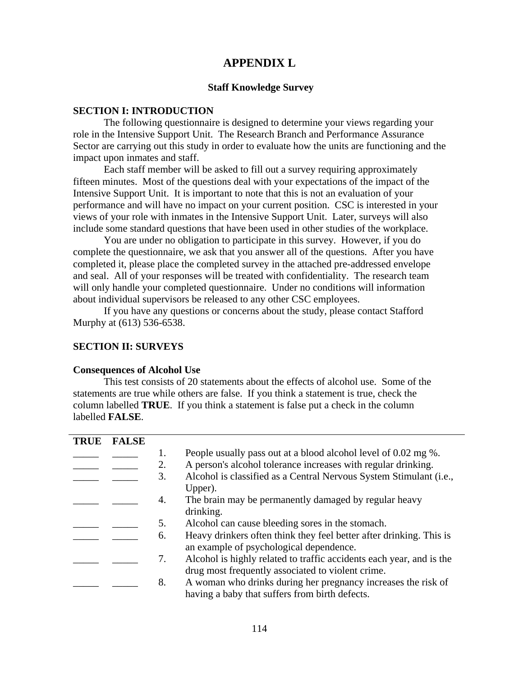## **APPENDIX L**

#### **Staff Knowledge Survey**

#### **SECTION I: INTRODUCTION**

The following questionnaire is designed to determine your views regarding your role in the Intensive Support Unit. The Research Branch and Performance Assurance Sector are carrying out this study in order to evaluate how the units are functioning and the impact upon inmates and staff.

Each staff member will be asked to fill out a survey requiring approximately fifteen minutes. Most of the questions deal with your expectations of the impact of the Intensive Support Unit. It is important to note that this is not an evaluation of your performance and will have no impact on your current position. CSC is interested in your views of your role with inmates in the Intensive Support Unit. Later, surveys will also include some standard questions that have been used in other studies of the workplace.

You are under no obligation to participate in this survey. However, if you do complete the questionnaire, we ask that you answer all of the questions. After you have completed it, please place the completed survey in the attached pre-addressed envelope and seal. All of your responses will be treated with confidentiality. The research team will only handle your completed questionnaire. Under no conditions will information about individual supervisors be released to any other CSC employees.

If you have any questions or concerns about the study, please contact Stafford Murphy at (613) 536-6538.

#### **SECTION II: SURVEYS**

#### **Consequences of Alcohol Use**

This test consists of 20 statements about the effects of alcohol use. Some of the statements are true while others are false. If you think a statement is true, check the column labelled **TRUE**. If you think a statement is false put a check in the column labelled **FALSE**.

| <b>TRUE</b> | <b>FALSE</b> |    |                                                                      |
|-------------|--------------|----|----------------------------------------------------------------------|
|             |              | 1. | People usually pass out at a blood alcohol level of 0.02 mg %.       |
|             |              | 2. | A person's alcohol tolerance increases with regular drinking.        |
|             |              | 3. | Alcohol is classified as a Central Nervous System Stimulant (i.e.,   |
|             |              |    | Upper).                                                              |
|             |              | 4. | The brain may be permanently damaged by regular heavy                |
|             |              |    | drinking.                                                            |
|             |              | 5. | Alcohol can cause bleeding sores in the stomach.                     |
|             |              | 6. | Heavy drinkers often think they feel better after drinking. This is  |
|             |              |    | an example of psychological dependence.                              |
|             |              | 7. | Alcohol is highly related to traffic accidents each year, and is the |
|             |              |    | drug most frequently associated to violent crime.                    |
|             |              | 8. | A woman who drinks during her pregnancy increases the risk of        |
|             |              |    | having a baby that suffers from birth defects.                       |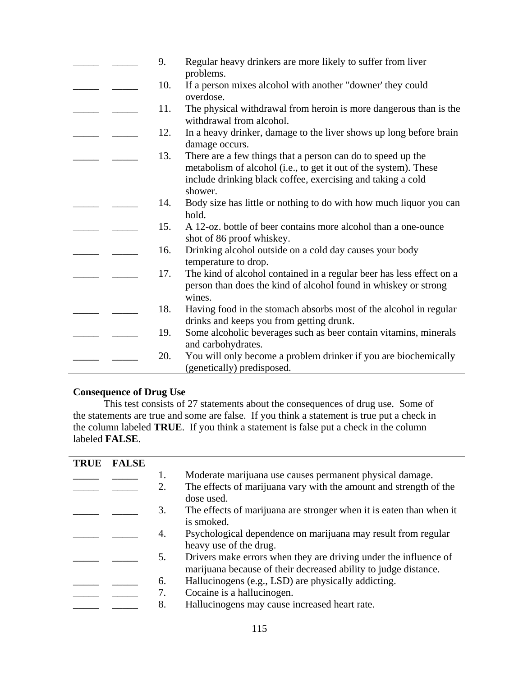|  | 9.  | Regular heavy drinkers are more likely to suffer from liver<br>problems.                                                                                                                                  |
|--|-----|-----------------------------------------------------------------------------------------------------------------------------------------------------------------------------------------------------------|
|  | 10. | If a person mixes alcohol with another "downer' they could<br>overdose.                                                                                                                                   |
|  | 11. | The physical withdrawal from heroin is more dangerous than is the<br>withdrawal from alcohol.                                                                                                             |
|  | 12. | In a heavy drinker, damage to the liver shows up long before brain<br>damage occurs.                                                                                                                      |
|  | 13. | There are a few things that a person can do to speed up the<br>metabolism of alcohol (i.e., to get it out of the system). These<br>include drinking black coffee, exercising and taking a cold<br>shower. |
|  | 14. | Body size has little or nothing to do with how much liquor you can<br>hold.                                                                                                                               |
|  | 15. | A 12-oz. bottle of beer contains more alcohol than a one-ounce<br>shot of 86 proof whiskey.                                                                                                               |
|  | 16. | Drinking alcohol outside on a cold day causes your body<br>temperature to drop.                                                                                                                           |
|  | 17. | The kind of alcohol contained in a regular beer has less effect on a<br>person than does the kind of alcohol found in whiskey or strong<br>wines.                                                         |
|  | 18. | Having food in the stomach absorbs most of the alcohol in regular<br>drinks and keeps you from getting drunk.                                                                                             |
|  | 19. | Some alcoholic beverages such as beer contain vitamins, minerals<br>and carbohydrates.                                                                                                                    |
|  | 20. | You will only become a problem drinker if you are biochemically<br>(genetically) predisposed.                                                                                                             |

## **Consequence of Drug Use**

This test consists of 27 statements about the consequences of drug use. Some of the statements are true and some are false. If you think a statement is true put a check in the column labeled **TRUE**. If you think a statement is false put a check in the column labeled **FALSE**.

| <b>TRUE</b> | <b>FALSE</b> |    |                                                                     |
|-------------|--------------|----|---------------------------------------------------------------------|
|             |              | 1. | Moderate marijuana use causes permanent physical damage.            |
|             |              | 2. | The effects of marijuana vary with the amount and strength of the   |
|             |              |    | dose used.                                                          |
|             |              | 3. | The effects of marijuana are stronger when it is eaten than when it |
|             |              |    | is smoked.                                                          |
|             |              | 4. | Psychological dependence on marijuana may result from regular       |
|             |              |    | heavy use of the drug.                                              |
|             |              | 5. | Drivers make errors when they are driving under the influence of    |
|             |              |    | marijuana because of their decreased ability to judge distance.     |
|             |              | 6. | Hallucinogens (e.g., LSD) are physically addicting.                 |
|             |              |    | Cocaine is a hallucinogen.                                          |
|             |              | 8. | Hallucinogens may cause increased heart rate.                       |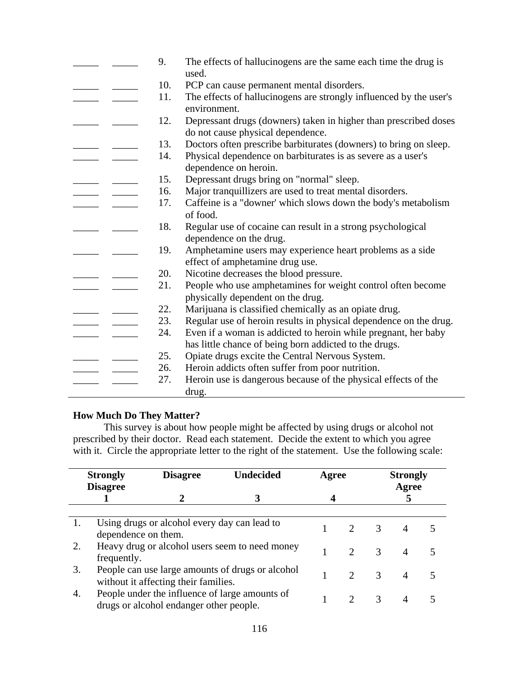|  | 9.  | The effects of hallucinogens are the same each time the drug is<br>used.                                                 |
|--|-----|--------------------------------------------------------------------------------------------------------------------------|
|  | 10. | PCP can cause permanent mental disorders.                                                                                |
|  | 11. | The effects of hallucinogens are strongly influenced by the user's<br>environment.                                       |
|  | 12. | Depressant drugs (downers) taken in higher than prescribed doses<br>do not cause physical dependence.                    |
|  | 13. | Doctors often prescribe barbiturates (downers) to bring on sleep.                                                        |
|  | 14. | Physical dependence on barbiturates is as severe as a user's<br>dependence on heroin.                                    |
|  | 15. | Depressant drugs bring on "normal" sleep.                                                                                |
|  | 16. | Major tranquillizers are used to treat mental disorders.                                                                 |
|  | 17. | Caffeine is a "downer' which slows down the body's metabolism<br>of food.                                                |
|  | 18. | Regular use of cocaine can result in a strong psychological<br>dependence on the drug.                                   |
|  | 19. | Amphetamine users may experience heart problems as a side<br>effect of amphetamine drug use.                             |
|  | 20. | Nicotine decreases the blood pressure.                                                                                   |
|  | 21. | People who use amphetamines for weight control often become<br>physically dependent on the drug.                         |
|  | 22. | Marijuana is classified chemically as an opiate drug.                                                                    |
|  | 23. | Regular use of heroin results in physical dependence on the drug.                                                        |
|  | 24. | Even if a woman is addicted to heroin while pregnant, her baby<br>has little chance of being born addicted to the drugs. |
|  | 25. | Opiate drugs excite the Central Nervous System.                                                                          |
|  | 26. | Heroin addicts often suffer from poor nutrition.                                                                         |
|  | 27. | Heroin use is dangerous because of the physical effects of the<br>drug.                                                  |

### **How Much Do They Matter?**

This survey is about how people might be affected by using drugs or alcohol not prescribed by their doctor. Read each statement. Decide the extent to which you agree with it. Circle the appropriate letter to the right of the statement. Use the following scale:

|    | <b>Strongly</b><br><b>Disagree</b> | <b>Disagree</b>                                                                           | <b>Undecided</b>                                 | Agree |                             |               | <b>Strongly</b><br>Agree |  |
|----|------------------------------------|-------------------------------------------------------------------------------------------|--------------------------------------------------|-------|-----------------------------|---------------|--------------------------|--|
|    |                                    |                                                                                           |                                                  |       |                             |               |                          |  |
|    |                                    |                                                                                           |                                                  |       |                             |               |                          |  |
|    | dependence on them.                | Using drugs or alcohol every day can lead to                                              |                                                  |       |                             | $\mathcal{R}$ |                          |  |
| 2. | frequently.                        |                                                                                           | Heavy drug or alcohol users seem to need money   |       | $\mathcal{D}_{\mathcal{L}}$ | $\mathcal{R}$ |                          |  |
| 3. |                                    | without it affecting their families.                                                      | People can use large amounts of drugs or alcohol |       | $\mathcal{D}_{\mathcal{L}}$ | $\mathcal{R}$ |                          |  |
| 4. |                                    | People under the influence of large amounts of<br>drugs or alcohol endanger other people. |                                                  |       |                             | 3             |                          |  |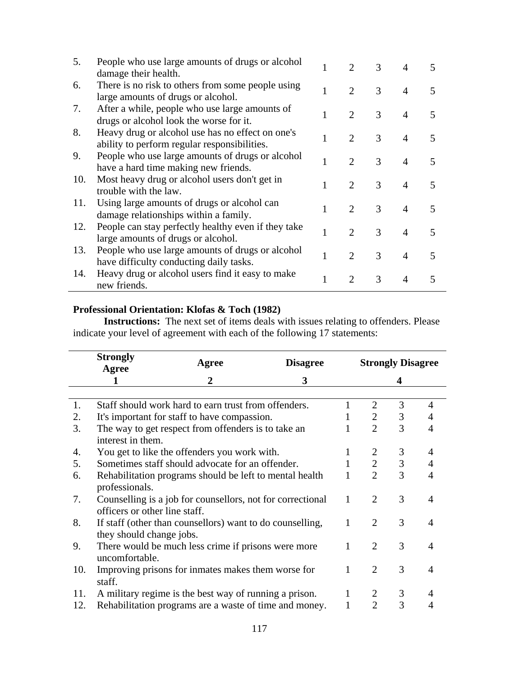| 5.  | People who use large amounts of drugs or alcohol<br>damage their health.                         |   |                             | 3 |                |                          |
|-----|--------------------------------------------------------------------------------------------------|---|-----------------------------|---|----------------|--------------------------|
| 6.  | There is no risk to others from some people using<br>large amounts of drugs or alcohol.          |   | 2                           | 3 | $\overline{4}$ | 5                        |
| 7.  | After a while, people who use large amounts of<br>drugs or alcohol look the worse for it.        |   | $\mathcal{D}_{\mathcal{L}}$ | 3 | $\overline{4}$ | 5                        |
| 8.  | Heavy drug or alcohol use has no effect on one's<br>ability to perform regular responsibilities. | 1 | $\overline{2}$              | 3 | $\overline{A}$ | 5                        |
| 9.  | People who use large amounts of drugs or alcohol<br>have a hard time making new friends.         |   | 2                           | 3 | $\overline{4}$ | 5                        |
| 10. | Most heavy drug or alcohol users don't get in<br>trouble with the law.                           |   | 2                           | 3 | $\overline{4}$ | 5                        |
| 11. | Using large amounts of drugs or alcohol can<br>damage relationships within a family.             |   | $\mathcal{D}$               | 3 | $\overline{A}$ | 5                        |
| 12. | People can stay perfectly healthy even if they take<br>large amounts of drugs or alcohol.        |   | $\mathcal{D}_{\mathcal{L}}$ | 3 | $\overline{A}$ | $\overline{\mathcal{L}}$ |
| 13. | People who use large amounts of drugs or alcohol<br>have difficulty conducting daily tasks.      |   | 2                           | 3 | $\overline{A}$ | 5                        |
| 14. | Heavy drug or alcohol users find it easy to make<br>new friends.                                 |   |                             | 3 | 4              | 5                        |

#### **Professional Orientation: Klofas & Toch (1982)**

**Instructions:** The next set of items deals with issues relating to offenders. Please indicate your level of agreement with each of the following 17 statements:

|     | <b>Strongly</b>                                                           | <b>Agree</b>                                               | <b>Disagree</b> |                | <b>Strongly Disagree</b>    |   |   |  |  |
|-----|---------------------------------------------------------------------------|------------------------------------------------------------|-----------------|----------------|-----------------------------|---|---|--|--|
|     | Agree                                                                     | 2                                                          | 3               |                |                             | 4 |   |  |  |
|     |                                                                           |                                                            |                 |                |                             |   |   |  |  |
| 1.  |                                                                           | Staff should work hard to earn trust from offenders.       |                 |                | $\mathcal{D}_{\mathcal{L}}$ | 3 | 4 |  |  |
| 2.  |                                                                           | It's important for staff to have compassion.               |                 |                | $\overline{2}$              | 3 | 4 |  |  |
| 3.  | The way to get respect from offenders is to take an<br>interest in them.  |                                                            |                 | $\overline{2}$ | 3                           | 4 |   |  |  |
| 4.  | You get to like the offenders you work with.                              |                                                            |                 |                | 2                           | 3 | 4 |  |  |
| 5.  | Sometimes staff should advocate for an offender.                          |                                                            |                 |                | $\overline{2}$              | 3 | 4 |  |  |
| 6.  | Rehabilitation programs should be left to mental health<br>professionals. |                                                            |                 |                | $\overline{2}$              | 3 | 4 |  |  |
| 7.  | officers or other line staff.                                             | Counselling is a job for counsellors, not for correctional |                 | 1              | $\overline{2}$              | 3 | 4 |  |  |
| 8.  | they should change jobs.                                                  | If staff (other than counsellors) want to do counselling,  |                 |                | $\overline{2}$              | 3 | 4 |  |  |
| 9.  | uncomfortable.                                                            | There would be much less crime if prisons were more        |                 |                | $\overline{2}$              | 3 | 4 |  |  |
| 10. | staff.                                                                    | Improving prisons for inmates makes them worse for         |                 |                | $\overline{2}$              | 3 | 4 |  |  |
| 11. |                                                                           | A military regime is the best way of running a prison.     |                 |                | 2                           | 3 |   |  |  |
| 12. |                                                                           | Rehabilitation programs are a waste of time and money.     |                 |                | $\mathfrak{D}$              | 3 | 4 |  |  |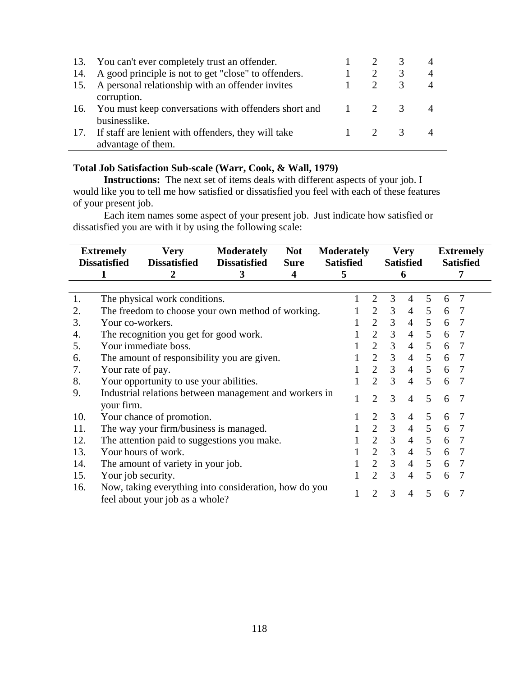|     | 13. You can't ever completely trust an offender.                              |     |   |                |
|-----|-------------------------------------------------------------------------------|-----|---|----------------|
| 14. | A good principle is not to get "close" to offenders.                          |     | 3 | $\overline{4}$ |
| 15. | A personal relationship with an offender invites<br>corruption.               |     |   | $\overline{4}$ |
|     | 16. You must keep conversations with offenders short and 1 2<br>businesslike. |     | 3 |                |
|     | 17. If staff are lenient with offenders, they will take<br>advantage of them. | 2 3 |   |                |

### **Total Job Satisfaction Sub-scale (Warr, Cook, & Wall, 1979)**

**Instructions:** The next set of items deals with different aspects of your job. I would like you to tell me how satisfied or dissatisfied you feel with each of these features of your present job.

Each item names some aspect of your present job. Just indicate how satisfied or dissatisfied you are with it by using the following scale:

|     | <b>Extremely</b><br><b>Dissatisfied</b> | <b>Very</b><br><b>Dissatisfied</b>                                                       | <b>Moderately</b><br><b>Dissatisfied</b> | <b>Not</b><br><b>Sure</b> | <b>Moderately</b><br><b>Satisfied</b> |                |                | <b>Very</b><br><b>Satisfied</b> |                 |   | <b>Extremely</b><br><b>Satisfied</b> |
|-----|-----------------------------------------|------------------------------------------------------------------------------------------|------------------------------------------|---------------------------|---------------------------------------|----------------|----------------|---------------------------------|-----------------|---|--------------------------------------|
|     |                                         | 2                                                                                        | 3                                        | 4                         | 5                                     |                |                | 6                               |                 |   | 7                                    |
|     |                                         |                                                                                          |                                          |                           |                                       |                |                |                                 |                 |   |                                      |
| 1.  |                                         | The physical work conditions.                                                            |                                          |                           |                                       | $\overline{2}$ | 3              | $\overline{4}$                  | 5               | 6 | $\overline{7}$                       |
| 2.  |                                         | The freedom to choose your own method of working.                                        |                                          |                           |                                       | $\overline{2}$ | 3              | 4                               | 5               | 6 | 7                                    |
| 3.  | Your co-workers.                        |                                                                                          |                                          |                           |                                       | 2              | 3              | $\overline{4}$                  | $\mathfrak{S}$  | 6 | 7                                    |
| 4.  |                                         | The recognition you get for good work.                                                   |                                          |                           |                                       | $\overline{2}$ | 3              | $\overline{4}$                  | 5               | 6 | -7                                   |
| 5.  |                                         | Your immediate boss.                                                                     |                                          |                           |                                       | $\overline{2}$ | 3              | $\overline{4}$                  | $\mathfrak{S}$  | 6 | $\overline{7}$                       |
| 6.  |                                         | The amount of responsibility you are given.                                              |                                          |                           |                                       | $\overline{2}$ | $\overline{3}$ | $\overline{4}$                  | $\overline{5}$  | 6 | $\overline{7}$                       |
| 7.  | Your rate of pay.                       |                                                                                          |                                          |                           |                                       | $\overline{2}$ | 3              | $\overline{4}$                  | $\overline{5}$  | 6 | 7                                    |
| 8.  |                                         | Your opportunity to use your abilities.                                                  |                                          |                           |                                       | $\overline{2}$ | 3              | $\overline{4}$                  | 5               | 6 | 7                                    |
| 9.  | your firm.                              | Industrial relations between management and workers in                                   |                                          |                           |                                       | $\overline{2}$ | 3              | $\overline{4}$                  | 5               | 6 | 7                                    |
| 10. |                                         | Your chance of promotion.                                                                |                                          |                           |                                       | 2              | 3              | $\overline{4}$                  | 5               | 6 | 7                                    |
| 11. |                                         | The way your firm/business is managed.                                                   |                                          |                           |                                       | 2              | $\overline{3}$ | $\overline{4}$                  | $5\overline{)}$ | 6 | $\overline{7}$                       |
| 12. |                                         | The attention paid to suggestions you make.                                              |                                          |                           |                                       | $\overline{2}$ | $\overline{3}$ | $\overline{4}$                  | 5               | 6 | 7                                    |
| 13. |                                         | Your hours of work.                                                                      |                                          |                           |                                       | $\overline{2}$ | 3              | $\overline{4}$                  | $\mathfrak{S}$  | 6 | 7                                    |
| 14. |                                         | The amount of variety in your job.                                                       |                                          |                           |                                       | $\overline{2}$ | 3              | $\overline{4}$                  | 5               | 6 | 7                                    |
| 15. | Your job security.                      |                                                                                          |                                          |                           |                                       | $\overline{2}$ | 3              | 4                               | 5               | 6 | -7                                   |
| 16. |                                         | Now, taking everything into consideration, how do you<br>feel about your job as a whole? |                                          |                           |                                       | $\overline{2}$ | 3              | $\overline{4}$                  | 5               | 6 | -7                                   |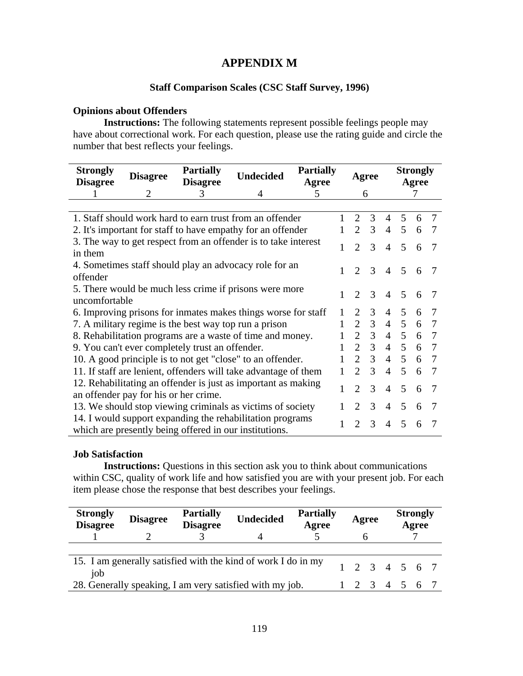## **APPENDIX M**

### **Staff Comparison Scales (CSC Staff Survey, 1996)**

### **Opinions about Offenders**

**Instructions:** The following statements represent possible feelings people may have about correctional work. For each question, please use the rating guide and circle the number that best reflects your feelings.

| <b>Strongly</b><br><b>Disagree</b> | <b>Disagree</b>                                                                                                                                                                     | <b>Partially</b><br><b>Disagree</b>             | <b>Undecided</b>                                                | <b>Partially</b><br>Agree |                             | Agree          |                |                 | <b>Strongly</b><br>Agree |     |
|------------------------------------|-------------------------------------------------------------------------------------------------------------------------------------------------------------------------------------|-------------------------------------------------|-----------------------------------------------------------------|---------------------------|-----------------------------|----------------|----------------|-----------------|--------------------------|-----|
|                                    | 2                                                                                                                                                                                   | 3                                               | 4                                                               | 5                         |                             | 6              |                |                 |                          |     |
|                                    |                                                                                                                                                                                     |                                                 |                                                                 |                           |                             |                |                |                 |                          |     |
|                                    |                                                                                                                                                                                     |                                                 | 1. Staff should work hard to earn trust from an offender        |                           | 2                           | 3              | $\overline{4}$ | $\overline{5}$  | 6                        | 7   |
|                                    |                                                                                                                                                                                     |                                                 | 2. It's important for staff to have empathy for an offender     |                           | $\overline{2}$              | 3              | $\overline{4}$ | 5               | 6                        |     |
|                                    |                                                                                                                                                                                     |                                                 | 3. The way to get respect from an offender is to take interest  |                           | $\overline{2}$              | 3              | $\overline{4}$ | 5               | 6                        | 7   |
| in them                            |                                                                                                                                                                                     |                                                 |                                                                 |                           |                             |                |                |                 |                          |     |
|                                    |                                                                                                                                                                                     |                                                 | 4. Sometimes staff should play an advocacy role for an          |                           | $\mathcal{D}_{\mathcal{L}}$ | $\mathcal{R}$  | $\overline{4}$ | $5\overline{)}$ | 6                        |     |
| offender                           |                                                                                                                                                                                     |                                                 |                                                                 |                           |                             |                |                |                 |                          |     |
| uncomfortable                      |                                                                                                                                                                                     |                                                 | 5. There would be much less crime if prisons were more          |                           | 3<br>$\mathcal{D}_{\cdot}$  |                | $\overline{4}$ | 5               | 6                        |     |
|                                    |                                                                                                                                                                                     |                                                 |                                                                 |                           | 2                           | 3              | $\overline{4}$ | 5               | 6                        |     |
|                                    |                                                                                                                                                                                     |                                                 |                                                                 |                           | $\overline{2}$              | 3              | $\overline{4}$ | 5 <sup>5</sup>  | 6                        | 7   |
|                                    | 6. Improving prisons for inmates makes things worse for staff<br>7. A military regime is the best way top run a prison<br>8. Rehabilitation programs are a waste of time and money. |                                                 |                                                                 | $\overline{2}$            | 3 <sup>1</sup>              | $\overline{4}$ | 5              | 6               | 7                        |     |
|                                    |                                                                                                                                                                                     | 9. You can't ever completely trust an offender. |                                                                 |                           | $\overline{2}$              | 3              | $\overline{4}$ | 5 <sup>5</sup>  | 6                        | 7   |
|                                    |                                                                                                                                                                                     |                                                 | 10. A good principle is to not get "close" to an offender.      |                           |                             | $2 \quad 3$    |                | 4 5             | 6                        | - 7 |
|                                    |                                                                                                                                                                                     |                                                 | 11. If staff are lenient, offenders will take advantage of them |                           | $\overline{2}$              | 3              | $\overline{4}$ | $5\overline{)}$ | 6                        | -7  |
|                                    |                                                                                                                                                                                     |                                                 | 12. Rehabilitating an offender is just as important as making   |                           | $\overline{2}$              | 3              | $\overline{4}$ | $\overline{5}$  | 6                        | 7   |
|                                    | an offender pay for his or her crime.                                                                                                                                               |                                                 |                                                                 |                           |                             |                |                |                 |                          |     |
|                                    |                                                                                                                                                                                     |                                                 | 13. We should stop viewing criminals as victims of society      |                           | $\mathcal{D}_{\mathcal{L}}$ | 3              | $\overline{4}$ | 5               | 6                        |     |
|                                    |                                                                                                                                                                                     |                                                 | 14. I would support expanding the rehabilitation programs       |                           | $\overline{2}$              | 3              | $\overline{4}$ | 5               | 6                        |     |
|                                    |                                                                                                                                                                                     |                                                 | which are presently being offered in our institutions.          |                           |                             |                |                |                 |                          |     |

### **Job Satisfaction**

**Instructions:** Questions in this section ask you to think about communications within CSC, quality of work life and how satisfied you are with your present job. For each item please chose the response that best describes your feelings.

| <b>Strongly</b><br><b>Disagree</b> | <b>Disagree</b> | <b>Partially</b><br><b>Disagree</b> | <b>Undecided</b>                                              | <b>Partially</b><br>Agree | Agree                       |  | <b>Strongly</b><br>Agree |  |  |
|------------------------------------|-----------------|-------------------------------------|---------------------------------------------------------------|---------------------------|-----------------------------|--|--------------------------|--|--|
| job                                |                 |                                     | 15. I am generally satisfied with the kind of work I do in my |                           | $1 \t2 \t3 \t4 \t5 \t6 \t7$ |  |                          |  |  |
|                                    |                 |                                     | 28. Generally speaking, I am very satisfied with my job.      |                           | $1 \t2 \t3 \t4 \t5 \t6 \t7$ |  |                          |  |  |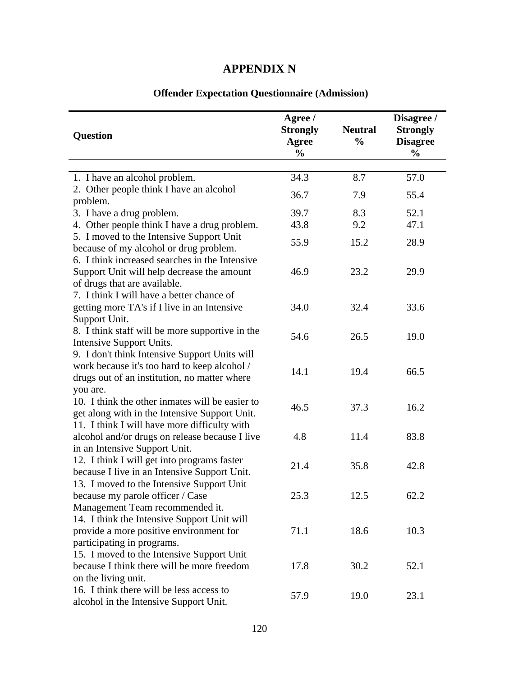## **APPENDIX N**

| <b>Question</b>                                                                                                                               | Agree /<br><b>Strongly</b><br><b>Agree</b><br>$\frac{0}{0}$ | <b>Neutral</b><br>$\frac{0}{0}$ | Disagree /<br><b>Strongly</b><br><b>Disagree</b><br>$\frac{0}{0}$ |
|-----------------------------------------------------------------------------------------------------------------------------------------------|-------------------------------------------------------------|---------------------------------|-------------------------------------------------------------------|
|                                                                                                                                               |                                                             |                                 |                                                                   |
| 1. I have an alcohol problem.                                                                                                                 | 34.3                                                        | 8.7                             | 57.0                                                              |
| 2. Other people think I have an alcohol                                                                                                       | 36.7                                                        | 7.9                             | 55.4                                                              |
| problem.                                                                                                                                      |                                                             |                                 |                                                                   |
| 3. I have a drug problem.                                                                                                                     | 39.7                                                        | 8.3                             | 52.1                                                              |
| 4. Other people think I have a drug problem.                                                                                                  | 43.8                                                        | 9.2                             | 47.1                                                              |
| 5. I moved to the Intensive Support Unit<br>because of my alcohol or drug problem.                                                            | 55.9                                                        | 15.2                            | 28.9                                                              |
| 6. I think increased searches in the Intensive<br>Support Unit will help decrease the amount<br>of drugs that are available.                  | 46.9                                                        | 23.2                            | 29.9                                                              |
| 7. I think I will have a better chance of<br>getting more TA's if I live in an Intensive                                                      | 34.0                                                        | 32.4                            | 33.6                                                              |
| Support Unit.<br>8. I think staff will be more supportive in the<br>Intensive Support Units.                                                  | 54.6                                                        | 26.5                            | 19.0                                                              |
| 9. I don't think Intensive Support Units will<br>work because it's too hard to keep alcohol /<br>drugs out of an institution, no matter where | 14.1                                                        | 19.4                            | 66.5                                                              |
| you are.<br>10. I think the other inmates will be easier to                                                                                   | 46.5                                                        | 37.3                            | 16.2                                                              |
| get along with in the Intensive Support Unit.<br>11. I think I will have more difficulty with                                                 | 4.8                                                         | 11.4                            | 83.8                                                              |
| alcohol and/or drugs on release because I live<br>in an Intensive Support Unit.                                                               |                                                             |                                 |                                                                   |
| 12. I think I will get into programs faster<br>because I live in an Intensive Support Unit.                                                   | 21.4                                                        | 35.8                            | 42.8                                                              |
| 13. I moved to the Intensive Support Unit<br>because my parole officer / Case<br>Management Team recommended it.                              | 25.3                                                        | 12.5                            | 62.2                                                              |
| 14. I think the Intensive Support Unit will<br>provide a more positive environment for<br>participating in programs.                          | 71.1                                                        | 18.6                            | 10.3                                                              |
| 15. I moved to the Intensive Support Unit<br>because I think there will be more freedom<br>on the living unit.                                | 17.8                                                        | 30.2                            | 52.1                                                              |
| 16. I think there will be less access to<br>alcohol in the Intensive Support Unit.                                                            | 57.9                                                        | 19.0                            | 23.1                                                              |

## **Offender Expectation Questionnaire (Admission)**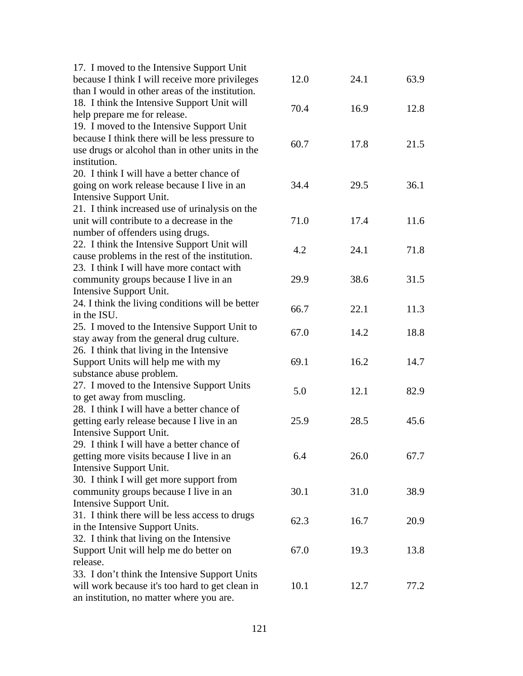| 17. I moved to the Intensive Support Unit        |      |      |      |
|--------------------------------------------------|------|------|------|
| because I think I will receive more privileges   | 12.0 | 24.1 | 63.9 |
| than I would in other areas of the institution.  |      |      |      |
| 18. I think the Intensive Support Unit will      |      |      |      |
| help prepare me for release.                     | 70.4 | 16.9 | 12.8 |
| 19. I moved to the Intensive Support Unit        |      |      |      |
| because I think there will be less pressure to   |      |      |      |
| use drugs or alcohol than in other units in the  | 60.7 | 17.8 | 21.5 |
| institution.                                     |      |      |      |
| 20. I think I will have a better chance of       |      |      |      |
| going on work release because I live in an       | 34.4 | 29.5 | 36.1 |
| Intensive Support Unit.                          |      |      |      |
| 21. I think increased use of urinalysis on the   |      |      |      |
| unit will contribute to a decrease in the        | 71.0 | 17.4 | 11.6 |
|                                                  |      |      |      |
| number of offenders using drugs.                 |      |      |      |
| 22. I think the Intensive Support Unit will      | 4.2  | 24.1 | 71.8 |
| cause problems in the rest of the institution.   |      |      |      |
| 23. I think I will have more contact with        |      |      |      |
| community groups because I live in an            | 29.9 | 38.6 | 31.5 |
| Intensive Support Unit.                          |      |      |      |
| 24. I think the living conditions will be better | 66.7 | 22.1 | 11.3 |
| in the ISU.                                      |      |      |      |
| 25. I moved to the Intensive Support Unit to     | 67.0 | 14.2 | 18.8 |
| stay away from the general drug culture.         |      |      |      |
| 26. I think that living in the Intensive         |      |      |      |
| Support Units will help me with my               | 69.1 | 16.2 | 14.7 |
| substance abuse problem.                         |      |      |      |
| 27. I moved to the Intensive Support Units       | 5.0  | 12.1 | 82.9 |
| to get away from muscling.                       |      |      |      |
| 28. I think I will have a better chance of       |      |      |      |
| getting early release because I live in an       | 25.9 | 28.5 | 45.6 |
| Intensive Support Unit.                          |      |      |      |
| 29. I think I will have a better chance of       |      |      |      |
| getting more visits because I live in an         | 6.4  | 26.0 | 67.7 |
| Intensive Support Unit.                          |      |      |      |
| 30. I think I will get more support from         |      |      |      |
| community groups because I live in an            | 30.1 | 31.0 | 38.9 |
| Intensive Support Unit.                          |      |      |      |
| 31. I think there will be less access to drugs   | 62.3 | 16.7 | 20.9 |
| in the Intensive Support Units.                  |      |      |      |
| 32. I think that living on the Intensive         |      |      |      |
| Support Unit will help me do better on           | 67.0 | 19.3 | 13.8 |
| release.                                         |      |      |      |
| 33. I don't think the Intensive Support Units    |      |      |      |
| will work because it's too hard to get clean in  | 10.1 | 12.7 | 77.2 |
| an institution, no matter where you are.         |      |      |      |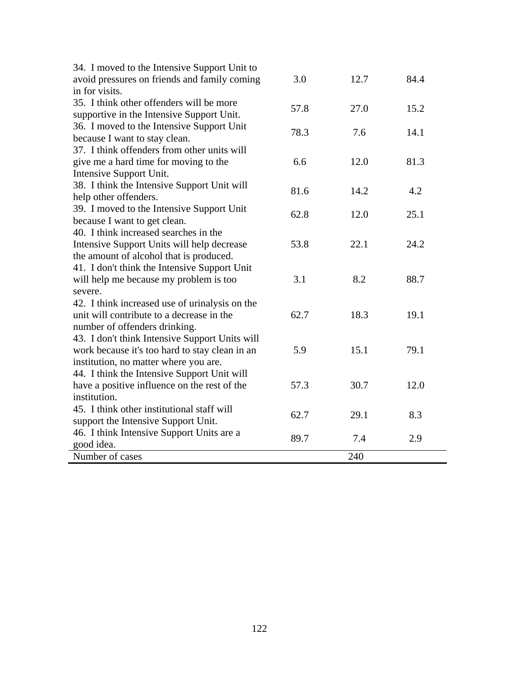| 34. I moved to the Intensive Support Unit to   |      |      |      |
|------------------------------------------------|------|------|------|
| avoid pressures on friends and family coming   | 3.0  | 12.7 | 84.4 |
| in for visits.                                 |      |      |      |
| 35. I think other offenders will be more       | 57.8 | 27.0 | 15.2 |
| supportive in the Intensive Support Unit.      |      |      |      |
| 36. I moved to the Intensive Support Unit      | 78.3 | 7.6  | 14.1 |
| because I want to stay clean.                  |      |      |      |
| 37. I think offenders from other units will    |      |      |      |
| give me a hard time for moving to the          | 6.6  | 12.0 | 81.3 |
| Intensive Support Unit.                        |      |      |      |
| 38. I think the Intensive Support Unit will    | 81.6 | 14.2 | 4.2  |
| help other offenders.                          |      |      |      |
| 39. I moved to the Intensive Support Unit      | 62.8 | 12.0 | 25.1 |
| because I want to get clean.                   |      |      |      |
| 40. I think increased searches in the          |      |      |      |
| Intensive Support Units will help decrease     | 53.8 | 22.1 | 24.2 |
| the amount of alcohol that is produced.        |      |      |      |
| 41. I don't think the Intensive Support Unit   |      |      |      |
| will help me because my problem is too         | 3.1  | 8.2  | 88.7 |
| severe.                                        |      |      |      |
| 42. I think increased use of urinalysis on the |      |      |      |
| unit will contribute to a decrease in the      | 62.7 | 18.3 | 19.1 |
| number of offenders drinking.                  |      |      |      |
| 43. I don't think Intensive Support Units will |      |      |      |
| work because it's too hard to stay clean in an | 5.9  | 15.1 | 79.1 |
| institution, no matter where you are.          |      |      |      |
| 44. I think the Intensive Support Unit will    |      |      |      |
| have a positive influence on the rest of the   | 57.3 | 30.7 | 12.0 |
| institution.                                   |      |      |      |
| 45. I think other institutional staff will     | 62.7 | 29.1 | 8.3  |
| support the Intensive Support Unit.            |      |      |      |
| 46. I think Intensive Support Units are a      | 89.7 | 7.4  | 2.9  |
| good idea.                                     |      |      |      |
| Number of cases                                |      | 240  |      |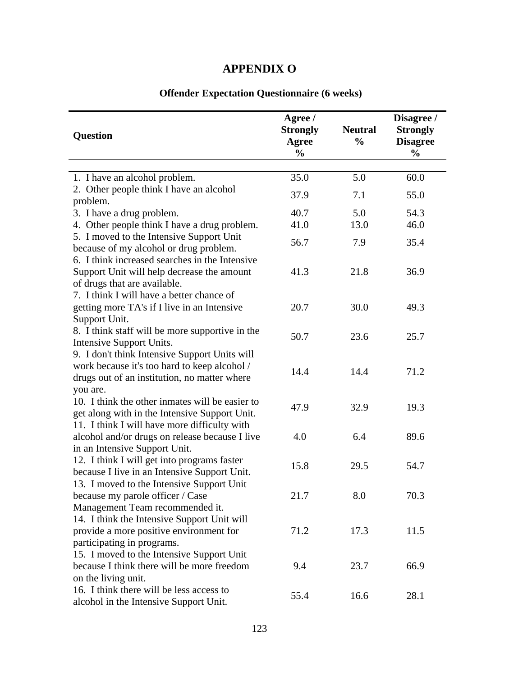## **APPENDIX O**

| <b>Question</b>                                                                                                                                           | Agree /<br><b>Strongly</b><br><b>Agree</b><br>$\frac{0}{0}$ | <b>Neutral</b><br>$\frac{0}{0}$ | Disagree /<br><b>Strongly</b><br><b>Disagree</b><br>$\frac{0}{0}$ |
|-----------------------------------------------------------------------------------------------------------------------------------------------------------|-------------------------------------------------------------|---------------------------------|-------------------------------------------------------------------|
| 1. I have an alcohol problem.                                                                                                                             | 35.0                                                        | 5.0                             | 60.0                                                              |
| 2. Other people think I have an alcohol                                                                                                                   |                                                             |                                 |                                                                   |
| problem.                                                                                                                                                  | 37.9                                                        | 7.1                             | 55.0                                                              |
| 3. I have a drug problem.                                                                                                                                 | 40.7                                                        | 5.0                             | 54.3                                                              |
| 4. Other people think I have a drug problem.                                                                                                              | 41.0                                                        | 13.0                            | 46.0                                                              |
| 5. I moved to the Intensive Support Unit<br>because of my alcohol or drug problem.                                                                        | 56.7                                                        | 7.9                             | 35.4                                                              |
| 6. I think increased searches in the Intensive<br>Support Unit will help decrease the amount<br>of drugs that are available.                              | 41.3                                                        | 21.8                            | 36.9                                                              |
| 7. I think I will have a better chance of<br>getting more TA's if I live in an Intensive<br>Support Unit.                                                 | 20.7                                                        | 30.0                            | 49.3                                                              |
| 8. I think staff will be more supportive in the<br>Intensive Support Units.                                                                               | 50.7                                                        | 23.6                            | 25.7                                                              |
| 9. I don't think Intensive Support Units will<br>work because it's too hard to keep alcohol /<br>drugs out of an institution, no matter where<br>you are. | 14.4                                                        | 14.4                            | 71.2                                                              |
| 10. I think the other inmates will be easier to<br>get along with in the Intensive Support Unit.                                                          | 47.9                                                        | 32.9                            | 19.3                                                              |
| 11. I think I will have more difficulty with<br>alcohol and/or drugs on release because I live<br>in an Intensive Support Unit.                           | 4.0                                                         | 6.4                             | 89.6                                                              |
| 12. I think I will get into programs faster<br>because I live in an Intensive Support Unit.                                                               | 15.8                                                        | 29.5                            | 54.7                                                              |
| 13. I moved to the Intensive Support Unit<br>because my parole officer / Case<br>Management Team recommended it.                                          | 21.7                                                        | 8.0                             | 70.3                                                              |
| 14. I think the Intensive Support Unit will<br>provide a more positive environment for<br>participating in programs.                                      | 71.2                                                        | 17.3                            | 11.5                                                              |
| 15. I moved to the Intensive Support Unit<br>because I think there will be more freedom<br>on the living unit.                                            | 9.4                                                         | 23.7                            | 66.9                                                              |
| 16. I think there will be less access to<br>alcohol in the Intensive Support Unit.                                                                        | 55.4                                                        | 16.6                            | 28.1                                                              |

## **Offender Expectation Questionnaire (6 weeks)**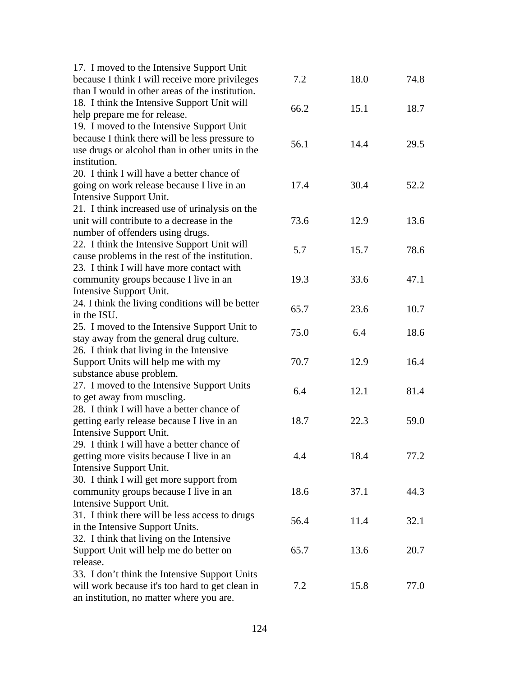| 17. I moved to the Intensive Support Unit        |      |      |      |
|--------------------------------------------------|------|------|------|
| because I think I will receive more privileges   | 7.2  | 18.0 | 74.8 |
| than I would in other areas of the institution.  |      |      |      |
| 18. I think the Intensive Support Unit will      |      |      |      |
| help prepare me for release.                     | 66.2 | 15.1 | 18.7 |
| 19. I moved to the Intensive Support Unit        |      |      |      |
| because I think there will be less pressure to   |      |      |      |
| use drugs or alcohol than in other units in the  | 56.1 | 14.4 | 29.5 |
| institution.                                     |      |      |      |
| 20. I think I will have a better chance of       |      |      |      |
| going on work release because I live in an       | 17.4 | 30.4 | 52.2 |
| Intensive Support Unit.                          |      |      |      |
| 21. I think increased use of urinalysis on the   |      |      |      |
| unit will contribute to a decrease in the        | 73.6 | 12.9 | 13.6 |
| number of offenders using drugs.                 |      |      |      |
| 22. I think the Intensive Support Unit will      |      |      |      |
| cause problems in the rest of the institution.   | 5.7  | 15.7 | 78.6 |
| 23. I think I will have more contact with        |      |      |      |
| community groups because I live in an            | 19.3 | 33.6 | 47.1 |
| Intensive Support Unit.                          |      |      |      |
| 24. I think the living conditions will be better |      |      |      |
| in the ISU.                                      | 65.7 | 23.6 | 10.7 |
| 25. I moved to the Intensive Support Unit to     | 75.0 | 6.4  | 18.6 |
| stay away from the general drug culture.         |      |      |      |
| 26. I think that living in the Intensive         |      |      |      |
| Support Units will help me with my               | 70.7 | 12.9 | 16.4 |
| substance abuse problem.                         |      |      |      |
| 27. I moved to the Intensive Support Units       | 6.4  | 12.1 | 81.4 |
| to get away from muscling.                       |      |      |      |
| 28. I think I will have a better chance of       |      |      |      |
| getting early release because I live in an       | 18.7 | 22.3 | 59.0 |
| Intensive Support Unit.                          |      |      |      |
| 29. I think I will have a better chance of       |      |      |      |
| getting more visits because I live in an         | 4.4  | 18.4 | 77.2 |
| Intensive Support Unit.                          |      |      |      |
| 30. I think I will get more support from         |      |      |      |
| community groups because I live in an            | 18.6 | 37.1 | 44.3 |
| Intensive Support Unit.                          |      |      |      |
| 31. I think there will be less access to drugs   | 56.4 | 11.4 | 32.1 |
| in the Intensive Support Units.                  |      |      |      |
| 32. I think that living on the Intensive         |      |      |      |
| Support Unit will help me do better on           | 65.7 | 13.6 | 20.7 |
| release.                                         |      |      |      |
| 33. I don't think the Intensive Support Units    |      |      |      |
| will work because it's too hard to get clean in  | 7.2  | 15.8 | 77.0 |
| an institution, no matter where you are.         |      |      |      |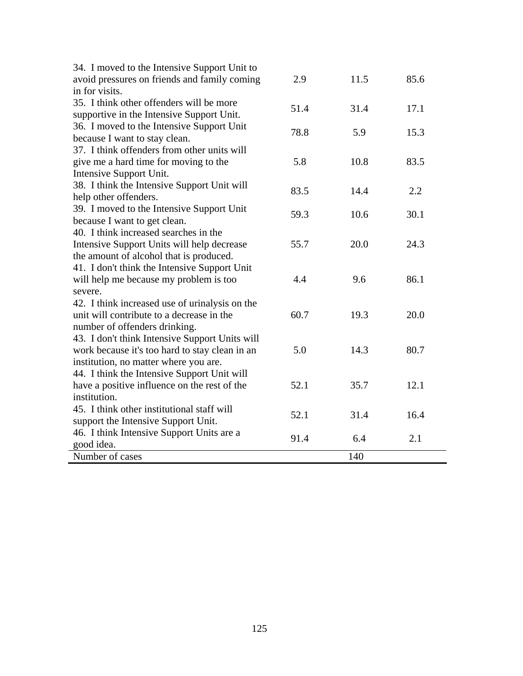| 34. I moved to the Intensive Support Unit to   |      |      |      |
|------------------------------------------------|------|------|------|
| avoid pressures on friends and family coming   | 2.9  | 11.5 | 85.6 |
| in for visits.                                 |      |      |      |
| 35. I think other offenders will be more       | 51.4 | 31.4 | 17.1 |
| supportive in the Intensive Support Unit.      |      |      |      |
| 36. I moved to the Intensive Support Unit      | 78.8 | 5.9  | 15.3 |
| because I want to stay clean.                  |      |      |      |
| 37. I think offenders from other units will    |      |      |      |
| give me a hard time for moving to the          | 5.8  | 10.8 | 83.5 |
| Intensive Support Unit.                        |      |      |      |
| 38. I think the Intensive Support Unit will    | 83.5 | 14.4 | 2.2  |
| help other offenders.                          |      |      |      |
| 39. I moved to the Intensive Support Unit      | 59.3 | 10.6 | 30.1 |
| because I want to get clean.                   |      |      |      |
| 40. I think increased searches in the          |      |      |      |
| Intensive Support Units will help decrease     | 55.7 | 20.0 | 24.3 |
| the amount of alcohol that is produced.        |      |      |      |
| 41. I don't think the Intensive Support Unit   |      |      |      |
| will help me because my problem is too         | 4.4  | 9.6  | 86.1 |
| severe.                                        |      |      |      |
| 42. I think increased use of urinalysis on the |      |      |      |
| unit will contribute to a decrease in the      | 60.7 | 19.3 | 20.0 |
| number of offenders drinking.                  |      |      |      |
| 43. I don't think Intensive Support Units will |      |      |      |
| work because it's too hard to stay clean in an | 5.0  | 14.3 | 80.7 |
| institution, no matter where you are.          |      |      |      |
| 44. I think the Intensive Support Unit will    |      |      |      |
| have a positive influence on the rest of the   | 52.1 | 35.7 | 12.1 |
| institution.                                   |      |      |      |
| 45. I think other institutional staff will     | 52.1 | 31.4 | 16.4 |
| support the Intensive Support Unit.            |      |      |      |
| 46. I think Intensive Support Units are a      | 91.4 | 6.4  | 2.1  |
| good idea.                                     |      |      |      |
| Number of cases                                |      | 140  |      |

÷,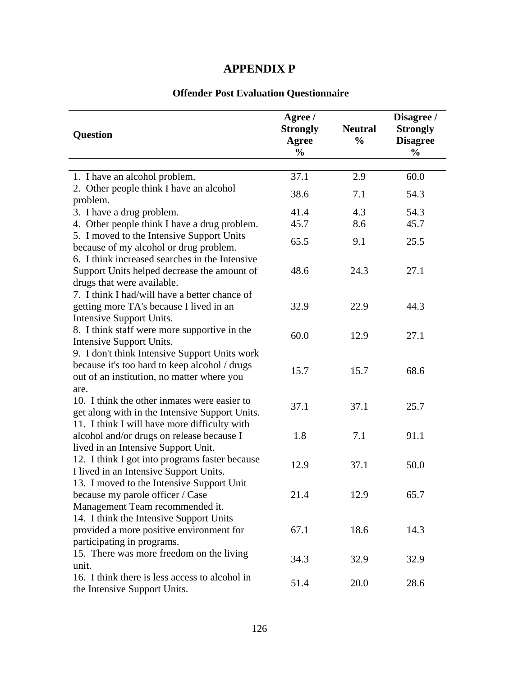## **APPENDIX P**

## **Offender Post Evaluation Questionnaire**

| <b>Question</b>                                                                                                                                      | Agree /<br><b>Strongly</b><br><b>Agree</b><br>$\frac{0}{0}$ | <b>Neutral</b><br>$\frac{0}{0}$ | Disagree /<br><b>Strongly</b><br><b>Disagree</b><br>$\frac{0}{0}$ |
|------------------------------------------------------------------------------------------------------------------------------------------------------|-------------------------------------------------------------|---------------------------------|-------------------------------------------------------------------|
|                                                                                                                                                      |                                                             |                                 |                                                                   |
| 1. I have an alcohol problem.                                                                                                                        | 37.1                                                        | 2.9                             | 60.0                                                              |
| 2. Other people think I have an alcohol                                                                                                              | 38.6                                                        | 7.1                             | 54.3                                                              |
| problem.                                                                                                                                             |                                                             |                                 |                                                                   |
| 3. I have a drug problem.                                                                                                                            | 41.4                                                        | 4.3                             | 54.3                                                              |
| 4. Other people think I have a drug problem.                                                                                                         | 45.7                                                        | 8.6                             | 45.7                                                              |
| 5. I moved to the Intensive Support Units<br>because of my alcohol or drug problem.                                                                  | 65.5                                                        | 9.1                             | 25.5                                                              |
| 6. I think increased searches in the Intensive<br>Support Units helped decrease the amount of<br>drugs that were available.                          | 48.6                                                        | 24.3                            | 27.1                                                              |
| 7. I think I had/will have a better chance of<br>getting more TA's because I lived in an<br>Intensive Support Units.                                 | 32.9                                                        | 22.9                            | 44.3                                                              |
| 8. I think staff were more supportive in the<br>Intensive Support Units.                                                                             | 60.0                                                        | 12.9                            | 27.1                                                              |
| 9. I don't think Intensive Support Units work<br>because it's too hard to keep alcohol / drugs<br>out of an institution, no matter where you<br>are. | 15.7                                                        | 15.7                            | 68.6                                                              |
| 10. I think the other inmates were easier to<br>get along with in the Intensive Support Units.                                                       | 37.1                                                        | 37.1                            | 25.7                                                              |
| 11. I think I will have more difficulty with<br>alcohol and/or drugs on release because I<br>lived in an Intensive Support Unit.                     | 1.8                                                         | 7.1                             | 91.1                                                              |
| 12. I think I got into programs faster because<br>I lived in an Intensive Support Units.                                                             | 12.9                                                        | 37.1                            | 50.0                                                              |
| 13. I moved to the Intensive Support Unit<br>because my parole officer / Case<br>Management Team recommended it.                                     | 21.4                                                        | 12.9                            | 65.7                                                              |
| 14. I think the Intensive Support Units<br>provided a more positive environment for<br>participating in programs.                                    | 67.1                                                        | 18.6                            | 14.3                                                              |
| 15. There was more freedom on the living<br>unit.                                                                                                    | 34.3                                                        | 32.9                            | 32.9                                                              |
| 16. I think there is less access to alcohol in<br>the Intensive Support Units.                                                                       | 51.4                                                        | 20.0                            | 28.6                                                              |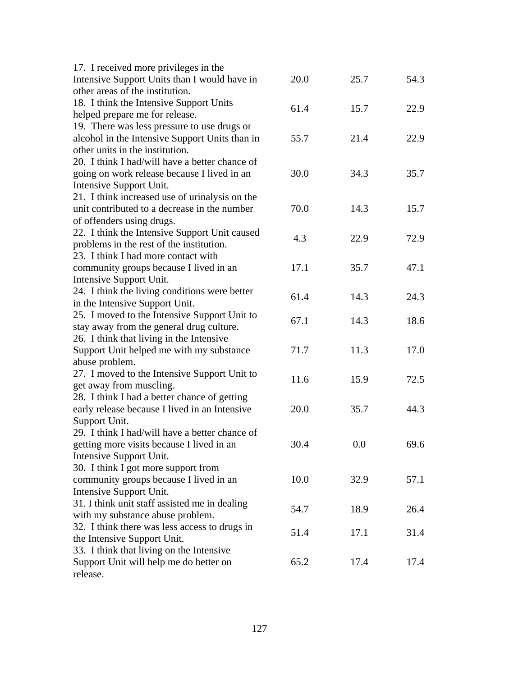| 17. I received more privileges in the          |      |         |      |
|------------------------------------------------|------|---------|------|
| Intensive Support Units than I would have in   | 20.0 | 25.7    | 54.3 |
| other areas of the institution.                |      |         |      |
| 18. I think the Intensive Support Units        |      |         |      |
| helped prepare me for release.                 | 61.4 | 15.7    | 22.9 |
| 19. There was less pressure to use drugs or    |      |         |      |
| alcohol in the Intensive Support Units than in | 55.7 | 21.4    | 22.9 |
| other units in the institution.                |      |         |      |
| 20. I think I had/will have a better chance of |      |         |      |
| going on work release because I lived in an    | 30.0 | 34.3    | 35.7 |
| Intensive Support Unit.                        |      |         |      |
| 21. I think increased use of urinalysis on the |      |         |      |
| unit contributed to a decrease in the number   | 70.0 | 14.3    | 15.7 |
| of offenders using drugs.                      |      |         |      |
| 22. I think the Intensive Support Unit caused  |      |         |      |
| problems in the rest of the institution.       | 4.3  | 22.9    | 72.9 |
| 23. I think I had more contact with            |      |         |      |
| community groups because I lived in an         | 17.1 | 35.7    | 47.1 |
| Intensive Support Unit.                        |      |         |      |
| 24. I think the living conditions were better  |      |         |      |
| in the Intensive Support Unit.                 | 61.4 | 14.3    | 24.3 |
| 25. I moved to the Intensive Support Unit to   |      |         |      |
| stay away from the general drug culture.       | 67.1 | 14.3    | 18.6 |
| 26. I think that living in the Intensive       |      |         |      |
| Support Unit helped me with my substance       | 71.7 | 11.3    | 17.0 |
| abuse problem.                                 |      |         |      |
| 27. I moved to the Intensive Support Unit to   |      |         |      |
| get away from muscling.                        | 11.6 | 15.9    | 72.5 |
| 28. I think I had a better chance of getting   |      |         |      |
| early release because I lived in an Intensive  | 20.0 | 35.7    | 44.3 |
| Support Unit.                                  |      |         |      |
| 29. I think I had/will have a better chance of |      |         |      |
| getting more visits because I lived in an      | 30.4 | $0.0\,$ | 69.6 |
| Intensive Support Unit.                        |      |         |      |
| 30. I think I got more support from            |      |         |      |
| community groups because I lived in an         | 10.0 | 32.9    | 57.1 |
| Intensive Support Unit.                        |      |         |      |
| 31. I think unit staff assisted me in dealing  |      |         |      |
| with my substance abuse problem.               | 54.7 | 18.9    | 26.4 |
| 32. I think there was less access to drugs in  |      |         |      |
| the Intensive Support Unit.                    | 51.4 | 17.1    | 31.4 |
| 33. I think that living on the Intensive       |      |         |      |
| Support Unit will help me do better on         | 65.2 | 17.4    | 17.4 |
| release.                                       |      |         |      |
|                                                |      |         |      |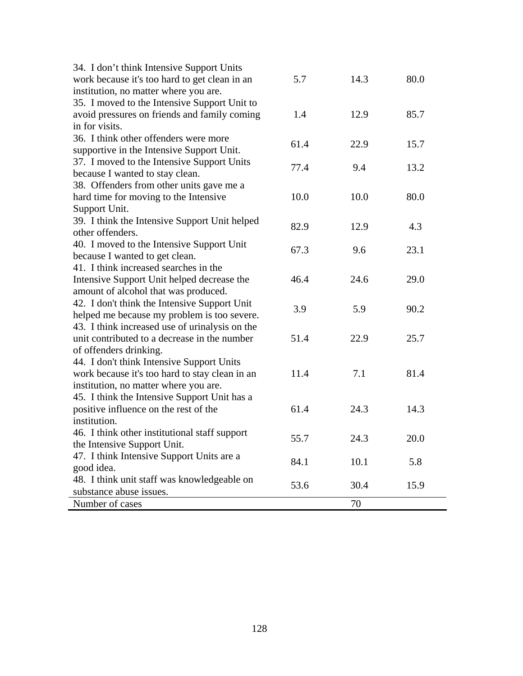| 34. I don't think Intensive Support Units      |      |      |      |
|------------------------------------------------|------|------|------|
| work because it's too hard to get clean in an  | 5.7  | 14.3 | 80.0 |
| institution, no matter where you are.          |      |      |      |
| 35. I moved to the Intensive Support Unit to   |      |      |      |
| avoid pressures on friends and family coming   | 1.4  | 12.9 | 85.7 |
| in for visits.                                 |      |      |      |
| 36. I think other offenders were more          |      |      |      |
| supportive in the Intensive Support Unit.      | 61.4 | 22.9 | 15.7 |
| 37. I moved to the Intensive Support Units     |      |      |      |
| because I wanted to stay clean.                | 77.4 | 9.4  | 13.2 |
| 38. Offenders from other units gave me a       |      |      |      |
| hard time for moving to the Intensive          | 10.0 | 10.0 | 80.0 |
| Support Unit.                                  |      |      |      |
| 39. I think the Intensive Support Unit helped  |      |      |      |
| other offenders.                               | 82.9 | 12.9 | 4.3  |
| 40. I moved to the Intensive Support Unit      |      |      |      |
| because I wanted to get clean.                 | 67.3 | 9.6  | 23.1 |
| 41. I think increased searches in the          |      |      |      |
| Intensive Support Unit helped decrease the     | 46.4 | 24.6 | 29.0 |
| amount of alcohol that was produced.           |      |      |      |
| 42. I don't think the Intensive Support Unit   |      |      |      |
| helped me because my problem is too severe.    | 3.9  | 5.9  | 90.2 |
| 43. I think increased use of urinalysis on the |      |      |      |
| unit contributed to a decrease in the number   | 51.4 | 22.9 | 25.7 |
| of offenders drinking.                         |      |      |      |
| 44. I don't think Intensive Support Units      |      |      |      |
| work because it's too hard to stay clean in an | 11.4 | 7.1  | 81.4 |
| institution, no matter where you are.          |      |      |      |
| 45. I think the Intensive Support Unit has a   |      |      |      |
| positive influence on the rest of the          | 61.4 | 24.3 | 14.3 |
| institution.                                   |      |      |      |
| 46. I think other institutional staff support  |      |      |      |
| the Intensive Support Unit.                    | 55.7 | 24.3 | 20.0 |
| 47. I think Intensive Support Units are a      |      |      |      |
| good idea.                                     | 84.1 | 10.1 | 5.8  |
| 48. I think unit staff was knowledgeable on    |      |      |      |
| substance abuse issues.                        | 53.6 | 30.4 | 15.9 |
| Number of cases                                |      | 70   |      |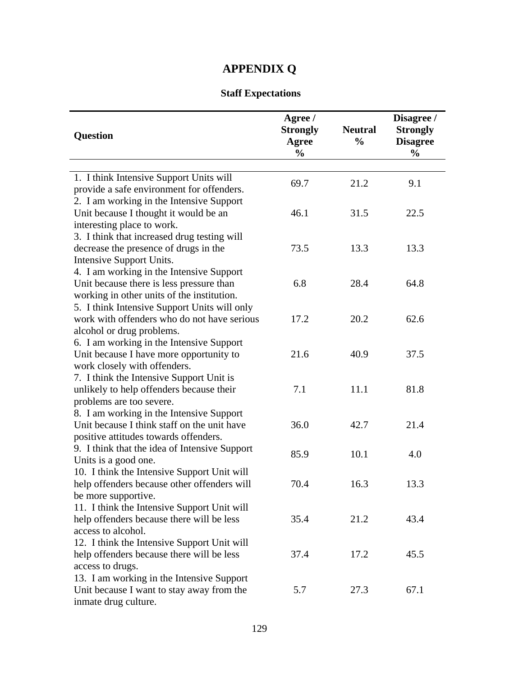# **APPENDIX Q**

## **Staff Expectations**

| <b>Question</b>                                                                                                                                | Agree /<br><b>Strongly</b><br><b>Agree</b><br>$\frac{0}{0}$ | <b>Neutral</b><br>$\frac{0}{0}$ | Disagree /<br><b>Strongly</b><br><b>Disagree</b><br>$\frac{0}{0}$ |
|------------------------------------------------------------------------------------------------------------------------------------------------|-------------------------------------------------------------|---------------------------------|-------------------------------------------------------------------|
|                                                                                                                                                |                                                             |                                 |                                                                   |
| 1. I think Intensive Support Units will<br>provide a safe environment for offenders.                                                           | 69.7                                                        | 21.2                            | 9.1                                                               |
| 2. I am working in the Intensive Support<br>Unit because I thought it would be an                                                              | 46.1                                                        | 31.5                            | 22.5                                                              |
| interesting place to work.<br>3. I think that increased drug testing will<br>decrease the presence of drugs in the<br>Intensive Support Units. | 73.5                                                        | 13.3                            | 13.3                                                              |
| 4. I am working in the Intensive Support<br>Unit because there is less pressure than<br>working in other units of the institution.             | 6.8                                                         | 28.4                            | 64.8                                                              |
| 5. I think Intensive Support Units will only<br>work with offenders who do not have serious<br>alcohol or drug problems.                       | 17.2                                                        | 20.2                            | 62.6                                                              |
| 6. I am working in the Intensive Support<br>Unit because I have more opportunity to<br>work closely with offenders.                            | 21.6                                                        | 40.9                            | 37.5                                                              |
| 7. I think the Intensive Support Unit is<br>unlikely to help offenders because their<br>problems are too severe.                               | 7.1                                                         | 11.1                            | 81.8                                                              |
| 8. I am working in the Intensive Support<br>Unit because I think staff on the unit have<br>positive attitudes towards offenders.               | 36.0                                                        | 42.7                            | 21.4                                                              |
| 9. I think that the idea of Intensive Support<br>Units is a good one.                                                                          | 85.9                                                        | 10.1                            | 4.0                                                               |
| 10. I think the Intensive Support Unit will<br>help offenders because other offenders will<br>be more supportive.                              | 70.4                                                        | 16.3                            | 13.3                                                              |
| 11. I think the Intensive Support Unit will<br>help offenders because there will be less<br>access to alcohol.                                 | 35.4                                                        | 21.2                            | 43.4                                                              |
| 12. I think the Intensive Support Unit will<br>help offenders because there will be less<br>access to drugs.                                   | 37.4                                                        | 17.2                            | 45.5                                                              |
| 13. I am working in the Intensive Support<br>Unit because I want to stay away from the<br>inmate drug culture.                                 | 5.7                                                         | 27.3                            | 67.1                                                              |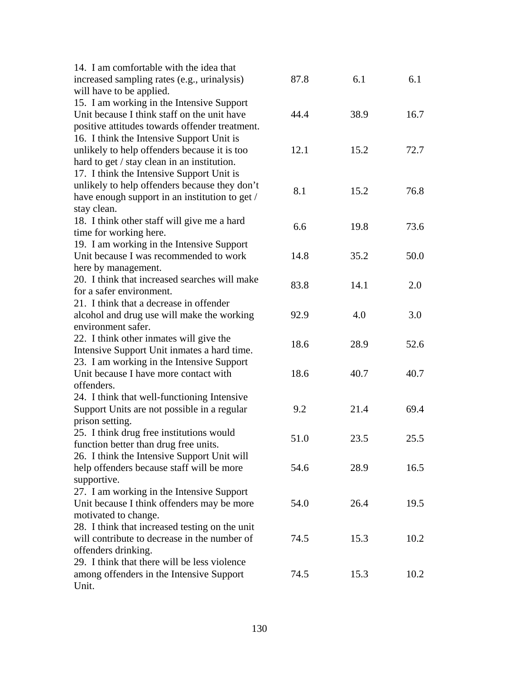| 87.8 | 6.1                                                        | 6.1                                                                         |
|------|------------------------------------------------------------|-----------------------------------------------------------------------------|
|      |                                                            |                                                                             |
|      |                                                            |                                                                             |
| 44.4 | 38.9                                                       | 16.7                                                                        |
|      |                                                            |                                                                             |
|      |                                                            |                                                                             |
| 12.1 | 15.2                                                       | 72.7                                                                        |
|      |                                                            |                                                                             |
|      |                                                            |                                                                             |
|      |                                                            |                                                                             |
|      |                                                            | 76.8                                                                        |
|      |                                                            |                                                                             |
|      |                                                            |                                                                             |
|      |                                                            | 73.6                                                                        |
|      |                                                            |                                                                             |
|      |                                                            | 50.0                                                                        |
|      |                                                            |                                                                             |
|      |                                                            |                                                                             |
|      |                                                            | 2.0                                                                         |
|      |                                                            |                                                                             |
|      |                                                            | 3.0                                                                         |
|      |                                                            |                                                                             |
|      |                                                            |                                                                             |
|      |                                                            | 52.6                                                                        |
|      |                                                            |                                                                             |
| 18.6 |                                                            | 40.7                                                                        |
|      |                                                            |                                                                             |
|      |                                                            |                                                                             |
| 9.2  | 21.4                                                       | 69.4                                                                        |
|      |                                                            |                                                                             |
|      |                                                            |                                                                             |
|      |                                                            | 25.5                                                                        |
|      |                                                            |                                                                             |
| 54.6 | 28.9                                                       | 16.5                                                                        |
|      |                                                            |                                                                             |
|      |                                                            |                                                                             |
|      |                                                            | 19.5                                                                        |
|      |                                                            |                                                                             |
|      |                                                            |                                                                             |
| 74.5 |                                                            | 10.2                                                                        |
|      |                                                            |                                                                             |
|      |                                                            |                                                                             |
| 74.5 | 15.3                                                       | 10.2                                                                        |
|      |                                                            |                                                                             |
|      | 8.1<br>6.6<br>14.8<br>83.8<br>92.9<br>18.6<br>51.0<br>54.0 | 15.2<br>19.8<br>35.2<br>14.1<br>4.0<br>28.9<br>40.7<br>23.5<br>26.4<br>15.3 |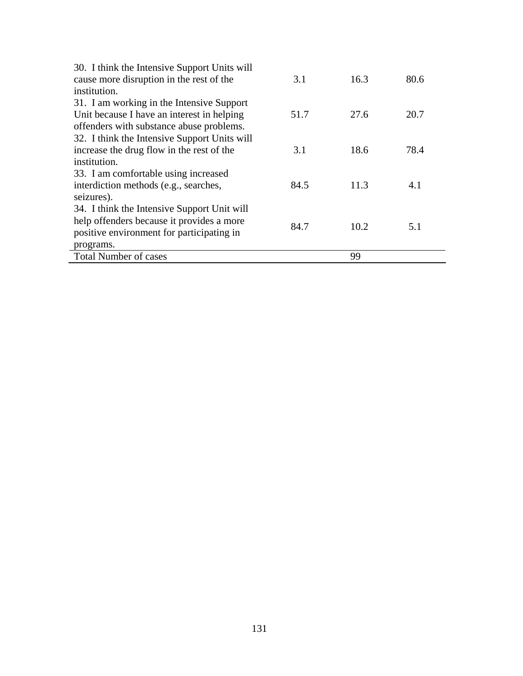| 30. I think the Intensive Support Units will |      |      |      |
|----------------------------------------------|------|------|------|
| cause more disruption in the rest of the     | 3.1  | 16.3 | 80.6 |
| institution.                                 |      |      |      |
| 31. I am working in the Intensive Support    |      |      |      |
| Unit because I have an interest in helping   | 51.7 | 27.6 | 20.7 |
| offenders with substance abuse problems.     |      |      |      |
| 32. I think the Intensive Support Units will |      |      |      |
| increase the drug flow in the rest of the    | 3.1  | 18.6 | 78.4 |
| institution.                                 |      |      |      |
| 33. I am comfortable using increased         |      |      |      |
| interdiction methods (e.g., searches,        | 84.5 | 11.3 | 4.1  |
| seizures).                                   |      |      |      |
| 34. I think the Intensive Support Unit will  |      |      |      |
| help offenders because it provides a more    | 84.7 | 10.2 |      |
| positive environment for participating in    |      |      | 5.1  |
| programs.                                    |      |      |      |
| <b>Total Number of cases</b>                 |      | 99   |      |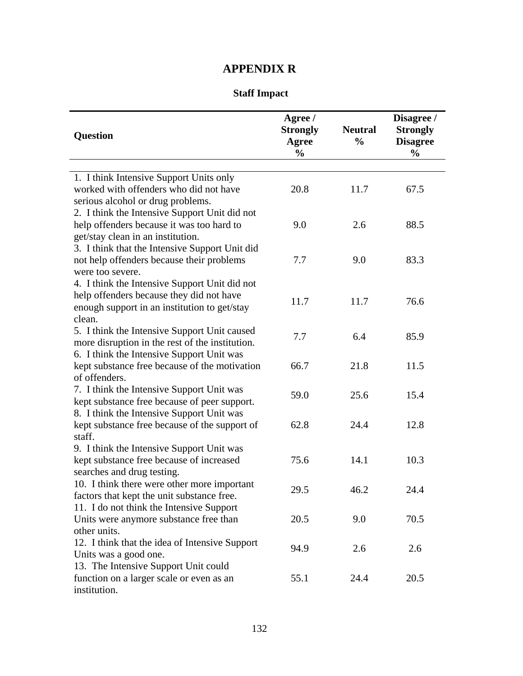## **APPENDIX R**

## **Staff Impact**

| <b>Question</b>                                                                           | Agree /<br><b>Strongly</b><br><b>Agree</b><br>$\frac{0}{0}$ | <b>Neutral</b><br>$\frac{0}{0}$ | Disagree /<br><b>Strongly</b><br><b>Disagree</b><br>$\frac{0}{0}$ |
|-------------------------------------------------------------------------------------------|-------------------------------------------------------------|---------------------------------|-------------------------------------------------------------------|
| 1. I think Intensive Support Units only                                                   |                                                             |                                 |                                                                   |
| worked with offenders who did not have<br>serious alcohol or drug problems.               | 20.8                                                        | 11.7                            | 67.5                                                              |
| 2. I think the Intensive Support Unit did not                                             |                                                             |                                 |                                                                   |
| help offenders because it was too hard to                                                 | 9.0                                                         | 2.6                             | 88.5                                                              |
| get/stay clean in an institution.                                                         |                                                             |                                 |                                                                   |
| 3. I think that the Intensive Support Unit did                                            |                                                             |                                 |                                                                   |
| not help offenders because their problems<br>were too severe.                             | 7.7                                                         | 9.0                             | 83.3                                                              |
| 4. I think the Intensive Support Unit did not                                             |                                                             |                                 |                                                                   |
| help offenders because they did not have                                                  |                                                             |                                 |                                                                   |
| enough support in an institution to get/stay                                              | 11.7                                                        | 11.7                            | 76.6                                                              |
| clean.                                                                                    |                                                             |                                 |                                                                   |
| 5. I think the Intensive Support Unit caused                                              | 7.7                                                         | 6.4                             | 85.9                                                              |
| more disruption in the rest of the institution.                                           |                                                             |                                 |                                                                   |
| 6. I think the Intensive Support Unit was                                                 |                                                             |                                 |                                                                   |
| kept substance free because of the motivation                                             | 66.7                                                        | 21.8                            | 11.5                                                              |
| of offenders.                                                                             |                                                             |                                 |                                                                   |
| 7. I think the Intensive Support Unit was<br>kept substance free because of peer support. | 59.0                                                        | 25.6                            | 15.4                                                              |
| 8. I think the Intensive Support Unit was                                                 |                                                             |                                 |                                                                   |
| kept substance free because of the support of                                             | 62.8                                                        | 24.4                            | 12.8                                                              |
| staff.                                                                                    |                                                             |                                 |                                                                   |
| 9. I think the Intensive Support Unit was                                                 |                                                             |                                 |                                                                   |
| kept substance free because of increased                                                  | 75.6                                                        | 14.1                            | 10.3                                                              |
| searches and drug testing.                                                                |                                                             |                                 |                                                                   |
| 10. I think there were other more important                                               | 29.5                                                        | 46.2                            | 24.4                                                              |
| factors that kept the unit substance free.                                                |                                                             |                                 |                                                                   |
| 11. I do not think the Intensive Support                                                  |                                                             |                                 |                                                                   |
| Units were anymore substance free than                                                    | 20.5                                                        | 9.0                             | 70.5                                                              |
| other units.                                                                              |                                                             |                                 |                                                                   |
| 12. I think that the idea of Intensive Support<br>Units was a good one.                   | 94.9                                                        | 2.6                             | 2.6                                                               |
| 13. The Intensive Support Unit could                                                      |                                                             |                                 |                                                                   |
| function on a larger scale or even as an                                                  | 55.1                                                        | 24.4                            | 20.5                                                              |
| institution.                                                                              |                                                             |                                 |                                                                   |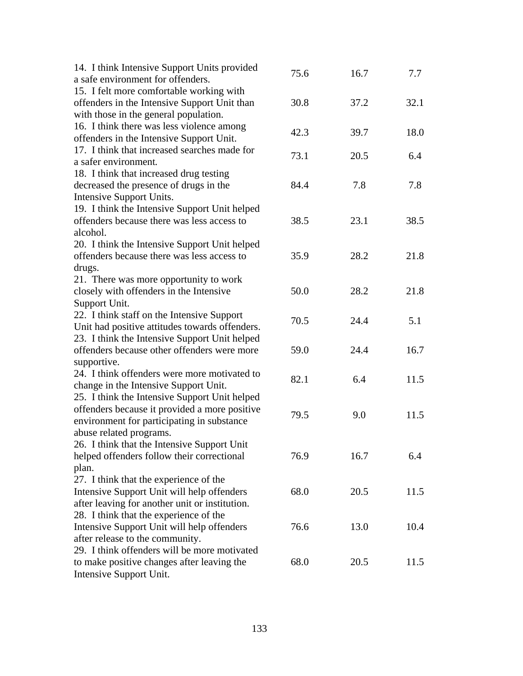| 14. I think Intensive Support Units provided<br>a safe environment for offenders. | 75.6 | 16.7 | 7.7  |
|-----------------------------------------------------------------------------------|------|------|------|
| 15. I felt more comfortable working with                                          |      |      |      |
| offenders in the Intensive Support Unit than                                      | 30.8 | 37.2 | 32.1 |
| with those in the general population.                                             |      |      |      |
| 16. I think there was less violence among                                         |      |      |      |
| offenders in the Intensive Support Unit.                                          | 42.3 | 39.7 | 18.0 |
| 17. I think that increased searches made for                                      |      |      |      |
| a safer environment.                                                              | 73.1 | 20.5 | 6.4  |
| 18. I think that increased drug testing                                           |      |      |      |
| decreased the presence of drugs in the                                            | 84.4 | 7.8  | 7.8  |
| Intensive Support Units.                                                          |      |      |      |
| 19. I think the Intensive Support Unit helped                                     |      |      |      |
| offenders because there was less access to                                        | 38.5 | 23.1 | 38.5 |
| alcohol.                                                                          |      |      |      |
| 20. I think the Intensive Support Unit helped                                     |      |      |      |
| offenders because there was less access to                                        | 35.9 | 28.2 | 21.8 |
| drugs.                                                                            |      |      |      |
| 21. There was more opportunity to work                                            |      |      |      |
| closely with offenders in the Intensive                                           | 50.0 | 28.2 | 21.8 |
| Support Unit.                                                                     |      |      |      |
| 22. I think staff on the Intensive Support                                        |      |      |      |
| Unit had positive attitudes towards offenders.                                    | 70.5 | 24.4 | 5.1  |
| 23. I think the Intensive Support Unit helped                                     |      |      |      |
| offenders because other offenders were more                                       | 59.0 | 24.4 | 16.7 |
| supportive.                                                                       |      |      |      |
| 24. I think offenders were more motivated to                                      |      |      |      |
| change in the Intensive Support Unit.                                             | 82.1 | 6.4  | 11.5 |
| 25. I think the Intensive Support Unit helped                                     |      |      |      |
| offenders because it provided a more positive                                     |      |      |      |
| environment for participating in substance                                        | 79.5 | 9.0  | 11.5 |
| abuse related programs.                                                           |      |      |      |
| 26. I think that the Intensive Support Unit                                       |      |      |      |
| helped offenders follow their correctional                                        | 76.9 | 16.7 | 6.4  |
| plan.                                                                             |      |      |      |
| 27. I think that the experience of the                                            |      |      |      |
| Intensive Support Unit will help offenders                                        | 68.0 | 20.5 | 11.5 |
| after leaving for another unit or institution.                                    |      |      |      |
| 28. I think that the experience of the                                            |      |      |      |
| Intensive Support Unit will help offenders                                        | 76.6 | 13.0 | 10.4 |
| after release to the community.                                                   |      |      |      |
| 29. I think offenders will be more motivated                                      |      |      |      |
| to make positive changes after leaving the                                        | 68.0 | 20.5 | 11.5 |
| Intensive Support Unit.                                                           |      |      |      |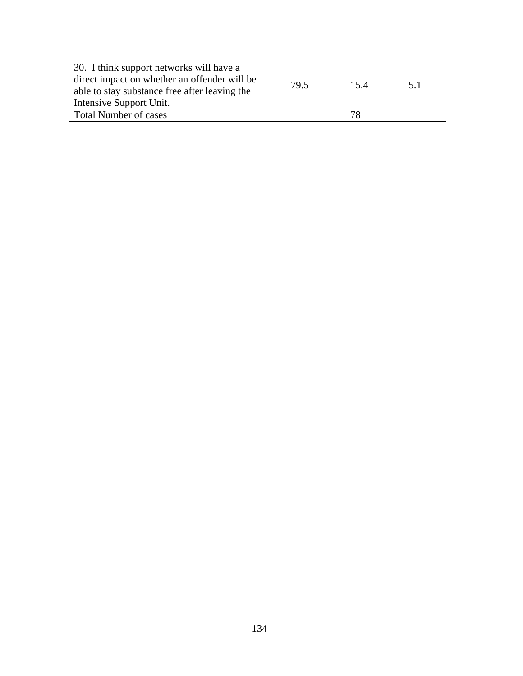| 30. I think support networks will have a      |      |      |     |
|-----------------------------------------------|------|------|-----|
| direct impact on whether an offender will be  | 79.5 | 15.4 | 5.1 |
| able to stay substance free after leaving the |      |      |     |
| Intensive Support Unit.                       |      |      |     |
| <b>Total Number of cases</b>                  |      | 78   |     |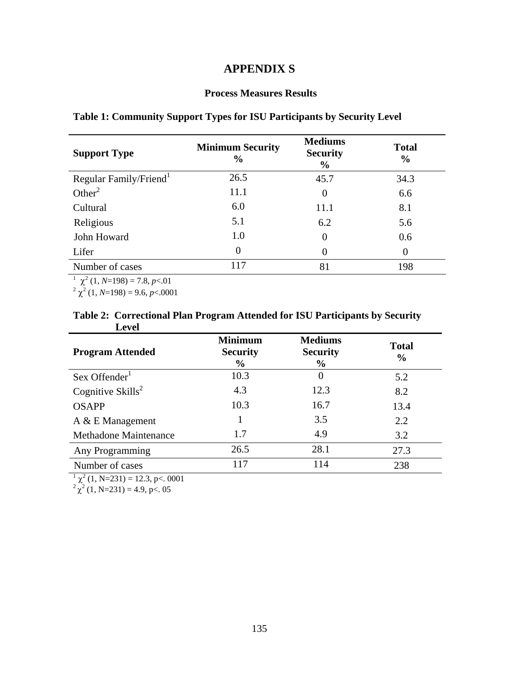# **APPENDIX S**

#### **Process Measures Results**

| <b>Support Type</b>                    | <b>Minimum Security</b><br>$\frac{0}{0}$ | <b>Mediums</b><br><b>Security</b><br>$\frac{6}{9}$ | <b>Total</b><br>$\frac{6}{9}$ |
|----------------------------------------|------------------------------------------|----------------------------------------------------|-------------------------------|
| Regular Family/Friend <sup>1</sup>     | 26.5                                     | 45.7                                               | 34.3                          |
| Other <sup>2</sup>                     | 11.1                                     | $\theta$                                           | 6.6                           |
| Cultural                               | 6.0                                      | 11.1                                               | 8.1                           |
| Religious                              | 5.1                                      | 6.2                                                | 5.6                           |
| John Howard                            | 1.0                                      | $\theta$                                           | 0.6                           |
| Lifer                                  | $\theta$                                 | $\theta$                                           | $\theta$                      |
| Number of cases                        | 117                                      | 81                                                 | 198                           |
| $\chi^2$ (1, N=198) = 7.8, p < 0.01    |                                          |                                                    |                               |
| $2 \chi^2$ (1, N=198) = 9.6, p < 0.001 |                                          |                                                    |                               |

## **Table 1: Community Support Types for ISU Participants by Security Level**

### **Table 2: Correctional Plan Program Attended for ISU Participants by Security Level**

| <b>Program Attended</b>              | <b>Minimum</b><br><b>Security</b><br>$\%$ | <b>Mediums</b><br><b>Security</b><br>$\%$ | <b>Total</b><br>$\frac{6}{6}$ |
|--------------------------------------|-------------------------------------------|-------------------------------------------|-------------------------------|
| Sex Offender <sup>1</sup>            | 10.3                                      | $\boldsymbol{0}$                          | 5.2                           |
| Cognitive $\text{Skills}^2$          | 4.3                                       | 12.3                                      | 8.2                           |
| <b>OSAPP</b>                         | 10.3                                      | 16.7                                      | 13.4                          |
| $A \& E$ Management                  |                                           | 3.5                                       | 2.2                           |
| <b>Methadone Maintenance</b>         | 1.7                                       | 4.9                                       | 3.2                           |
| Any Programming                      | 26.5                                      | 28.1                                      | 27.3                          |
| Number of cases                      | 117                                       | 114                                       | 238                           |
| $\chi^2$ (1, N=231) = 12.3, p<. 0001 |                                           |                                           |                               |

 $\frac{1}{2} \chi^2 (1, N=231) = 12.3, p<. 0001$ <br> $\frac{2}{2} \chi^2 (1, N=231) = 4.9, p<. 05$